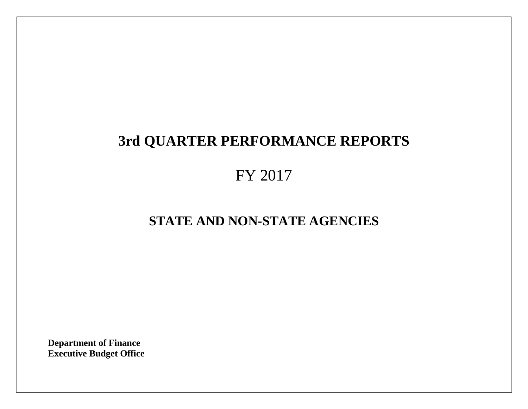# **3rd QUARTER PERFORMANCE REPORTS**

# FY 2017

# **STATE AND NON-STATE AGENCIES**

**Department of Finance Executive Budget Office**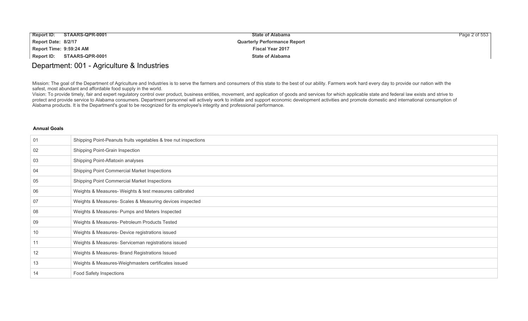| <b>Report ID:</b>       | STAARS-QPR-0001 | <b>State of Alabama</b>             | Page $2$ of 553 |
|-------------------------|-----------------|-------------------------------------|-----------------|
| Report Date: 8/2/17     |                 | <b>Quarterly Performance Report</b> |                 |
| Report Time: 9:59:24 AM |                 | <b>Fiscal Year 2017</b>             |                 |
| Report ID:              | STAARS-QPR-0001 | <b>State of Alabama</b>             |                 |

### Department: 001 - Agriculture & Industries

Mission: The goal of the Department of Agriculture and Industries is to serve the farmers and consumers of this state to the best of our ability. Farmers work hard every day to provide our nation with the safest, most abundant and affordable food supply in the world.

Vision: To provide timely, fair and expert regulatory control over product, business entities, movement, and application of goods and services for which applicable state and federal law exists and strive to protect and provide service to Alabama consumers. Department personnel will actively work to initiate and support economic development activities and promote domestic and international consumption of Alabama products. It is the Department's goal to be recognized for its employee's integrity and professional performance.

| 01 | Shipping Point-Peanuts fruits vegetables & tree nut inspections |
|----|-----------------------------------------------------------------|
| 02 | Shipping Point-Grain Inspection                                 |
| 03 | Shipping Point-Aflatoxin analyses                               |
| 04 | Shipping Point Commercial Market Inspections                    |
| 05 | Shipping Point Commercial Market Inspections                    |
| 06 | Weights & Measures- Weights & test measures calibrated          |
| 07 | Weights & Measures- Scales & Measuring devices inspected        |
| 08 | Weights & Measures- Pumps and Meters Inspected                  |
| 09 | Weights & Measures- Petroleum Products Tested                   |
| 10 | Weights & Measures- Device registrations issued                 |
| 11 | Weights & Measures- Serviceman registrations issued             |
| 12 | Weights & Measures- Brand Registrations Issued                  |
| 13 | Weights & Measures-Weighmasters certificates issued             |
| 14 | Food Safety Inspections                                         |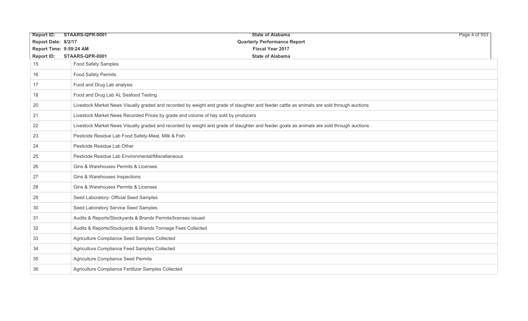| <b>Report ID:</b>       | STAARS-QPR-0001             | <b>State of Alabama</b>                                                                                                                    | Page 4 of 553 |
|-------------------------|-----------------------------|--------------------------------------------------------------------------------------------------------------------------------------------|---------------|
| Report Date: 8/2/17     |                             | <b>Quarterly Performance Report</b>                                                                                                        |               |
| Report Time: 9:59:24 AM |                             | <b>Fiscal Year 2017</b>                                                                                                                    |               |
| <b>Report ID:</b>       | STAARS-QPR-0001             | <b>State of Alabama</b>                                                                                                                    |               |
| 15                      | Food Safety Samples         |                                                                                                                                            |               |
| 16                      | <b>Food Safety Permits</b>  |                                                                                                                                            |               |
| 17                      | Food and Drug Lab analysis  |                                                                                                                                            |               |
| 18                      |                             | Food and Drug Lab AL Seafood Testing                                                                                                       |               |
| 20                      |                             | Livestock Market News Visually graded and recorded by weight and grade of slaughter and feeder cattle as animals are sold through auctions |               |
| 21                      |                             | Livestock Market News Recorded Prices by grade and volume of hay sold by producers                                                         |               |
| 22                      |                             | Livestock Market News Visually graded and recorded by weight and grade of slaughter and feeder goats as animals are sold through auctions  |               |
| 23                      |                             | Pesticide Residue Lab Food Safety-Meat, Milk & Fish                                                                                        |               |
| 24                      | Pesticide Residue Lab Other |                                                                                                                                            |               |
| 25                      |                             | Pesticide Residue Lab Environmental/Miscellaneous                                                                                          |               |
| 26                      |                             | Gins & Warehouses Permits & Licenses                                                                                                       |               |
| 27                      |                             | Gins & Warehouses Inspections                                                                                                              |               |
| 28                      |                             | Gins & Warehouses Permits & Licenses                                                                                                       |               |
| 29                      |                             | Seed Laboratory- Official Seed Samples                                                                                                     |               |
| 30                      |                             | Seed Laboratory Service Seed Samples                                                                                                       |               |
| 31                      |                             | Audits & Reports/Stockyards & Brands Permits/licenses issued                                                                               |               |
| 32                      |                             | Audits & Reports/Stockyards & Brands Tonnage Fees Collected                                                                                |               |
| 33                      |                             | Agriculture Compliance Seed Samples Collected                                                                                              |               |
| 34                      |                             | Agriculture Compliance Feed Samples Collected                                                                                              |               |
| 35                      |                             | Agriculture Compliance Seed Permits                                                                                                        |               |
| 36                      |                             | Agriculture Compliance Fertilizer Samples Collected                                                                                        |               |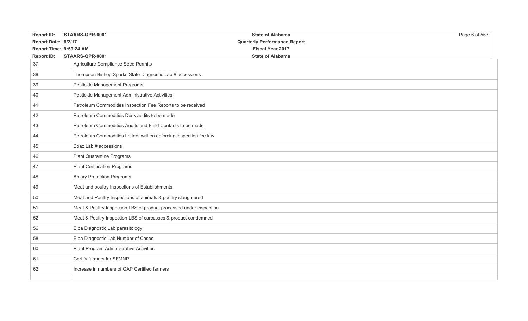| <b>Report ID:</b>   | STAARS-QPR-0001                                                     | <b>State of Alabama</b>             | Page 6 of 553 |
|---------------------|---------------------------------------------------------------------|-------------------------------------|---------------|
| Report Date: 8/2/17 |                                                                     | <b>Quarterly Performance Report</b> |               |
|                     | Report Time: 9:59:24 AM                                             | <b>Fiscal Year 2017</b>             |               |
| <b>Report ID:</b>   | STAARS-QPR-0001                                                     | <b>State of Alabama</b>             |               |
| 37                  | Agriculture Compliance Seed Permits                                 |                                     |               |
| 38                  | Thompson Bishop Sparks State Diagnostic Lab # accessions            |                                     |               |
| 39                  | Pesticide Management Programs                                       |                                     |               |
| 40                  | Pesticide Management Administrative Activities                      |                                     |               |
| 41                  | Petroleum Commodities Inspection Fee Reports to be received         |                                     |               |
| 42                  | Petroleum Commodities Desk audits to be made                        |                                     |               |
| 43                  | Petroleum Commodities Audits and Field Contacts to be made          |                                     |               |
| 44                  | Petroleum Commodities Letters written enforcing inspection fee law  |                                     |               |
| 45                  | Boaz Lab # accessions                                               |                                     |               |
| 46                  | <b>Plant Quarantine Programs</b>                                    |                                     |               |
| 47                  | <b>Plant Certification Programs</b>                                 |                                     |               |
| 48                  | <b>Apiary Protection Programs</b>                                   |                                     |               |
| 49                  | Meat and poultry Inspections of Establishments                      |                                     |               |
| 50                  | Meat and Poultry Inspections of animals & poultry slaughtered       |                                     |               |
| 51                  | Meat & Poultry Inspection LBS of product processed under inspection |                                     |               |
| 52                  | Meat & Poultry Inspection LBS of carcasses & product condemned      |                                     |               |
| 56                  | Elba Diagnostic Lab parasitology                                    |                                     |               |
| 58                  | Elba Diagnostic Lab Number of Cases                                 |                                     |               |
| 60                  | Plant Program Administrative Activities                             |                                     |               |
| 61                  | Certify farmers for SFMNP                                           |                                     |               |
| 62                  | Increase in numbers of GAP Certified farmers                        |                                     |               |
|                     |                                                                     |                                     |               |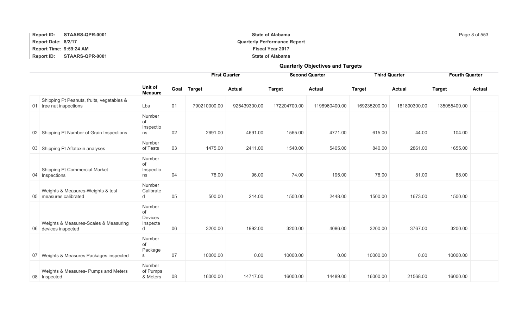| <b>Report ID:</b><br>STAARS-QPR-0001 | <b>State of Alabama</b>             | Page 8 of 553 |
|--------------------------------------|-------------------------------------|---------------|
| Report Date: 8/2/17                  | <b>Quarterly Performance Report</b> |               |
| Report Time: 9:59:24 AM              | <b>Fiscal Year 2017</b>             |               |
| <b>Report ID:</b><br>STAARS-QPR-0001 | <b>State of Alabama</b>             |               |

**Quarterly Objectives and Targets**

#### **First Quarter Second Quarter Third Quarter Fourth Quarter Unit of Measure Goal Target Actual Target Actual Target Actual Target Actual** 01 tree nut inspections Shipping Pt Peanuts, fruits, vegetables & tree nut inspections Lbs 01 790210000.00 925439300.00 172204700.00 1198960400.00 169235200.00 181890300.00 135055400.00 02 Shipping Pt Number of Grain Inspections Number of Inspectio ns 02 2691.00 4691.00 1565.00 4771.00 615.00 44.00 104.00 03 Shipping Pt Aflatoxin analyses Number<br>of Tests of Tests 03 1475.00 2411.00 1540.00 5405.00 840.00 2861.00 1655.00 04 Inspections Shipping Pt Commercial Market Number of Inspectio ns 04 78.00 96.00 74.00 195.00 78.00 81.00 88.00 05 measures calibrated Weights & Measures-Weights & test Number **Calibrate** d 05 500.00 214.00 1500.00 2448.00 1500.00 1673.00 1500.00 06 devices inspected Weights & Measures-Scales & Measuring Number of Devices Inspecte<br>d d 06 3200.00 1992.00 3200.00 4086.00 3200.00 3767.00 3200.00 07 Weights & Measures Packages inspected Number of Package s 07 10000.00 0.00 10000.00 0.00 10000.00 0.00 10000.00

& Meters 08 16000.00 14717.00 16000.00 14489.00 16000.00 21568.00 16000.00

08 Inspected

Weights & Measures- Pumps and Meters

Number of Pumps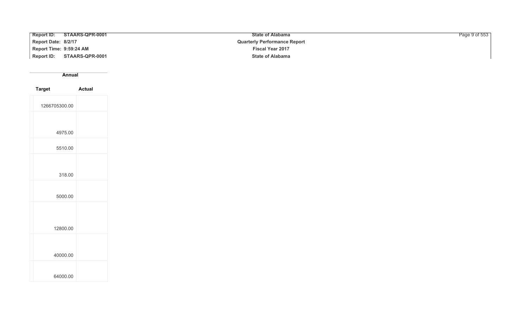| <b>Report ID:</b><br>STAARS-QPR-0001 | <b>State of Alabama</b>             | Page 9 of 553 |
|--------------------------------------|-------------------------------------|---------------|
| Report Date: 8/2/17                  | <b>Quarterly Performance Report</b> |               |
| Report Time: 9:59:24 AM              | <b>Fiscal Year 2017</b>             |               |
| Report ID: STAARS-QPR-0001           | <b>State of Alabama</b>             |               |

**Annual** 

| <b>Target</b> | <b>Actual</b> |
|---------------|---------------|
| 1266705300.00 |               |
|               |               |
| 4975.00       |               |
| 5510.00       |               |
|               |               |
| 318.00        |               |
| 5000.00       |               |
| 12800.00      |               |
|               |               |
| 40000.00      |               |
| 64000.00      |               |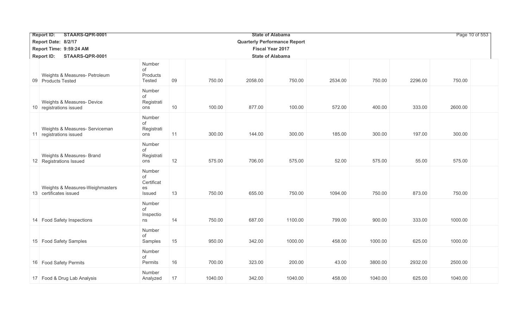| STAARS-QPR-0001<br><b>Report ID:</b>                      |                                            |               |         | <b>State of Alabama</b>             |         |         |         |         | Page 10 of 553 |
|-----------------------------------------------------------|--------------------------------------------|---------------|---------|-------------------------------------|---------|---------|---------|---------|----------------|
| Report Date: 8/2/17                                       |                                            |               |         | <b>Quarterly Performance Report</b> |         |         |         |         |                |
| Report Time: 9:59:24 AM                                   |                                            |               |         | <b>Fiscal Year 2017</b>             |         |         |         |         |                |
| <b>Report ID:</b><br>STAARS-QPR-0001                      |                                            |               |         | <b>State of Alabama</b>             |         |         |         |         |                |
| Weights & Measures- Petroleum<br>09 Products Tested       | Number<br>of<br>Products<br>Tested         | 09<br>750.00  | 2058.00 | 750.00                              | 2534.00 | 750.00  | 2296.00 | 750.00  |                |
| Weights & Measures- Device<br>10 registrations issued     | Number<br>οf<br>Registrati<br>ons          | 10<br>100.00  | 877.00  | 100.00                              | 572.00  | 400.00  | 333.00  | 2600.00 |                |
| Weights & Measures- Serviceman<br>11 registrations issued | Number<br>of<br>Registrati<br>ons          | 11<br>300.00  | 144.00  | 300.00                              | 185.00  | 300.00  | 197.00  | 300.00  |                |
| Weights & Measures- Brand<br>12 Registrations Issued      | Number<br>οf<br>Registrati<br>ons          | 12<br>575.00  | 706.00  | 575.00                              | 52.00   | 575.00  | 55.00   | 575.00  |                |
| Weights & Measures-Weighmasters<br>13 certificates issued | Number<br>of<br>Certificat<br>es<br>Issued | 13<br>750.00  | 655.00  | 750.00                              | 1094.00 | 750.00  | 873.00  | 750.00  |                |
| 14 Food Safety Inspections                                | Number<br>of<br>Inspectio<br>ns            | 14<br>750.00  | 687.00  | 1100.00                             | 799.00  | 900.00  | 333.00  | 1000.00 |                |
| 15 Food Safety Samples                                    | Number<br>of<br>Samples                    | 15<br>950.00  | 342.00  | 1000.00                             | 458.00  | 1000.00 | 625.00  | 1000.00 |                |
| 16 Food Safety Permits                                    | Number<br>of<br>Permits                    | 16<br>700.00  | 323.00  | 200.00                              | 43.00   | 3800.00 | 2932.00 | 2500.00 |                |
| 17 Food & Drug Lab Analysis                               | Number<br>Analyzed                         | 17<br>1040.00 | 342.00  | 1040.00                             | 458.00  | 1040.00 | 625.00  | 1040.00 |                |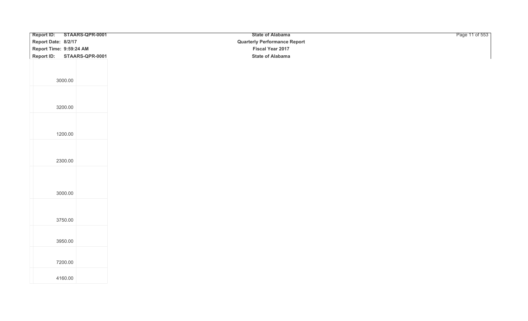| Report ID: STAARS-QPR-0001           | <b>State of Alabama</b>             | Page 11 of 553 |
|--------------------------------------|-------------------------------------|----------------|
| Report Date: 8/2/17                  | <b>Quarterly Performance Report</b> |                |
| Report Time: 9:59:24 AM              | Fiscal Year 2017                    |                |
| <b>Report ID:</b><br>STAARS-QPR-0001 | <b>State of Alabama</b>             |                |
|                                      |                                     |                |
|                                      |                                     |                |
|                                      |                                     |                |
| 3000.00                              |                                     |                |
|                                      |                                     |                |
|                                      |                                     |                |
| 3200.00                              |                                     |                |
|                                      |                                     |                |
|                                      |                                     |                |
|                                      |                                     |                |
| 1200.00                              |                                     |                |
|                                      |                                     |                |
|                                      |                                     |                |
| 2300.00                              |                                     |                |
|                                      |                                     |                |
|                                      |                                     |                |
|                                      |                                     |                |
|                                      |                                     |                |
| 3000.00                              |                                     |                |
|                                      |                                     |                |
|                                      |                                     |                |
| 3750.00                              |                                     |                |
|                                      |                                     |                |
|                                      |                                     |                |
| 3950.00                              |                                     |                |
|                                      |                                     |                |
|                                      |                                     |                |
| 7200.00                              |                                     |                |
|                                      |                                     |                |
| 4160.00                              |                                     |                |
|                                      |                                     |                |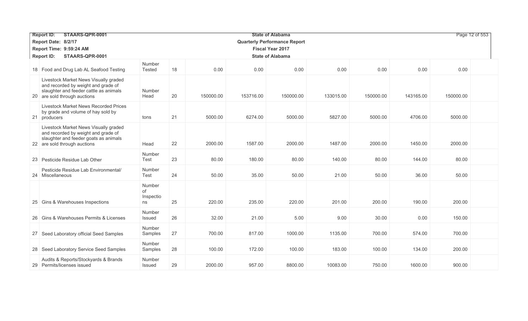| STAARS-QPR-0001<br><b>Report ID:</b>                                                                                                                   |                                 |    |           |           | <b>State of Alabama</b>             |           |           |           | Page 12 of 553 |
|--------------------------------------------------------------------------------------------------------------------------------------------------------|---------------------------------|----|-----------|-----------|-------------------------------------|-----------|-----------|-----------|----------------|
| Report Date: 8/2/17                                                                                                                                    |                                 |    |           |           | <b>Quarterly Performance Report</b> |           |           |           |                |
| Report Time: 9:59:24 AM                                                                                                                                |                                 |    |           |           | <b>Fiscal Year 2017</b>             |           |           |           |                |
| STAARS-QPR-0001<br><b>Report ID:</b>                                                                                                                   |                                 |    |           |           | <b>State of Alabama</b>             |           |           |           |                |
| 18 Food and Drug Lab AL Seafood Testing                                                                                                                | Number<br>Tested                | 18 | 0.00      | 0.00      | 0.00                                | 0.00      | 0.00      | 0.00      | 0.00           |
| Livestock Market News Visually graded<br>and recorded by weight and grade of<br>slaughter and feeder cattle as animals<br>20 are sold through auctions | Number<br>Head                  | 20 | 150000.00 | 153716.00 | 150000.00                           | 133015.00 | 150000.00 | 143165.00 | 150000.00      |
| <b>Livestock Market News Recorded Prices</b><br>by grade and volume of hay sold by<br>21 producers                                                     | tons                            | 21 | 5000.00   | 6274.00   | 5000.00                             | 5827.00   | 5000.00   | 4706.00   | 5000.00        |
| Livestock Market News Visually graded<br>and recorded by weight and grade of<br>slaughter and feeder goats as animals<br>22 are sold through auctions  | Head                            | 22 | 2000.00   | 1587.00   | 2000.00                             | 1487.00   | 2000.00   | 1450.00   | 2000.00        |
| 23 Pesticide Residue Lab Other                                                                                                                         | Number<br>Test                  | 23 | 80.00     | 180.00    | 80.00                               | 140.00    | 80.00     | 144.00    | 80.00          |
| Pesticide Residue Lab Environmental/<br>24 Miscellaneous                                                                                               | Number<br>Test                  | 24 | 50.00     | 35.00     | 50.00                               | 21.00     | 50.00     | 36.00     | 50.00          |
| 25 Gins & Warehouses Inspections                                                                                                                       | Number<br>of<br>Inspectio<br>ns | 25 | 220.00    | 235.00    | 220.00                              | 201.00    | 200.00    | 190.00    | 200.00         |
| 26 Gins & Warehouses Permits & Licenses                                                                                                                | Number<br>Issued                | 26 | 32.00     | 21.00     | 5.00                                | 9.00      | 30.00     | 0.00      | 150.00         |
| 27 Seed Laboratory official Seed Samples                                                                                                               | Number<br>Samples               | 27 | 700.00    | 817.00    | 1000.00                             | 1135.00   | 700.00    | 574.00    | 700.00         |
| 28 Seed Laboratory Service Seed Samples                                                                                                                | Number<br>Samples               | 28 | 100.00    | 172.00    | 100.00                              | 183.00    | 100.00    | 134.00    | 200.00         |
| Audits & Reports/Stockyards & Brands<br>29 Permits/licenses issued                                                                                     | Number<br><b>Issued</b>         | 29 | 2000.00   | 957.00    | 8800.00                             | 10083.00  | 750.00    | 1600.00   | 900.00         |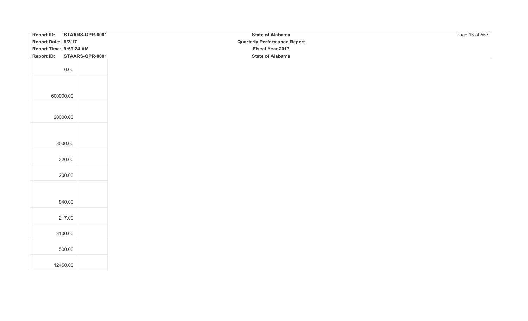| Report ID: STAARS-QPR-0001           |  | <b>State of Alabama</b>             | Page 13 of 553 |
|--------------------------------------|--|-------------------------------------|----------------|
| Report Date: 8/2/17                  |  | <b>Quarterly Performance Report</b> |                |
| Report Time: 9:59:24 AM              |  | Fiscal Year 2017                    |                |
| <b>Report ID:</b><br>STAARS-QPR-0001 |  | <b>State of Alabama</b>             |                |
|                                      |  |                                     |                |
| 0.00                                 |  |                                     |                |
|                                      |  |                                     |                |
|                                      |  |                                     |                |
|                                      |  |                                     |                |
| 600000.00                            |  |                                     |                |
|                                      |  |                                     |                |
|                                      |  |                                     |                |
| 20000.00                             |  |                                     |                |
|                                      |  |                                     |                |
|                                      |  |                                     |                |
| 8000.00                              |  |                                     |                |
|                                      |  |                                     |                |
|                                      |  |                                     |                |
| 320.00                               |  |                                     |                |
|                                      |  |                                     |                |
| 200.00                               |  |                                     |                |
|                                      |  |                                     |                |
|                                      |  |                                     |                |
| 840.00                               |  |                                     |                |
|                                      |  |                                     |                |
|                                      |  |                                     |                |
| 217.00                               |  |                                     |                |
|                                      |  |                                     |                |
| 3100.00                              |  |                                     |                |
|                                      |  |                                     |                |
| 500.00                               |  |                                     |                |
|                                      |  |                                     |                |
| 12450.00                             |  |                                     |                |
|                                      |  |                                     |                |
|                                      |  |                                     |                |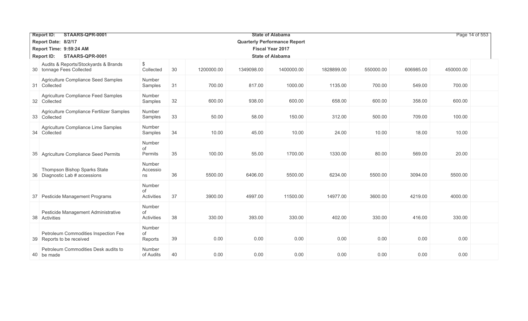| STAARS-QPR-0001<br><b>State of Alabama</b><br><b>Report ID:</b> |                                                                   |                                     |    |            |            |                         |            | Page 14 of 553 |           |           |
|-----------------------------------------------------------------|-------------------------------------------------------------------|-------------------------------------|----|------------|------------|-------------------------|------------|----------------|-----------|-----------|
|                                                                 | Report Date: 8/2/17                                               | <b>Quarterly Performance Report</b> |    |            |            |                         |            |                |           |           |
|                                                                 | Report Time: 9:59:24 AM                                           |                                     |    |            |            | <b>Fiscal Year 2017</b> |            |                |           |           |
|                                                                 | STAARS-QPR-0001<br><b>Report ID:</b>                              |                                     |    |            |            | <b>State of Alabama</b> |            |                |           |           |
|                                                                 | Audits & Reports/Stockyards & Brands<br>30 tonnage Fees Collected | \$<br>Collected                     | 30 | 1200000.00 | 1349098.00 | 1400000.00              | 1828899.00 | 550000.00      | 606985.00 | 450000.00 |
|                                                                 | Agriculture Compliance Seed Samples<br>31 Collected               | Number<br>Samples                   | 31 | 700.00     | 817.00     | 1000.00                 | 1135.00    | 700.00         | 549.00    | 700.00    |
|                                                                 | Agriculture Compliance Feed Samples<br>32 Collected               | Number<br>Samples                   | 32 | 600.00     | 938.00     | 600.00                  | 658.00     | 600.00         | 358.00    | 600.00    |
|                                                                 | Agriculture Compliance Fertilizer Samples<br>33 Collected         | Number<br>Samples                   | 33 | 50.00      | 58.00      | 150.00                  | 312.00     | 500.00         | 709.00    | 100.00    |
|                                                                 | Agriculture Compliance Lime Samples<br>34 Collected               | Number<br>Samples                   | 34 | 10.00      | 45.00      | 10.00                   | 24.00      | 10.00          | 18.00     | 10.00     |
|                                                                 | 35 Agriculture Compliance Seed Permits                            | Number<br>of<br>Permits             | 35 | 100.00     | 55.00      | 1700.00                 | 1330.00    | 80.00          | 569.00    | 20.00     |
|                                                                 | Thompson Bishop Sparks State<br>36 Diagnostic Lab # accessions    | Number<br>Accessio<br>ns            | 36 | 5500.00    | 6406.00    | 5500.00                 | 6234.00    | 5500.00        | 3094.00   | 5500.00   |
|                                                                 | 37 Pesticide Management Programs                                  | Number<br>οf<br>Activities          | 37 | 3900.00    | 4997.00    | 11500.00                | 14977.00   | 3600.00        | 4219.00   | 4000.00   |
| 38                                                              | Pesticide Management Administrative<br>Activities                 | Number<br>of<br>Activities          | 38 | 330.00     | 393.00     | 330.00                  | 402.00     | 330.00         | 416.00    | 330.00    |
|                                                                 | Petroleum Commodities Inspection Fee<br>39 Reports to be received | Number<br>οf<br>Reports             | 39 | 0.00       | 0.00       | 0.00                    | 0.00       | 0.00           | 0.00      | 0.00      |
|                                                                 | Petroleum Commodities Desk audits to<br>40 be made                | Number<br>of Audits                 | 40 | 0.00       | 0.00       | 0.00                    | 0.00       | 0.00           | 0.00      | 0.00      |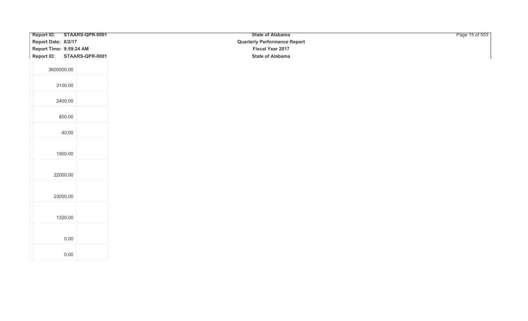| Report ID: STAARS-QPR-0001 | <b>State of Alabama</b>             | Page 15 of 553 |
|----------------------------|-------------------------------------|----------------|
| Report Date: 8/2/17        | <b>Quarterly Performance Report</b> |                |
| Report Time: 9:59:24 AM    | Fiscal Year 2017                    |                |
| Report ID: STAARS-QPR-0001 | <b>State of Alabama</b>             |                |
|                            |                                     |                |
| 3600000.00                 |                                     |                |
|                            |                                     |                |
| 3100.00                    |                                     |                |
|                            |                                     |                |
| 2400.00                    |                                     |                |
|                            |                                     |                |
| 800.00                     |                                     |                |
|                            |                                     |                |
|                            |                                     |                |
| 40.00                      |                                     |                |
|                            |                                     |                |
| 1900.00                    |                                     |                |
|                            |                                     |                |
|                            |                                     |                |
| 22000.00                   |                                     |                |
|                            |                                     |                |
|                            |                                     |                |
| 23000.00                   |                                     |                |
|                            |                                     |                |
|                            |                                     |                |
| 1320.00                    |                                     |                |
|                            |                                     |                |
|                            |                                     |                |
| 0.00                       |                                     |                |
|                            |                                     |                |
| $0.00\,$                   |                                     |                |
|                            |                                     |                |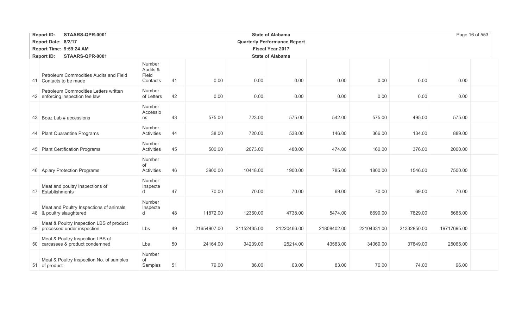|                                                                 | STAARS-QPR-0001<br><b>Report ID:</b><br><b>State of Alabama</b>           |                                         |    |             |             |                                     |             |             |             |             |  |  |
|-----------------------------------------------------------------|---------------------------------------------------------------------------|-----------------------------------------|----|-------------|-------------|-------------------------------------|-------------|-------------|-------------|-------------|--|--|
|                                                                 | Report Date: 8/2/17                                                       |                                         |    |             |             | <b>Quarterly Performance Report</b> |             |             |             |             |  |  |
|                                                                 | Report Time: 9:59:24 AM                                                   |                                         |    |             |             | <b>Fiscal Year 2017</b>             |             |             |             |             |  |  |
| STAARS-QPR-0001<br><b>Report ID:</b><br><b>State of Alabama</b> |                                                                           |                                         |    |             |             |                                     |             |             |             |             |  |  |
|                                                                 | Petroleum Commodities Audits and Field<br>41 Contacts to be made          | Number<br>Audits &<br>Field<br>Contacts | 41 | 0.00        | 0.00        | 0.00                                | 0.00        | 0.00        | 0.00        | 0.00        |  |  |
|                                                                 | Petroleum Commodities Letters written<br>42 enforcing inspection fee law  | Number<br>of Letters                    | 42 | 0.00        | 0.00        | 0.00                                | 0.00        | 0.00        | 0.00        | 0.00        |  |  |
|                                                                 | 43 Boaz Lab # accessions                                                  | Number<br>Accessio<br>ns                | 43 | 575.00      | 723.00      | 575.00                              | 542.00      | 575.00      | 495.00      | 575.00      |  |  |
|                                                                 | 44 Plant Quarantine Programs                                              | Number<br>Activities                    | 44 | 38.00       | 720.00      | 538.00                              | 146.00      | 366.00      | 134.00      | 889.00      |  |  |
|                                                                 | 45 Plant Certification Programs                                           | Number<br>Activities                    | 45 | 500.00      | 2073.00     | 480.00                              | 474.00      | 160.00      | 376.00      | 2000.00     |  |  |
|                                                                 | 46 Apiary Protection Programs                                             | Number<br>of<br>Activities              | 46 | 3900.00     | 10418.00    | 1900.00                             | 785.00      | 1800.00     | 1546.00     | 7500.00     |  |  |
| 47                                                              | Meat and poultry Inspections of<br>Establishments                         | Number<br>Inspecte<br>d                 | 47 | 70.00       | 70.00       | 70.00                               | 69.00       | 70.00       | 69.00       | 70.00       |  |  |
| 48                                                              | Meat and Poultry Inspections of animals<br>& poultry slaughtered          | Number<br>Inspecte<br>d                 | 48 | 11872.00    | 12360.00    | 4738.00                             | 5474.00     | 6699.00     | 7829.00     | 5685.00     |  |  |
|                                                                 | Meat & Poultry Inspection LBS of product<br>49 processed under inspection | Lbs                                     | 49 | 21654907.00 | 21152435.00 | 21220466.00                         | 21808402.00 | 22104331.00 | 21332850.00 | 19717695.00 |  |  |
|                                                                 | Meat & Poultry Inspection LBS of<br>50 carcasses & product condemned      | Lbs                                     | 50 | 24164.00    | 34239.00    | 25214.00                            | 43583.00    | 34069.00    | 37849.00    | 25065.00    |  |  |
|                                                                 | Meat & Poultry Inspection No. of samples<br>51 of product                 | Number<br>of<br>Samples                 | 51 | 79.00       | 86.00       | 63.00                               | 83.00       | 76.00       | 74.00       | 96.00       |  |  |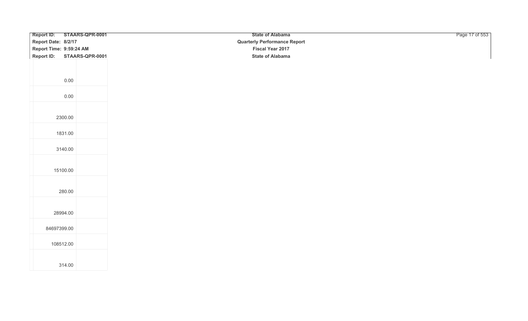| Report ID: STAARS-QPR-0001 | <b>State of Alabama</b>             | Page 17 of 553 |
|----------------------------|-------------------------------------|----------------|
| Report Date: 8/2/17        | <b>Quarterly Performance Report</b> |                |
| Report Time: 9:59:24 AM    | Fiscal Year 2017                    |                |
| Report ID: STAARS-QPR-0001 | <b>State of Alabama</b>             |                |
|                            |                                     |                |
|                            |                                     |                |
|                            |                                     |                |
| 0.00                       |                                     |                |
|                            |                                     |                |
| 0.00                       |                                     |                |
|                            |                                     |                |
|                            |                                     |                |
| 2300.00                    |                                     |                |
|                            |                                     |                |
| 1831.00                    |                                     |                |
|                            |                                     |                |
| 3140.00                    |                                     |                |
|                            |                                     |                |
|                            |                                     |                |
| 15100.00                   |                                     |                |
|                            |                                     |                |
|                            |                                     |                |
| 280.00                     |                                     |                |
|                            |                                     |                |
|                            |                                     |                |
| 28994.00                   |                                     |                |
|                            |                                     |                |
| 84697399.00                |                                     |                |
|                            |                                     |                |
| 108512.00                  |                                     |                |
|                            |                                     |                |
|                            |                                     |                |
| 314.00                     |                                     |                |
|                            |                                     |                |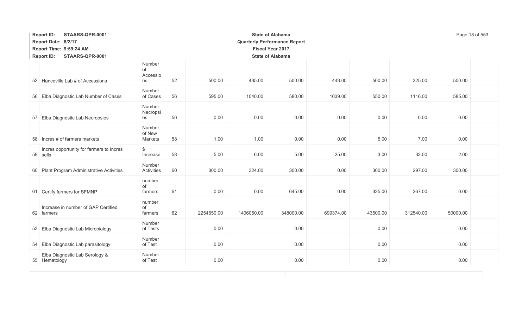| <b>Report ID:</b><br>STAARS-QPR-0001                                          |                                |    |            |            | Page 18 of 553                      |           |          |           |          |  |  |  |
|-------------------------------------------------------------------------------|--------------------------------|----|------------|------------|-------------------------------------|-----------|----------|-----------|----------|--|--|--|
| Report Date: 8/2/17                                                           |                                |    |            |            | <b>Quarterly Performance Report</b> |           |          |           |          |  |  |  |
| Report Time: 9:59:24 AM<br><b>Fiscal Year 2017</b><br><b>State of Alabama</b> |                                |    |            |            |                                     |           |          |           |          |  |  |  |
| <b>Report ID:</b><br>STAARS-QPR-0001                                          |                                |    |            |            |                                     |           |          |           |          |  |  |  |
| 52 Hanceville Lab # of Accessions                                             | Number<br>of<br>Accessio<br>ns | 52 | 500.00     | 435.00     | 500.00                              | 443.00    | 500.00   | 325.00    | 500.00   |  |  |  |
| 56 Elba Diagnostic Lab Number of Cases                                        | Number<br>of Cases             | 56 | 595.00     | 1040.00    | 580.00                              | 1039.00   | 550.00   | 1116.00   | 585.00   |  |  |  |
| 57 Elba Diagnostic Lab Necropsies                                             | Number<br>Necropsi<br>es       | 56 | 0.00       | 0.00       | 0.00                                | 0.00      | 0.00     | 0.00      | 0.00     |  |  |  |
| 58 Incres # of farmers markets                                                | Number<br>of New<br>Markets    | 58 | 1.00       | 1.00       | 0.00                                | 0.00      | 5.00     | 7.00      | 0.00     |  |  |  |
| Incres opportunity for farmers to Incres<br>59 sells                          | $\$\$<br>Increase              | 58 | 5.00       | 6.00       | 5.00                                | 25.00     | 3.00     | 32.00     | 2.00     |  |  |  |
| 60 Plant Program Administrative Activities                                    | Number<br>Activities           | 60 | 300.00     | 324.00     | 300.00                              | 0.00      | 300.00   | 297.00    | 300.00   |  |  |  |
| 61 Certify farmers for SFMNP                                                  | number<br>of<br>farmers        | 61 | 0.00       | 0.00       | 645.00                              | 0.00      | 325.00   | 367.00    | 0.00     |  |  |  |
| Increase in number of GAP Certified<br>62 farmers                             | number<br>of<br>farmers        | 62 | 2254650.00 | 1406050.00 | 348000.00                           | 699374.00 | 43500.00 | 312540.00 | 50000.00 |  |  |  |
| 53 Elba Diagnostic Lab Microbiology                                           | Number<br>of Tests             |    | 0.00       |            | 0.00                                |           | 0.00     |           | 0.00     |  |  |  |
| 54 Elba Diagnostic Lab parasitology                                           | Number<br>of Test              |    | 0.00       |            | 0.00                                |           | 0.00     |           | 0.00     |  |  |  |
| Elba Diagnostic Lab Serology &<br>55 Hematology                               | Number<br>of Test              |    | 0.00       |            | 0.00                                |           | 0.00     |           | 0.00     |  |  |  |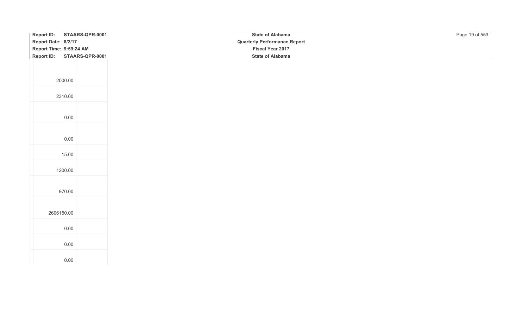| Report ID: STAARS-QPR-0001 | <b>State of Alabama</b>             | Page 19 of 553 |
|----------------------------|-------------------------------------|----------------|
| Report Date: 8/2/17        | <b>Quarterly Performance Report</b> |                |
| Report Time: 9:59:24 AM    | Fiscal Year 2017                    |                |
| Report ID: STAARS-QPR-0001 | <b>State of Alabama</b>             |                |
|                            |                                     |                |
|                            |                                     |                |
|                            |                                     |                |
| 2000.00                    |                                     |                |
|                            |                                     |                |
| 2310.00                    |                                     |                |
|                            |                                     |                |
|                            |                                     |                |
| 0.00                       |                                     |                |
|                            |                                     |                |
|                            |                                     |                |
| 0.00                       |                                     |                |
|                            |                                     |                |
| 15.00                      |                                     |                |
|                            |                                     |                |
| 1200.00                    |                                     |                |
|                            |                                     |                |
|                            |                                     |                |
| 970.00                     |                                     |                |
|                            |                                     |                |
|                            |                                     |                |
| 2696150.00                 |                                     |                |
|                            |                                     |                |
| 0.00                       |                                     |                |
|                            |                                     |                |
| 0.00                       |                                     |                |
|                            |                                     |                |
| $0.00\,$                   |                                     |                |
|                            |                                     |                |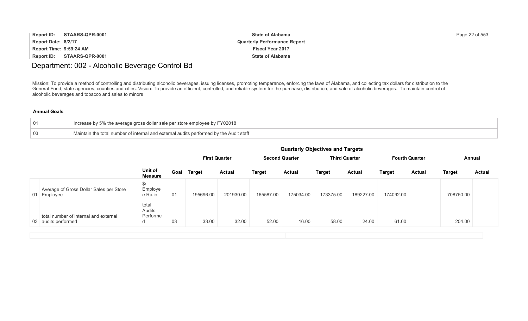| <b>Report ID:</b>       | STAARS-QPR-0001 | <b>State of Alabama</b>             | Page 22 of 553 |
|-------------------------|-----------------|-------------------------------------|----------------|
| Report Date: 8/2/17     |                 | <b>Quarterly Performance Report</b> |                |
| Report Time: 9:59:24 AM |                 | <b>Fiscal Year 2017</b>             |                |
| Report ID:              | STAARS-QPR-0001 | <b>State of Alabama</b>             |                |

### Department: 002 - Alcoholic Beverage Control Bd

Mission: To provide a method of controlling and distributing alcoholic beverages, issuing licenses, promoting temperance, enforcing the laws of Alabama, and collecting tax dollars for distribution to the General Fund, state agencies, counties and cities. Vision: To provide an efficient, controlled, and reliable system for the purchase, distribution, and sale of alcoholic beverages. To maintain control of alcoholic beverages and tobacco and sales to minors

| 01 | Increase by 5% the average gross dollar sale per store employee by FY02018             |
|----|----------------------------------------------------------------------------------------|
| 03 | Maintain the total number of internal and external audits performed by the Audit staff |

|                                                              | <b>Quarterly Objectives and Targets</b> |                                                                                                |             |               |               |           |           |               |               |               |               |               |
|--------------------------------------------------------------|-----------------------------------------|------------------------------------------------------------------------------------------------|-------------|---------------|---------------|-----------|-----------|---------------|---------------|---------------|---------------|---------------|
|                                                              |                                         | <b>Third Quarter</b><br><b>Second Quarter</b><br><b>First Quarter</b><br><b>Fourth Quarter</b> |             |               |               |           |           |               |               |               |               | Annual        |
|                                                              | Unit of<br><b>Measure</b>               |                                                                                                | Goal Target | <b>Actual</b> | <b>Target</b> | Actual    | Target    | <b>Actual</b> | <b>Target</b> | <b>Actual</b> | <b>Target</b> | <b>Actual</b> |
| Average of Gross Dollar Sales per Store<br>01 Employee       | \$/<br>Employe<br>e Ratio               | 01                                                                                             | 195696.00   | 201930.00     | 165587.00     | 175034.00 | 173375.00 | 189227.00     | 174092.00     |               | 708750.00     |               |
| total number of internal and external<br>03 audits performed | total<br>Audits<br>Performe<br>d        | 03                                                                                             | 33.00       | 32.00         | 52.00         | 16.00     | 58.00     | 24.00         | 61.00         |               | 204.00        |               |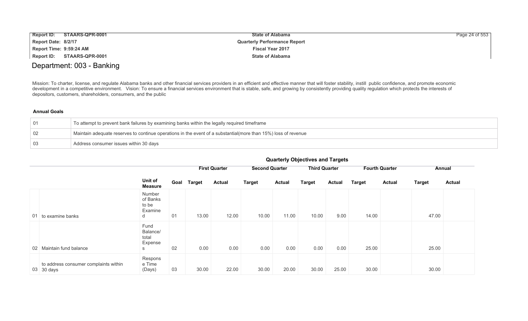| <b>Report ID:</b>       | STAARS-QPR-0001 | <b>State of Alabama</b>             | Page 24 of 553 |
|-------------------------|-----------------|-------------------------------------|----------------|
| Report Date: 8/2/17     |                 | <b>Quarterly Performance Report</b> |                |
| Report Time: 9:59:24 AM |                 | <b>Fiscal Year 2017</b>             |                |
| Report ID:              | STAARS-QPR-0001 | <b>State of Alabama</b>             |                |

### Department: 003 - Banking

Mission: To charter, license, and regulate Alabama banks and other financial services providers in an efficient and effective manner that will foster stability, instill public confidence, and promote economic development in a competitive environment. Vision: To ensure a financial services environment that is stable, safe, and growing by consistently providing quality regulation which protects the interests of depositors, customers, shareholders, consumers, and the public

### **Annual Goals**

| $\overline{01}$ | To attempt to prevent bank failures by examining banks within the legally required timeframe                   |
|-----------------|----------------------------------------------------------------------------------------------------------------|
| $\overline{02}$ | Maintain adequate reserves to continue operations in the event of a substantial(more than 15%) loss of revenue |
| $\Box$ 0.3      | Address consumer issues within 30 days                                                                         |

|                 |                                                     |                                             |      | <b>First Quarter</b> |               | <b>Second Quarter</b> |               | <b>Third Quarter</b> |               | <b>Fourth Quarter</b> |               | Annual        |               |
|-----------------|-----------------------------------------------------|---------------------------------------------|------|----------------------|---------------|-----------------------|---------------|----------------------|---------------|-----------------------|---------------|---------------|---------------|
|                 |                                                     | Unit of<br>Measure                          | Goal | <b>Target</b>        | <b>Actual</b> | <b>Target</b>         | <b>Actual</b> | <b>Target</b>        | <b>Actual</b> | <b>Target</b>         | <b>Actual</b> | <b>Target</b> | <b>Actual</b> |
|                 | 01 to examine banks                                 | Number<br>of Banks<br>to be<br>Examine<br>d | 01   | 13.00                | 12.00         | 10.00                 | 11.00         | 10.00                | 9.00          | 14.00                 |               | 47.00         |               |
| 02 <sup>1</sup> | Maintain fund balance                               | Fund<br>Balance/<br>total<br>Expense<br>S   | 02   | 0.00                 | 0.00          | 0.00                  | 0.00          | 0.00                 | 0.00          | 25.00                 |               | 25.00         |               |
|                 | to address consumer complaints within<br>03 30 days | Respons<br>e Time<br>(Days)                 | 03   | 30.00                | 22.00         | 30.00                 | 20.00         | 30.00                | 25.00         | 30.00                 |               | 30.00         |               |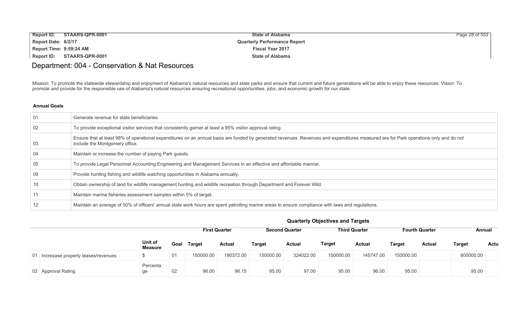| <b>Report ID:</b>       | STAARS-QPR-0001 | <b>State of Alabama</b>             | Page 28 of $553$ |
|-------------------------|-----------------|-------------------------------------|------------------|
| Report Date: 8/2/17     |                 | <b>Quarterly Performance Report</b> |                  |
| Report Time: 9:59:24 AM |                 | <b>Fiscal Year 2017</b>             |                  |
| Report ID:              | STAARS-QPR-0001 | <b>State of Alabama</b>             |                  |

# Department: 004 - Conservation & Nat Resources

Mission: To promote the statewide stewardship and enjoyment of Alabama's natural resources and state parks and ensure that current and future generations will be able to enjoy these resources. Vision: To promote and provide for the responsible use of Alabama's natural resources ensuring recreational opportunities, jobs, and economic growth for our state.

| 01  | Generate revenue for state beneficiaries.                                                                                                                                                                              |
|-----|------------------------------------------------------------------------------------------------------------------------------------------------------------------------------------------------------------------------|
| 02  | To provide exceptional visitor services that consistently garner at least a 95% visitor approval rating.                                                                                                               |
| 03  | Ensure that at least 98% of operational expenditures on an annual basis are funded by generated revenues. Revenues and expenditures measured are for Park operations only and do not<br>include the Montgomery office. |
| -04 | Maintain or increase the number of paying Park guests.                                                                                                                                                                 |
| -05 | To provide Legal Personnel Accounting Engineering and Management Services in an effective and affordable manner.                                                                                                       |
| -09 | Provide hunting fishing and wildlife watching opportunities in Alabama annually.                                                                                                                                       |
| 10  | Obtain ownership of land for wildlife management hunting and wildlife recreation through Department and Forever Wild.                                                                                                  |
| 11  | Maintain marine fisheries assessment samples within 5% of target.                                                                                                                                                      |
| 12  | Maintain an average of 50% of officers' annual state work hours are spent patrolling marine areas to ensure compliance with laws and regulations.                                                                      |

|  |  | <b>Quarterly Objectives and Targets</b> |
|--|--|-----------------------------------------|
|--|--|-----------------------------------------|

|                                       |                           |      |           | <b>First Quarter</b> |           | <b>Second Quarter</b> |               | <b>Third Quarter</b> |               | <b>Fourth Quarter</b> | Annual        |      |
|---------------------------------------|---------------------------|------|-----------|----------------------|-----------|-----------------------|---------------|----------------------|---------------|-----------------------|---------------|------|
|                                       | Unit of<br><b>Measure</b> | Goal | Target    | Actual               | Target    | <b>Actual</b>         | <b>Target</b> | Actual               | <b>Target</b> | Actual                | <b>Target</b> | Actu |
| 01 Incresase property leases/revenues |                           | 01   | 150000.00 | 190372.00            | 150000.00 | 324022.00             | 150000.00     | 145747.00            | 150000.00     |                       | 600000.00     |      |
| 02 Approval Rating                    | Percenta<br>ge            | 02   | 96.00     | 96.15                | 95.00     | 97.00                 | 95.00         | 96.00                | 95.00         |                       | 95.00         |      |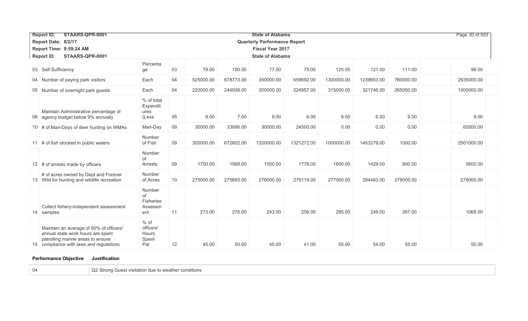| STAARS-QPR-0001<br><b>Report ID:</b> |                                                                                                                                                              |                                             |    |           |           | <b>State of Alabama</b>             |            |            |            |           | Page 30 of 553 |  |
|--------------------------------------|--------------------------------------------------------------------------------------------------------------------------------------------------------------|---------------------------------------------|----|-----------|-----------|-------------------------------------|------------|------------|------------|-----------|----------------|--|
|                                      | Report Date: 8/2/17                                                                                                                                          |                                             |    |           |           | <b>Quarterly Performance Report</b> |            |            |            |           |                |  |
|                                      | Report Time: 9:59:24 AM                                                                                                                                      |                                             |    |           |           | <b>Fiscal Year 2017</b>             |            |            |            |           |                |  |
|                                      | <b>Report ID:</b><br>STAARS-QPR-0001                                                                                                                         |                                             |    |           |           | <b>State of Alabama</b>             |            |            |            |           |                |  |
|                                      | 03 Self Sufficiency                                                                                                                                          | Percenta<br>ge                              | 03 | 79.00     | 100.00    | 77.00                               | 75.00      | 125.00     | 121.00     | 111.00    | 98.00          |  |
|                                      | 04 Number of paying park visitors                                                                                                                            | Each                                        | 04 | 525000.00 | 678773.00 | 350000.00                           | 659692.00  | 1300000.00 | 1239653.00 | 760000.00 | 2935000.00     |  |
|                                      | 05 Number of overnight park guests                                                                                                                           | Each                                        | 04 | 220000.00 | 244938.00 | 200000.00                           | 224957.00  | 315000.00  | 321746.00  | 265000.00 | 1000000.00     |  |
| 06                                   | Maintain Administrative percentage of<br>agency budget below 9% annually                                                                                     | % of total<br>Expendit<br>ures<br>(Less     | 05 | 9.00      | 7.00      | 9.00                                | 6.00       | 9.00       | 6.00       | 9.00      | 9.00           |  |
|                                      | 10 # of Man-Days of deer hunting on WMAs                                                                                                                     | Man-Day                                     | 09 | 30000.00  | 33996.00  | 30000.00                            | 24500.00   | 0.00       | 0.00       | 0.00      | 60000.00       |  |
|                                      | 11 # of fish stocked in public waters                                                                                                                        | Number<br>of Fish                           | 09 | 300000.00 | 672602.00 | 1200000.00                          | 1321272.00 | 1000000.00 | 1453279.00 | 1000.00   | 2501000.00     |  |
|                                      | 12 # of arrests made by officers                                                                                                                             | Number<br>οf<br>Arrests                     | 09 | 1700.00   | 1568.00   | 1500.00                             | 1778.00    | 1600.00    | 1429.00    | 800.00    | 5600.00        |  |
|                                      | # of acres owned by Dept and Forever<br>13 Wild for hunting and wildlife recreation                                                                          | Number<br>of Acres                          | 10 | 275000.00 | 275893.00 | 276000.00                           | 279119.00  | 277000.00  | 284483.00  | 278000.00 | 278000.00      |  |
|                                      | Collect fishery-independent assessment<br>14 samples                                                                                                         | Number<br>οf<br>Fisheries<br>Assessm<br>ent | 11 | 273.00    | 276.00    | 243.00                              | 256.00     | 285.00     | 249.00     | 267.00    | 1068.00        |  |
|                                      | Maintain an average of 50% of officers'<br>annual state work hours are spent<br>patrolling marine areas to ensure<br>15 compliance with laws and regulations | % of<br>officers'<br>Hours<br>Spent<br>Pat  | 12 | 45.00     | 50.00     | 45.00                               | 41.00      | 55.00      | 54.00      | 55.00     | 50.00          |  |

### **Performance Objective Justification**

04 Q2 Strong Guest visitation due to weather conditions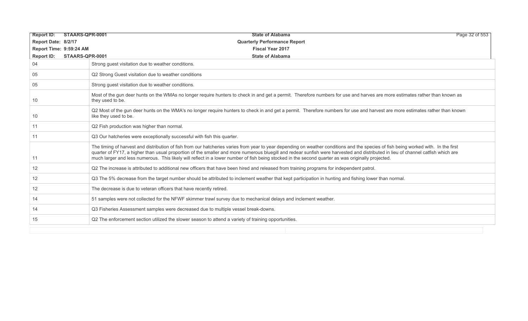| STAARS-QPR-0001<br><b>Report ID:</b> | Page 32 of 553<br><b>State of Alabama</b>                                                                                                                                                                                                                                                                                                                                                                                                                                                                                     |
|--------------------------------------|-------------------------------------------------------------------------------------------------------------------------------------------------------------------------------------------------------------------------------------------------------------------------------------------------------------------------------------------------------------------------------------------------------------------------------------------------------------------------------------------------------------------------------|
| Report Date: 8/2/17                  | <b>Quarterly Performance Report</b>                                                                                                                                                                                                                                                                                                                                                                                                                                                                                           |
| Report Time: 9:59:24 AM              | <b>Fiscal Year 2017</b>                                                                                                                                                                                                                                                                                                                                                                                                                                                                                                       |
| <b>Report ID:</b><br>STAARS-QPR-0001 | <b>State of Alabama</b>                                                                                                                                                                                                                                                                                                                                                                                                                                                                                                       |
| 04                                   | Strong quest visitation due to weather conditions.                                                                                                                                                                                                                                                                                                                                                                                                                                                                            |
| 05                                   | Q2 Strong Guest visitation due to weather conditions                                                                                                                                                                                                                                                                                                                                                                                                                                                                          |
| 05                                   | Strong guest visitation due to weather conditions.                                                                                                                                                                                                                                                                                                                                                                                                                                                                            |
| 10                                   | Most of the gun deer hunts on the WMAs no longer require hunters to check in and get a permit. Therefore numbers for use and harves are more estimates rather than known as<br>they used to be.                                                                                                                                                                                                                                                                                                                               |
| 10                                   | Q2 Most of the gun deer hunts on the WMA's no longer require hunters to check in and get a permit. Therefore numbers for use and harvest are more estimates rather than known<br>like they used to be.                                                                                                                                                                                                                                                                                                                        |
| 11                                   | Q2 Fish production was higher than normal.                                                                                                                                                                                                                                                                                                                                                                                                                                                                                    |
| 11                                   | Q3 Our hatcheries were exceptionally successful with fish this quarter.                                                                                                                                                                                                                                                                                                                                                                                                                                                       |
| 11                                   | The timing of harvest and distribution of fish from our hatcheries varies from year to year depending on weather conditions and the species of fish being worked with. In the first<br>quarter of FY17, a higher than usual proportion of the smaller and more numerous bluegill and redear sunfish were harvested and distributed in lieu of channel catfish which are<br>much larger and less numerous. This likely will reflect in a lower number of fish being stocked in the second quarter as was originally projected. |
| $12 \overline{ }$                    | Q2 The increase is attributed to additional new officers that have been hired and released from training programs for independent patrol.                                                                                                                                                                                                                                                                                                                                                                                     |
| $12 \overline{ }$                    | Q3 The 5% decrease from the target number should be attributed to inclement weather that kept participation in hunting and fishing lower than normal.                                                                                                                                                                                                                                                                                                                                                                         |
| 12                                   | The decrease is due to veteran officers that have recently retired.                                                                                                                                                                                                                                                                                                                                                                                                                                                           |
| 14                                   | 51 samples were not collected for the NFWF skimmer trawl survey due to mechanical delays and inclement weather.                                                                                                                                                                                                                                                                                                                                                                                                               |
| 14                                   | Q3 Fisheries Assessment samples were decreased due to multiple vessel break-downs.                                                                                                                                                                                                                                                                                                                                                                                                                                            |
| 15                                   | Q2 The enforcement section utilized the slower season to attend a variety of training opportunities.                                                                                                                                                                                                                                                                                                                                                                                                                          |
|                                      |                                                                                                                                                                                                                                                                                                                                                                                                                                                                                                                               |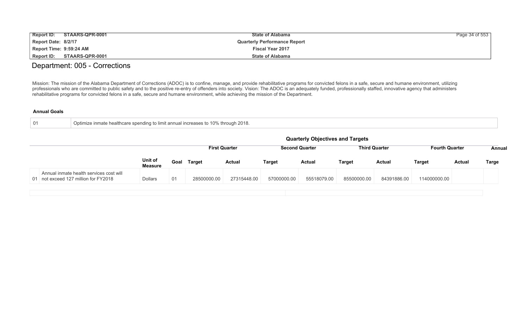| <b>Report ID:</b>       | STAARS-QPR-0001            | <b>State of Alabama</b>             | Page 34 of 553 |
|-------------------------|----------------------------|-------------------------------------|----------------|
| Report Date: 8/2/17     |                            | <b>Quarterly Performance Report</b> |                |
| Report Time: 9:59:24 AM |                            | <b>Fiscal Year 2017</b>             |                |
|                         | Report ID: STAARS-QPR-0001 | <b>State of Alabama</b>             |                |

### Department: 005 - Corrections

Mission: The mission of the Alabama Department of Corrections (ADOC) is to confine, manage, and provide rehabilitative programs for convicted felons in a safe, secure and humane environment, utilizing professionals who are committed to public safety and to the positive re-entry of offenders into society. Vision: The ADOC is an adequately funded, professionally staffed, innovative agency that administers rehabilitative programs for convicted felons in a safe, secure and humane environment, while achieving the mission of the Department.

| Optimize inmate healthcare spending to limit annual increases to 10% the<br>ugh 2018.<br>-01<br>. throi |
|---------------------------------------------------------------------------------------------------------|
|---------------------------------------------------------------------------------------------------------|

|                                                                                 |                           |      |             |                      |             | <b>Quarterly Objectives and Targets</b> |               |                      |                       |               |        |
|---------------------------------------------------------------------------------|---------------------------|------|-------------|----------------------|-------------|-----------------------------------------|---------------|----------------------|-----------------------|---------------|--------|
|                                                                                 |                           |      |             | <b>First Quarter</b> |             | <b>Second Quarter</b>                   |               | <b>Third Quarter</b> | <b>Fourth Quarter</b> |               | Annual |
|                                                                                 | Unit of<br><b>Measure</b> | Goal | Target      | <b>Actual</b>        | Target      | <b>Actual</b>                           | <b>Target</b> | <b>Actual</b>        | Target                | <b>Actual</b> | Targe  |
| Annual inmate health services cost will<br>01 not exceed 127 million for FY2018 | <b>Dollars</b>            | 01   | 28500000.00 | 27315448.00          | 57000000.00 | 55518079.00                             | 85500000.00   | 84391886.00          | 114000000.00          |               |        |
|                                                                                 |                           |      |             |                      |             |                                         |               |                      |                       |               |        |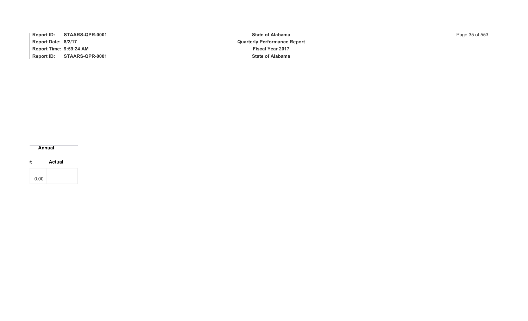| <b>Report ID:</b><br>STAARS-QPR-0001 | <b>State of Alabama</b>             | Page 35 of 553 |
|--------------------------------------|-------------------------------------|----------------|
| Report Date: 8/2/17                  | <b>Quarterly Performance Report</b> |                |
| Report Time: 9:59:24 AM              | <b>Fiscal Year 2017</b>             |                |
| Report ID: STAARS-QPR-0001           | <b>State of Alabama</b>             |                |

**Annual**

**Target Actual**

| 0.00 |  |
|------|--|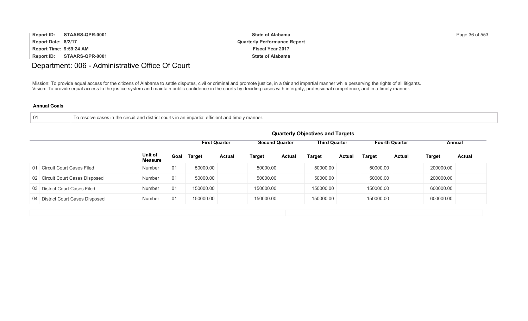| <b>Report ID:</b><br>STAARS-QPR-0001 | <b>State of Alabama</b>             | Page 36 of 553 |
|--------------------------------------|-------------------------------------|----------------|
| Report Date: 8/2/17                  | <b>Quarterly Performance Report</b> |                |
| Report Time: 9:59:24 AM              | <b>Fiscal Year 2017</b>             |                |
| Report ID:<br>STAARS-QPR-0001        | <b>State of Alabama</b>             |                |

# Department: 006 - Administrative Office Of Court

Mission: To provide equal access for the citizens of Alabama to settle disputes, civil or criminal and promote justice, in a fair and impartial manner while perserving the rights of all litigants. Vision: To provide equal access to the justice system and maintain public confidence in the courts by deciding cases with intergrity, professional competence, and in a timely manner.

| 01 | To resolve cases in the circuit and district courts in an impartial efficient and timely manner. |
|----|--------------------------------------------------------------------------------------------------|
|    |                                                                                                  |

|                                  |                           | <b>Quarterly Objectives and Targets</b> |                      |               |                       |               |                      |               |                       |               |               |               |
|----------------------------------|---------------------------|-----------------------------------------|----------------------|---------------|-----------------------|---------------|----------------------|---------------|-----------------------|---------------|---------------|---------------|
|                                  |                           |                                         | <b>First Quarter</b> |               | <b>Second Quarter</b> |               | <b>Third Quarter</b> |               | <b>Fourth Quarter</b> |               | Annual        |               |
|                                  | Unit of<br><b>Measure</b> | Goal                                    | <b>Target</b>        | <b>Actual</b> | <b>Target</b>         | <b>Actual</b> | Target               | <b>Actual</b> | Target                | <b>Actual</b> | <b>Target</b> | <b>Actual</b> |
| 01 Circuit Court Cases Filed     | Number                    | 01                                      | 50000.00             |               | 50000.00              |               | 50000.00             |               | 50000.00              |               | 200000.00     |               |
| 02 Circuit Court Cases Disposed  | <b>Number</b>             | 01                                      | 50000.00             |               | 50000.00              |               | 50000.00             |               | 50000.00              |               | 200000.00     |               |
| 03 District Court Cases Filed    | <b>Number</b>             | 01                                      | 150000.00            |               | 150000.00             |               | 150000.00            |               | 150000.00             |               | 600000.00     |               |
| 04 District Court Cases Disposed | <b>Number</b>             | 01                                      | 150000.00            |               | 150000.00             |               | 150000.00            |               | 150000.00             |               | 600000.00     |               |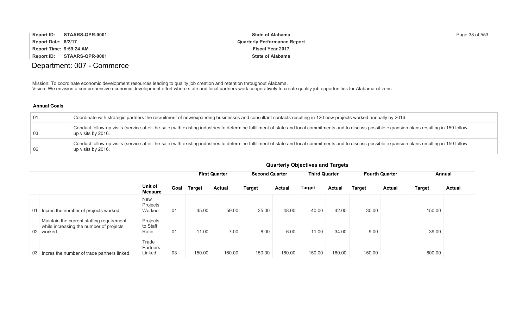| <b>Report ID:</b>       | STAARS-QPR-0001            | <b>State of Alabama</b>             | Page 38 of 553 |
|-------------------------|----------------------------|-------------------------------------|----------------|
| Report Date: 8/2/17     |                            | <b>Quarterly Performance Report</b> |                |
| Report Time: 9:59:24 AM |                            | <b>Fiscal Year 2017</b>             |                |
|                         | Report ID: STAARS-QPR-0001 | <b>State of Alabama</b>             |                |

# Department: 007 - Commerce

Mission: To coordinate economic development resources leading to quality job creation and retention throughout Alabama. Vision: We envision a comprehensive economic development effort where state and local partners work cooperatively to create quality job opportunities for Alabama citizens.

### **Annual Goals**

| 01 | Coordinate with strategic partners the recruitment of new/expanding businesses and consultant contacts resulting in 120 new projects worked annually by 2016.                                                             |
|----|---------------------------------------------------------------------------------------------------------------------------------------------------------------------------------------------------------------------------|
| 03 | Conduct follow-up visits (service-after-the-sale) with existing industries to determine fulfillment of state and local commitments and to discuss possible expansion plans resulting in 150 follow-<br>up visits by 2016. |
| 06 | Conduct follow-up visits (service-after-the-sale) with existing industries to determine fulfillment of state and local commitments and to discuss possible expansion plans resulting in 150 follow-<br>up visits by 2016. |

|    |                                                                                                   |                                  |      |               | <b>First Quarter</b> | <b>Second Quarter</b> |               | <b>Third Quarter</b> |               |               | <b>Fourth Quarter</b> |               | Annual        |
|----|---------------------------------------------------------------------------------------------------|----------------------------------|------|---------------|----------------------|-----------------------|---------------|----------------------|---------------|---------------|-----------------------|---------------|---------------|
|    |                                                                                                   | Unit of<br><b>Measure</b>        | Goal | <b>Target</b> | <b>Actual</b>        | <b>Target</b>         | <b>Actual</b> | Target               | <b>Actual</b> | <b>Target</b> | <b>Actual</b>         | <b>Target</b> | <b>Actual</b> |
| 01 | Incres the number of projects worked                                                              | <b>New</b><br>Projects<br>Worked | 01   | 45.00         | 59.00                | 35.00                 | 48.00         | 40.00                | 42.00         | 30.00         |                       | 150.00        |               |
|    | Maintain the current staffing requirement<br>while increasing the number of projects<br>02 worked | Projects<br>to Staff<br>Ratio    | 01   | 11.00         | 7.00                 | 8.00                  | 6.00          | 11.00                | 34.00         | 9.00          |                       | 39.00         |               |
|    | 03 Incres the number of trade partners linked                                                     | Trade<br>Partners<br>Linked      | 03   | 150.00        | 160.00               | 150.00                | 160.00        | 150.00               | 160.00        | 150.00        |                       | 600.00        |               |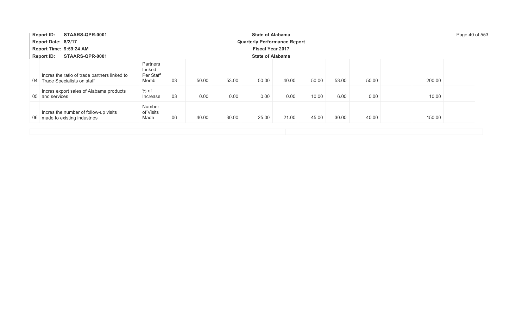| STAARS-QPR-0001<br>Report ID:                                                 |                                         |    |       |       | <b>State of Alabama</b>             |       |       |       |       | Page 40 of 553 |  |
|-------------------------------------------------------------------------------|-----------------------------------------|----|-------|-------|-------------------------------------|-------|-------|-------|-------|----------------|--|
| Report Date: 8/2/17                                                           |                                         |    |       |       | <b>Quarterly Performance Report</b> |       |       |       |       |                |  |
| Report Time: 9:59:24 AM                                                       |                                         |    |       |       | <b>Fiscal Year 2017</b>             |       |       |       |       |                |  |
| STAARS-QPR-0001<br><b>Report ID:</b>                                          | <b>State of Alabama</b>                 |    |       |       |                                     |       |       |       |       |                |  |
| Incres the ratio of trade partners linked to<br>04 Trade Specialists on staff | Partners<br>Linked<br>Per Staff<br>Memb | 03 | 50.00 | 53.00 | 50.00                               | 40.00 | 50.00 | 53.00 | 50.00 | 200.00         |  |
| Incres export sales of Alabama products<br>05 and services                    | % of<br>Increase                        | 03 | 0.00  | 0.00  | 0.00                                | 0.00  | 10.00 | 6.00  | 0.00  | 10.00          |  |
| Incres the number of follow-up visits<br>06 made to existing industries       | Number<br>of Visits<br>Made             | 06 | 40.00 | 30.00 | 25.00                               | 21.00 | 45.00 | 30.00 | 40.00 | 150.00         |  |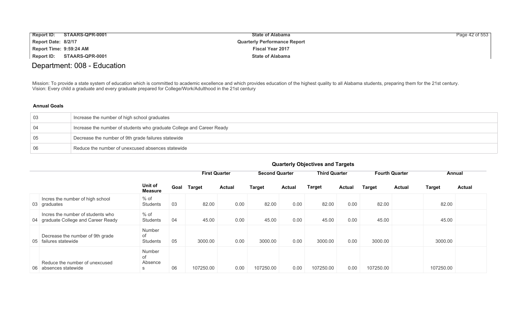| <b>Report ID:</b>       | STAARS-QPR-0001 | <b>State of Alabama</b>             | Page 42 of 553 |
|-------------------------|-----------------|-------------------------------------|----------------|
| Report Date: 8/2/17     |                 | <b>Quarterly Performance Report</b> |                |
| Report Time: 9:59:24 AM |                 | <b>Fiscal Year 2017</b>             |                |
| Report ID:              | STAARS-QPR-0001 | <b>State of Alabama</b>             |                |

# Department: 008 - Education

Mission: To provide a state system of education which is committed to academic excellence and which provides education of the highest quality to all Alabama students, preparing them for the 21st century. Vision: Every child a graduate and every graduate prepared for College/Work/Adulthood in the 21st century

### **Annual Goals**

| -03 | Increase the number of high school graduates                          |
|-----|-----------------------------------------------------------------------|
|     | Increase the number of students who graduate College and Career Ready |
| -05 | Decrease the number of 9th grade failures statewide                   |
| -06 | Reduce the number of unexcused absences statewide                     |

|                                                                           |                                 |      | <b>First Quarter</b> |               | <b>Second Quarter</b> |               | <b>Third Quarter</b> |               |               | <b>Fourth Quarter</b> |               | Annual        |
|---------------------------------------------------------------------------|---------------------------------|------|----------------------|---------------|-----------------------|---------------|----------------------|---------------|---------------|-----------------------|---------------|---------------|
|                                                                           | Unit of<br><b>Measure</b>       | Goal | <b>Target</b>        | <b>Actual</b> | <b>Target</b>         | <b>Actual</b> | <b>Target</b>        | <b>Actual</b> | <b>Target</b> | <b>Actual</b>         | <b>Target</b> | <b>Actual</b> |
| Incres the number of high school<br>03 graduates                          | % of<br><b>Students</b>         | 03   | 82.00                | 0.00          | 82.00                 | 0.00          | 82.00                | 0.00          | 82.00         |                       | 82.00         |               |
| Incres the number of students who<br>04 graduate College and Career Ready | $%$ of<br>Students              | 04   | 45.00                | 0.00          | 45.00                 | 0.00          | 45.00                | 0.00          | 45.00         |                       | 45.00         |               |
| Decrease the number of 9th grade<br>05 failures statewide                 | Number<br>0f<br><b>Students</b> | 05   | 3000.00              | 0.00          | 3000.00               | 0.00          | 3000.00              | 0.00          | 3000.00       |                       | 3000.00       |               |
| Reduce the number of unexcused<br>absences statewide<br>06.               | Number<br>0f<br>Absence<br>S    | 06   | 107250.00            | 0.00          | 107250.00             | 0.00          | 107250.00            | 0.00          | 107250.00     |                       | 107250.00     |               |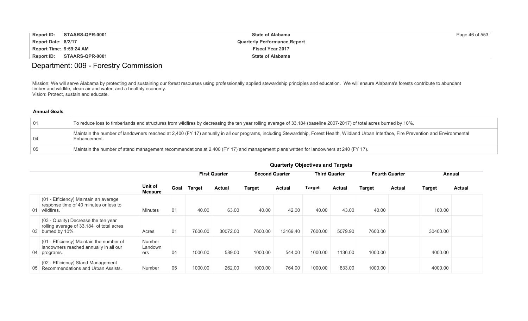| <b>Report ID:</b>       | STAARS-QPR-0001 | <b>State of Alabama</b>             | Page 46 of 553 |
|-------------------------|-----------------|-------------------------------------|----------------|
| Report Date: 8/2/17     |                 | <b>Quarterly Performance Report</b> |                |
| Report Time: 9:59:24 AM |                 | <b>Fiscal Year 2017</b>             |                |
| Report ID:              | STAARS-QPR-0001 | <b>State of Alabama</b>             |                |

# Department: 009 - Forestry Commission

Mission: We will serve Alabama by protecting and sustaining our forest resourses using professionally applied stewardship principles and education. We will ensure Alabama's forests contribute to abundant timber and wildlife, clean air and water, and a healthly economy. Vision: Protect, sustain and educate.

### **Annual Goals**

| -01 | To reduce loss to timberlands and structures from wildfires by decreasing the ten year rolling average of 33,184 (baseline 2007-2017) of total acres burned by 10%.                                        |
|-----|------------------------------------------------------------------------------------------------------------------------------------------------------------------------------------------------------------|
| -04 | Maintain the number of landowners reached at 2,400 (FY 17) annually in all our programs, including Stewardship, Forest Health, Wildland Urban Interface, Fire Prevention and Environmental<br>Enhancement. |
| -05 | Maintain the number of stand management recommendations at 2,400 (FY 17) and management plans written for landowners at 240 (FY 17).                                                                       |

|    |                                                                                                       |                                 |      |         | <b>First Quarter</b> |               | <b>Second Quarter</b> |               | <b>Third Quarter</b> |         | <b>Fourth Quarter</b> | Annual        |               |
|----|-------------------------------------------------------------------------------------------------------|---------------------------------|------|---------|----------------------|---------------|-----------------------|---------------|----------------------|---------|-----------------------|---------------|---------------|
|    |                                                                                                       | Unit of<br><b>Measure</b>       | Goal | Target  | <b>Actual</b>        | <b>Target</b> | <b>Actual</b>         | <b>Target</b> | <b>Actual</b>        | Target  | Actual                | <b>Target</b> | <b>Actual</b> |
| 01 | (01 - Efficiency) Maintain an average<br>response time of 40 minutes or less to<br>wildfires.         | <b>Minutes</b>                  | 01   | 40.00   | 63.00                | 40.00         | 42.00                 | 40.00         | 43.00                | 40.00   |                       | 160.00        |               |
|    | (03 - Quality) Decrease the ten year<br>rolling average of 33,184 of total acres<br>03 burned by 10%. | Acres                           | 01   | 7600.00 | 30072.00             | 7600.00       | 13169.40              | 7600.00       | 5079.90              | 7600.00 |                       | 30400.00      |               |
|    | (01 - Efficiency) Maintain the number of<br>landowners reached annually in all our<br>04 programs.    | <b>Number</b><br>Landown<br>ers | 04   | 1000.00 | 589.00               | 1000.00       | 544.00                | 1000.00       | 1136.00              | 1000.00 |                       | 4000.00       |               |
| 05 | (02 - Efficiency) Stand Management<br>Recommendations and Urban Assists.                              | <b>Number</b>                   | 05   | 1000.00 | 262.00               | 1000.00       | 764.00                | 1000.00       | 833.00               | 1000.00 |                       | 4000.00       |               |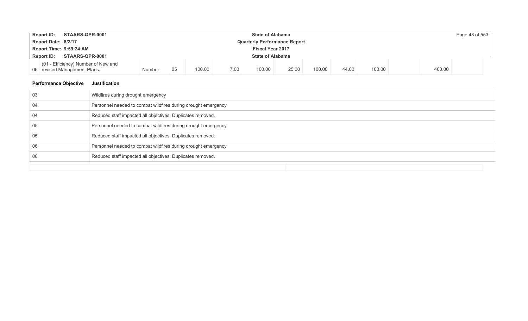| <b>Report ID:</b>                                          | STAARS-QPR-0001<br><b>State of Alabama</b>                          |        |    |        |      |                         |       |        |       |        |  |        | Page 48 of 553 |
|------------------------------------------------------------|---------------------------------------------------------------------|--------|----|--------|------|-------------------------|-------|--------|-------|--------|--|--------|----------------|
| Report Date: 8/2/17<br><b>Quarterly Performance Report</b> |                                                                     |        |    |        |      |                         |       |        |       |        |  |        |                |
|                                                            | Report Time: 9:59:24 AM<br><b>Fiscal Year 2017</b>                  |        |    |        |      |                         |       |        |       |        |  |        |                |
| <b>Report ID:</b>                                          | STAARS-QPR-0001                                                     |        |    |        |      | <b>State of Alabama</b> |       |        |       |        |  |        |                |
|                                                            | (01 - Efficiency) Number of New and<br>06 revised Management Plans. | Number | 05 | 100.00 | 7.00 | 100.00                  | 25.00 | 100.00 | 44.00 | 100.00 |  | 400.00 |                |

### **Performance Objective Justification**

| 03 | Wildfires during drought emergency                            |
|----|---------------------------------------------------------------|
| 04 | Personnel needed to combat wildfires during drought emergency |
| 04 | Reduced staff impacted all objectives. Duplicates removed.    |
| 05 | Personnel needed to combat wildfires during drought emergency |
| 05 | Reduced staff impacted all objectives. Duplicates removed.    |
| 06 | Personnel needed to combat wildfires during drought emergency |
| 06 | Reduced staff impacted all objectives. Duplicates removed.    |
|    |                                                               |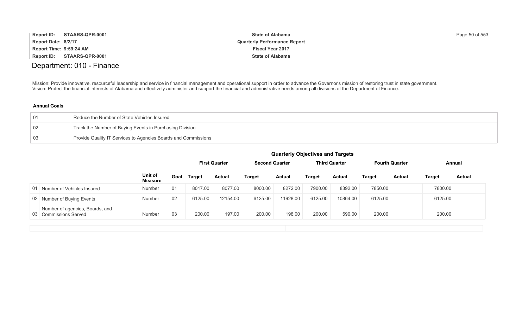| <b>Report ID:</b>       | STAARS-QPR-0001 | <b>State of Alabama</b>             | Page 50 of 553 |
|-------------------------|-----------------|-------------------------------------|----------------|
| Report Date: 8/2/17     |                 | <b>Quarterly Performance Report</b> |                |
| Report Time: 9:59:24 AM |                 | <b>Fiscal Year 2017</b>             |                |
| Report ID:              | STAARS-QPR-0001 | <b>State of Alabama</b>             |                |

# Department: 010 - Finance

Mission: Provide innovative, resourceful leadership and service in financial management and operational support in order to advance the Governor's mission of restoring trust in state government. Vision: Protect the financial interests of Alabama and effectively administer and support the financial and administrative needs among all divisions of the Department of Finance.

### **Annual Goals**

|    | Reduce the Number of State Vehicles Insured                    |
|----|----------------------------------------------------------------|
| 02 | Track the Number of Buying Events in Purchasing Division       |
| 03 | Provide Quality IT Services to Agencies Boards and Commissions |

|    |                                                          |                    |      | <b>First Quarter</b> |               | <b>Second Quarter</b> |          | <b>Third Quarter</b> |               | <b>Fourth Quarter</b> |               | Annual  |               |
|----|----------------------------------------------------------|--------------------|------|----------------------|---------------|-----------------------|----------|----------------------|---------------|-----------------------|---------------|---------|---------------|
|    |                                                          | Unit of<br>Measure | Goal | <b>Target</b>        | <b>Actual</b> | Target                | Actual   | Target               | <b>Actual</b> | <b>Target</b>         | <b>Actual</b> | Target  | <b>Actual</b> |
| 01 | Number of Vehicles Insured                               | Number             | 01   | 8017.00              | 8077.00       | 8000.00               | 8272.00  | 7900.00              | 8392.00       | 7850.00               |               | 7800.00 |               |
|    | 02 Number of Buying Events                               | Number             | 02   | 6125.00              | 12154.00      | 6125.00               | 11928.00 | 6125.00              | 10864.00      | 6125.00               |               | 6125.00 |               |
|    | Number of agencies, Boards, and<br>03 Commissions Served | Number             | 03   | 200.00               | 197.00        | 200.00                | 198.00   | 200.00               | 590.00        | 200.00                |               | 200.00  |               |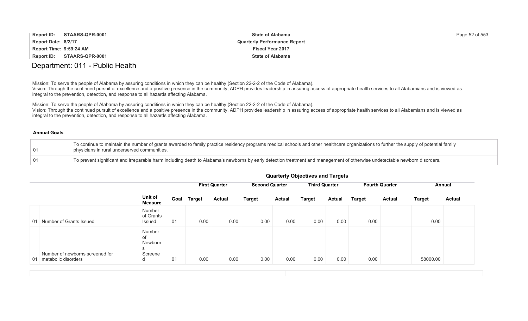| <b>Report ID:</b>       | STAARS-QPR-0001 | <b>State of Alabama</b>             | Page 52 of 553 |
|-------------------------|-----------------|-------------------------------------|----------------|
| Report Date: 8/2/17     |                 | <b>Quarterly Performance Report</b> |                |
| Report Time: 9:59:24 AM |                 | <b>Fiscal Year 2017</b>             |                |
| Report ID:              | STAARS-QPR-0001 | <b>State of Alabama</b>             |                |

### Department: 011 - Public Health

Mission: To serve the people of Alabama by assuring conditions in which they can be healthy (Section 22-2-2 of the Code of Alabama).

Vision: Through the continued pursuit of excellence and a positive presence in the community, ADPH provides leadership in assuring access of appropriate health services to all Alabamians and is viewed as integral to the prevention, detection, and response to all hazards affecting Alabama.

Mission: To serve the people of Alabama by assuring conditions in which they can be healthy (Section 22-2-2 of the Code of Alabama). Vision: Through the continued pursuit of excellence and a positive presence in the community, ADPH provides leadership in assuring access of appropriate health services to all Alabamians and is viewed as integral to the prevention, detection, and response to all hazards affecting Alabama.

#### **Annual Goals**

| $\sqrt{01}$ | To continue to maintain the number of grants awarded to family practice residency programs medical schools and other healthcare organizations to further the supply of potential family<br>physicians in rural underserved communities. |
|-------------|-----------------------------------------------------------------------------------------------------------------------------------------------------------------------------------------------------------------------------------------|
| $\sqrt{01}$ | To prevent significant and irreparable harm including death to Alabama's newborns by early detection treatment and management of otherwise undetectable newborn disorders.                                                              |

|                                                           |                                              |      | <b>First Quarter</b> |               | <b>Second Quarter</b> |               | <b>Third Quarter</b> |               |               | <b>Fourth Quarter</b> | Annual        |               |
|-----------------------------------------------------------|----------------------------------------------|------|----------------------|---------------|-----------------------|---------------|----------------------|---------------|---------------|-----------------------|---------------|---------------|
|                                                           | Unit of<br><b>Measure</b>                    | Goal | Target               | <b>Actual</b> | <b>Target</b>         | <b>Actual</b> | <b>Target</b>        | <b>Actual</b> | <b>Target</b> | <b>Actual</b>         | <b>Target</b> | <b>Actual</b> |
| 01 Number of Grants Issued                                | Number<br>of Grants<br>Issued                | 01   | 0.00                 | 0.00          | 0.00                  | 0.00          | 0.00                 | 0.00          | 0.00          |                       | 0.00          |               |
| Number of newborns screened for<br>01 metabolic disorders | Number<br>of<br>Newborn<br>S<br>Screene<br>d | 01   | 0.00                 | 0.00          | 0.00                  | 0.00          | 0.00                 | 0.00          | 0.00          |                       | 58000.00      |               |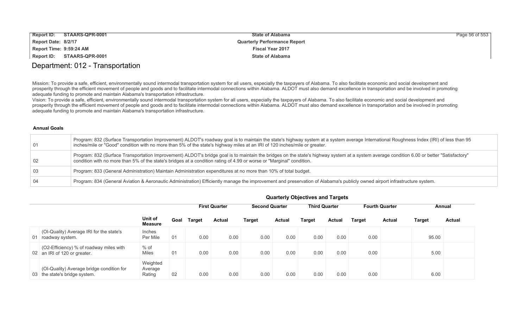| <b>Report ID:</b><br>STAARS-QPR-0001 | <b>State of Alabama</b>             | Page 56 of 553 |
|--------------------------------------|-------------------------------------|----------------|
| Report Date: 8/2/17                  | <b>Quarterly Performance Report</b> |                |
| Report Time: 9:59:24 AM              | <b>Fiscal Year 2017</b>             |                |
| Report ID:<br>STAARS-QPR-0001        | <b>State of Alabama</b>             |                |

### Department: 012 - Transportation

Mission: To provide a safe, efficient, environmentally sound intermodal transportation system for all users, especially the taxpayers of Alabama. To also facilitate economic and social development and prosperity through the efficient movement of people and goods and to facilitate intermodal connections within Alabama. ALDOT must also demand excellence in transportation and be involved in promoting adequate funding to promote and maintain Alabama's transportation infrastructure.

Vision: To provide a safe, efficient, environmentally sound intermodal transportation system for all users, especially the taxpayers of Alabama. To also facilitate economic and social development and prosperity through the efficient movement of people and goods and to facilitate intermodal connections within Alabama. ALDOT must also demand excellence in transportation and be involved in promoting adequate funding to promote and maintain Alabama's transportation infrastructure.

### **Annual Goals**

| 01              | Program: 832 (Surface Transportation Improvement) ALDOT's roadway goal is to maintain the state's highway system at a system average International Roughness Index (IRI) of less than 95<br>inches/mile or "Good" condition with no more than 5% of the state's highway miles at an IRI of 120 inches/mile or greater. |
|-----------------|------------------------------------------------------------------------------------------------------------------------------------------------------------------------------------------------------------------------------------------------------------------------------------------------------------------------|
| $\overline{02}$ | Program: 832 (Surface Transportation Improvement) ALDOT's bridge goal is to maintain the bridges on the state's highway system at a system average condition 6.00 or better "Satisfactory"<br>condition with no more than 5% of the state's bridges at a condition rating of 4.99 or worse or "Marginal" condition.    |
| <b>03</b>       | Program: 833 (General Administration) Maintain Administration expenditures at no more than 10% of total budget.                                                                                                                                                                                                        |
| $\overline{04}$ | Program: 834 (General Aviation & Aeronautic Administration) Efficiently manage the improvement and preservation of Alabama's publicly owned airport infrastructure system.                                                                                                                                             |

|                                                                            |                               |      |        |                      |                       |               | . .                  |               |               |                       |               |               |
|----------------------------------------------------------------------------|-------------------------------|------|--------|----------------------|-----------------------|---------------|----------------------|---------------|---------------|-----------------------|---------------|---------------|
|                                                                            |                               |      |        | <b>First Quarter</b> | <b>Second Quarter</b> |               | <b>Third Quarter</b> |               |               | <b>Fourth Quarter</b> |               | Annual        |
|                                                                            | Unit of<br><b>Measure</b>     | Goal | Target | Actual               | <b>Target</b>         | <b>Actual</b> | <b>Target</b>        | <b>Actual</b> | <b>Target</b> | <b>Actual</b>         | <b>Target</b> | <b>Actual</b> |
| (OI-Quality) Average IRI for the state's<br>01 roadway system.             | <b>Inches</b><br>Per Mile     | 01   | 0.00   | 0.00                 | 0.00                  | 0.00          | 0.00                 | 0.00          | 0.00          |                       | 95.00         |               |
| (O2-Efficiency) % of roadway miles with<br>02 an IRI of 120 or greater.    | $%$ of<br><b>Miles</b>        | 01   | 0.00   | 0.00                 | 0.00                  | 0.00          | 0.00                 | 0.00          | 0.00          |                       | 5.00          |               |
| (OI-Quality) Average bridge condition for<br>03 the state's bridge system. | Weighted<br>Average<br>Rating | 02   | 0.00   | 0.00                 | 0.00                  | 0.00          | 0.00                 | 0.00          | 0.00          |                       | 6.00          |               |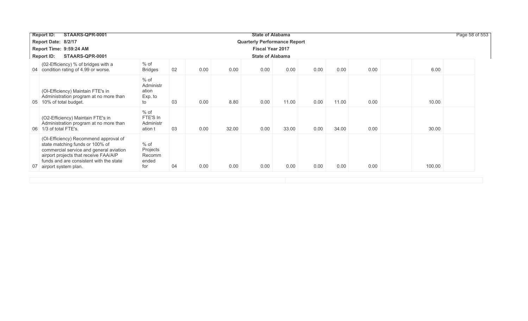| STAARS-QPR-0001<br><b>Report ID:</b>                                                                                                                                                                                                  |                                               |    |      |       | <b>State of Alabama</b> |       |                                                    |                                     |      |        | Page 58 of 553 |
|---------------------------------------------------------------------------------------------------------------------------------------------------------------------------------------------------------------------------------------|-----------------------------------------------|----|------|-------|-------------------------|-------|----------------------------------------------------|-------------------------------------|------|--------|----------------|
| Report Date: 8/2/17                                                                                                                                                                                                                   |                                               |    |      |       |                         |       |                                                    |                                     |      |        |                |
| Report Time: 9:59:24 AM                                                                                                                                                                                                               |                                               |    |      |       |                         |       |                                                    |                                     |      |        |                |
| STAARS-QPR-0001<br><b>Report ID:</b>                                                                                                                                                                                                  |                                               |    |      |       |                         |       |                                                    |                                     |      |        |                |
| (02-Efficiency) % of bridges with a<br>04 condition rating of 4.99 or worse.                                                                                                                                                          | $%$ of<br><b>Bridges</b>                      | 02 | 0.00 | 0.00  | 0.00                    | 0.00  | 0.00                                               | 0.00                                | 0.00 | 6.00   |                |
| (OI-Efficiency) Maintain FTE's in<br>Administration program at no more than<br>10% of total budget.<br>05                                                                                                                             | $%$ of<br>Administr<br>ation<br>Exp. to<br>to | 03 | 0.00 | 8.80  | 0.00                    | 11.00 | 0.00                                               | 11.00                               | 0.00 | 10.00  |                |
| (O2-Efficiency) Maintain FTE's in<br>Administration program at no more than<br>06 1/3 of total FTE's.                                                                                                                                 | $%$ of<br>FTE'S In<br>Administr<br>ation t    | 03 | 0.00 | 32.00 | 0.00                    | 33.00 | 0.00                                               | 34.00                               | 0.00 | 30.00  |                |
| (OI-Efficiency) Recommend approval of<br>state matching funds or 100% of<br>commercial service and general aviation<br>airport projects that receive FAA/AIP<br>funds and are consistent with the state<br>07<br>airport system plan. | % of<br>Projects<br>Recomm<br>ended<br>for    | 04 | 0.00 | 0.00  | 0.00                    | 0.00  | 0.00                                               | 0.00                                | 0.00 | 100.00 |                |
|                                                                                                                                                                                                                                       |                                               |    |      |       |                         |       | <b>Fiscal Year 2017</b><br><b>State of Alabama</b> | <b>Quarterly Performance Report</b> |      |        |                |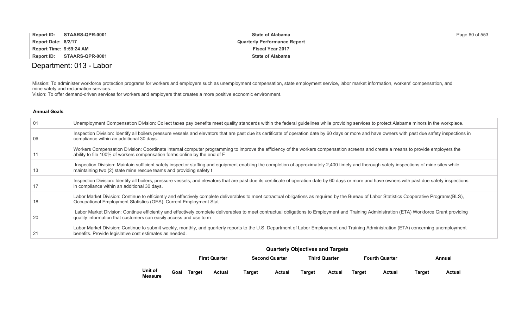| Report ID:                 | STAARS-QPR-0001 | <b>State of Alabama</b>             | Page 60 of 553 |
|----------------------------|-----------------|-------------------------------------|----------------|
| Report Date: 8/2/17        |                 | <b>Quarterly Performance Report</b> |                |
| Report Time: 9:59:24 AM    |                 | <b>Fiscal Year 2017</b>             |                |
| Report ID: STAARS-QPR-0001 |                 | <b>State of Alabama</b>             |                |

# Department: 013 - Labor

Mission: To administer workforce protection programs for workers and employers such as unemployment compensation, state employment service, labor market information, workers' compensation, and mine safety and reclamation services.

Vision: To offer demand-driven services for workers and employers that creates a more positive economic environment.

### **Annual Goals**

| -01 | Unemployment Compensation Division: Collect taxes pay benefits meet quality standards within the federal guidelines while providing services to protect Alabama minors in the workplace.                                                                          |
|-----|-------------------------------------------------------------------------------------------------------------------------------------------------------------------------------------------------------------------------------------------------------------------|
| -06 | Inspection Division: Identify all boilers pressure vessels and elevators that are past due its certificate of operation date by 60 days or more and have owners with past due safety inspections in<br>compliance within an additional 30 days.                   |
|     | Workers Compensation Division: Coordinate internal computer programming to improve the efficiency of the workers compensation screens and create a means to provide employers the<br>ability to file 100% of workers compensation forms online by the end of F    |
| 13  | Inspection Division: Maintain sufficient safety inspector staffing and equipment enabling the completion of approximately 2,400 timely and thorough safety inspections of mine sites while<br>maintaining two (2) state mine rescue teams and providing safety t  |
| 17  | Inspection Division: Identify all boilers, pressure vessels, and elevators that are past due its certificate of operation date by 60 days or more and have owners with past due safety inspections<br>in compliance within an additional 30 days.                 |
| 18  | Labor Market Division: Continue to efficiently and effectively complete deliverables to meet cotractual obligations as required by the Bureau of Labor Statistics Cooperative Programs(BLS),<br>Occupational Employment Statistics (OES), Current Employment Stat |
| 20  | Labor Market Division: Continue efficiently and effectively complete deliverables to meet contractual obligations to Employment and Training Administration (ETA) Workforce Grant providing<br>quality information that customers can easily access and use to m  |
|     | Labor Market Division: Continue to submit weekly, monthly, and quarterly reports to the U.S. Department of Labor Employment and Training Administration (ETA) concerning unemployment<br>benefits. Provide legislative cost estimates as needed.                  |

|                           |      | <b>First Quarter</b> |               |               | <b>Second Quarter</b> |        | <b>Third Quarter</b> |               | <b>Fourth Quarter</b> | Annual        |        |  |
|---------------------------|------|----------------------|---------------|---------------|-----------------------|--------|----------------------|---------------|-----------------------|---------------|--------|--|
| Unit of<br><b>Measure</b> | Goal | Target               | <b>Actual</b> | <b>Target</b> | Actual                | Target | Actual               | <b>Target</b> | Actual                | <b>Target</b> | Actual |  |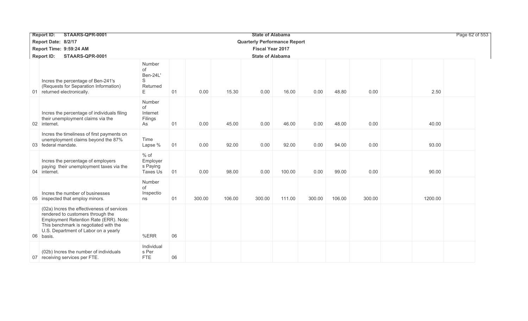| STAARS-QPR-0001<br><b>Report ID:</b>                                                                                                                                                                                    | <b>State of Alabama</b>                         |    |        |        |                         |        |        |        |        |         | Page 62 of 553 |  |
|-------------------------------------------------------------------------------------------------------------------------------------------------------------------------------------------------------------------------|-------------------------------------------------|----|--------|--------|-------------------------|--------|--------|--------|--------|---------|----------------|--|
| Report Date: 8/2/17                                                                                                                                                                                                     | <b>Quarterly Performance Report</b>             |    |        |        |                         |        |        |        |        |         |                |  |
| Report Time: 9:59:24 AM                                                                                                                                                                                                 |                                                 |    |        |        | <b>Fiscal Year 2017</b> |        |        |        |        |         |                |  |
| STAARS-QPR-0001<br><b>Report ID:</b>                                                                                                                                                                                    | <b>State of Alabama</b>                         |    |        |        |                         |        |        |        |        |         |                |  |
| Incres the percentage of Ben-241's<br>(Requests for Separation Information)<br>01 returned electronically.                                                                                                              | Number<br>of<br>Ben-24L'<br>S<br>Returned<br>E. | 01 | 0.00   | 15.30  | 0.00                    | 16.00  | 0.00   | 48.80  | 0.00   | 2.50    |                |  |
| Incres the percentage of individuals filing<br>their unemployment claims via the<br>02 internet.                                                                                                                        | Number<br>of<br>Internet<br>Filings<br>As       | 01 | 0.00   | 45.00  | 0.00                    | 46.00  | 0.00   | 48.00  | 0.00   | 40.00   |                |  |
| Incres the timeliness of first payments on<br>unemployment claims beyond the 87%<br>03 federal mandate.                                                                                                                 | Time<br>Lapse %                                 | 01 | 0.00   | 92.00  | 0.00                    | 92.00  | 0.00   | 94.00  | 0.00   | 93.00   |                |  |
| Incres the percentage of employers<br>paying their unemployment taxes via the<br>04 internet.                                                                                                                           | $%$ of<br>Employer<br>s Paying<br>Taxes Us      | 01 | 0.00   | 98.00  | 0.00                    | 100.00 | 0.00   | 99.00  | 0.00   | 90.00   |                |  |
| Incres the number of businesses<br>05 inspected that employ minors.                                                                                                                                                     | Number<br>of<br>Inspectio<br>ns                 | 01 | 300.00 | 106.00 | 300.00                  | 111.00 | 300.00 | 106.00 | 300.00 | 1200.00 |                |  |
| (02a) Incres the effectiveness of services<br>rendered to customers through the<br>Employment Retention Rate (ERR). Note:<br>This benchmark is negotiated with the<br>U.S. Department of Labor on a yearly<br>06 basis. | %ERR                                            | 06 |        |        |                         |        |        |        |        |         |                |  |
| (02b) Incres the number of individuals<br>07 receiving services per FTE.                                                                                                                                                | Individual<br>s Per<br><b>FTE</b>               | 06 |        |        |                         |        |        |        |        |         |                |  |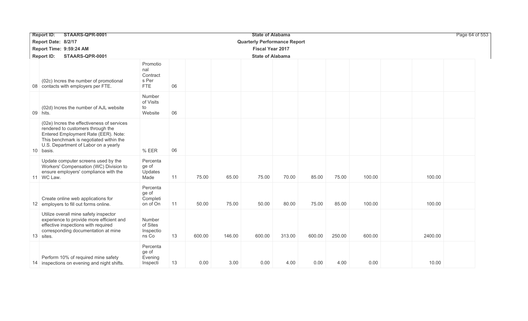| STAARS-QPR-0001<br><b>Report ID:</b> |                                                                                                                                                                                                                         |                                                    |    |                                     |        | <b>State of Alabama</b> | Page 64 of 553 |        |        |        |         |  |
|--------------------------------------|-------------------------------------------------------------------------------------------------------------------------------------------------------------------------------------------------------------------------|----------------------------------------------------|----|-------------------------------------|--------|-------------------------|----------------|--------|--------|--------|---------|--|
|                                      | Report Date: 8/2/17                                                                                                                                                                                                     |                                                    |    | <b>Quarterly Performance Report</b> |        |                         |                |        |        |        |         |  |
|                                      | Report Time: 9:59:24 AM                                                                                                                                                                                                 | <b>Fiscal Year 2017</b>                            |    |                                     |        |                         |                |        |        |        |         |  |
|                                      | <b>Report ID:</b><br>STAARS-QPR-0001                                                                                                                                                                                    | <b>State of Alabama</b>                            |    |                                     |        |                         |                |        |        |        |         |  |
|                                      | (02c) Incres the number of promotional<br>08 contacts with employers per FTE.                                                                                                                                           | Promotio<br>nal<br>Contract<br>s Per<br><b>FTE</b> | 06 |                                     |        |                         |                |        |        |        |         |  |
|                                      | (02d) Incres the number of AJL website<br>09 hits.                                                                                                                                                                      | Number<br>of Visits<br>to<br>Website               | 06 |                                     |        |                         |                |        |        |        |         |  |
|                                      | (02e) Incres the effectiveness of services<br>rendered to customers through the<br>Entered Employment Rate (EER). Note:<br>This benchmark is negotiated within the<br>U.S. Department of Labor on a yearly<br>10 basis. | % EER                                              | 06 |                                     |        |                         |                |        |        |        |         |  |
|                                      | Update computer screens used by the<br>Workers' Compensation (WC) Division to<br>ensure employers' compliance with the<br>11 WC Law.                                                                                    | Percenta<br>ge of<br>Updates<br>Made               | 11 | 75.00                               | 65.00  | 75.00                   | 70.00          | 85.00  | 75.00  | 100.00 | 100.00  |  |
|                                      | Create online web applications for<br>12 employers to fill out forms online.                                                                                                                                            | Percenta<br>ge of<br>Completi<br>on of On          | 11 | 50.00                               | 75.00  | 50.00                   | 80.00          | 75.00  | 85.00  | 100.00 | 100.00  |  |
|                                      | Utilize overall mine safety inspector<br>experience to provide more efficient and<br>effective inspections with required<br>corresponding documentation at mine<br>13 sites.                                            | Number<br>of Sites<br>Inspectio<br>ns Co           | 13 | 600.00                              | 146.00 | 600.00                  | 313.00         | 600.00 | 250.00 | 600.00 | 2400.00 |  |
|                                      | Perform 10% of required mine safety<br>14 inspections on evening and night shifts.                                                                                                                                      | Percenta<br>ge of<br>Evening<br>Inspecti           | 13 | 0.00                                | 3.00   | 0.00                    | 4.00           | 0.00   | 4.00   | 0.00   | 10.00   |  |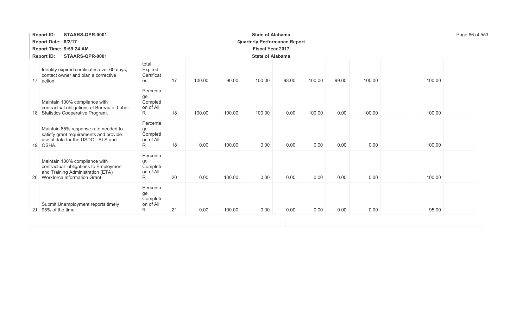| STAARS-QPR-0001<br><b>Report ID:</b>                                                                                                                           |                                              |    |        |        | <b>State of Alabama</b>             |       |        |       |        |        | Page 66 of 553 |
|----------------------------------------------------------------------------------------------------------------------------------------------------------------|----------------------------------------------|----|--------|--------|-------------------------------------|-------|--------|-------|--------|--------|----------------|
| Report Date: 8/2/17                                                                                                                                            |                                              |    |        |        | <b>Quarterly Performance Report</b> |       |        |       |        |        |                |
| Report Time: 9:59:24 AM                                                                                                                                        |                                              |    |        |        | <b>Fiscal Year 2017</b>             |       |        |       |        |        |                |
| STAARS-QPR-0001<br><b>Report ID:</b>                                                                                                                           |                                              |    |        |        | <b>State of Alabama</b>             |       |        |       |        |        |                |
| Identify expired certificates over 60 days,<br>contact owner and plan a corrective<br>action.<br>17 <sup>1</sup>                                               | total<br>Expired<br>Certificat<br>es         | 17 | 100.00 | 90.00  | 100.00                              | 98.00 | 100.00 | 99.00 | 100.00 | 100.00 |                |
| Maintain 100% compliance with<br>contractual obligations of Bureau of Labor<br>Statistics Cooperative Program.<br>18                                           | Percenta<br>ge<br>Completi<br>on of All<br>R | 18 | 100.00 | 100.00 | 100.00                              | 0.00  | 100.00 | 0.00  | 100.00 | 100.00 |                |
| Maintain 85% response rate needed to<br>satisfy grant requirements and provide<br>useful data for the USDOL-BLS and<br>19 OSHA.                                | Percenta<br>ge<br>Completi<br>on of All<br>R | 18 | 0.00   | 100.00 | 0.00                                | 0.00  | 0.00   | 0.00  | 0.00   | 100.00 |                |
| Maintain 100% compliance with<br>contractual obligations to Employment<br>and Training Administration (ETA)<br>Workforce Information Grant.<br>20 <sup>1</sup> | Percenta<br>ge<br>Completi<br>on of All<br>R | 20 | 0.00   | 100.00 | 0.00                                | 0.00  | 0.00   | 0.00  | 0.00   | 100.00 |                |
| Submit Unemployment reports timely<br>21 95% of the time.                                                                                                      | Percenta<br>ge<br>Completi<br>on of All<br>R | 21 | 0.00   | 100.00 | 0.00                                | 0.00  | 0.00   | 0.00  | 0.00   | 95.00  |                |
|                                                                                                                                                                |                                              |    |        |        |                                     |       |        |       |        |        |                |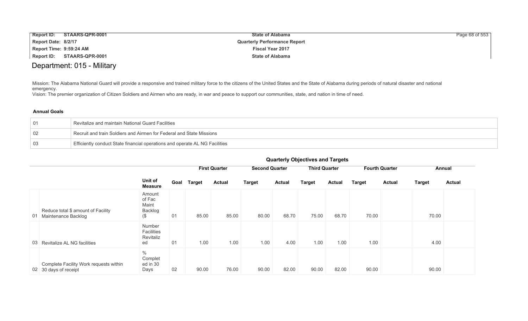|                         | Report ID: STAARS-QPR-0001 | <b>State of Alabama</b>             | Page 68 of 553 |
|-------------------------|----------------------------|-------------------------------------|----------------|
| Report Date: 8/2/17     |                            | <b>Quarterly Performance Report</b> |                |
| Report Time: 9:59:24 AM |                            | <b>Fiscal Year 2017</b>             |                |
|                         | Report ID: STAARS-QPR-0001 | <b>State of Alabama</b>             |                |

# Department: 015 - Military

Mission: The Alabama National Guard will provide a responsive and trained military force to the citizens of the United States and the State of Alabama during periods of natural disaster and national emergency.

Vision: The premier organization of Citizen Soldiers and Airmen who are ready, in war and peace to support our communities, state, and nation in time of need.

## **Annual Goals**

|     | Revitalize and maintain National Guard Facilities                           |
|-----|-----------------------------------------------------------------------------|
| -02 | Recruit and train Soldiers and Airmen for Federal and State Missions        |
| -03 | Efficiently conduct State financial operations and operate AL NG Facilities |

|    |                                                                 |                                                |      |        | <b>First Quarter</b> | <b>Second Quarter</b> |               | <b>Third Quarter</b> |               |               | <b>Fourth Quarter</b> |               | Annual        |
|----|-----------------------------------------------------------------|------------------------------------------------|------|--------|----------------------|-----------------------|---------------|----------------------|---------------|---------------|-----------------------|---------------|---------------|
|    |                                                                 | Unit of<br><b>Measure</b>                      | Goal | Target | <b>Actual</b>        | <b>Target</b>         | <b>Actual</b> | <b>Target</b>        | <b>Actual</b> | <b>Target</b> | <b>Actual</b>         | <b>Target</b> | <b>Actual</b> |
| 01 | Reduce total \$ amount of Facility<br>Maintenance Backlog       | Amount<br>of Fac<br>Maint<br>Backlog<br>$($ \$ | 01   | 85.00  | 85.00                | 80.00                 | 68.70         | 75.00                | 68.70         | 70.00         |                       | 70.00         |               |
|    | 03 Revitalize AL NG facilities                                  | Number<br>Facilities<br>Revitaliz<br>ed        | 01   | 1.00   | 1.00                 | 1.00                  | 4.00          | 1.00                 | 1.00          | 1.00          |                       | 4.00          |               |
|    | Complete Facility Work requests within<br>02 30 days of receipt | $\%$<br>Complet<br>ed in 30<br>Days            | 02   | 90.00  | 76.00                | 90.00                 | 82.00         | 90.00                | 82.00         | 90.00         |                       | 90.00         |               |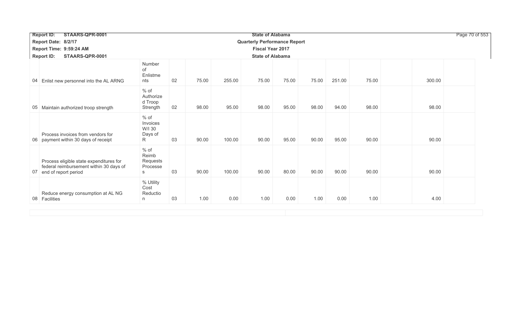| <b>Report ID:</b>       | STAARS-QPR-0001                                                                    |                                              |    |       | Page 70 of 553 |                                     |       |       |        |       |        |  |  |  |  |  |  |
|-------------------------|------------------------------------------------------------------------------------|----------------------------------------------|----|-------|----------------|-------------------------------------|-------|-------|--------|-------|--------|--|--|--|--|--|--|
| Report Date: 8/2/17     |                                                                                    |                                              |    |       |                | <b>Quarterly Performance Report</b> |       |       |        |       |        |  |  |  |  |  |  |
| Report Time: 9:59:24 AM |                                                                                    |                                              |    |       |                | <b>Fiscal Year 2017</b>             |       |       |        |       |        |  |  |  |  |  |  |
| <b>Report ID:</b>       | STAARS-QPR-0001                                                                    |                                              |    |       |                | <b>State of Alabama</b>             |       |       |        |       |        |  |  |  |  |  |  |
|                         | 04 Enlist new personnel into the AL ARNG                                           | Number<br>of<br>Enlistme<br>nts              | 02 | 75.00 | 255.00         | 75.00                               | 75.00 | 75.00 | 251.00 | 75.00 | 300.00 |  |  |  |  |  |  |
| 05                      | Maintain authorized troop strength                                                 | $%$ of<br>Authorize<br>d Troop<br>Strength   | 02 | 98.00 | 95.00          | 98.00                               | 95.00 | 98.00 | 94.00  | 98.00 | 98.00  |  |  |  |  |  |  |
|                         | Process invoices from vendors for<br>06 payment within 30 days of receipt          | $%$ of<br>Invoices<br>W/I 30<br>Days of<br>R | 03 | 90.00 | 100.00         | 90.00                               | 95.00 | 90.00 | 95.00  | 90.00 | 90.00  |  |  |  |  |  |  |
| 07 end of report period | Process eligible state expenditures for<br>federal reimbursement within 30 days of | $%$ of<br>Reimb<br>Requests<br>Processe<br>S | 03 | 90.00 | 100.00         | 90.00                               | 80.00 | 90.00 | 90.00  | 90.00 | 90.00  |  |  |  |  |  |  |
| 08 Facilities           | Reduce energy consumption at AL NG                                                 | % Utility<br>Cost<br>Reductio<br>n           | 03 | 1.00  | 0.00           | 1.00                                | 0.00  | 1.00  | 0.00   | 1.00  | 4.00   |  |  |  |  |  |  |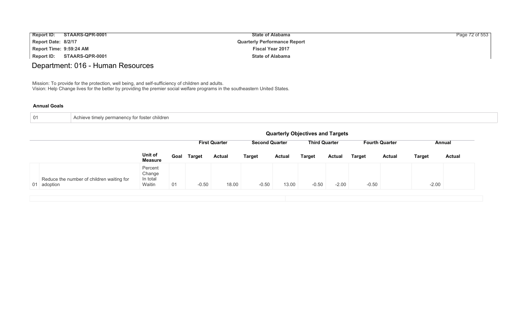| <b>Report ID:</b>       | STAARS-QPR-0001 | <b>State of Alabama</b>             | Page 72 of 553 |
|-------------------------|-----------------|-------------------------------------|----------------|
| Report Date: 8/2/17     |                 | <b>Quarterly Performance Report</b> |                |
| Report Time: 9:59:24 AM |                 | <b>Fiscal Year 2017</b>             |                |
| <b>Report ID:</b>       | STAARS-QPR-0001 | <b>State of Alabama</b>             |                |

# Department: 016 - Human Resources

Mission: To provide for the protection, well being, and self-sufficiency of children and adults. Vision: Help Change lives for the better by providing the premier social welfare programs in the southeastern United States.

| ⊥ 01 | Achieve timely permanency for foster children |
|------|-----------------------------------------------|
|      |                                               |

|                                                          |                                         | <b>Quarterly Objectives and Targets</b> |                      |               |                       |               |                      |               |                       |               |               |               |  |  |
|----------------------------------------------------------|-----------------------------------------|-----------------------------------------|----------------------|---------------|-----------------------|---------------|----------------------|---------------|-----------------------|---------------|---------------|---------------|--|--|
|                                                          |                                         |                                         | <b>First Quarter</b> |               | <b>Second Quarter</b> |               | <b>Third Quarter</b> |               | <b>Fourth Quarter</b> |               | Annual        |               |  |  |
|                                                          | Unit of<br><b>Measure</b>               |                                         | Goal Target          | <b>Actual</b> | <b>Target</b>         | <b>Actual</b> | <b>Target</b>        | <b>Actual</b> | <b>Target</b>         | <b>Actual</b> | <b>Target</b> | <b>Actual</b> |  |  |
| Reduce the number of children waiting for<br>01 adoption | Percent<br>Change<br>In total<br>Waitin | 01                                      | $-0.50$              | 18.00         | $-0.50$               | 13.00         | $-0.50$              | $-2.00$       | $-0.50$               |               | $-2.00$       |               |  |  |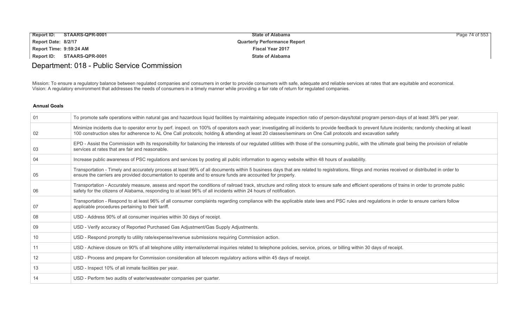| <b>Report ID:</b><br>STAARS-QPR-0001 | <b>State of Alabama</b>             | Page 74 of 553 |
|--------------------------------------|-------------------------------------|----------------|
| Report Date: 8/2/17                  | <b>Quarterly Performance Report</b> |                |
| Report Time: 9:59:24 AM              | <b>Fiscal Year 2017</b>             |                |
| Report ID:<br>STAARS-QPR-0001        | <b>State of Alabama</b>             |                |

# Department: 018 - Public Service Commission

Mission: To ensure a regulatory balance between regulated companies and consumers in order to provide consumers with safe, adequate and reliable services at rates that are equitable and economical. Vision: A regulatory environment that addresses the needs of consumers in a timely manner while providing a fair rate of return for regulated companies.

| 01 | To promote safe operations within natural gas and hazardous liquid facilities by maintaining adequate inspection ratio of person-days/total program person-days of at least 38% per year.                                                                                                                                                                         |
|----|-------------------------------------------------------------------------------------------------------------------------------------------------------------------------------------------------------------------------------------------------------------------------------------------------------------------------------------------------------------------|
| 02 | Minimize incidents due to operator error by perf. inspect. on 100% of operators each year; investigating all incidents to provide feedback to prevent future incidents; randomly checking at least<br>100 construction sites for adherence to AL One Call protocols; holding & attending at least 20 classes/seminars on One Call protocols and excavation safety |
| 03 | EPD - Assist the Commission with its responsibility for balancing the interests of our regulated utilities with those of the consuming public, with the ultimate goal being the provision of reliable<br>services at rates that are fair and reasonable.                                                                                                          |
| 04 | Increase public awareness of PSC regulations and services by posting all public information to agency website within 48 hours of availability.                                                                                                                                                                                                                    |
| 05 | Transportation - Timely and accurately process at least 96% of all documents within 5 business days that are related to registrations, filings and monies received or distributed in order to<br>ensure the carriers are provided documentation to operate and to ensure funds are accounted for properly.                                                        |
| 06 | Transportation - Accurately measure, assess and report the conditions of railroad track, structure and rolling stock to ensure safe and efficient operations of trains in order to promote public<br>safety for the citizens of Alabama, responding to at least 96% of all incidents within 24 hours of notification.                                             |
| 07 | Transportation - Respond to at least 96% of all consumer complaints regarding compliance with the applicable state laws and PSC rules and regulations in order to ensure carriers follow<br>applicable procedures pertaining to their tariff.                                                                                                                     |
| 08 | USD - Address 90% of all consumer inquiries within 30 days of receipt.                                                                                                                                                                                                                                                                                            |
| 09 | USD - Verify accuracy of Reported Purchased Gas Adjustment/Gas Supply Adjustments.                                                                                                                                                                                                                                                                                |
| 10 | USD - Respond promptly to utility rate/expense/revenue submissions requiring Commission action.                                                                                                                                                                                                                                                                   |
| 11 | USD - Achieve closure on 90% of all telephone utility internal/external inquiries related to telephone policies, service, prices, or billing within 30 days of receipt.                                                                                                                                                                                           |
| 12 | USD - Process and prepare for Commission consideration all telecom regulatory actions within 45 days of receipt.                                                                                                                                                                                                                                                  |
| 13 | USD - Inspect 10% of all inmate facilities per year.                                                                                                                                                                                                                                                                                                              |
| 14 | USD - Perform two audits of water/wastewater companies per quarter.                                                                                                                                                                                                                                                                                               |
|    |                                                                                                                                                                                                                                                                                                                                                                   |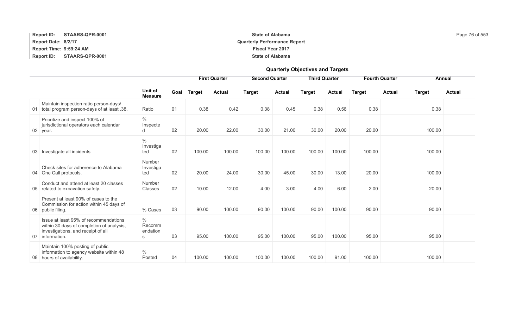| <b>Report ID:</b><br>STAARS-QPR-0001 | <b>State of Alabama</b>             | Page 76 of 553 |
|--------------------------------------|-------------------------------------|----------------|
| Report Date: 8/2/17                  | <b>Quarterly Performance Report</b> |                |
| Report Time: 9:59:24 AM              | <b>Fiscal Year 2017</b>             |                |
| Report ID: STAARS-QPR-0001           | <b>State of Alabama</b>             |                |

|    |                                                                                                                                          |                                   |      |               |               |                       |               | <b>Quarterly Objectives and Targets</b> |               |                       |                         |        |               |
|----|------------------------------------------------------------------------------------------------------------------------------------------|-----------------------------------|------|---------------|---------------|-----------------------|---------------|-----------------------------------------|---------------|-----------------------|-------------------------|--------|---------------|
|    |                                                                                                                                          | <b>First Quarter</b>              |      |               |               | <b>Second Quarter</b> |               | <b>Third Quarter</b>                    |               | <b>Fourth Quarter</b> |                         | Annual |               |
|    |                                                                                                                                          | Unit of<br><b>Measure</b>         | Goal | <b>Target</b> | <b>Actual</b> | <b>Target</b>         | <b>Actual</b> | <b>Target</b>                           | <b>Actual</b> | <b>Target</b>         | <b>Actual</b><br>Target |        | <b>Actual</b> |
|    | Maintain inspection ratio person-days/<br>01 total program person-days of at least .38.                                                  | Ratio                             | 01   | 0.38          | 0.42          | 0.38                  | 0.45          | 0.38                                    | 0.56          | 0.38                  |                         | 0.38   |               |
|    | Prioritize and inspect 100% of<br>jurisdictional operators each calendar<br>02 year.                                                     | $\%$<br>Inspecte<br>d             | 02   | 20.00         | 22.00         | 30.00                 | 21.00         | 30.00                                   | 20.00         | 20.00                 |                         | 100.00 |               |
|    | 03 Investigate all incidents                                                                                                             | $\%$<br>Investiga<br>ted          | 02   | 100.00        | 100.00        | 100.00                | 100.00        | 100.00                                  | 100.00        | 100.00                |                         | 100.00 |               |
|    | Check sites for adherence to Alabama<br>04 One Call protocols.                                                                           | <b>Number</b><br>Investiga<br>ted | 02   | 20.00         | 24.00         | 30.00                 | 45.00         | 30.00                                   | 13.00         | 20.00                 |                         | 100.00 |               |
|    | Conduct and attend at least 20 classes<br>05 related to excavation safety.                                                               | Number<br>Classes                 | 02   | 10.00         | 12.00         | 4.00                  | 3.00          | 4.00                                    | 6.00          | 2.00                  |                         | 20.00  |               |
|    | Present at least 90% of cases to the<br>Commission for action within 45 days of<br>06 public filing.                                     | % Cases                           | 03   | 90.00         | 100.00        | 90.00                 | 100.00        | 90.00                                   | 100.00        | 90.00                 |                         | 90.00  |               |
| 07 | Issue at least 95% of recommendations<br>within 30 days of completion of analysis,<br>investigations, and receipt of all<br>information. | $\%$<br>Recomm<br>endation<br>s   | 03   | 95.00         | 100.00        | 95.00                 | 100.00        | 95.00                                   | 100.00        | 95.00                 |                         | 95.00  |               |
|    | Maintain 100% posting of public<br>information to agency website within 48<br>08 hours of availability.                                  | $\%$<br>Posted                    | 04   | 100.00        | 100.00        | 100.00                | 100.00        | 100.00                                  | 91.00         | 100.00                |                         | 100.00 |               |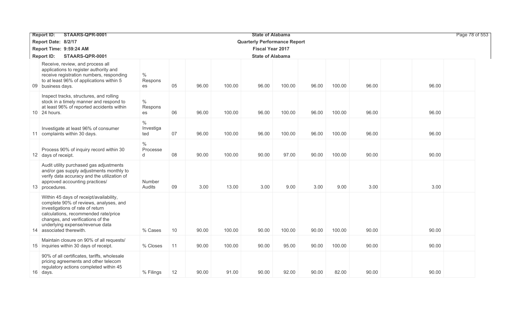| STAARS-QPR-0001<br><b>State of Alabama</b><br><b>Report ID:</b> |                                                                                                                                                                                                                                                                   |                          |    |       |        |                                     |        |       |        |       |  |       | Page 78 of 553 |
|-----------------------------------------------------------------|-------------------------------------------------------------------------------------------------------------------------------------------------------------------------------------------------------------------------------------------------------------------|--------------------------|----|-------|--------|-------------------------------------|--------|-------|--------|-------|--|-------|----------------|
|                                                                 | Report Date: 8/2/17                                                                                                                                                                                                                                               |                          |    |       |        | <b>Quarterly Performance Report</b> |        |       |        |       |  |       |                |
|                                                                 | Report Time: 9:59:24 AM                                                                                                                                                                                                                                           |                          |    |       |        | <b>Fiscal Year 2017</b>             |        |       |        |       |  |       |                |
|                                                                 | STAARS-QPR-0001<br><b>Report ID:</b>                                                                                                                                                                                                                              |                          |    |       |        | <b>State of Alabama</b>             |        |       |        |       |  |       |                |
|                                                                 | Receive, review, and process all<br>applications to register authority and<br>receive registration numbers, responding<br>to at least 96% of applications within 5<br>09 business days.                                                                           | $\%$<br>Respons<br>es    | 05 | 96.00 | 100.00 | 96.00                               | 100.00 | 96.00 | 100.00 | 96.00 |  | 96.00 |                |
|                                                                 | Inspect tracks, structures, and rolling<br>stock in a timely manner and respond to<br>at least 96% of reported accidents within<br>10 24 hours.                                                                                                                   | $\%$<br>Respons<br>es    | 06 | 96.00 | 100.00 | 96.00                               | 100.00 | 96.00 | 100.00 | 96.00 |  | 96.00 |                |
|                                                                 | Investigate at least 96% of consumer<br>11 complaints within 30 days.                                                                                                                                                                                             | $\%$<br>Investiga<br>ted | 07 | 96.00 | 100.00 | 96.00                               | 100.00 | 96.00 | 100.00 | 96.00 |  | 96.00 |                |
|                                                                 | Process 90% of inquiry record within 30<br>12 days of receipt.                                                                                                                                                                                                    | $\%$<br>Processe<br>d    | 08 | 90.00 | 100.00 | 90.00                               | 97.00  | 90.00 | 100.00 | 90.00 |  | 90.00 |                |
|                                                                 | Audit utility purchased gas adjustments<br>and/or gas supply adjustments monthly to<br>verify data accuracy and the utilization of<br>approved accounting practices/<br>13 procedures.                                                                            | Number<br>Audits         | 09 | 3.00  | 13.00  | 3.00                                | 9.00   | 3.00  | 9.00   | 3.00  |  | 3.00  |                |
|                                                                 | Within 45 days of receipt/availability,<br>complete 90% of reviews, analyses, and<br>investigations of rate of return<br>calculations, recommended rate/price<br>changes, and verifications of the<br>underlying expense/revenue data<br>14 associated therewith. | % Cases                  | 10 | 90.00 | 100.00 | 90.00                               | 100.00 | 90.00 | 100.00 | 90.00 |  | 90.00 |                |
|                                                                 | Maintain closure on 90% of all requests/<br>15 inquiries within 30 days of receipt.                                                                                                                                                                               | % Closes                 | 11 | 90.00 | 100.00 | 90.00                               | 95.00  | 90.00 | 100.00 | 90.00 |  | 90.00 |                |
|                                                                 | 90% of all certificates, tariffs, wholesale<br>pricing agreements and other telecom<br>regulatory actions completed within 45<br>16 days.                                                                                                                         | % Filings                | 12 | 90.00 | 91.00  | 90.00                               | 92.00  | 90.00 | 82.00  | 90.00 |  | 90.00 |                |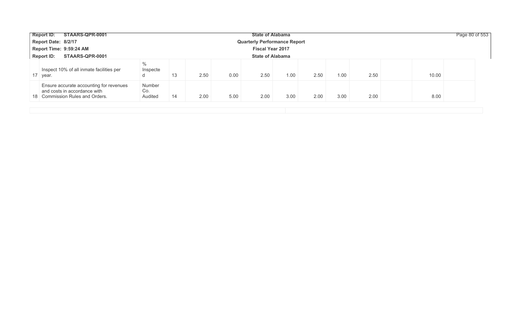| STAARS-QPR-0001<br><b>State of Alabama</b><br><b>Report ID:</b> |                                                                                                            |                          |    |      |      |                         |      |      |      |      |       | Page 80 of 553 |
|-----------------------------------------------------------------|------------------------------------------------------------------------------------------------------------|--------------------------|----|------|------|-------------------------|------|------|------|------|-------|----------------|
| Report Date: 8/2/17<br><b>Quarterly Performance Report</b>      |                                                                                                            |                          |    |      |      |                         |      |      |      |      |       |                |
|                                                                 | Report Time: 9:59:24 AM                                                                                    |                          |    |      |      | <b>Fiscal Year 2017</b> |      |      |      |      |       |                |
| <b>Report ID:</b>                                               | STAARS-QPR-0001                                                                                            |                          |    |      |      | <b>State of Alabama</b> |      |      |      |      |       |                |
| 17 year.                                                        | Inspect 10% of all inmate facilities per                                                                   | $\%$<br>Inspecte<br>a    | 13 | 2.50 | 0.00 | 2.50                    | 1.00 | 2.50 | 1.00 | 2.50 | 10.00 |                |
|                                                                 | Ensure accurate accounting for revenues<br>and costs in accordance with<br>18 Commission Rules and Orders. | Number<br>Co.<br>Audited | 14 | 2.00 | 5.00 | 2.00                    | 3.00 | 2.00 | 3.00 | 2.00 | 8.00  |                |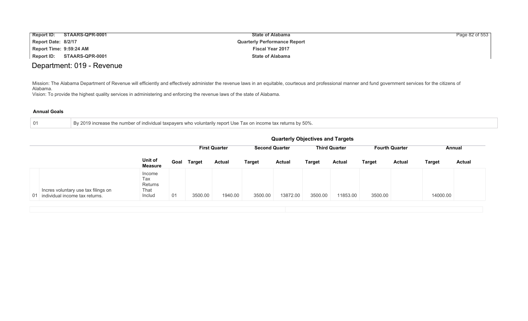| <b>Report ID:</b>       | STAARS-QPR-0001 | <b>State of Alabama</b>             | Page 82 of 553 |
|-------------------------|-----------------|-------------------------------------|----------------|
| Report Date: 8/2/17     |                 | <b>Quarterly Performance Report</b> |                |
| Report Time: 9:59:24 AM |                 | <b>Fiscal Year 2017</b>             |                |
| <b>Report ID:</b>       | STAARS-QPR-0001 | <b>State of Alabama</b>             |                |

# Department: 019 - Revenue

Mission: The Alabama Department of Revenue will efficiently and effectively administer the revenue laws in an equitable, courteous and professional manner and fund government services for the citizens of Alabama.

Vision: To provide the highest quality services in administering and enforcing the revenue laws of the state of Alabama.

| By 2019 increase the number of individual taxpayers who voluntarily report Use Tax on income tax returns by 50%.<br>-01 |
|-------------------------------------------------------------------------------------------------------------------------|
|-------------------------------------------------------------------------------------------------------------------------|

|                                                                          |                                            | <b>Quarterly Objectives and Targets</b> |                      |               |                       |               |                      |               |                       |               |               |               |  |
|--------------------------------------------------------------------------|--------------------------------------------|-----------------------------------------|----------------------|---------------|-----------------------|---------------|----------------------|---------------|-----------------------|---------------|---------------|---------------|--|
|                                                                          |                                            |                                         | <b>First Quarter</b> |               | <b>Second Quarter</b> |               | <b>Third Quarter</b> |               | <b>Fourth Quarter</b> |               | Annual        |               |  |
|                                                                          | Unit of<br>Measure                         | Goal                                    | <b>Target</b>        | <b>Actual</b> | Target                | <b>Actual</b> | <b>Target</b>        | <b>Actual</b> | <b>Target</b>         | <b>Actual</b> | <b>Target</b> | <b>Actual</b> |  |
| Incres voluntary use tax filings on<br>01 individual income tax returns. | Income<br>Tax<br>Returns<br>That<br>Includ | 01                                      | 3500.00              | 1940.00       | 3500.00               | 13872.00      | 3500.00              | 11853.00      | 3500.00               |               | 14000.00      |               |  |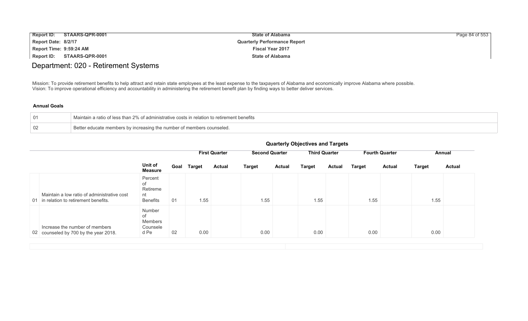| <b>Report ID:</b>              | STAARS-QPR-0001 | <b>State of Alabama</b>             | Page 84 of 553 |
|--------------------------------|-----------------|-------------------------------------|----------------|
| Report Date: 8/2/17            |                 | <b>Quarterly Performance Report</b> |                |
| <b>Report Time: 9:59:24 AM</b> |                 | <b>Fiscal Year 2017</b>             |                |
| Report ID:                     | STAARS-QPR-0001 | <b>State of Alabama</b>             |                |

# Department: 020 - Retirement Systems

Mission: To provide retirement benefits to help attract and retain state employees at the least expense to the taxpayers of Alabama and economically improve Alabama where possible. Vision: To improve operational efficiency and accountability in administering the retirement benefit plan by finding ways to better deliver services.

| $^{\circ}$ | $\perp$ Maintain a ratio of less than 2% of administrative costs in relation to retirement benefits |
|------------|-----------------------------------------------------------------------------------------------------|
| -02        | Better educate members by increasing the number of members counseled.                               |

| <b>Quarterly Objectives and Targets</b> |  |  |  |  |
|-----------------------------------------|--|--|--|--|
|-----------------------------------------|--|--|--|--|

|                                                                                       |                                                    | Goal<br><b>Target</b> |      | <b>First Quarter</b> |               | <b>Second Quarter</b> |               | <b>Third Quarter</b> |               | <b>Fourth Quarter</b> |               | Annual        |  |
|---------------------------------------------------------------------------------------|----------------------------------------------------|-----------------------|------|----------------------|---------------|-----------------------|---------------|----------------------|---------------|-----------------------|---------------|---------------|--|
|                                                                                       | Unit of<br><b>Measure</b>                          |                       |      | <b>Actual</b>        | <b>Target</b> | <b>Actual</b>         | <b>Target</b> | <b>Actual</b>        | <b>Target</b> | <b>Actual</b>         | <b>Target</b> | <b>Actual</b> |  |
| Maintain a low ratio of administrative cost<br>01 in relation to retirement benefits. | Percent<br>0f<br>Retireme<br>nt<br><b>Benefits</b> | 01                    | 1.55 |                      | 1.55          |                       | 1.55          |                      | 1.55          |                       | 1.55          |               |  |
| Increase the number of members<br>02 counseled by 700 by the year 2018.               | Number<br>0f<br>Members<br>Counsele<br>d Pe        | 02                    | 0.00 |                      | 0.00          |                       | 0.00          |                      | 0.00          |                       | 0.00          |               |  |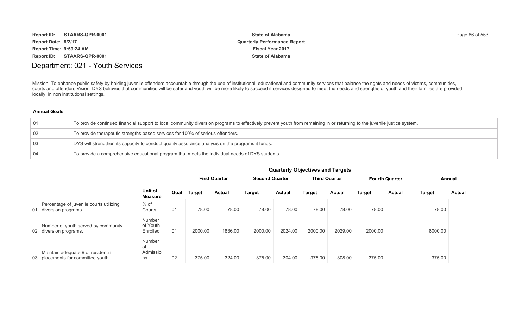| <b>Report ID:</b>       | STAARS-QPR-0001        | <b>State of Alabama</b>             | Page 86 of 553 |
|-------------------------|------------------------|-------------------------------------|----------------|
| Report Date: 8/2/17     |                        | <b>Quarterly Performance Report</b> |                |
| Report Time: 9:59:24 AM |                        | <b>Fiscal Year 2017</b>             |                |
| Report ID:              | <b>STAARS-QPR-0001</b> | <b>State of Alabama</b>             |                |

## Department: 021 - Youth Services

Mission: To enhance public safety by holding juvenile offenders accountable through the use of institutional, educational and community services that balance the rights and needs of victims, communities, courts and offenders.Vision: DYS believes that communities will be safer and youth will be more likely to succeed if services designed to meet the needs and strengths of youth and their families are provided locally, in non institutional settings.

## **Annual Goals**

| 01 | To provide continued financial support to local community diversion programs to effectively prevent youth from remaining in or returning to the juvenile justice system. |
|----|--------------------------------------------------------------------------------------------------------------------------------------------------------------------------|
| 02 | To provide therapeutic strengths based services for 100% of serious offenders.                                                                                           |
| 03 | DYS will strengthen its capacity to conduct quality assurance analysis on the programs it funds.                                                                         |
| 04 | To provide a comprehensive educational program that meets the individual needs of DYS students.                                                                          |

|     |                                                                          |                                |      | <b>First Quarter</b> |               | <b>Second Quarter</b> |               | <b>Third Quarter</b> |               | <b>Fourth Quarter</b> |               | Annual        |               |
|-----|--------------------------------------------------------------------------|--------------------------------|------|----------------------|---------------|-----------------------|---------------|----------------------|---------------|-----------------------|---------------|---------------|---------------|
|     |                                                                          | Unit of<br><b>Measure</b>      | Goal | Target               | <b>Actual</b> | <b>Target</b>         | <b>Actual</b> | Target               | <b>Actual</b> | Target                | <b>Actual</b> | <b>Target</b> | <b>Actual</b> |
| -01 | Percentage of juvenile courts utilizing<br>diversion programs.           | % of<br>Courts                 | 01   | 78.00                | 78.00         | 78.00                 | 78.00         | 78.00                | 78.00         | 78.00                 |               | 78.00         |               |
|     | Number of youth served by community<br>02 diversion programs.            | Number<br>of Youth<br>Enrolled | 01   | 2000.00              | 1836.00       | 2000.00               | 2024.00       | 2000.00              | 2029.00       | 2000.00               |               | 8000.00       |               |
|     | Maintain adequate # of residential<br>03 placements for committed youth. | Number<br>οf<br>Admissio<br>ns | 02   | 375.00               | 324.00        | 375.00                | 304.00        | 375.00               | 308.00        | 375.00                |               | 375.00        |               |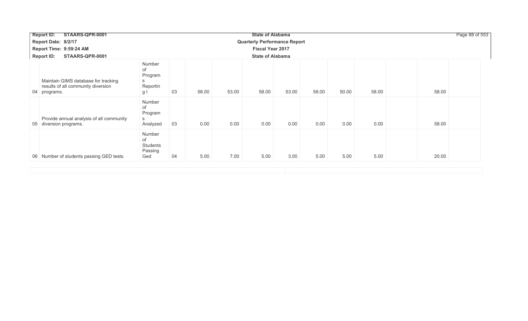| STAARS-QPR-0001<br><b>Report ID:</b>                                                      |                                                 |             |       | <b>State of Alabama</b>             |       |       |       |       |       | Page 88 of 553 |
|-------------------------------------------------------------------------------------------|-------------------------------------------------|-------------|-------|-------------------------------------|-------|-------|-------|-------|-------|----------------|
| Report Date: 8/2/17                                                                       |                                                 |             |       | <b>Quarterly Performance Report</b> |       |       |       |       |       |                |
| Report Time: 9:59:24 AM                                                                   |                                                 |             |       | <b>Fiscal Year 2017</b>             |       |       |       |       |       |                |
| <b>Report ID:</b><br>STAARS-QPR-0001                                                      |                                                 |             |       | <b>State of Alabama</b>             |       |       |       |       |       |                |
| Maintain GIMS database for tracking<br>results of all community diversion<br>04 programs. | Number<br>of<br>Program<br>S<br>Reportin<br>g I | 03<br>58.00 | 53.00 | 58.00                               | 53.00 | 58.00 | 50.00 | 58.00 | 58.00 |                |
| Provide annual analysis of all community<br>05 diversion programs.                        | Number<br>of<br>Program<br>S<br>Analyzed        | 03<br>0.00  | 0.00  | 0.00                                | 0.00  | 0.00  | 0.00  | 0.00  | 58.00 |                |
| 06 Number of students passing GED tests.                                                  | Number<br>of<br>Students<br>Passing<br>Ged      | 04<br>5.00  | 7.00  | 5.00                                | 3.00  | 5.00  | 5.00  | 5.00  | 20.00 |                |
|                                                                                           |                                                 |             |       |                                     |       |       |       |       |       |                |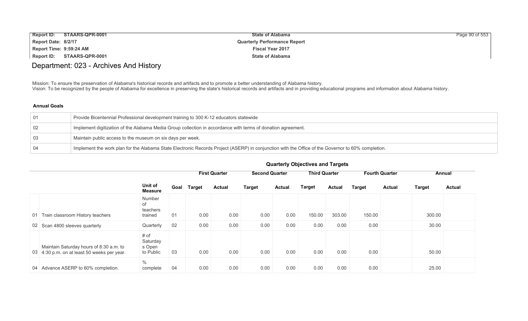| <b>Report ID:</b>       | STAARS-QPR-0001 | <b>State of Alabama</b>             | Page 90 of 553 |
|-------------------------|-----------------|-------------------------------------|----------------|
| Report Date: 8/2/17     |                 | <b>Quarterly Performance Report</b> |                |
| Report Time: 9:59:24 AM |                 | <b>Fiscal Year 2017</b>             |                |
| Report ID:              | STAARS-QPR-0001 | <b>State of Alabama</b>             |                |

# Department: 023 - Archives And History

Mission: To ensure the preservation of Alabama's historical records and artifacts and to promote a better understanding of Alabama history. Vision: To be recognized by the people of Alabama for excellence in preserving the state's historical records and artifacts and in providing educational programs and information about Alabama history.

## **Annual Goals**

|    | Provide Bicentennial Professional development training to 300 K-12 educators statewide                                                             |
|----|----------------------------------------------------------------------------------------------------------------------------------------------------|
| 02 | Implement digitization of the Alabama Media Group collection in accordance with terms of donation agreement.                                       |
| 03 | Maintain public access to the museum on six days per week.                                                                                         |
| 04 | Implement the work plan for the Alabama State Electronic Records Project (ASERP) in conjunction with the Office of the Governor to 60% completion. |

|                                                                                        |                                         |      |               | <b>First Quarter</b> | <b>Second Quarter</b> |               | <b>Third Quarter</b> |               |               | <b>Fourth Quarter</b> |               | Annual        |
|----------------------------------------------------------------------------------------|-----------------------------------------|------|---------------|----------------------|-----------------------|---------------|----------------------|---------------|---------------|-----------------------|---------------|---------------|
|                                                                                        | Unit of<br><b>Measure</b>               | Goal | <b>Target</b> | <b>Actual</b>        | <b>Target</b>         | <b>Actual</b> | <b>Target</b>        | <b>Actual</b> | <b>Target</b> | <b>Actual</b>         | <b>Target</b> | <b>Actual</b> |
| Train classroom History teachers<br>01                                                 | Number<br>of<br>teachers<br>trained     | 01   | 0.00          | 0.00                 | 0.00                  | 0.00          | 150.00               | 303.00        | 150.00        |                       | 300.00        |               |
| 02 Scan 4800 sleeves quarterly                                                         | Quarterly                               | 02   | 0.00          | 0.00                 | 0.00                  | 0.00          | 0.00                 | 0.00          | 0.00          |                       | 30.00         |               |
| Maintain Saturday hours of 8:30 a.m. to<br>03 4:30 p.m. on at least 50 weeks per year. | # of<br>Saturday<br>s Open<br>to Public | 03   | 0.00          | 0.00                 | 0.00                  | 0.00          | 0.00                 | 0.00          | 0.00          |                       | 50.00         |               |
| 04 Advance ASERP to 60% completion.                                                    | $\%$<br>complete                        | 04   | 0.00          | 0.00                 | 0.00                  | 0.00          | 0.00                 | 0.00          | 0.00          |                       | 25.00         |               |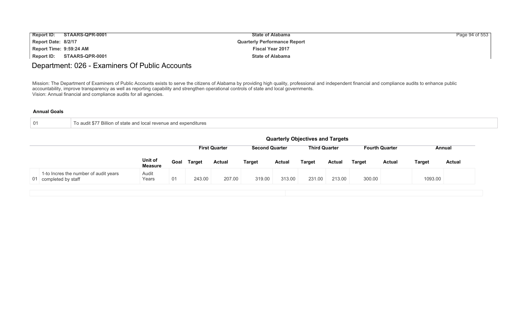| <b>Report ID:</b>       | STAARS-QPR-0001 | <b>State of Alabama</b>             | Page 94 of 553 |
|-------------------------|-----------------|-------------------------------------|----------------|
| Report Date: 8/2/17     |                 | <b>Quarterly Performance Report</b> |                |
| Report Time: 9:59:24 AM |                 | <b>Fiscal Year 2017</b>             |                |
| Report ID:              | STAARS-QPR-0001 | <b>State of Alabama</b>             |                |

## Department: 026 - Examiners Of Public Accounts

Mission: The Department of Examiners of Public Accounts exists to serve the citizens of Alabama by providing high quality, professional and independent financial and compliance audits to enhance public accountability, improve transparency as well as reporting capability and strengthen operational controls of state and local governments. Vision: Annual financial and compliance audits for all agencies.

| To audit \$77 Billion of state and local revenue and expenditures |
|-------------------------------------------------------------------|
|-------------------------------------------------------------------|

|                                                                | <b>Quarterly Objectives and Targets</b> |      |               |                      |                       |               |                      |               |               |                       |               |               |  |
|----------------------------------------------------------------|-----------------------------------------|------|---------------|----------------------|-----------------------|---------------|----------------------|---------------|---------------|-----------------------|---------------|---------------|--|
|                                                                |                                         |      |               | <b>First Quarter</b> | <b>Second Quarter</b> |               | <b>Third Quarter</b> |               |               | <b>Fourth Quarter</b> |               | Annual        |  |
|                                                                | Unit of<br><b>Measure</b>               | Goal | <b>Target</b> | <b>Actual</b>        | <b>Target</b>         | <b>Actual</b> | <b>Target</b>        | <b>Actual</b> | <b>Target</b> | <b>Actual</b>         | <b>Target</b> | <b>Actual</b> |  |
| 1-to Incres the number of audit years<br>01 completed by staff | Audit<br>Years                          | 01   | 243.00        | 207.00               | 319.00                | 313.00        | 231.00               | 213.00        | 300.00        |                       | 1093.00       |               |  |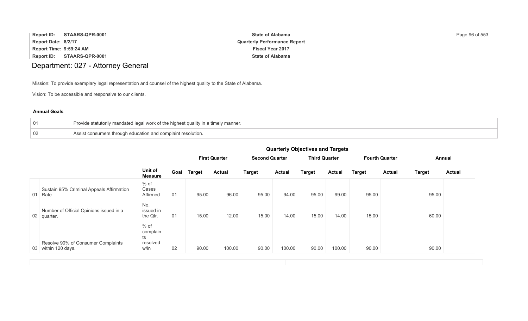|                         | Report ID: STAARS-QPR-0001 | <b>State of Alabama</b>             | Page 96 of 553 |
|-------------------------|----------------------------|-------------------------------------|----------------|
| Report Date: 8/2/17     |                            | <b>Quarterly Performance Report</b> |                |
| Report Time: 9:59:24 AM |                            | <b>Fiscal Year 2017</b>             |                |
|                         | Report ID: STAARS-QPR-0001 | <b>State of Alabama</b>             |                |

# Department: 027 - Attorney General

Mission: To provide exemplary legal representation and counsel of the highest quality to the State of Alabama.

Vision: To be accessible and responsive to our clients.

### **Annual Goals**

| $\sqrt{01}$ | Provide statutorily mandated legal work of the highest quality in a timely manner. $\,$ |
|-------------|-----------------------------------------------------------------------------------------|
| 02          | Assist consumers through education and complaint resolution.                            |

|                                                           |                                              | <b>GUATIONS</b> ODJECTIVES AND THIS CAS |               |                      |                       |               |                      |               |               |                       |               |               |
|-----------------------------------------------------------|----------------------------------------------|-----------------------------------------|---------------|----------------------|-----------------------|---------------|----------------------|---------------|---------------|-----------------------|---------------|---------------|
|                                                           |                                              |                                         |               | <b>First Quarter</b> | <b>Second Quarter</b> |               | <b>Third Quarter</b> |               |               | <b>Fourth Quarter</b> |               | Annual        |
|                                                           | Unit of<br><b>Measure</b>                    | Goal                                    | <b>Target</b> | <b>Actual</b>        | <b>Target</b>         | <b>Actual</b> | <b>Target</b>        | <b>Actual</b> | <b>Target</b> | <b>Actual</b>         | <b>Target</b> | <b>Actual</b> |
| Sustain 95% Criminal Appeals Affirmation<br>01 Rate       | $%$ of<br>Cases<br>Affirmed                  | 01                                      | 95.00         | 96.00                | 95.00                 | 94.00         | 95.00                | 99.00         | 95.00         |                       | 95.00         |               |
| Number of Official Opinions issued in a<br>02 quarter.    | No.<br>issued in<br>the Qtr.                 | 01                                      | 15.00         | 12.00                | 15.00                 | 14.00         | 15.00                | 14.00         | 15.00         |                       | 60.00         |               |
| Resolve 90% of Consumer Complaints<br>03 within 120 days. | $%$ of<br>complain<br>ts<br>resolved<br>w/in | 02                                      | 90.00         | 100.00               | 90.00                 | 100.00        | 90.00                | 100.00        | 90.00         |                       | 90.00         |               |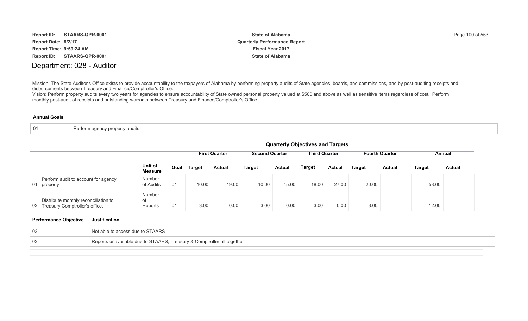| Report ID:              | STAARS-QPR-0001 | <b>State of Alabama</b>             | Page 100 of 553 |
|-------------------------|-----------------|-------------------------------------|-----------------|
| Report Date: 8/2/17     |                 | <b>Quarterly Performance Report</b> |                 |
| Report Time: 9:59:24 AM |                 | <b>Fiscal Year 2017</b>             |                 |
| <b>Report ID:</b>       | STAARS-QPR-0001 | <b>State of Alabama</b>             |                 |

## Department: 028 - Auditor

Mission: The State Auditor's Office exists to provide accountability to the taxpayers of Alabama by performing property audits of State agencies, boards, and commissions, and by post-auditing receipts and disbursements between Treasury and Finance/Comptroller's Office.

Vision: Perform property audits every two years for agencies to ensure accountability of State owned personal property valued at \$500 and above as well as sensitive items regardless of cost. Perform monthly post-audit of receipts and outstanding warrants between Treasury and Finance/Comptroller's Office

#### **Annual Goals**

| Perform agency property audits<br>- 0<br>. |  |
|--------------------------------------------|--|
|--------------------------------------------|--|

|                 |                                                                        |                                | <b>Quarterly Objectives and Targets</b> |               |                      |                       |               |                      |               |               |                       |        |               |
|-----------------|------------------------------------------------------------------------|--------------------------------|-----------------------------------------|---------------|----------------------|-----------------------|---------------|----------------------|---------------|---------------|-----------------------|--------|---------------|
|                 |                                                                        |                                |                                         |               | <b>First Quarter</b> | <b>Second Quarter</b> |               | <b>Third Quarter</b> |               |               | <b>Fourth Quarter</b> |        | Annual        |
|                 |                                                                        | Unit of<br><b>Measure</b>      | Goal                                    | <b>Target</b> | <b>Actual</b>        | <b>Target</b>         | <b>Actual</b> | <b>Target</b>        | <b>Actual</b> | <b>Target</b> | <b>Actual</b>         | Target | <b>Actual</b> |
|                 | Perform audit to account for agency<br>01 property                     | Number<br>of Audits            | 01                                      | 10.00         | 19.00                | 10.00                 | 45.00         | 18.00                | 27.00         | 20.00         |                       | 58.00  |               |
| 02 <sup>1</sup> | Distribute monthly reconciliation to<br>Treasury Comptroller's office. | <b>Number</b><br>of<br>Reports | 01                                      | 3.00          | 0.00                 | 3.00                  | 0.00          | 3.00                 | 0.00          | 3.00          |                       | 12.00  |               |

### **Performance Objective Justification**

| t able to access due to STAARS                                         |
|------------------------------------------------------------------------|
| Reports unavailable due to STAARS; Treasury & Comptroller all together |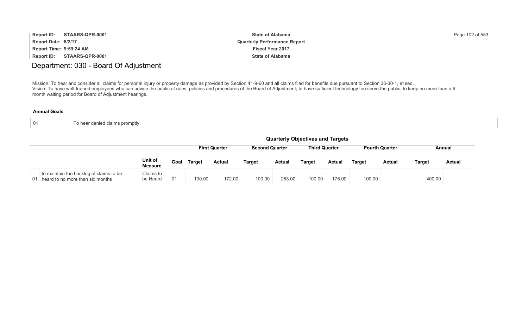| <b>Report ID:</b>       | STAARS-QPR-0001 | <b>State of Alabama</b>             | Page 102 of 553 |
|-------------------------|-----------------|-------------------------------------|-----------------|
| Report Date: 8/2/17     |                 | <b>Quarterly Performance Report</b> |                 |
| Report Time: 9:59:24 AM |                 | <b>Fiscal Year 2017</b>             |                 |
| Report ID:              | STAARS-QPR-0001 | <b>State of Alabama</b>             |                 |

## Department: 030 - Board Of Adjustment

Mission: To hear and consider all claims for personal injury or property damage as provided by Section 41-9-60 and all claims filed for benefits due pursuant to Section 36-30-1, et seq. Vision: To have well-trained employees who can advise the public of rules, policies and procedures of the Board of Adjustment; to have sufficient technology too serve the public; to keep no more than a 6 month waiting period for Board of Adjustment hearings.

| $\overline{01}$ | To hear denied claims promptly. |  |  |  |  |
|-----------------|---------------------------------|--|--|--|--|
|-----------------|---------------------------------|--|--|--|--|

|                                                                                |                                                                                                | <b>Quarterly Objectives and Targets</b> |        |               |               |               |               |               |        |               |        |        |
|--------------------------------------------------------------------------------|------------------------------------------------------------------------------------------------|-----------------------------------------|--------|---------------|---------------|---------------|---------------|---------------|--------|---------------|--------|--------|
|                                                                                | <b>Third Quarter</b><br><b>Fourth Quarter</b><br><b>First Quarter</b><br><b>Second Quarter</b> |                                         |        |               |               |               |               |               |        |               | Annual |        |
|                                                                                | Unit of<br><b>Measure</b>                                                                      | Goal                                    | Target | <b>Actual</b> | <b>Target</b> | <b>Actual</b> | <b>Target</b> | <b>Actual</b> | Target | <b>Actual</b> | Target | Actual |
| to maintain the backlog of claims to be<br>01 heard to no more than six months | Claims to<br>be Heard                                                                          | 01                                      | 100.00 | 172.00        | 100.00        | 253.00        | 100.00        | 175.00        | 100.00 |               | 400.00 |        |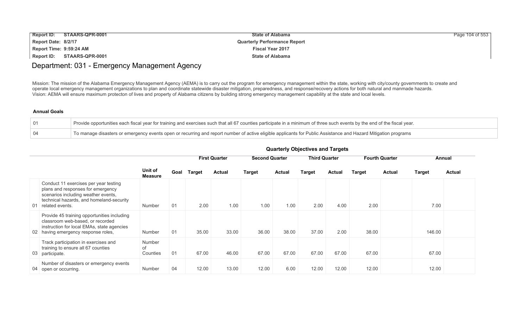| <b>Report ID:</b>       | STAARS-QPR-0001 | <b>State of Alabama</b>             | Page 104 of 553 |
|-------------------------|-----------------|-------------------------------------|-----------------|
| Report Date: 8/2/17     |                 | <b>Quarterly Performance Report</b> |                 |
| Report Time: 9:59:24 AM |                 | <b>Fiscal Year 2017</b>             |                 |
| Report ID:              | STAARS-QPR-0001 | <b>State of Alabama</b>             |                 |

## Department: 031 - Emergency Management Agency

Mission: The mission of the Alabama Emergency Management Agency (AEMA) is to carry out the program for emergency management within the state, working with city/county governments to create and operate local emergency management organizations to plan and coordinate statewide disaster mitigation, preparedness, and response/recovery actions for both natural and manmade hazards. Vision: AEMA will ensure maximum protecton of lives and property of Alabama citizens by building strong emergency management capability at the state and local levels.

## **Annual Goals**

|                 | Provide opportunities each fiscal year for training and exercises such that all 67 counties participate in a minimum of three such events by the end of the fiscal year. |
|-----------------|--------------------------------------------------------------------------------------------------------------------------------------------------------------------------|
| $\overline{04}$ | To manage disasters or emergency events open or recurring and report number of active eligible applicants for Public Assistance and Hazard Mitigation programs           |

|                                                                                                                                                                                     |                           |      |        | <b>First Quarter</b> |               | <b>Second Quarter</b> |        | <b>Third Quarter</b> |        | <b>Fourth Quarter</b> | Annual        |               |
|-------------------------------------------------------------------------------------------------------------------------------------------------------------------------------------|---------------------------|------|--------|----------------------|---------------|-----------------------|--------|----------------------|--------|-----------------------|---------------|---------------|
|                                                                                                                                                                                     | Unit of<br><b>Measure</b> | Goal | Target | <b>Actual</b>        | <b>Target</b> | <b>Actual</b>         | Target | <b>Actual</b>        | Target | <b>Actual</b>         | <b>Target</b> | <b>Actual</b> |
| Conduct 11 exercises per year testing<br>plans and responses for emergency<br>scenarios including weather events,<br>technical hazards, and homeland-security<br>01 related events. | Number                    | 01   | 2.00   | 1.00                 | 1.00          | 1.00                  | 2.00   | 4.00                 | 2.00   |                       | 7.00          |               |
| Provide 45 training opportunities including<br>classroom web-based, or recorded<br>instruction for local EMAs, state agencies<br>02 having emergency response roles,                | Number                    | 01   | 35.00  | 33.00                | 36.00         | 38.00                 | 37.00  | 2.00                 | 38.00  |                       | 146.00        |               |
| Track participation in exercises and<br>training to ensure all 67 counties<br>03 participate.                                                                                       | Number<br>of<br>Counties  | 01   | 67.00  | 46.00                | 67.00         | 67.00                 | 67.00  | 67.00                | 67.00  |                       | 67.00         |               |
| Number of disasters or emergency events<br>04 open or occurring.                                                                                                                    | Number                    | 04   | 12.00  | 13.00                | 12.00         | 6.00                  | 12.00  | 12.00                | 12.00  |                       | 12.00         |               |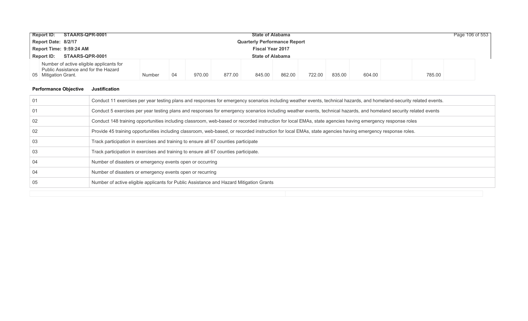|                                                    | STAARS-QPR-0001<br><b>Report ID:</b>                                                                     |        |                                     |        |        | <b>State of Alabama</b> |        |        |        |        |        | Page 106 of 553 |
|----------------------------------------------------|----------------------------------------------------------------------------------------------------------|--------|-------------------------------------|--------|--------|-------------------------|--------|--------|--------|--------|--------|-----------------|
|                                                    | Report Date: 8/2/17                                                                                      |        | <b>Quarterly Performance Report</b> |        |        |                         |        |        |        |        |        |                 |
| Report Time: 9:59:24 AM<br><b>Fiscal Year 2017</b> |                                                                                                          |        |                                     |        |        |                         |        |        |        |        |        |                 |
|                                                    | STAARS-QPR-0001<br><b>Report ID:</b>                                                                     |        |                                     |        |        | <b>State of Alabama</b> |        |        |        |        |        |                 |
|                                                    | Number of active eligible applicants for<br>Public Assistance and for the Hazard<br>05 Mitigation Grant. | Number | -04                                 | 970.00 | 877.00 | 845.00                  | 862.00 | 722.00 | 835.00 | 604.00 | 785.00 |                 |

## **Performance Objective Justification**

| -01 | Conduct 11 exercises per year testing plans and responses for emergency scenarios including weather events, technical hazards, and homeland-security related events. |
|-----|----------------------------------------------------------------------------------------------------------------------------------------------------------------------|
| 01  | Conduct 5 exercises per year testing plans and responses for emergency scenarios including weather events, technical hazards, and homeland security related events   |
| 02  | Conduct 148 training opportunities including classroom, web-based or recorded instruction for local EMAs, state agencies having emergency response roles             |
| 02  | Provide 45 training opportunities including classroom, web-based, or recorded instruction for local EMAs, state agencies having emergency response roles.            |
| 03  | Track participation in exercises and training to ensure all 67 counties participate                                                                                  |
| 03  | Track participation in exercises and training to ensure all 67 counties participate.                                                                                 |
| 04  | Number of disasters or emergency events open or occurring                                                                                                            |
| 04  | Number of disasters or emergency events open or recurring                                                                                                            |
| 05  | Number of active eligible applicants for Public Assistance and Hazard Mitigation Grants                                                                              |
|     |                                                                                                                                                                      |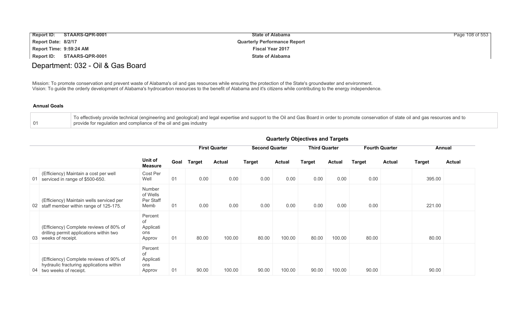| <b>Report ID:</b>       | STAARS-QPR-0001            | <b>State of Alabama</b>             | Page 108 of 553 |
|-------------------------|----------------------------|-------------------------------------|-----------------|
| Report Date: 8/2/17     |                            | <b>Quarterly Performance Report</b> |                 |
| Report Time: 9:59:24 AM |                            | <b>Fiscal Year 2017</b>             |                 |
|                         | Report ID: STAARS-QPR-0001 | <b>State of Alabama</b>             |                 |

# Department: 032 - Oil & Gas Board

Mission: To promote conservation and prevent waste of Alabama's oil and gas resources while ensuring the protection of the State's groundwater and environment. Vision: To guide the orderly development of Alabama's hydrocarbon resources to the benefit of Alabama and it's citizens while contributing to the energy independence.

#### **Annual Goals**

| To effectively provide technical (engineering and geological) and legal expertise and support to the Oil and Gas Board in order to promote conservation of state oil and gas resources and to |
|-----------------------------------------------------------------------------------------------------------------------------------------------------------------------------------------------|
| provide for regulation and compliance of the oil and gas industry                                                                                                                             |

|    |                                                                                                                 |                                             | guarterry Objectives and Targets |               |                      |                       |               |                      |               |               |                       |               |        |  |
|----|-----------------------------------------------------------------------------------------------------------------|---------------------------------------------|----------------------------------|---------------|----------------------|-----------------------|---------------|----------------------|---------------|---------------|-----------------------|---------------|--------|--|
|    |                                                                                                                 |                                             |                                  |               | <b>First Quarter</b> | <b>Second Quarter</b> |               | <b>Third Quarter</b> |               |               | <b>Fourth Quarter</b> |               | Annual |  |
|    |                                                                                                                 | Unit of<br>Goal<br><b>Measure</b>           | Target                           | <b>Actual</b> | <b>Target</b>        | <b>Actual</b>         | <b>Target</b> | <b>Actual</b>        | <b>Target</b> | <b>Actual</b> | <b>Target</b>         | <b>Actual</b> |        |  |
| 01 | (Efficiency) Maintain a cost per well<br>serviced in range of \$500-650.                                        | Cost Per<br>Well                            | 01                               | 0.00          | 0.00                 | 0.00                  | 0.00          | 0.00                 | 0.00          | 0.00          |                       | 395.00        |        |  |
|    | (Efficiency) Maintain wells serviced per<br>02 staff member within range of 125-175.                            | Number<br>of Wells<br>Per Staff<br>Memb     | 01                               | 0.00          | 0.00                 | 0.00                  | 0.00          | 0.00                 | 0.00          | 0.00          |                       | 221.00        |        |  |
| 03 | (Efficiency) Complete reviews of 80% of<br>drilling permit applications within two<br>weeks of receipt.         | Percent<br>of<br>Applicati<br>ons<br>Approv | 01                               | 80.00         | 100.00               | 80.00                 | 100.00        | 80.00                | 100.00        | 80.00         |                       | 80.00         |        |  |
|    | (Efficiency) Complete reviews of 90% of<br>hydraulic fracturing applications within<br>04 two weeks of receipt. | Percent<br>of<br>Applicati<br>ons<br>Approv | 01                               | 90.00         | 100.00               | 90.00                 | 100.00        | 90.00                | 100.00        | 90.00         |                       | 90.00         |        |  |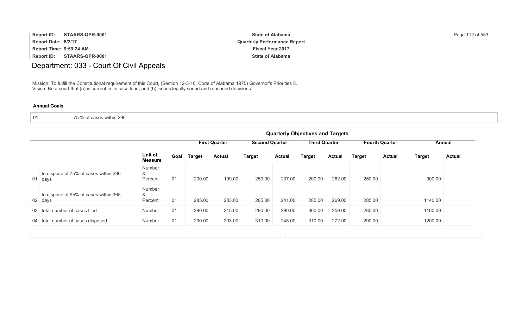| <b>Report ID:</b>       | STAARS-QPR-0001 | <b>State of Alabama</b>             | Page 112 of 553 |
|-------------------------|-----------------|-------------------------------------|-----------------|
| Report Date: 8/2/17     |                 | <b>Quarterly Performance Report</b> |                 |
| Report Time: 9:59:24 AM |                 | <b>Fiscal Year 2017</b>             |                 |
| Report ID:              | STAARS-QPR-0001 | <b>State of Alabama</b>             |                 |

# Department: 033 - Court Of Civil Appeals

Mission: To fulfill the Constitutional requirement of this Court, (Section 12-3-10, Code of Alabama 1975) Governor's Priorities 5. Vision: Be a court that (a) is current in its case load, and (b) issues legally sound and reasoned decisions.

| of cases within 290<br>$\overline{\phantom{a}}$ $\overline{\phantom{a}}$ $\overline{\phantom{a}}$ $\overline{\phantom{a}}$<br>01 |
|----------------------------------------------------------------------------------------------------------------------------------|
|----------------------------------------------------------------------------------------------------------------------------------|

|                                                  | <b>Quarterly Objectives and Targets</b> |                                                                                                |               |               |               |               |        |               |               |               |         |               |  |  |
|--------------------------------------------------|-----------------------------------------|------------------------------------------------------------------------------------------------|---------------|---------------|---------------|---------------|--------|---------------|---------------|---------------|---------|---------------|--|--|
|                                                  |                                         | <b>Third Quarter</b><br><b>Second Quarter</b><br><b>First Quarter</b><br><b>Fourth Quarter</b> |               |               |               |               |        |               |               |               |         | Annual        |  |  |
|                                                  | Unit of<br><b>Measure</b>               | Goal                                                                                           | <b>Target</b> | <b>Actual</b> | <b>Target</b> | <b>Actual</b> | Target | <b>Actual</b> | <b>Target</b> | <b>Actual</b> | Target  | <b>Actual</b> |  |  |
| to dispose of 75% of cases within 290<br>01 days | Number<br>&<br>Percent                  | 01                                                                                             | 200.00        | 199.00        | 250.00        | 237.00        | 200.00 | 262.00        | 250.00        |               | 900.00  |               |  |  |
| to dispose of 95% of cases within 365<br>02 days | Number<br>&<br>Percent                  | 01                                                                                             | 285.00        | 203.00        | 285.00        | 241.00        | 285.00 | 269.00        | 285.00        |               | 1140.00 |               |  |  |
| 03 total number of cases filed                   | Number                                  | 01                                                                                             | 290.00        | 215.00        | 290.00        | 280.00        | 300.00 | 259.00        | 280.00        |               | 1160.00 |               |  |  |
| 04 total number of cases disposed                | Number                                  | 01                                                                                             | 290.00        | 203.00        | 310.00        | 245.00        | 310.00 | 272.00        | 290.00        |               | 1200.00 |               |  |  |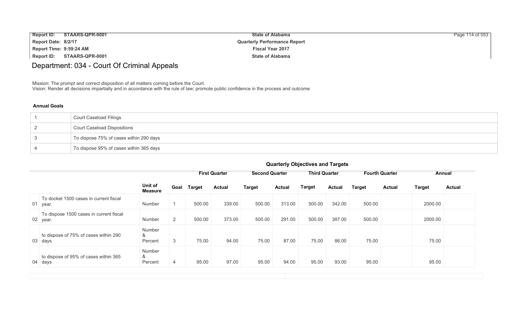| <b>Report ID:</b><br>STAARS-QPR-0001 | <b>State of Alabama</b>             | Page 114 of 553 |
|--------------------------------------|-------------------------------------|-----------------|
| Report Date: 8/2/17                  | <b>Quarterly Performance Report</b> |                 |
| Report Time: 9:59:24 AM              | <b>Fiscal Year 2017</b>             |                 |
| Report ID:<br>STAARS-QPR-0001        | <b>State of Alabama</b>             |                 |

# Department: 034 - Court Of Criminal Appeals

Mission: The prompt and correct disposition of all matters coming before the Court.

Vision: Render all decisions impartially and in accordance with the rule of law; promote public confidence in the process and outcome

### **Annual Goals**

| Court Caseload Filings                  |
|-----------------------------------------|
| <b>Court Caseload Dispositions</b>      |
| To dispose 75% of cases within 290 days |
| To dispose 95% of cases within 365 days |

|                                                     | <b>QUATIONS</b> ODJECTIVES AND TAIGERS |                |               |                      |                                               |               |               |               |               |                                |               |  |
|-----------------------------------------------------|----------------------------------------|----------------|---------------|----------------------|-----------------------------------------------|---------------|---------------|---------------|---------------|--------------------------------|---------------|--|
|                                                     |                                        |                |               | <b>First Quarter</b> | <b>Second Quarter</b><br><b>Third Quarter</b> |               |               |               |               | <b>Fourth Quarter</b>          | Annual        |  |
|                                                     | Unit of<br><b>Measure</b>              | Goal           | <b>Target</b> | <b>Actual</b>        | <b>Target</b>                                 | <b>Actual</b> | <b>Target</b> | <b>Actual</b> | <b>Target</b> | <b>Actual</b><br><b>Target</b> | <b>Actual</b> |  |
| To docket 1500 cases in current fiscal<br>01 year.  | Number                                 |                | 500.00        | 339.00               | 500.00                                        | 313.00        | 500.00        | 342.00        | 500.00        | 2000.00                        |               |  |
| To dispose 1500 cases in current fiscal<br>02 year. | Number                                 | $\overline{2}$ | 500.00        | 373.00               | 500.00                                        | 291.00        | 500.00        | 387.00        | 500.00        | 2000.00                        |               |  |
| to dispose of 75% of cases within 290<br>03 days    | Number<br>&<br>Percent                 | 3              | 75.00         | 94.00                | 75.00                                         | 87.00         | 75.00         | 86.00         | 75.00         | 75.00                          |               |  |
| to dispose of 95% of cases within 365<br>04 days    | Number<br>&<br>Percent                 | 4              | 95.00         | 97.00                | 95.00                                         | 94.00         | 95.00         | 93.00         | 95.00         | 95.00                          |               |  |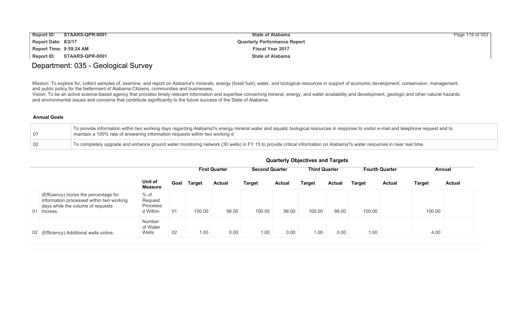| <b>Report ID:</b>       | STAARS-QPR-0001 | <b>State of Alabama</b>             | Page 118 of 553 |
|-------------------------|-----------------|-------------------------------------|-----------------|
| Report Date: 8/2/17     |                 | <b>Quarterly Performance Report</b> |                 |
| Report Time: 9:59:24 AM |                 | <b>Fiscal Year 2017</b>             |                 |
| <b>Report ID:</b>       | STAARS-QPR-0001 | <b>State of Alabama</b>             |                 |

## Department: 035 - Geological Survey

Mission: To explore for, collect samples of, examine, and report on Alabama's minerals, energy (fossil fuel), water, and biological resources in support of economic development, conservaion, management, and public policy for the betterment of Alabama Citizens, communities and businesses.

Vision: To be an active science-based agency that provides timely relevant information and expertise concerning mineral, energy, and water availability and development, geologic and other natural hazards and environmental issues and concerns that contribute significantly to the future success of the State of Alabama.

#### **Annual Goals**

| 01          | To provide information within two working days regarding Alabama?s energy mineral water and aquatic biological resources in response to visitor e-mail and telephone request and to<br>maintain a 100% rate of answering information requests within two working d |
|-------------|--------------------------------------------------------------------------------------------------------------------------------------------------------------------------------------------------------------------------------------------------------------------|
| $\sqrt{02}$ | To completely upgrade and enhance ground water monitoring network (30 wells) in FY 15 to provide critical information on Alabama?s water resources in near real time.                                                                                              |

|                                                                                                                                           |                                           |      |               | <b>First Quarter</b> | <b>Second Quarter</b> |               | <b>Third Quarter</b> |               |               | <b>Fourth Quarter</b> |               | Annual        |
|-------------------------------------------------------------------------------------------------------------------------------------------|-------------------------------------------|------|---------------|----------------------|-----------------------|---------------|----------------------|---------------|---------------|-----------------------|---------------|---------------|
|                                                                                                                                           | Unit of<br><b>Measure</b>                 | Goal | <b>Target</b> | <b>Actual</b>        | <b>Target</b>         | <b>Actual</b> | <b>Target</b>        | <b>Actual</b> | <b>Target</b> | <b>Actual</b>         | <b>Target</b> | <b>Actual</b> |
| (Efficiency) Incres the percentage for<br>information processed within two working<br>days while the volume of requests<br>01<br>Incress. | $%$ of<br>Request<br>Processe<br>d Within | 01   | 100.00        | 98.00                | 100.00                | 98.00         | 100.00               | 98.00         | 100.00        |                       | 100.00        |               |
| 02 (Efficiency) Additional wells online.                                                                                                  | <b>Number</b><br>of Water<br>Wells        | 02   | 1.00          | 0.00                 | 1.00                  | 0.00          | 1.00                 | 0.00          | 1.00          |                       | 4.00          |               |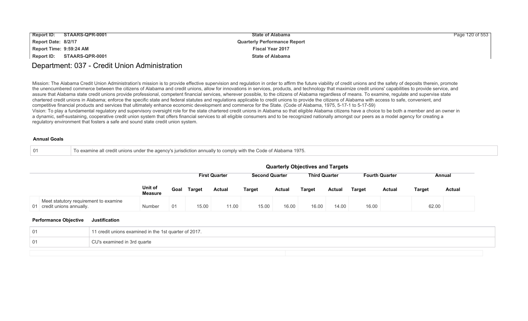| <b>Report ID:</b>       | STAARS-QPR-0001 | <b>State of Alabama</b>             | Page 120 of 553 |
|-------------------------|-----------------|-------------------------------------|-----------------|
| Report Date: 8/2/17     |                 | <b>Quarterly Performance Report</b> |                 |
| Report Time: 9:59:24 AM |                 | <b>Fiscal Year 2017</b>             |                 |
| Report ID:              | STAARS-QPR-0001 | <b>State of Alabama</b>             |                 |

## Department: 037 - Credit Union Administration

Mission: The Alabama Credit Union Administration's mission is to provide effective supervision and regulation in order to affirm the future viability of credit unions and the safety of deposits therein, promote the unencumbered commerce between the citizens of Alabama and credit unions, allow for innovations in services, products, and technology that maximize credit unions' capabilities to provide service, and assure that Alabama state credit unions provide professional, competent financial services, wherever possible, to the citizens of Alabama regardless of means. To examine, regulate and supervise state chartered credit unions in Alabama; enforce the specific state and federal statutes and regulations applicable to credit unions to provide the citizens of Alabama with access to safe, convenient, and competitive financial products and services that ultimately enhance economic development and commerce for the State. (Code of Alabama, 1975, 5-17-1 to 5-17-59) Vision: To play a fundamental regulatory and supervisory oversight role for the state chartered credit unions in Alabama so that eligible Alabama citizens have a choice to be both a member and an owner in a dynamic, self-sustaining, cooperative credit union system that offers financial services to all eligible consumers and to be recognized nationally amongst our peers as a model agency for creating a regulatory environment that fosters a safe and sound state credit union system.

#### **Annual Goals**

| To examine all credit unions under the agency's jurisdiction annually to comply with the Code of Alabama 1975. |  |
|----------------------------------------------------------------------------------------------------------------|--|

|                                                                     |                           |      |               |                      |                       |               | <b>Quarterly Objectives and Targets</b> |        |                       |               |               |               |
|---------------------------------------------------------------------|---------------------------|------|---------------|----------------------|-----------------------|---------------|-----------------------------------------|--------|-----------------------|---------------|---------------|---------------|
|                                                                     |                           |      |               | <b>First Quarter</b> | <b>Second Quarter</b> |               | <b>Third Quarter</b>                    |        | <b>Fourth Quarter</b> |               | Annual        |               |
|                                                                     | Unit of<br><b>Measure</b> | Goal | <b>Target</b> | <b>Actual</b>        | <b>Target</b>         | <b>Actual</b> | Target                                  | Actual | <b>Target</b>         | <b>Actual</b> | <b>Target</b> | <b>Actual</b> |
| Meet statutory requirement to examine<br>01 credit unions annually. | Number                    | 01   | 15.00         | 11.00                | 15.00                 | 16.00         | 16.00                                   | 14.00  | 16.00                 |               | 62.00         |               |

### **Performance Objective Justification**

| 01  | 11 credit unions examined in the 1st quarter of 2017. |
|-----|-------------------------------------------------------|
| -01 | CU's examined in 3rd quarte                           |
|     |                                                       |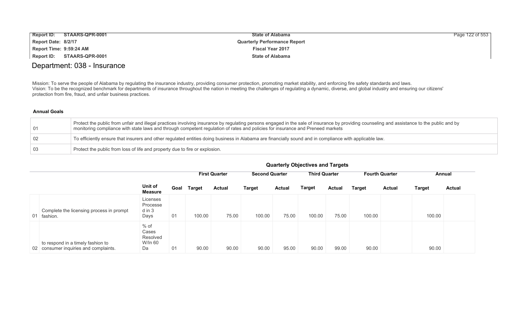| <b>Report ID:</b>       | STAARS-QPR-0001 | <b>State of Alabama</b>             | Page 122 of 553 |
|-------------------------|-----------------|-------------------------------------|-----------------|
| Report Date: 8/2/17     |                 | <b>Quarterly Performance Report</b> |                 |
| Report Time: 9:59:24 AM |                 | <b>Fiscal Year 2017</b>             |                 |
| Report ID:              | STAARS-QPR-0001 | <b>State of Alabama</b>             |                 |

## Department: 038 - Insurance

Mission: To serve the people of Alabama by regulating the insurance industry, providing consumer protection, promoting market stability, and enforcing fire safety standards and laws. Vision: To be the recognized benchmark for departments of insurance throughout the nation in meeting the challenges of regulating a dynamic, diverse, and global industry and ensuring our citizens' protection from fire, fraud, and unfair business practices.

## **Annual Goals**

| 01              | Protect the public from unfair and illegal practices involving insurance by regulating persons engaged in the sale of insurance by providing counseling and assistance to the public and by<br>monitoring compliance with state laws and through competent regulation of rates and policies for insurance and Preneed markets |
|-----------------|-------------------------------------------------------------------------------------------------------------------------------------------------------------------------------------------------------------------------------------------------------------------------------------------------------------------------------|
| $\overline{02}$ | To efficiently ensure that insurers and other regulated entities doing business in Alabama are financially sound and in compliance with applicable law.                                                                                                                                                                       |
| 0.3             | Protect the public from loss of life and property due to fire or explosion.                                                                                                                                                                                                                                                   |

|                                                                            |                                              |      |               | <b>First Quarter</b> | <b>Second Quarter</b> |               | <b>Third Quarter</b> |        |               | <b>Fourth Quarter</b> |               | Annual        |
|----------------------------------------------------------------------------|----------------------------------------------|------|---------------|----------------------|-----------------------|---------------|----------------------|--------|---------------|-----------------------|---------------|---------------|
|                                                                            | Unit of<br><b>Measure</b>                    | Goal | <b>Target</b> | <b>Actual</b>        | <b>Target</b>         | <b>Actual</b> | Target               | Actual | <b>Target</b> | <b>Actual</b>         | <b>Target</b> | <b>Actual</b> |
| Complete the licensing process in prompt<br>01 fashion.                    | Licenses<br>Processe<br>$d$ in $3$<br>Days   | 01   | 100.00        | 75.00                | 100.00                | 75.00         | 100.00               | 75.00  | 100.00        |                       | 100.00        |               |
| to respond in a timely fashion to<br>02 consumer inquiries and complaints. | $%$ of<br>Cases<br>Resolved<br>W/In 60<br>Da | 01   | 90.00         | 90.00                | 90.00                 | 95.00         | 90.00                | 99.00  | 90.00         |                       | 90.00         |               |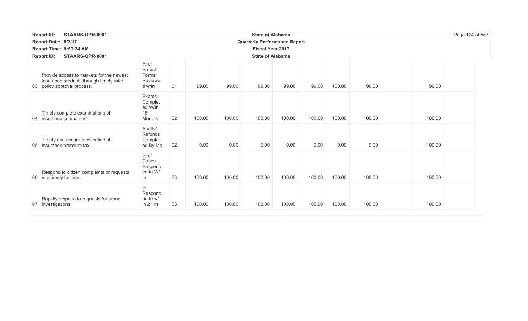| STAARS-QPR-0001<br><b>Report ID:</b>                                                                               |                                              |    |        |        | <b>State of Alabama</b>             |        |        |        |        |        | Page 124 of 553 |
|--------------------------------------------------------------------------------------------------------------------|----------------------------------------------|----|--------|--------|-------------------------------------|--------|--------|--------|--------|--------|-----------------|
| Report Date: 8/2/17                                                                                                |                                              |    |        |        | <b>Quarterly Performance Report</b> |        |        |        |        |        |                 |
| Report Time: 9:59:24 AM                                                                                            |                                              |    |        |        | <b>Fiscal Year 2017</b>             |        |        |        |        |        |                 |
| STAARS-QPR-0001<br><b>Report ID:</b>                                                                               |                                              |    |        |        | <b>State of Alabama</b>             |        |        |        |        |        |                 |
| Provide access to markets for the newest<br>insurance products through timely rate/<br>03 policy approval process. | % of<br>Rates/<br>Forms<br>Reviewe<br>d w/in | 01 | 99.00  | 99.00  | 99.00                               | 99.00  | 99.00  | 100.00 | 99.00  | 99.00  |                 |
| Timely complete examinations of<br>04 insurance companies.                                                         | Exams<br>Complet<br>ed W/In<br>18<br>Months  | 02 | 100.00 | 100.00 | 100.00                              | 100.00 | 100.00 | 100.00 | 100.00 | 100.00 |                 |
| Timely and accurate collection of<br>05 insurance premium tax.                                                     | Audits/<br>Refunds<br>Complet<br>ed By Ma    | 02 | 0.00   | 0.00   | 0.00                                | 0.00   | 0.00   | 0.00   | 0.00   | 100.00 |                 |
| Respond to citizen complaints or requests<br>06 in a timely fashion.                                               | $%$ of<br>Cases<br>Respond<br>ed to W/<br>In | 03 | 100.00 | 100.00 | 100.00                              | 100.00 | 100.00 | 100.00 | 100.00 | 100.00 |                 |
| Rapidly respond to requests for arson<br>07 investigations.                                                        | $\%$<br>Respond<br>ed to w/<br>in 2 Hrs      | 03 | 100.00 | 100.00 | 100.00                              | 100.00 | 100.00 | 100.00 | 100.00 | 100.00 |                 |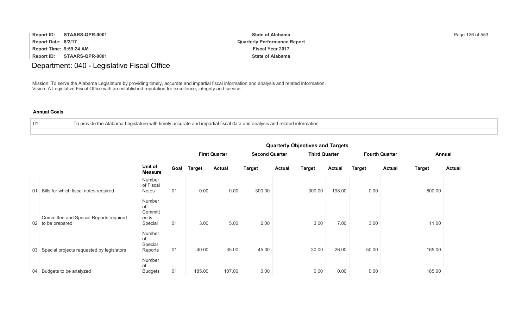| <b>Report ID:</b>       | STAARS-QPR-0001 | <b>State of Alabama</b>             | Page 126 of 553 |
|-------------------------|-----------------|-------------------------------------|-----------------|
| Report Date: 8/2/17     |                 | <b>Quarterly Performance Report</b> |                 |
| Report Time: 9:59:24 AM |                 | <b>Fiscal Year 2017</b>             |                 |
| Report ID:              | STAARS-QPR-0001 | <b>State of Alabama</b>             |                 |

# Department: 040 - Legislative Fiscal Office

Mission: To serve the Alabama Legislature by providing timely, accurate and impartial fiscal information and analysis and related information. Vision: A Legislative Fiscal Office with an established reputation for excellence, integrity and service.

### **Annual Goals**

| 01 | To provide the Alabama Legislature with timely accurate and impartial fiscal data and analysis and related information. |
|----|-------------------------------------------------------------------------------------------------------------------------|
|    |                                                                                                                         |

|                                                             |                                            |      |               |                      |                       |               | anarion ji bajbon rob anarian golo |               |               |                       |               |               |
|-------------------------------------------------------------|--------------------------------------------|------|---------------|----------------------|-----------------------|---------------|------------------------------------|---------------|---------------|-----------------------|---------------|---------------|
|                                                             |                                            |      |               | <b>First Quarter</b> | <b>Second Quarter</b> |               | <b>Third Quarter</b>               |               |               | <b>Fourth Quarter</b> |               | Annual        |
|                                                             | Unit of<br><b>Measure</b>                  | Goal | <b>Target</b> | <b>Actual</b>        | <b>Target</b>         | <b>Actual</b> | <b>Target</b>                      | <b>Actual</b> | <b>Target</b> | <b>Actual</b>         | <b>Target</b> | <b>Actual</b> |
| 01 Bills for which fiscal notes required                    | Number<br>of Fiscal<br>Notes               | 01   | 0.00          | 0.00                 | 300.00                |               | 300.00                             | 198.00        | 0.00          |                       | 600.00        |               |
| Committee and Special Reports required<br>02 to be prepared | Number<br>of<br>Committ<br>ee &<br>Special | 01   | 3.00          | 5.00                 | 2.00                  |               | 3.00                               | 7.00          | 3.00          |                       | 11.00         |               |
| 03 Special projects requested by legislators                | Number<br>of<br>Special<br>Reports         | 01   | 40.00         | 35.00                | 45.00                 |               | 30.00                              | 26.00         | 50.00         |                       | 165.00        |               |
| 04 Budgets to be analyzed                                   | Number<br>of<br><b>Budgets</b>             | 01   | 185.00        | 107.00               | 0.00                  |               | 0.00                               | 0.00          | 0.00          |                       | 185.00        |               |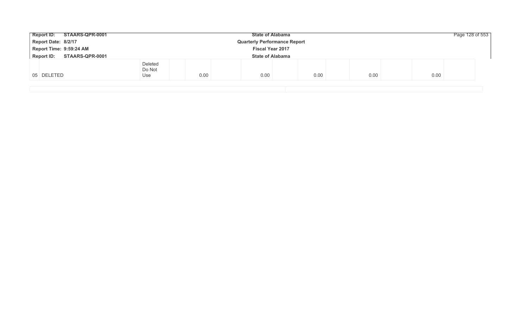|                          |      | <b>State of Alabama</b> |      |                                                                | Page 128 of 553 |  |
|--------------------------|------|-------------------------|------|----------------------------------------------------------------|-----------------|--|
|                          |      |                         |      |                                                                |                 |  |
| <b>Fiscal Year 2017</b>  |      |                         |      |                                                                |                 |  |
|                          |      |                         |      |                                                                |                 |  |
| Deleted<br>Do Not<br>Use | 0.00 | 0.00                    | 0.00 | 0.00                                                           | 0.00            |  |
|                          |      |                         |      | <b>Quarterly Performance Report</b><br><b>State of Alabama</b> |                 |  |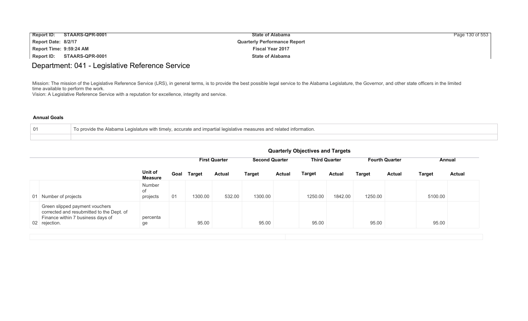| <b>Report ID:</b>       | STAARS-QPR-0001 | <b>State of Alabama</b>             | Page 130 of 553 |
|-------------------------|-----------------|-------------------------------------|-----------------|
| Report Date: 8/2/17     |                 | <b>Quarterly Performance Report</b> |                 |
| Report Time: 9:59:24 AM |                 | <b>Fiscal Year 2017</b>             |                 |
| <b>Report ID:</b>       | STAARS-QPR-0001 | <b>State of Alabama</b>             |                 |

## Department: 041 - Legislative Reference Service

Mission: The mission of the Legislative Reference Service (LRS), in general terms, is to provide the best possible legal service to the Alabama Legislature, the Governor, and other state officers in the limited time available to perform the work.

Vision: A Legislative Reference Service with a reputation for excellence, integrity and service.

### **Annual Goals**

| 01 | th timely, accurate and impartial legislative measures and related $^{\prime}$<br>nrovide the Alabama Legislature with a<br>d information. |
|----|--------------------------------------------------------------------------------------------------------------------------------------------|
|    |                                                                                                                                            |

|                                                                                                                                   |                           |      |         | <b>First Quarter</b> |               | <b>Second Quarter</b><br><b>Third Quarter</b><br><b>Fourth Quarter</b> |               | Annual        |               |               |               |               |
|-----------------------------------------------------------------------------------------------------------------------------------|---------------------------|------|---------|----------------------|---------------|------------------------------------------------------------------------|---------------|---------------|---------------|---------------|---------------|---------------|
|                                                                                                                                   | Unit of<br><b>Measure</b> | Goal | Target  | <b>Actual</b>        | <b>Target</b> | <b>Actual</b>                                                          | <b>Target</b> | <b>Actual</b> | <b>Target</b> | <b>Actual</b> | <b>Target</b> | <b>Actual</b> |
| 01 Number of projects                                                                                                             | Number<br>of<br>projects  | 01   | 1300.00 | 532.00               | 1300.00       |                                                                        | 1250.00       | 1842.00       | 1250.00       |               | 5100.00       |               |
| Green slipped payment vouchers<br>corrected and resubmitted to the Dept. of<br>Finance within 7 business days of<br>02 rejection. | percenta<br>ge            |      | 95.00   |                      | 95.00         |                                                                        | 95.00         |               | 95.00         |               | 95.00         |               |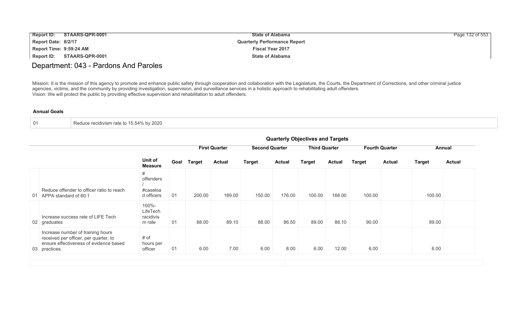| Report ID:<br>STAARS-QPR-0001        | <b>State of Alabama</b>             | Page 132 of 553 |
|--------------------------------------|-------------------------------------|-----------------|
| Report Date: 8/2/17                  | <b>Quarterly Performance Report</b> |                 |
| Report Time: 9:59:24 AM              | <b>Fiscal Year 2017</b>             |                 |
| <b>STAARS-QPR-0001</b><br>Report ID: | <b>State of Alabama</b>             |                 |

## Department: 043 - Pardons And Paroles

Mission: It is the mission of this agency to promote and enhance public safety through cooperation and collaboration with the Legislature, the Courts, the Department of Corrections, and other criminal justice agencies, victims, and the community by providing investigation, supervision, and surveillance services in a holistic approach to rehabilitating adult offenders. Vision: We will protect the public by providing effective supervision and rehabilitation to adult offenders.

#### **Annual Goals**

|  | Reduce recidivism rate to 15.54% by 2020 |
|--|------------------------------------------|
|--|------------------------------------------|

|                                                                                                                                       | Quarterly Objectives and Targets         |      |        |                      |                       |               |                      |               |                       |               |               |               |
|---------------------------------------------------------------------------------------------------------------------------------------|------------------------------------------|------|--------|----------------------|-----------------------|---------------|----------------------|---------------|-----------------------|---------------|---------------|---------------|
|                                                                                                                                       |                                          |      |        | <b>First Quarter</b> | <b>Second Quarter</b> |               | <b>Third Quarter</b> |               | <b>Fourth Quarter</b> |               | Annual        |               |
|                                                                                                                                       | Unit of<br><b>Measure</b>                | Goal | Target | <b>Actual</b>        | <b>Target</b>         | <b>Actual</b> | <b>Target</b>        | <b>Actual</b> | <b>Target</b>         | <b>Actual</b> | <b>Target</b> | <b>Actual</b> |
| Reduce offender to officer ratio to reach<br>01 APPA standard of 60:1                                                                 | #<br>offenders<br>#caseloa<br>d officers | 01   | 200.00 | 189.00               | 150.00                | 176.00        | 100.00               | 168.00        | 100.00                |               | 100.00        |               |
| Increase success rate of LIFE Tech<br>02 graduates                                                                                    | 100%-<br>LifeTech<br>racidivis<br>m rate | 01   | 88.00  | 89.10                | 88.00                 | 86.50         | 89.00                | 88.10         | 90.00                 |               | 89.00         |               |
| Increase number of training hours<br>received per officer, per quarter, to<br>ensure effectiveness of evidence based<br>03 practices. | # of<br>hours per<br>officer             | 01   | 6.00   | 7.00                 | 6.00                  | 8.00          | 6.00                 | 12.00         | 6.00                  |               | 6.00          |               |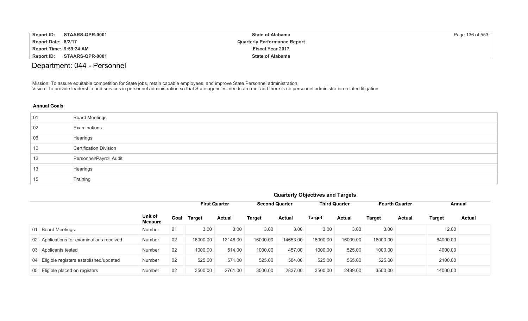| <b>Report ID:</b>       | <b>STAARS-QPR-0001</b> | <b>State of Alabama</b>             | Page 136 of 553 |
|-------------------------|------------------------|-------------------------------------|-----------------|
| Report Date: 8/2/17     |                        | <b>Quarterly Performance Report</b> |                 |
| Report Time: 9:59:24 AM |                        | <b>Fiscal Year 2017</b>             |                 |
| Report ID:              | STAARS-QPR-0001        | <b>State of Alabama</b>             |                 |

# Department: 044 - Personnel

Mission: To assure equitable competition for State jobs, retain capable employees, and improve State Personnel administration. Vision: To provide leadership and services in personnel administration so that State agencies' needs are met and there is no personnel administration related litigation.

| 01 | <b>Board Meetings</b>         |
|----|-------------------------------|
| 02 | Examinations                  |
| 06 | Hearings                      |
| 10 | <b>Certification Division</b> |
| 12 | Personnel/Payroll Audit       |
| 13 | Hearings                      |
| 15 | Training                      |

|                                           | <b>Quarterly Objectives and Targets</b> |                                                                                                          |               |               |          |               |               |               |               |               |               |               |
|-------------------------------------------|-----------------------------------------|----------------------------------------------------------------------------------------------------------|---------------|---------------|----------|---------------|---------------|---------------|---------------|---------------|---------------|---------------|
|                                           |                                         | <b>Second Quarter</b><br><b>Third Quarter</b><br><b>Fourth Quarter</b><br><b>First Quarter</b><br>Annual |               |               |          |               |               |               |               |               |               |               |
|                                           | Unit of<br><b>Measure</b>               | Goal                                                                                                     | <b>Target</b> | <b>Actual</b> | Target   | <b>Actual</b> | <b>Target</b> | <b>Actual</b> | <b>Target</b> | <b>Actual</b> | <b>Target</b> | <b>Actual</b> |
| 01 Board Meetings                         | Number                                  | 01                                                                                                       | 3.00          | 3.00          | 3.00     | 3.00          | 3.00          | 3.00          | 3.00          |               | 12.00         |               |
| 02 Applications for examinations received | Number                                  | 02                                                                                                       | 16000.00      | 12146.00      | 16000.00 | 14653.00      | 16000.00      | 16009.00      | 16000.00      |               | 64000.00      |               |
| 03 Applicants tested                      | Number                                  | 02                                                                                                       | 1000.00       | 514.00        | 1000.00  | 457.00        | 1000.00       | 525.00        | 1000.00       |               | 4000.00       |               |
| 04 Eligible registers established/updated | Number                                  | 02                                                                                                       | 525.00        | 571.00        | 525.00   | 584.00        | 525.00        | 555.00        | 525.00        |               | 2100.00       |               |
| 05 Eligible placed on registers           | Number                                  | 02                                                                                                       | 3500.00       | 2761.00       | 3500.00  | 2837.00       | 3500.00       | 2489.00       | 3500.00       |               | 14000.00      |               |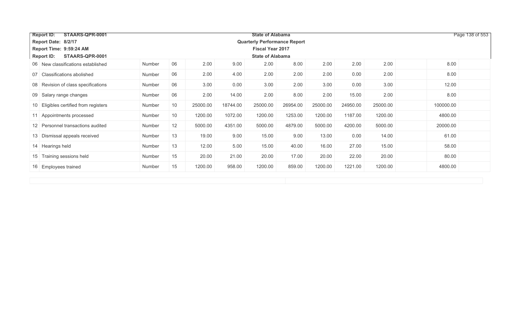| STAARS-QPR-0001<br><b>Report ID:</b><br><b>State of Alabama</b> |                         |    |          |          |                                     |          |          |          |          |           |  |
|-----------------------------------------------------------------|-------------------------|----|----------|----------|-------------------------------------|----------|----------|----------|----------|-----------|--|
| Report Date: 8/2/17                                             |                         |    |          |          | <b>Quarterly Performance Report</b> |          |          |          |          |           |  |
| Report Time: 9:59:24 AM<br><b>Fiscal Year 2017</b>              |                         |    |          |          |                                     |          |          |          |          |           |  |
| <b>Report ID:</b><br>STAARS-QPR-0001                            | <b>State of Alabama</b> |    |          |          |                                     |          |          |          |          |           |  |
| 06 New classifications established                              | Number                  | 06 | 2.00     | 9.00     | 2.00                                | 8.00     | 2.00     | 2.00     | 2.00     | 8.00      |  |
| Classifications abolished<br>07                                 | Number                  | 06 | 2.00     | 4.00     | 2.00                                | 2.00     | 2.00     | 0.00     | 2.00     | 8.00      |  |
| 08 Revision of class specifications                             | Number                  | 06 | 3.00     | 0.00     | 3.00                                | 2.00     | 3.00     | 0.00     | 3.00     | 12.00     |  |
| 09 Salary range changes                                         | Number                  | 06 | 2.00     | 14.00    | 2.00                                | 8.00     | 2.00     | 15.00    | 2.00     | 8.00      |  |
| 10 Eligibles certified from registers                           | Number                  | 10 | 25000.00 | 18744.00 | 25000.00                            | 26954.00 | 25000.00 | 24950.00 | 25000.00 | 100000.00 |  |
| 11 Appointments processed                                       | Number                  | 10 | 1200.00  | 1072.00  | 1200.00                             | 1253.00  | 1200.00  | 1187.00  | 1200.00  | 4800.00   |  |
| 12 Personnel transactions audited                               | Number                  | 12 | 5000.00  | 4351.00  | 5000.00                             | 4879.00  | 5000.00  | 4200.00  | 5000.00  | 20000.00  |  |
| 13 Dismissal appeals received                                   | Number                  | 13 | 19.00    | 9.00     | 15.00                               | 9.00     | 13.00    | 0.00     | 14.00    | 61.00     |  |
| 14 Hearings held                                                | Number                  | 13 | 12.00    | 5.00     | 15.00                               | 40.00    | 16.00    | 27.00    | 15.00    | 58.00     |  |
| 15 Training sessions held                                       | Number                  | 15 | 20.00    | 21.00    | 20.00                               | 17.00    | 20.00    | 22.00    | 20.00    | 80.00     |  |
| 16 Employees trained                                            | Number                  | 15 | 1200.00  | 958.00   | 1200.00                             | 859.00   | 1200.00  | 1221.00  | 1200.00  | 4800.00   |  |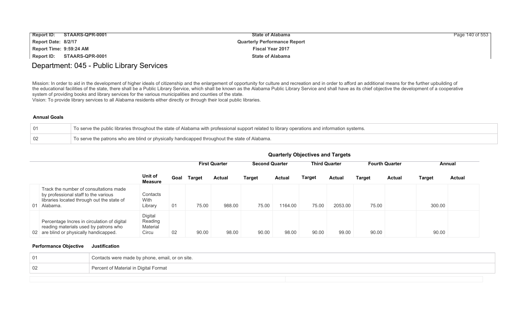| <b>Report ID:</b>       | STAARS-QPR-0001            | <b>State of Alabama</b>             | Page 140 of 553 |
|-------------------------|----------------------------|-------------------------------------|-----------------|
| Report Date: 8/2/17     |                            | <b>Quarterly Performance Report</b> |                 |
| Report Time: 9:59:24 AM |                            | <b>Fiscal Year 2017</b>             |                 |
|                         | Report ID: STAARS-QPR-0001 | <b>State of Alabama</b>             |                 |

# Department: 045 - Public Library Services

Mission: In order to aid in the development of higher ideals of citizenship and the enlargement of opportunity for culture and recreation and in order to afford an additional means for the further upbuilding of the educational facilities of the state, there shall be a Public Library Service, which shall be known as the Alabama Public Library Service and shall have as its chief objective the development of a cooperative system of providing books and library services for the various municipalities and counties of the state.

Vision: To provide library services to all Alabama residents either directly or through their local public libraries.

#### **Annual Goals**

|    | To serve the public libraries throughout the state of Alabama with professional support related to library operations and information systems. |
|----|------------------------------------------------------------------------------------------------------------------------------------------------|
| 02 | To serve the patrons who are blind or physically handicapped throughout the state of Alabama.                                                  |

|                                                                                                                                             |                                         |      | <b>First Quarter</b> |        |        | <b>Second Quarter</b> |               | <b>Third Quarter</b> | <b>Fourth Quarter</b> |               |        | Annual        |  |
|---------------------------------------------------------------------------------------------------------------------------------------------|-----------------------------------------|------|----------------------|--------|--------|-----------------------|---------------|----------------------|-----------------------|---------------|--------|---------------|--|
|                                                                                                                                             | Unit of<br>Measure                      | Goal | Target               | Actual | Target | <b>Actual</b>         | <b>Target</b> | <b>Actual</b>        | Target                | <b>Actual</b> | Target | <b>Actual</b> |  |
| Track the number of consultations made<br>by professional staff to the various<br>libraries located through out the state of<br>01 Alabama. | Contacts<br>With<br>Library             | 01   | 75.00                | 988.00 | 75.00  | 1164.00               | 75.00         | 2053.00              | 75.00                 |               | 300.00 |               |  |
| Percentage Incres in circulation of digital<br>reading materials used by patrons who<br>02 are blind or physically handicapped.             | Digital<br>Reading<br>Material<br>Circu | 02   | 90.00                | 98.00  | 90.00  | 98.00                 | 90.00         | 99.00                | 90.00                 |               | 90.00  |               |  |

## **Quarterly Objectives and Targets**

### **Performance Objective Justification**

| -01 | Contacts were made by phone, email, or on site. |
|-----|-------------------------------------------------|
| 02  | Percent of Material in Digital Format           |
|     |                                                 |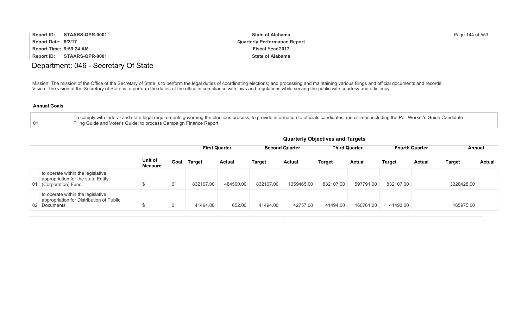| Report ID:<br>STAARS-QPR-0001 | <b>State of Alabama</b>             | Page 144 of 553 |
|-------------------------------|-------------------------------------|-----------------|
| Report Date: 8/2/17           | <b>Quarterly Performance Report</b> |                 |
| Report Time: 9:59:24 AM       | <b>Fiscal Year 2017</b>             |                 |
| Report ID:<br>STAARS-QPR-0001 | <b>State of Alabama</b>             |                 |

## Department: 046 - Secretary Of State

Mission: The mission of the Office of the Secretary of State is to perform the legal duties of coordinating elections; and processing and maintaining various filings and official documents and records. Vision: The vision of the Secretary of State is to perform the duties of the office in compliance with laws and regulations while serving the public with courtesy and efficiency.

| To comply with federal and state legal requirements governing the elections process; to provide information to officials candidates and citizens including the Poll Worker's Guide Candidate |
|----------------------------------------------------------------------------------------------------------------------------------------------------------------------------------------------|
| Filing Guide and Voter's Guide; to process Campaign Finance Report                                                                                                                           |

|     |                                                                                                |                           |                |               |                      |           | <b>Quarterly Objectives and Targets</b> |           |                      |           |                       |               |               |
|-----|------------------------------------------------------------------------------------------------|---------------------------|----------------|---------------|----------------------|-----------|-----------------------------------------|-----------|----------------------|-----------|-----------------------|---------------|---------------|
|     |                                                                                                | Unit of<br><b>Measure</b> |                |               | <b>First Quarter</b> |           | <b>Second Quarter</b>                   |           | <b>Third Quarter</b> |           | <b>Fourth Quarter</b> | Annual        |               |
|     |                                                                                                |                           | Goal           | <b>Target</b> | <b>Actual</b>        | Target    | <b>Actual</b>                           | Target    | <b>Actual</b>        | Target    | Actual                | <b>Target</b> | <b>Actual</b> |
| -01 | to operate within the legislative<br>appropriation for the state Entity<br>(Corporation) Fund. | ъ                         | 0 <sub>1</sub> | 832107.00     | 484560.00            | 832107.00 | 1359465.00                              | 832107.00 | 597791.00            | 832107.00 |                       | 3328428.00    |               |
|     | to operate within the legislative<br>appropriation for Distribution of Public<br>02 Documents  | ა                         | 01             | 41494.00      | 652.00               | 41494.00  | 42757.00                                | 41494.00  | 160761.00            | 41493.00  |                       | 165975.00     |               |
|     |                                                                                                |                           |                |               |                      |           |                                         |           |                      |           |                       |               |               |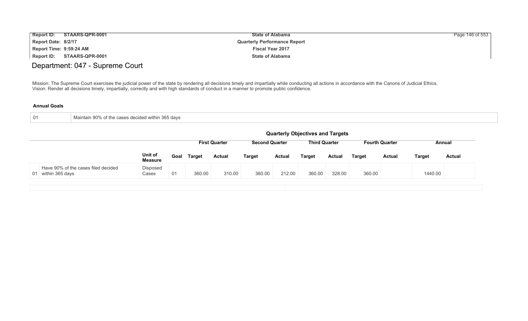| <b>Report ID:</b>       | STAARS-QPR-0001 | <b>State of Alabama</b>             | Page 146 of 553 |
|-------------------------|-----------------|-------------------------------------|-----------------|
| Report Date: 8/2/17     |                 | <b>Quarterly Performance Report</b> |                 |
| Report Time: 9:59:24 AM |                 | <b>Fiscal Year 2017</b>             |                 |
| <b>Report ID:</b>       | STAARS-QPR-0001 | <b>State of Alabama</b>             |                 |

# Department: 047 - Supreme Court

Mission: The Supreme Court exercises the judicial power of the state by rendering all decisions timely and impartially while conducting all actions in accordance with the Canons of Judicial Ethics. Vision: Render all decisions timely, impartially, correctly and with high standards of conduct in a manner to promote public confidence.

| Maintain 90% of the cases decided within 365 days |
|---------------------------------------------------|
|                                                   |

|                                                           | <b>Quarterly Objectives and Targets</b> |      |               |                      |                       |               |                      |               |        |                       |         |               |
|-----------------------------------------------------------|-----------------------------------------|------|---------------|----------------------|-----------------------|---------------|----------------------|---------------|--------|-----------------------|---------|---------------|
|                                                           |                                         |      |               | <b>First Quarter</b> | <b>Second Quarter</b> |               | <b>Third Quarter</b> |               |        | <b>Fourth Quarter</b> |         | Annual        |
|                                                           | Unit of<br><b>Measure</b>               | Goal | <b>Target</b> | <b>Actual</b>        | <b>Target</b>         | <b>Actual</b> | <b>Target</b>        | <b>Actual</b> | Target | <b>Actual</b>         | Target  | <b>Actual</b> |
| Have 90% of the cases filed decided<br>01 within 365 days | Disposed<br>Cases                       | 01   | 360.00        | 310.00               | 360.00                | 212.00        | 360.00               | 328.00        | 360.00 |                       | 1440.00 |               |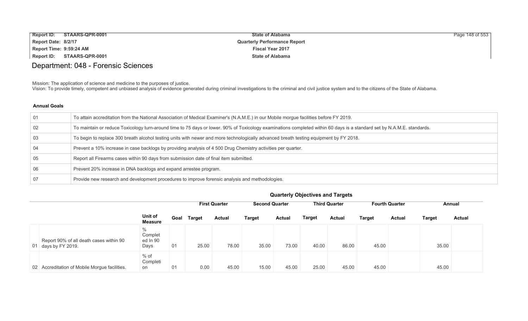| <b>Report ID:</b>       | STAARS-QPR-0001 | <b>State of Alabama</b>             | Page 148 of 553 |
|-------------------------|-----------------|-------------------------------------|-----------------|
| Report Date: 8/2/17     |                 | <b>Quarterly Performance Report</b> |                 |
| Report Time: 9:59:24 AM |                 | <b>Fiscal Year 2017</b>             |                 |
| Report ID:              | STAARS-QPR-0001 | <b>State of Alabama</b>             |                 |

# Department: 048 - Forensic Sciences

Mission: The application of science and medicine to the purposes of justice.

Vision: To provide timely, competent and unbiased analysis of evidence generated during criminal investigations to the criminal and civil justice system and to the citizens of the State of Alabama.

## **Annual Goals**

| 01 | To attain accreditation from the National Association of Medical Examiner's (N.A.M.E.) in our Mobile morgue facilities before FY 2019.                                  |
|----|-------------------------------------------------------------------------------------------------------------------------------------------------------------------------|
| 02 | To maintain or reduce Toxicology turn-around time to 75 days or lower. 90% of Toxicology examinations completed within 60 days is a standard set by N.A.M.E. standards. |
| 03 | To begin to replace 300 breath alcohol testing units with newer and more technologically advanced breath testing equipment by FY 2018.                                  |
| 04 | Prevent a 10% increase in case backlogs by providing analysis of 4 500 Drug Chemistry activities per quarter.                                                           |
| 05 | Report all Firearms cases within 90 days from submission date of final item submitted.                                                                                  |
| 06 | Prevent 20% increase in DNA backlogs and expand arrestee program.                                                                                                       |
|    | Provide new research and development procedures to improve forensic analysis and methodologies.                                                                         |

|                                                                |                                              |      | $-$           |                      |               |                                               |               |                       |               |               |               |               |
|----------------------------------------------------------------|----------------------------------------------|------|---------------|----------------------|---------------|-----------------------------------------------|---------------|-----------------------|---------------|---------------|---------------|---------------|
|                                                                |                                              |      |               | <b>First Quarter</b> |               | <b>Second Quarter</b><br><b>Third Quarter</b> |               | <b>Fourth Quarter</b> |               | Annual        |               |               |
|                                                                | Unit of<br><b>Measure</b>                    | Goal | <b>Target</b> | <b>Actual</b>        | <b>Target</b> | <b>Actual</b>                                 | <b>Target</b> | <b>Actual</b>         | <b>Target</b> | <b>Actual</b> | <b>Target</b> | <b>Actual</b> |
| Report 90% of all death cases within 90<br>01 days by FY 2019. | $\frac{0}{0}$<br>Complet<br>ed In 90<br>Days | 01   | 25.00         | 78.00                | 35.00         | 73.00                                         | 40.00         | 86.00                 | 45.00         |               | 35.00         |               |
| 02 Accreditation of Mobile Morgue facilities.                  | $%$ of<br>Completi<br>on                     | 01   | 0.00          | 45.00                | 15.00         | 45.00                                         | 25.00         | 45.00                 | 45.00         |               | 45.00         |               |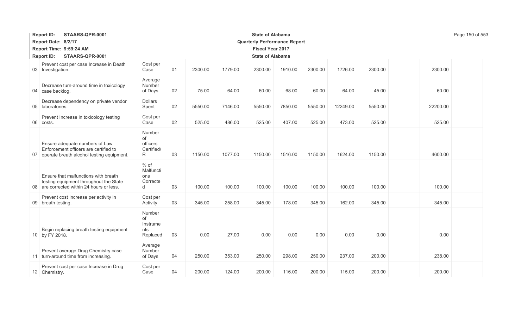|    | STAARS-QPR-0001<br><b>Report ID:</b>                                                                                     |                                             |    |         |         | <b>State of Alabama</b>             |         |         |          |         |          | Page 150 of 553 |
|----|--------------------------------------------------------------------------------------------------------------------------|---------------------------------------------|----|---------|---------|-------------------------------------|---------|---------|----------|---------|----------|-----------------|
|    | Report Date: 8/2/17                                                                                                      |                                             |    |         |         | <b>Quarterly Performance Report</b> |         |         |          |         |          |                 |
|    | Report Time: 9:59:24 AM                                                                                                  |                                             |    |         |         | <b>Fiscal Year 2017</b>             |         |         |          |         |          |                 |
|    | <b>Report ID:</b><br>STAARS-QPR-0001                                                                                     |                                             |    |         |         | <b>State of Alabama</b>             |         |         |          |         |          |                 |
|    | Prevent cost per case Increase in Death<br>03 Investigation.                                                             | Cost per<br>Case                            | 01 | 2300.00 | 1779.00 | 2300.00                             | 1910.00 | 2300.00 | 1726.00  | 2300.00 | 2300.00  |                 |
|    | Decrease turn-around time in toxicology<br>04 case backlog.                                                              | Average<br>Number<br>of Days                | 02 | 75.00   | 64.00   | 60.00                               | 68.00   | 60.00   | 64.00    | 45.00   | 60.00    |                 |
| 05 | Decrease dependency on private vendor<br>laboratories.                                                                   | <b>Dollars</b><br>Spent                     | 02 | 5550.00 | 7146.00 | 5550.00                             | 7850.00 | 5550.00 | 12249.00 | 5550.00 | 22200.00 |                 |
| 06 | Prevent Increase in toxicology testing<br>costs.                                                                         | Cost per<br>Case                            | 02 | 525.00  | 486.00  | 525.00                              | 407.00  | 525.00  | 473.00   | 525.00  | 525.00   |                 |
|    | Ensure adequate numbers of Law<br>Enforcement officers are certified to<br>07 operate breath alcohol testing equipment.  | Number<br>of<br>officers<br>Certified/<br>R | 03 | 1150.00 | 1077.00 | 1150.00                             | 1516.00 | 1150.00 | 1624.00  | 1150.00 | 4600.00  |                 |
| 08 | Ensure that malfunctions with breath<br>testing equipment throughout the State<br>are corrected within 24 hours or less. | $%$ of<br>Malfuncti<br>ons<br>Correcte<br>d | 03 | 100.00  | 100.00  | 100.00                              | 100.00  | 100.00  | 100.00   | 100.00  | 100.00   |                 |
|    | Prevent cost Increase per activity in<br>09 breath testing.                                                              | Cost per<br>Activity                        | 03 | 345.00  | 258.00  | 345.00                              | 178.00  | 345.00  | 162.00   | 345.00  | 345.00   |                 |
|    | Begin replacing breath testing equipment<br>10 by FY 2018.                                                               | Number<br>of<br>Instrume<br>nts<br>Replaced | 03 | 0.00    | 27.00   | 0.00                                | 0.00    | 0.00    | 0.00     | 0.00    | 0.00     |                 |
|    | Prevent average Drug Chemistry case<br>11 turn-around time from increasing.                                              | Average<br>Number<br>of Days                | 04 | 250.00  | 353.00  | 250.00                              | 298.00  | 250.00  | 237.00   | 200.00  | 238.00   |                 |
|    | Prevent cost per case Increase in Drug<br>12 Chemistry.                                                                  | Cost per<br>Case                            | 04 | 200.00  | 124.00  | 200.00                              | 116.00  | 200.00  | 115.00   | 200.00  | 200.00   |                 |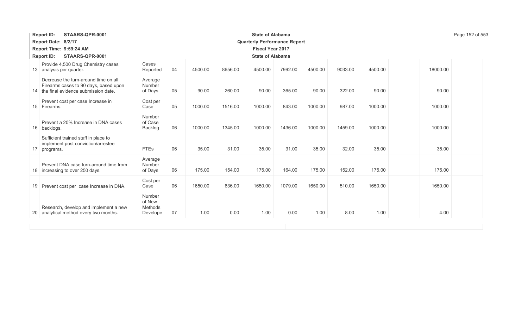| STAARS-QPR-0001<br><b>Report ID:</b>                                                                                    |                                         |    |                         |         |                                     | Page 152 of 553 |         |         |         |          |
|-------------------------------------------------------------------------------------------------------------------------|-----------------------------------------|----|-------------------------|---------|-------------------------------------|-----------------|---------|---------|---------|----------|
| Report Date: 8/2/17                                                                                                     |                                         |    |                         |         | <b>Quarterly Performance Report</b> |                 |         |         |         |          |
| Report Time: 9:59:24 AM                                                                                                 |                                         |    | <b>Fiscal Year 2017</b> |         |                                     |                 |         |         |         |          |
| <b>Report ID:</b><br>STAARS-QPR-0001<br><b>State of Alabama</b>                                                         |                                         |    |                         |         |                                     |                 |         |         |         |          |
| Provide 4,500 Drug Chemistry cases<br>13 analysis per quarter.                                                          | Cases<br>Reported                       | 04 | 4500.00                 | 8656.00 | 4500.00                             | 7992.00         | 4500.00 | 9033.00 | 4500.00 | 18000.00 |
| Decrease the turn-around time on all<br>Firearms cases to 90 days, based upon<br>14 the final evidence submission date. | Average<br>Number<br>of Days            | 05 | 90.00                   | 260.00  | 90.00                               | 365.00          | 90.00   | 322.00  | 90.00   | 90.00    |
| Prevent cost per case Increase in<br>15 Firearms.                                                                       | Cost per<br>Case                        | 05 | 1000.00                 | 1516.00 | 1000.00                             | 843.00          | 1000.00 | 987.00  | 1000.00 | 1000.00  |
| Prevent a 20% Increase in DNA cases<br>16 backlogs.                                                                     | Number<br>of Case<br>Backlog            | 06 | 1000.00                 | 1345.00 | 1000.00                             | 1436.00         | 1000.00 | 1459.00 | 1000.00 | 1000.00  |
| Sufficient trained staff in place to<br>implement post conviction/arrestee<br>17 programs.                              | <b>FTEs</b>                             | 06 | 35.00                   | 31.00   | 35.00                               | 31.00           | 35.00   | 32.00   | 35.00   | 35.00    |
| Prevent DNA case turn-around time from<br>18 increasing to over 250 days.                                               | Average<br>Number<br>of Days            | 06 | 175.00                  | 154.00  | 175.00                              | 164.00          | 175.00  | 152.00  | 175.00  | 175.00   |
| 19 Prevent cost per case Increase in DNA.                                                                               | Cost per<br>Case                        | 06 | 1650.00                 | 636.00  | 1650.00                             | 1079.00         | 1650.00 | 510.00  | 1650.00 | 1650.00  |
| Research, develop and implement a new<br>20 analytical method every two months.                                         | Number<br>of New<br>Methods<br>Develope | 07 | 1.00                    | 0.00    | 1.00                                | 0.00            | 1.00    | 8.00    | 1.00    | 4.00     |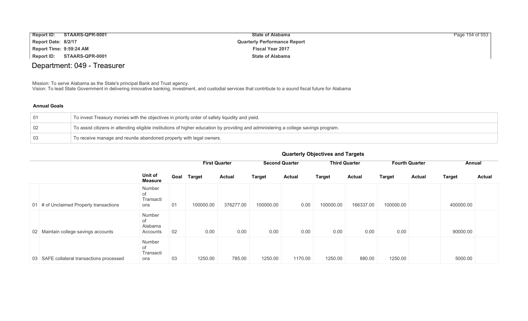| <b>Report ID:</b><br>STAARS-QPR-0001 | <b>State of Alabama</b>             | Page 154 of 553 |
|--------------------------------------|-------------------------------------|-----------------|
| Report Date: 8/2/17                  | <b>Quarterly Performance Report</b> |                 |
| Report Time: 9:59:24 AM              | <b>Fiscal Year 2017</b>             |                 |
| Report ID:<br>STAARS-QPR-0001        | <b>State of Alabama</b>             |                 |

# Department: 049 - Treasurer

Mission: To serve Alabama as the State's principal Bank and Trust agency.

Vision: To lead State Government in delivering innovative banking, investment, and custodial services that contribute to a sound fiscal future for Alabama

### **Annual Goals**

| $\overline{01}$ | To invest Treasury monies with the objectives in priority order of safety liquidity and yield.                                      |
|-----------------|-------------------------------------------------------------------------------------------------------------------------------------|
| $\mid$ 02       | To assist citizens in attending eligible institutions of higher education by providing and administering a college savings program. |
| $\mid$ 03       | To receive manage and reunite abandoned property with legal owners.                                                                 |

|                                           |                                         |      | <b>First Quarter</b> |               | <b>Second Quarter</b> |               | <b>Third Quarter</b> |               | <b>Fourth Quarter</b> |               | Annual        |               |
|-------------------------------------------|-----------------------------------------|------|----------------------|---------------|-----------------------|---------------|----------------------|---------------|-----------------------|---------------|---------------|---------------|
|                                           | Unit of<br>Measure                      | Goal | <b>Target</b>        | <b>Actual</b> | <b>Target</b>         | <b>Actual</b> | <b>Target</b>        | <b>Actual</b> | <b>Target</b>         | <b>Actual</b> | <b>Target</b> | <b>Actual</b> |
| 01 # of Unclaimed Property transactions   | Number<br>оf<br>Transacti<br>ons        | 01   | 100000.00            | 376277.00     | 100000.00             | 0.00          | 100000.00            | 166337.00     | 100000.00             |               | 400000.00     |               |
| 02 Maintain college savings accounts      | Number<br>0f<br>Alabama<br>Accounts     | 02   | 0.00                 | 0.00          | 0.00                  | 0.00          | 0.00                 | 0.00          | 0.00                  |               | 90000.00      |               |
| 03 SAFE collateral transactions processed | Number<br><b>of</b><br>Transacti<br>ons | 03   | 1250.00              | 785.00        | 1250.00               | 1170.00       | 1250.00              | 880.00        | 1250.00               |               | 5000.00       |               |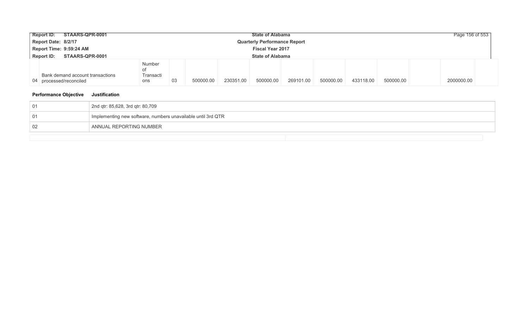| STAARS-QPR-0001<br><b>Report ID:</b>                            | <b>State of Alabama</b>                |           |           |           |           |           |           |           |            |  |  |
|-----------------------------------------------------------------|----------------------------------------|-----------|-----------|-----------|-----------|-----------|-----------|-----------|------------|--|--|
| Report Date: 8/2/17                                             | <b>Quarterly Performance Report</b>    |           |           |           |           |           |           |           |            |  |  |
| Report Time: 9:59:24 AM<br><b>Fiscal Year 2017</b>              |                                        |           |           |           |           |           |           |           |            |  |  |
| STAARS-QPR-0001<br><b>State of Alabama</b><br><b>Report ID:</b> |                                        |           |           |           |           |           |           |           |            |  |  |
| Bank demand account transactions<br>04 processed/reconciled     | Number<br>οf<br>Transacti<br>03<br>ons | 500000.00 | 230351.00 | 500000.00 | 269101.00 | 500000.00 | 433118.00 | 500000.00 | 2000000.00 |  |  |

| -01 | 2nd qtr: 85,628, 3rd qtr: 80,709                             |
|-----|--------------------------------------------------------------|
| 01  | Implementing new software, numbers unavailable until 3rd QTR |
| 02  | ANNUAL REPORTING NUMBER                                      |
|     |                                                              |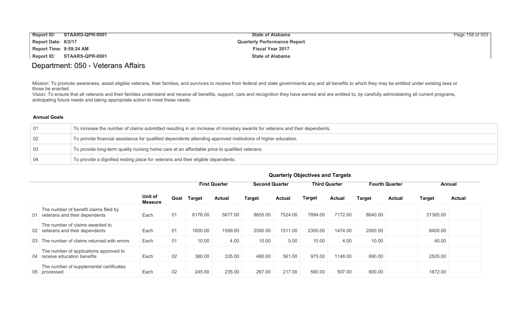| <b>Report ID:</b>       | STAARS-QPR-0001 | <b>State of Alabama</b>             | Page 158 of 553 |
|-------------------------|-----------------|-------------------------------------|-----------------|
| Report Date: 8/2/17     |                 | <b>Quarterly Performance Report</b> |                 |
| Report Time: 9:59:24 AM |                 | <b>Fiscal Year 2017</b>             |                 |
| Report ID:              | STAARS-QPR-0001 | <b>State of Alabama</b>             |                 |

## Department: 050 - Veterans Affairs

Mission: To promote awareness, assist eligible veterans, their families, and survivors to receive from federal and state governments any and all benefits to which they may be entitled under existing laws or those be enacted.

Vision: To ensure that all veterans and their families understand and receive all benefits, support, care and recognition they have earned and are entitled to, by carefully administering all current programs, anticipating future needs and taking appropriate action to meet these needs.

#### **Annual Goals**

| -01 | To increase the number of claims submitted resulting in an increase of monetary awards for veterans and their dependents. |
|-----|---------------------------------------------------------------------------------------------------------------------------|
| 02  | To provide financial assistance for qualified dependents attending approved institutions of higher education.             |
| -03 | To provide long-term quality nursing home care at an affordable price to qualified veterans.                              |
| -04 | To provide a dignified resting place for veterans and their eligible dependents.                                          |

|                                                                           |                           |                |         | <b>First Quarter</b> | <b>Second Quarter</b> |               |         | <b>Third Quarter</b> |         | <b>Fourth Quarter</b> |               | Annual        |
|---------------------------------------------------------------------------|---------------------------|----------------|---------|----------------------|-----------------------|---------------|---------|----------------------|---------|-----------------------|---------------|---------------|
|                                                                           | Unit of<br><b>Measure</b> | Goal           | Target  | <b>Actual</b>        | <b>Target</b>         | <b>Actual</b> | Target  | <b>Actual</b>        | Target  | <b>Actual</b>         | <b>Target</b> | <b>Actual</b> |
| The number of benefit claims filed by<br>01 veterans and their dependents | Each                      | 0 <sub>1</sub> | 6176.00 | 5677.00              | 8655.00               | 7524.00       | 7894.00 | 7172.00              | 8640.00 |                       | 31365.00      |               |
| The number of claims awarded to<br>02 veterans and their dependents       | Each                      | 01             | 1600.00 | 1599.00              | 2500.00               | 1511.00       | 2300.00 | 1474.00              | 2000.00 |                       | 8400.00       |               |
| 03 The number of claims returned with errors                              | Each                      | 01             | 10.00   | 4.00                 | 10.00                 | 5.00          | 10.00   | 4.00                 | 10.00   |                       | 40.00         |               |
| The number of applications approved to<br>04 receive education benefits   | Each                      | 02             | 360.00  | 335.00               | 480.00                | 561.00        | 975.00  | 1148.00              | 690.00  |                       | 2505.00       |               |
| The number of supplemental certificates<br>05 processed                   | Each                      | 02             | 245.00  | 235.00               | 267.00                | 217.00        | 560.00  | 507.00               | 600.00  |                       | 1672.00       |               |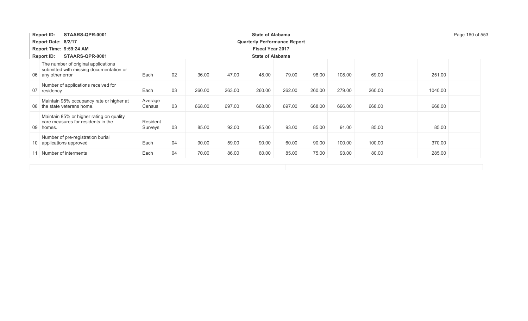| STAARS-QPR-0001<br><b>Report ID:</b><br><b>State of Alabama</b>                                      |                     |    |        |        |                                     |        |        |        |        | Page 160 of 553 |
|------------------------------------------------------------------------------------------------------|---------------------|----|--------|--------|-------------------------------------|--------|--------|--------|--------|-----------------|
| Report Date: 8/2/17                                                                                  |                     |    |        |        | <b>Quarterly Performance Report</b> |        |        |        |        |                 |
| Report Time: 9:59:24 AM                                                                              |                     |    |        |        | <b>Fiscal Year 2017</b>             |        |        |        |        |                 |
| STAARS-QPR-0001<br><b>State of Alabama</b><br><b>Report ID:</b>                                      |                     |    |        |        |                                     |        |        |        |        |                 |
| The number of original applications<br>submitted with missing documentation or<br>06 any other error | Each                | 02 | 36.00  | 47.00  | 48.00                               | 79.00  | 98.00  | 108.00 | 69.00  | 251.00          |
| Number of applications received for<br>07 residency                                                  | Each                | 03 | 260.00 | 263.00 | 260.00                              | 262.00 | 260.00 | 279.00 | 260.00 | 1040.00         |
| Maintain 95% occupancy rate or higher at<br>08 the state veterans home.                              | Average<br>Census   | 03 | 668.00 | 697.00 | 668.00                              | 697.00 | 668.00 | 696.00 | 668.00 | 668.00          |
| Maintain 85% or higher rating on quality<br>care measures for residents in the<br>09 homes.          | Resident<br>Surveys | 03 | 85.00  | 92.00  | 85.00                               | 93.00  | 85.00  | 91.00  | 85.00  | 85.00           |
| Number of pre-registration burial<br>10 applications approved                                        | Each                | 04 | 90.00  | 59.00  | 90.00                               | 60.00  | 90.00  | 100.00 | 100.00 | 370.00          |
| 11 Number of interments                                                                              | Each                | 04 | 70.00  | 86.00  | 60.00                               | 85.00  | 75.00  | 93.00  | 80.00  | 285.00          |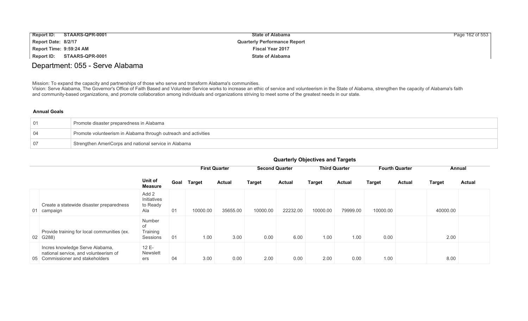| <b>Report ID:</b><br>STAARS-QPR-0001 | <b>State of Alabama</b>             | Page 162 of 553 |
|--------------------------------------|-------------------------------------|-----------------|
| Report Date: 8/2/17                  | <b>Quarterly Performance Report</b> |                 |
| Report Time: 9:59:24 AM              | <b>Fiscal Year 2017</b>             |                 |
| STAARS-QPR-0001<br>Report ID:        | <b>State of Alabama</b>             |                 |

## Department: 055 - Serve Alabama

Mission: To expand the capacity and partnerships of those who serve and transform Alabama's communities.

Vision: Serve Alabama, The Governor's Office of Faith Based and Volunteer Service works to increase an ethic of service and volunteerism in the State of Alabama, strengthen the capacity of Alabama's faith and community-based organizations, and promote collaboration among individuals and organizations striving to meet some of the greatest needs in our state.

### **Annual Goals**

| $\overline{01}$ | Promote disaster preparedness in Alabama                        |
|-----------------|-----------------------------------------------------------------|
| ∣ 04            | Promote volunteerism in Alabama through outreach and activities |
| 07              | Strengthen AmeriCorps and national service in Alabama           |

|                                                                                                              |                                         |      |               | <b>First Quarter</b> |          | <b>Second Quarter</b> |               | <b>Third Quarter</b> | <b>Fourth Quarter</b> |               | Annual        |               |
|--------------------------------------------------------------------------------------------------------------|-----------------------------------------|------|---------------|----------------------|----------|-----------------------|---------------|----------------------|-----------------------|---------------|---------------|---------------|
|                                                                                                              | Unit of<br><b>Measure</b>               | Goal | <b>Target</b> | <b>Actual</b>        | Target   | <b>Actual</b>         | <b>Target</b> | Actual               | <b>Target</b>         | <b>Actual</b> | <b>Target</b> | <b>Actual</b> |
| Create a statewide disaster preparedness<br>01 campaign                                                      | Add 2<br>Initiatives<br>to Ready<br>Ala | 01   | 10000.00      | 35655.00             | 10000.00 | 22232.00              | 10000.00      | 79999.00             | 10000.00              |               | 40000.00      |               |
| Provide training for local communities (ex.<br>02 G288)                                                      | Number<br>of<br>Training<br>Sessions    | 01   | 1.00          | 3.00                 | 0.00     | 6.00                  | 1.00          | 1.00                 | 0.00                  |               | 2.00          |               |
| Incres knowledge Serve Alabama,<br>national service, and volunteerism of<br>05 Commissioner and stakeholders | 12 E-<br><b>Newslett</b><br>ers         | 04   | 3.00          | 0.00                 | 2.00     | 0.00                  | 2.00          | 0.00                 | 1.00                  |               | 8.00          |               |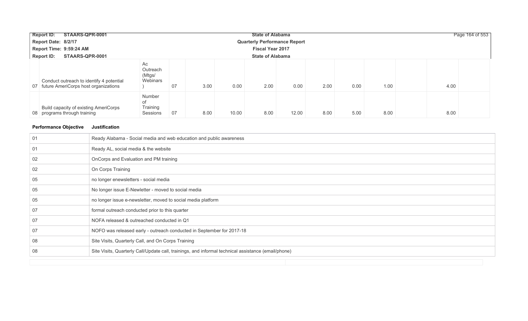| STAARS-QPR-0001<br><b>Report ID:</b>                                                |                                      |    |      |       | <b>State of Alabama</b>             |       |      |      |      |      | Page 164 of 553 |
|-------------------------------------------------------------------------------------|--------------------------------------|----|------|-------|-------------------------------------|-------|------|------|------|------|-----------------|
| Report Date: 8/2/17                                                                 |                                      |    |      |       | <b>Quarterly Performance Report</b> |       |      |      |      |      |                 |
| Report Time: 9:59:24 AM                                                             |                                      |    |      |       | <b>Fiscal Year 2017</b>             |       |      |      |      |      |                 |
| <b>Report ID:</b><br>STAARS-QPR-0001                                                |                                      |    |      |       | <b>State of Alabama</b>             |       |      |      |      |      |                 |
| Conduct outreach to identify 4 potential<br>07 future AmeriCorps host organizations | Ac<br>Outreach<br>(Mtgs/<br>Webinars | 07 | 3.00 | 0.00  | 2.00                                | 0.00  | 2.00 | 0.00 | 1.00 | 4.00 |                 |
| Build capacity of existing AmeriCorps<br>08 programs through training               | Number<br>of<br>Training<br>Sessions | 07 | 8.00 | 10.00 | 8.00                                | 12.00 | 8.00 | 5.00 | 8.00 | 8.00 |                 |

| -01 | Ready Alabama - Social media and web education and public awareness                                 |
|-----|-----------------------------------------------------------------------------------------------------|
| -01 | Ready AL, social media & the website                                                                |
| 02  | OnCorps and Evaluation and PM training                                                              |
| 02  | On Corps Training                                                                                   |
| 05  | no longer enewsletters - social media                                                               |
| 05  | No longer issue E-Newletter - moved to social media                                                 |
| 05  | no longer issue e-newsletter, moved to social media platform                                        |
| 07  | formal outreach conducted prior to this quarter                                                     |
| 07  | NOFA released & outreached conducted in Q1                                                          |
| -07 | NOFO was released early - outreach conducted in September for 2017-18                               |
| 08  | Site Visits, Quarterly Call, and On Corps Training                                                  |
| 08  | Site Visits, Quarterly Call/Update call, trainings, and informal technical assistance (email/phone) |
|     |                                                                                                     |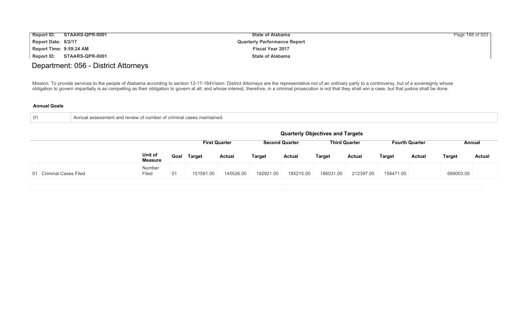| <b>Report ID:</b>       | STAARS-QPR-0001 | <b>State of Alabama</b>             | Page 168 of 553 |
|-------------------------|-----------------|-------------------------------------|-----------------|
| Report Date: 8/2/17     |                 | <b>Quarterly Performance Report</b> |                 |
| Report Time: 9:59:24 AM |                 | <b>Fiscal Year 2017</b>             |                 |
| Report ID:              | STAARS-QPR-0001 | <b>State of Alabama</b>             |                 |

# Department: 056 - District Attorneys

Mission: To provide services to the people of Alabama according to section 12-17-184Vision: District Attorneys are the representative not of an ordinary party to a controversy, but of a sovereignty whose obligation to govern impartially is as compelling as their obligation to govern at all; and whose interest, therefore, in a criminal prosecution is not that they shall win a case, but that justice shall be done.

| -01 | of criminal cases.<br>and review.<br>Ann<br>ual assessmer<br>`s maintained.<br>, number |
|-----|-----------------------------------------------------------------------------------------|
|     |                                                                                         |

|                         |                           |      |               |                      |               |                       | <b>Quarterly Objectives and Targets</b> |                      |               |                       |           |               |
|-------------------------|---------------------------|------|---------------|----------------------|---------------|-----------------------|-----------------------------------------|----------------------|---------------|-----------------------|-----------|---------------|
|                         |                           |      |               | <b>First Quarter</b> |               | <b>Second Quarter</b> |                                         | <b>Third Quarter</b> |               | <b>Fourth Quarter</b> |           | Annual        |
|                         | Unit of<br><b>Measure</b> | Goal | <b>Target</b> | <b>Actual</b>        | <b>Target</b> | <b>Actual</b>         | <b>Target</b>                           | <b>Actual</b>        | <b>Target</b> | <b>Actual</b>         | Target    | <b>Actual</b> |
| 01 Criminal Cases Filed | Number<br>Filed           | 01   | 151581.00     | 145526.00            | 192921.00     | 185215.00             | 186031.00                               | 212397.00            | 158471.00     |                       | 689003.00 |               |
|                         |                           |      |               |                      |               |                       |                                         |                      |               |                       |           |               |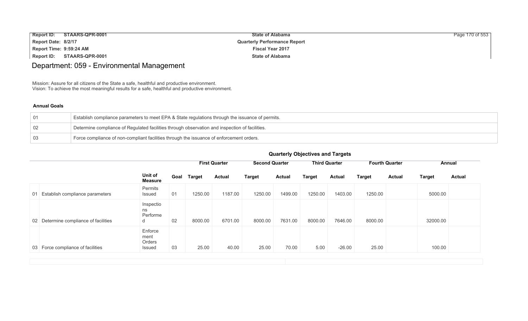| <b>Report ID:</b>       | STAARS-QPR-0001 | <b>State of Alabama</b>             | Page 170 of 553 |
|-------------------------|-----------------|-------------------------------------|-----------------|
| Report Date: 8/2/17     |                 | <b>Quarterly Performance Report</b> |                 |
| Report Time: 9:59:24 AM |                 | <b>Fiscal Year 2017</b>             |                 |
| Report ID:              | STAARS-QPR-0001 | <b>State of Alabama</b>             |                 |

# Department: 059 - Environmental Management

Mission: Assure for all citizens of the State a safe, healthful and productive environment. Vision: To achieve the most meaningful results for a safe, healthful and productive environment.

### **Annual Goals**

| Establish compliance parameters to meet EPA & State regulations through the issuance of permits. |
|--------------------------------------------------------------------------------------------------|
| Determine compliance of Regulated facilities through observation and inspection of facilities.   |
| Force compliance of non-compliant facilities through the issuance of enforcement orders.         |

|    |                                       |                                     |      |               | <b>First Quarter</b> |               |               |               |               |               |               |               | <b>Second Quarter</b> |  | <b>Third Quarter</b> |  | <b>Fourth Quarter</b> |  | Annual |  |
|----|---------------------------------------|-------------------------------------|------|---------------|----------------------|---------------|---------------|---------------|---------------|---------------|---------------|---------------|-----------------------|--|----------------------|--|-----------------------|--|--------|--|
|    |                                       | Unit of<br><b>Measure</b>           | Goal | <b>Target</b> | <b>Actual</b>        | <b>Target</b> | <b>Actual</b> | <b>Target</b> | <b>Actual</b> | <b>Target</b> | <b>Actual</b> | <b>Target</b> | <b>Actual</b>         |  |                      |  |                       |  |        |  |
| 01 | Establish compliance parameters       | Permits<br>Issued                   | 01   | 1250.00       | 1187.00              | 1250.00       | 1499.00       | 1250.00       | 1403.00       | 1250.00       |               | 5000.00       |                       |  |                      |  |                       |  |        |  |
|    | 02 Determine compliance of facilities | Inspectio<br>ns<br>Performe<br>d    | 02   | 8000.00       | 6701.00              | 8000.00       | 7631.00       | 8000.00       | 7646.00       | 8000.00       |               | 32000.00      |                       |  |                      |  |                       |  |        |  |
|    | 03 Force compliance of facilities     | Enforce<br>ment<br>Orders<br>Issued | 03   | 25.00         | 40.00                | 25.00         | 70.00         | 5.00          | $-26.00$      | 25.00         |               | 100.00        |                       |  |                      |  |                       |  |        |  |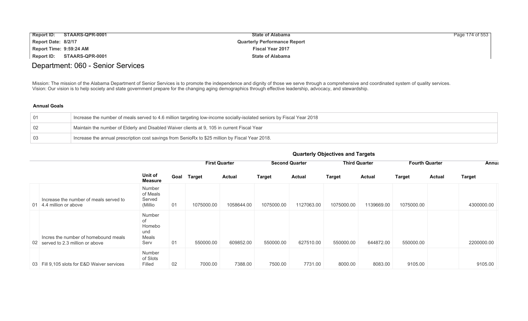| <b>Report ID:</b>              | STAARS-QPR-0001 | <b>State of Alabama</b>             | Page 174 of 553 |
|--------------------------------|-----------------|-------------------------------------|-----------------|
| Report Date: 8/2/17            |                 | <b>Quarterly Performance Report</b> |                 |
| <b>Report Time: 9:59:24 AM</b> |                 | <b>Fiscal Year 2017</b>             |                 |
| Report ID:                     | STAARS-QPR-0001 | <b>State of Alabama</b>             |                 |

# Department: 060 - Senior Services

Mission: The mission of the Alabama Department of Senior Services is to promote the independence and dignity of those we serve through a comprehensive and coordinated system of quality services. Vision: Our vision is to help society and state government prepare for the changing aging demographics through effective leadership, advocacy, and stewardship.

| $\sqrt{01}$     | Increase the number of meals served to 4.6 million targeting low-income socially-isolated seniors by Fiscal Year 2018 |
|-----------------|-----------------------------------------------------------------------------------------------------------------------|
| $\mid$ 02       | Maintain the number of Elderly and Disabled Waiver clients at 9, 105 in current Fiscal Year                           |
| $\overline{03}$ | Increase the annual prescription cost savings from SenioRx to \$25 million by Fiscal Year 2018.                       |

|  | <b>Quarterly Objectives and Targets</b> |  |  |
|--|-----------------------------------------|--|--|
|--|-----------------------------------------|--|--|

|                                                                           |                                                |      |            | <b>First Quarter</b> |            | <b>Second Quarter</b> |               | <b>Third Quarter</b> |            | <b>Fourth Quarter</b> | <b>Annua</b>  |
|---------------------------------------------------------------------------|------------------------------------------------|------|------------|----------------------|------------|-----------------------|---------------|----------------------|------------|-----------------------|---------------|
|                                                                           | Unit of<br>Measure                             | Goal | Target     | <b>Actual</b>        | Target     | <b>Actual</b>         | <b>Target</b> | <b>Actual</b>        | Target     | <b>Actual</b>         | <b>Target</b> |
| Increase the number of meals served to<br>01 4.4 million or above         | Number<br>of Meals<br>Served<br>(Millio)       | 01   | 1075000.00 | 1058644.00           | 1075000.00 | 1127063.00            | 1075000.00    | 1139669.00           | 1075000.00 |                       | 4300000.00    |
| Incres the number of homebound meals<br>02 served to 2.3 million or above | Number<br>of<br>Homebo<br>und<br>Meals<br>Serv | 01   | 550000.00  | 609852.00            | 550000.00  | 627510.00             | 550000.00     | 644872.00            | 550000.00  |                       | 2200000.00    |
| 03 Fill 9,105 slots for E&D Waiver services                               | Number<br>of Slots<br>Filled                   | 02   | 7000.00    | 7388.00              | 7500.00    | 7731.00               | 8000.00       | 8083.00              | 9105.00    |                       | 9105.00       |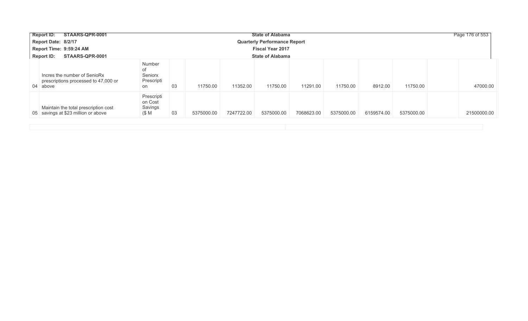| STAARS-QPR-0001<br><b>Report ID:</b>                                             |                                             |    |            |            | <b>State of Alabama</b>             |            |            |            |            | Page 176 of 553 |
|----------------------------------------------------------------------------------|---------------------------------------------|----|------------|------------|-------------------------------------|------------|------------|------------|------------|-----------------|
| Report Date: 8/2/17                                                              |                                             |    |            |            | <b>Quarterly Performance Report</b> |            |            |            |            |                 |
| Report Time: 9:59:24 AM                                                          |                                             |    |            |            | <b>Fiscal Year 2017</b>             |            |            |            |            |                 |
| <b>Report ID:</b><br>STAARS-QPR-0001                                             |                                             |    |            |            | <b>State of Alabama</b>             |            |            |            |            |                 |
| Incres the number of SenioRx<br>prescriptions processed to 47,000 or<br>04 above | Number<br>of<br>Seniorx<br>Prescripti<br>on | 03 | 11750.00   | 11352.00   | 11750.00                            | 11291.00   | 11750.00   | 8912.00    | 11750.00   | 47000.00        |
| Maintain the total prescription cost<br>05 savings at \$23 million or above      | Prescripti<br>on Cost<br>Savings<br>(\$ M   | 03 | 5375000.00 | 7247722.00 | 5375000.00                          | 7068623.00 | 5375000.00 | 6159574.00 | 5375000.00 | 21500000.00     |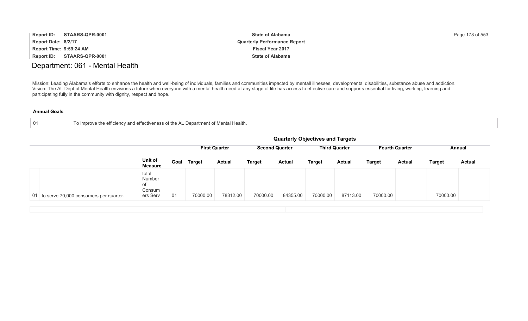| <b>Report ID:</b>       | STAARS-QPR-0001 | <b>State of Alabama</b>             | Page 178 of 553 |
|-------------------------|-----------------|-------------------------------------|-----------------|
| Report Date: 8/2/17     |                 | <b>Quarterly Performance Report</b> |                 |
| Report Time: 9:59:24 AM |                 | <b>Fiscal Year 2017</b>             |                 |
| Report ID:              | STAARS-QPR-0001 | <b>State of Alabama</b>             |                 |

## Department: 061 - Mental Health

Mission: Leading Alabama's efforts to enhance the health and well-being of individuals, families and communities impacted by mentall illnesses, developmental disabilities, substance abuse and addiction. Vision: The AL Dept of Mental Health envisions a future when everyone with a mental health need at any stage of life has access to effective care and supports essential for living, working, learning and participating fully in the community with dignity, respect and hope.

| -01 | To improve the efficiency and effectiveness of the AL Department of Mental Health. |
|-----|------------------------------------------------------------------------------------|
|-----|------------------------------------------------------------------------------------|

|                                           |                                             |                      |               |               |                       |               | <b>Quarterly Objectives and Targets</b> |               |                       |               |               |               |
|-------------------------------------------|---------------------------------------------|----------------------|---------------|---------------|-----------------------|---------------|-----------------------------------------|---------------|-----------------------|---------------|---------------|---------------|
|                                           |                                             | <b>First Quarter</b> |               |               | <b>Second Quarter</b> |               | <b>Third Quarter</b>                    |               | <b>Fourth Quarter</b> |               | Annual        |               |
|                                           | Unit of<br><b>Measure</b>                   | Goal                 | <b>Target</b> | <b>Actual</b> | Target                | <b>Actual</b> | <b>Target</b>                           | <b>Actual</b> | <b>Target</b>         | <b>Actual</b> | <b>Target</b> | <b>Actual</b> |
| 01 to serve 70,000 consumers per quarter. | total<br>Number<br>οf<br>Consum<br>ers Serv | 01                   | 70000.00      | 78312.00      | 70000.00              | 84355.00      | 70000.00                                | 87113.00      | 70000.00              |               | 70000.00      |               |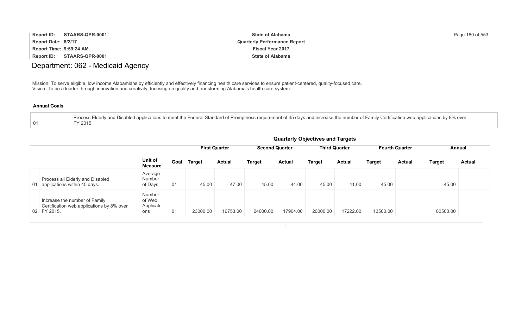| <b>Report ID:</b>       | STAARS-QPR-0001 | <b>State of Alabama</b>             | Page 180 of 553 |
|-------------------------|-----------------|-------------------------------------|-----------------|
| Report Date: 8/2/17     |                 | <b>Quarterly Performance Report</b> |                 |
| Report Time: 9:59:24 AM |                 | <b>Fiscal Year 2017</b>             |                 |
| Report ID:              | STAARS-QPR-0001 | <b>State of Alabama</b>             |                 |

# Department: 062 - Medicaid Agency

Mission: To serve eligible, low income Alabamians by efficiently and effectively financing health care services to ensure patient-centered, quality-focused care. Vision: To be a leader through innovation and creativity, focusing on quality and transforming Alabama's health care system.

| Process Elderly and Disabled applications to meet the Federal Standard of Promptness requirement of 45 days and increase the number of Family Certification web applications by 8% over |
|-----------------------------------------------------------------------------------------------------------------------------------------------------------------------------------------|
| FY 2015                                                                                                                                                                                 |

|                                                                                           |                                      |      |                      |               |                       |               | <b>Quarterly Objectives and Targets</b> |               |                       |               |               |               |
|-------------------------------------------------------------------------------------------|--------------------------------------|------|----------------------|---------------|-----------------------|---------------|-----------------------------------------|---------------|-----------------------|---------------|---------------|---------------|
|                                                                                           |                                      |      | <b>First Quarter</b> |               | <b>Second Quarter</b> |               | <b>Third Quarter</b>                    |               | <b>Fourth Quarter</b> |               |               | Annual        |
|                                                                                           | Unit of<br><b>Measure</b>            | Goal | <b>Target</b>        | <b>Actual</b> | <b>Target</b>         | <b>Actual</b> | <b>Target</b>                           | <b>Actual</b> | <b>Target</b>         | <b>Actual</b> | <b>Target</b> | <b>Actual</b> |
| Process all Elderly and Disabled<br>01 applications within 45 days.                       | Average<br>Number<br>of Days         | 01   | 45.00                | 47.00         | 45.00                 | 44.00         | 45.00                                   | 41.00         | 45.00                 |               | 45.00         |               |
| Increase the number of Family<br>Certification web applications by 8% over<br>02 FY 2015. | Number<br>of Web<br>Applicati<br>ons | 01   | 23000.00             | 16753.00      | 24000.00              | 17904.00      | 20000.00                                | 17222.00      | 13500.00              |               | 80500.00      |               |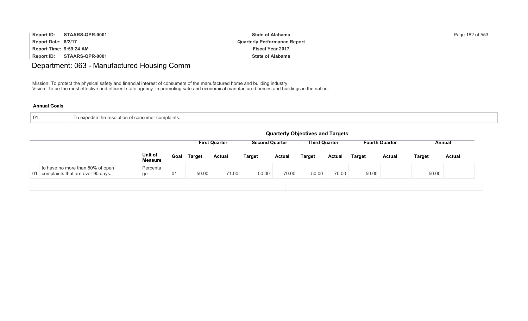| <b>Report ID:</b>       | STAARS-QPR-0001 | <b>State of Alabama</b>             | Page 182 of 553 |
|-------------------------|-----------------|-------------------------------------|-----------------|
| Report Date: 8/2/17     |                 | <b>Quarterly Performance Report</b> |                 |
| Report Time: 9:59:24 AM |                 | <b>Fiscal Year 2017</b>             |                 |
| Report ID:              | STAARS-QPR-0001 | <b>State of Alabama</b>             |                 |

# Department: 063 - Manufactured Housing Comm

Mission: To protect the physical safety and financial interest of consumers of the manufactured home and building industry. Vision: To be the most effective and efficient state agency in promoting safe and economical manufactured homes and buildings in the nation.

| o expedite the resolution of consumer complaints. |
|---------------------------------------------------|
|                                                   |

|                                                                          | <b>Quarterly Objectives and Targets</b> |                                                                                                |               |               |               |               |               |               |               |               |               |               |
|--------------------------------------------------------------------------|-----------------------------------------|------------------------------------------------------------------------------------------------|---------------|---------------|---------------|---------------|---------------|---------------|---------------|---------------|---------------|---------------|
|                                                                          |                                         | <b>Third Quarter</b><br><b>Second Quarter</b><br><b>Fourth Quarter</b><br><b>First Quarter</b> |               |               |               |               |               |               |               |               |               |               |
|                                                                          | Unit of<br><b>Measure</b>               | Goal                                                                                           | <b>Target</b> | <b>Actual</b> | <b>Target</b> | <b>Actual</b> | <b>Target</b> | <b>Actual</b> | <b>Target</b> | <b>Actual</b> | <b>Target</b> | <b>Actual</b> |
| to have no more than 50% of open<br>01 complaints that are over 90 days. | Percenta<br>ge                          | 01                                                                                             | 50.00         | 71.00         | 50.00         | 70.00         | 50.00         | 70.00         | 50.00         |               | 50.00         |               |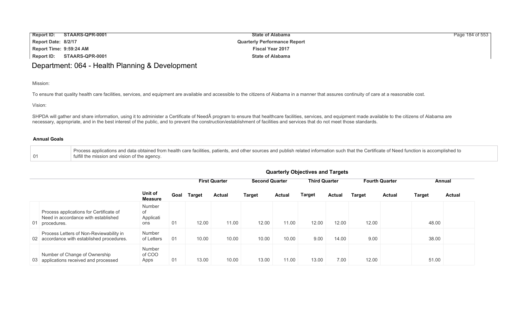| <b>Report ID:</b>       | STAARS-QPR-0001 | <b>State of Alabama</b>             | Page 184 of 553 |
|-------------------------|-----------------|-------------------------------------|-----------------|
| Report Date: 8/2/17     |                 | <b>Quarterly Performance Report</b> |                 |
| Report Time: 9:59:24 AM |                 | <b>Fiscal Year 2017</b>             |                 |
| Report ID:              | STAARS-QPR-0001 | <b>State of Alabama</b>             |                 |

## Department: 064 - Health Planning & Development

Mission:

To ensure that quality health care facilities, services, and equipment are available and accessible to the citizens of Alabama in a manner that assures continuity of care at a reasonable cost.

Vision:

SHPDA will gather and share information, using it to administer a Certificate of Need program to ensure that healthcare facilities, services, and equipment made available to the citizens of Alabama are necessary, appropriate, and in the best interest of the public, and to prevent the construction/establishment of facilities and services that do not meet those standards.

#### **Annual Goals**

01 Process applications and data obtained from health care facilities, patients, and other sources and publish related information such that the Certificate of Need function is accomplished to fulfill the mission and vision of the agency.

|                                                                                                  |                                  | Quarterly Objectives and Targets |               |                      |                       |               |                      |               |                       |               |               |               |  |
|--------------------------------------------------------------------------------------------------|----------------------------------|----------------------------------|---------------|----------------------|-----------------------|---------------|----------------------|---------------|-----------------------|---------------|---------------|---------------|--|
|                                                                                                  |                                  |                                  |               | <b>First Quarter</b> | <b>Second Quarter</b> |               | <b>Third Quarter</b> |               | <b>Fourth Quarter</b> |               | Annual        |               |  |
|                                                                                                  | Unit of<br><b>Measure</b>        | Goal                             | <b>Target</b> | <b>Actual</b>        | <b>Target</b>         | <b>Actual</b> | <b>Target</b>        | <b>Actual</b> | <b>Target</b>         | <b>Actual</b> | <b>Target</b> | <b>Actual</b> |  |
| Process applications for Certificate of<br>Need in accordance with established<br>01 procedures. | Number<br>0f<br>Applicati<br>ons | 01                               | 12.00         | 11.00                | 12.00                 | 11.00         | 12.00                | 12.00         | 12.00                 |               | 48.00         |               |  |
| Process Letters of Non-Reviewability in<br>02 accordance with established procedures.            | Number<br>of Letters             | 01                               | 10.00         | 10.00                | 10.00                 | 10.00         | 9.00                 | 14.00         | 9.00                  |               | 38.00         |               |  |
| Number of Change of Ownership<br>03 applications received and processed                          | Number<br>of COO<br>Apps         | 01                               | 13.00         | 10.00                | 13.00                 | 11.00         | 13.00                | 7.00          | 12.00                 |               | 51.00         |               |  |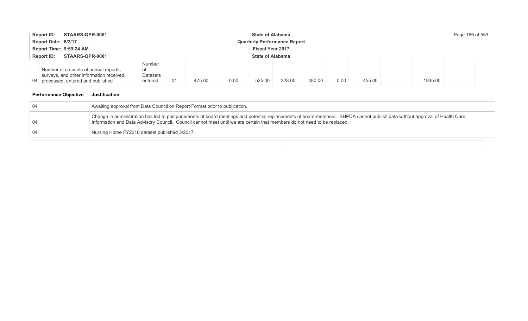| STAARS-QPR-0001<br><b>Report ID:</b><br><b>State of Alabama</b> |                                                                                                                          |                                            |     |        |      |        |        |        |      |        | Page 186 of 553 |  |
|-----------------------------------------------------------------|--------------------------------------------------------------------------------------------------------------------------|--------------------------------------------|-----|--------|------|--------|--------|--------|------|--------|-----------------|--|
| Report Date: 8/2/17<br><b>Quarterly Performance Report</b>      |                                                                                                                          |                                            |     |        |      |        |        |        |      |        |                 |  |
| Report Time: 9:59:24 AM<br><b>Fiscal Year 2017</b>              |                                                                                                                          |                                            |     |        |      |        |        |        |      |        |                 |  |
|                                                                 | STAARS-QPR-0001<br><b>Report ID:</b>                                                                                     | <b>State of Alabama</b>                    |     |        |      |        |        |        |      |        |                 |  |
|                                                                 | Number of datasets of annual reports,<br>surveys, and other information received,<br>04 processed, entered and published | <b>Number</b><br>0t<br>Datasets<br>entered | -01 | 475.00 | 0.00 | 525.00 | 228.00 | 480.00 | 0.00 | 455.00 | 1935.00         |  |

| -04  | Awaiting approval from Data Council on Report Format prior to publication.                                                                                                                                                                                                                             |  |  |  |  |  |  |  |
|------|--------------------------------------------------------------------------------------------------------------------------------------------------------------------------------------------------------------------------------------------------------------------------------------------------------|--|--|--|--|--|--|--|
| - 04 | Change in administration has led to postponements of board meetings and potential replacements of board members. SHPDA cannot publish data without approval of Health Care<br>Information and Data Advisory Council. Council cannot meet until we are certain that members do not need to be replaced. |  |  |  |  |  |  |  |
| -04  | Nursing Home FY2016 dataset published 3/2017.                                                                                                                                                                                                                                                          |  |  |  |  |  |  |  |
|      |                                                                                                                                                                                                                                                                                                        |  |  |  |  |  |  |  |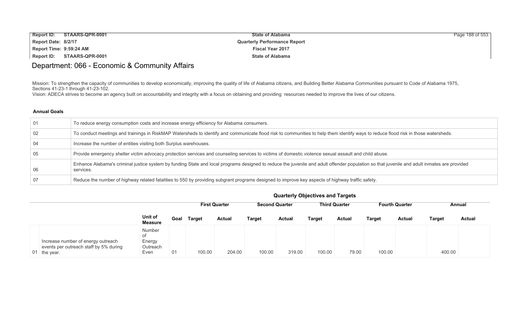| <b>Report ID:</b><br>STAARS-QPR-0001 | <b>State of Alabama</b>             | Page 188 of 553 |
|--------------------------------------|-------------------------------------|-----------------|
| Report Date: 8/2/17                  | <b>Quarterly Performance Report</b> |                 |
| Report Time: 9:59:24 AM              | <b>Fiscal Year 2017</b>             |                 |
| Report ID: STAARS-QPR-0001           | <b>State of Alabama</b>             |                 |

# Department: 066 - Economic & Community Affairs

Mission: To strengthen the capacity of communities to develop economically, improving the quality of life of Alabama citizens, and Building Better Alabama Communities pursuant to Code of Alabama 1975, Sections 41-23-1 through 41-23-102.

Vision: ADECA strives to become an agency built on accountability and integrity with a focus on obtaining and providing resources needed to improve the lives of our citizens.

| 01   | To reduce energy consumption costs and increase energy efficiency for Alabama consumers.                                                                                                                 |
|------|----------------------------------------------------------------------------------------------------------------------------------------------------------------------------------------------------------|
| - 02 | To conduct meetings and trainings in RiskMAP Watersheds to identify and communicate flood risk to communities to help them identify ways to reduce flood risk in those watersheds.                       |
| -04  | Increase the number of entities visiting both Surplus warehouses.                                                                                                                                        |
| - 05 | Provide emergency shelter victim advocacy protection services and counseling services to victims of domestic violence sexual assault and child abuse.                                                    |
| - 06 | Enhance Alabama's criminal justice system by funding State and local programs designed to reduce the juvenile and adult offender population so that juvenile and adult inmates are provided<br>services. |
| -07  | Reduce the number of highway related fatalities to 550 by providing subgrant programs designed to improve key aspects of highway traffic safety.                                                         |

|                                                                                              |                                            | <b>Quarterly Objectives and Targets</b>                                                                  |               |               |               |               |               |               |               |               |               |               |  |
|----------------------------------------------------------------------------------------------|--------------------------------------------|----------------------------------------------------------------------------------------------------------|---------------|---------------|---------------|---------------|---------------|---------------|---------------|---------------|---------------|---------------|--|
|                                                                                              |                                            | <b>Third Quarter</b><br><b>Second Quarter</b><br><b>Fourth Quarter</b><br><b>First Quarter</b><br>Annual |               |               |               |               |               |               |               |               |               |               |  |
|                                                                                              | Unit of<br>Measure                         | Goal                                                                                                     | <b>Target</b> | <b>Actual</b> | <b>Target</b> | <b>Actual</b> | <b>Target</b> | <b>Actual</b> | <b>Target</b> | <b>Actual</b> | <b>Target</b> | <b>Actual</b> |  |
| Increase number of energy outreach<br>events per outreach staff by 5% during<br>01 the year. | Number<br>of<br>Energy<br>Outreach<br>Even | 01                                                                                                       | 100.00        | 204.00        | 100.00        | 319.00        | 100.00        | 79.00         | 100.00        |               | 400.00        |               |  |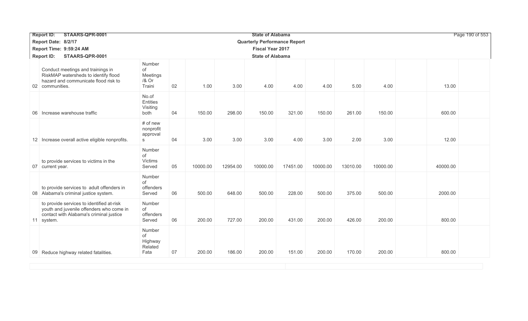|                 | STAARS-QPR-0001<br><b>Report ID:</b>                                                                                                           |                                             |    |                         |          | <b>State of Alabama</b>             |          |          |          | Page 190 of 553 |          |  |
|-----------------|------------------------------------------------------------------------------------------------------------------------------------------------|---------------------------------------------|----|-------------------------|----------|-------------------------------------|----------|----------|----------|-----------------|----------|--|
|                 | Report Date: 8/2/17                                                                                                                            |                                             |    |                         |          | <b>Quarterly Performance Report</b> |          |          |          |                 |          |  |
|                 | Report Time: 9:59:24 AM                                                                                                                        |                                             |    | <b>Fiscal Year 2017</b> |          |                                     |          |          |          |                 |          |  |
|                 | STAARS-QPR-0001<br><b>Report ID:</b>                                                                                                           |                                             |    |                         |          | <b>State of Alabama</b>             |          |          |          |                 |          |  |
|                 | Conduct meetings and trainings in<br>RiskMAP watersheds to identify flood<br>hazard and communicate flood risk to<br>02 communities.           | Number<br>of<br>Meetings<br>/& Or<br>Traini | 02 | 1.00                    | 3.00     | 4.00                                | 4.00     | 4.00     | 5.00     | 4.00            | 13.00    |  |
| 06 <sup>1</sup> | Increase warehouse traffic                                                                                                                     | No.of<br>Entities<br>Visiting<br>both       | 04 | 150.00                  | 298.00   | 150.00                              | 321.00   | 150.00   | 261.00   | 150.00          | 600.00   |  |
|                 | 12 Increase overall active eligible nonprofits.                                                                                                | # of new<br>nonprofit<br>approval<br>S      | 04 | 3.00                    | 3.00     | 3.00                                | 4.00     | 3.00     | 2.00     | 3.00            | 12.00    |  |
|                 | to provide services to victims in the<br>07 current year.                                                                                      | Number<br>of<br>Victims<br>Served           | 05 | 10000.00                | 12954.00 | 10000.00                            | 17451.00 | 10000.00 | 13010.00 | 10000.00        | 40000.00 |  |
|                 | to provide services to adult offenders in<br>08 Alabama's criminal justice system.                                                             | Number<br>of<br>offenders<br>Served         | 06 | 500.00                  | 648.00   | 500.00                              | 228.00   | 500.00   | 375.00   | 500.00          | 2000.00  |  |
|                 | to provide services to identified at-risk<br>youth and juvenile offenders who come in<br>contact with Alabama's criminal justice<br>11 system. | Number<br>of<br>offenders<br>Served         | 06 | 200.00                  | 727.00   | 200.00                              | 431.00   | 200.00   | 426.00   | 200.00          | 800.00   |  |
|                 | 09 Reduce highway related fatalities.                                                                                                          | Number<br>of<br>Highway<br>Related<br>Fata  | 07 | 200.00                  | 186.00   | 200.00                              | 151.00   | 200.00   | 170.00   | 200.00          | 800.00   |  |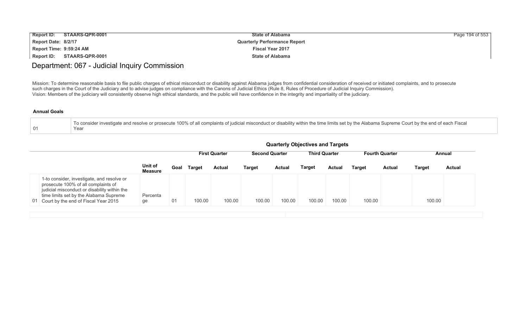| <b>Report ID:</b>       | STAARS-QPR-0001 | <b>State of Alabama</b>             | Page 194 of 553 |
|-------------------------|-----------------|-------------------------------------|-----------------|
| Report Date: 8/2/17     |                 | <b>Quarterly Performance Report</b> |                 |
| Report Time: 9:59:24 AM |                 | <b>Fiscal Year 2017</b>             |                 |
| Report ID:              | STAARS-QPR-0001 | <b>State of Alabama</b>             |                 |

## Department: 067 - Judicial Inquiry Commission

Mission: To determine reasonable basis to file public charges of ethical misconduct or disability against Alabama judges from confidential consideration of received or initiated complaints, and to prosecute such charges in the Court of the Judiciary and to advise judges on compliance with the Canons of Judicial Ethics (Rule 8, Rules of Procedure of Judicial Inquiry Commission). Vision: Members of the judiciary will consistently observe high ethical standards, and the public will have confidence in the integrity and impartiality of the judiciary.

| To consider investigate and resolve or prosecute 100% of all complaints of judicial misconduct or disability within the time limits set by the Alabama Supreme Court by the end of each Fiscal |
|------------------------------------------------------------------------------------------------------------------------------------------------------------------------------------------------|
| Year                                                                                                                                                                                           |

|                                                                                                                                                                                                                        |                           | <b>Quarterly Objectives and Targets</b>                                                                  |        |               |               |               |        |        |               |        |               |               |  |
|------------------------------------------------------------------------------------------------------------------------------------------------------------------------------------------------------------------------|---------------------------|----------------------------------------------------------------------------------------------------------|--------|---------------|---------------|---------------|--------|--------|---------------|--------|---------------|---------------|--|
|                                                                                                                                                                                                                        |                           | <b>Second Quarter</b><br><b>Third Quarter</b><br><b>Fourth Quarter</b><br><b>First Quarter</b><br>Annual |        |               |               |               |        |        |               |        |               |               |  |
|                                                                                                                                                                                                                        | Unit of<br><b>Measure</b> | Goal                                                                                                     | Target | <b>Actual</b> | <b>Target</b> | <b>Actual</b> | Target | Actual | <b>Target</b> | Actual | <b>Target</b> | <b>Actual</b> |  |
| 1-to consider, investigate, and resolve or<br>prosecute 100% of all complaints of<br>judicial misconduct or disability within the<br>time limits set by the Alabama Supreme<br>01 Court by the end of Fiscal Year 2015 | Percenta<br>ge            | 01                                                                                                       | 100.00 | 100.00        | 100.00        | 100.00        | 100.00 | 100.00 | 100.00        |        | 100.00        |               |  |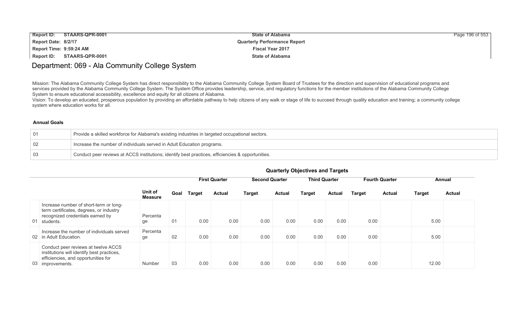| Report ID:<br>STAARS-QPR-0001 | <b>State of Alabama</b>             | Page 196 of 553 |
|-------------------------------|-------------------------------------|-----------------|
| Report Date: 8/2/17           | <b>Quarterly Performance Report</b> |                 |
| Report Time: 9:59:24 AM       | <b>Fiscal Year 2017</b>             |                 |
| Report ID: STAARS-QPR-0001    | <b>State of Alabama</b>             |                 |

## Department: 069 - Ala Community College System

Mission: The Alabama Community College System has direct responsibility to the Alabama Community College System Board of Trustees for the direction and supervision of educational programs and services provided by the Alabama Community College System. The System Office provides leadership, service, and regulatory functions for the member institutions of the Alabama Community College System to ensure educational accessibility, excellence and equity for all citizens of Alabama.

Vision: To develop an educated, prosperous population by providing an affordable pathway to help citizens of any walk or stage of life to succeed through quality education and training; a community college system where education works for all.

### **Annual Goals**

| $\overline{01}$ | Provide a skilled workforce for Alabama's existing industries in targeted occupational sectors.   |
|-----------------|---------------------------------------------------------------------------------------------------|
|                 | Increase the number of individuals served in Adult Education programs.                            |
| $\Box$ 0.3      | Conduct peer reviews at ACCS institutions; identify best practices, efficiencies & opportunities. |

|                                                                                                                                              |                           |      |               | <b>First Quarter</b> | <b>Second Quarter</b> |               | <b>Third Quarter</b> |        |               | <b>Fourth Quarter</b> |               | Annual        |
|----------------------------------------------------------------------------------------------------------------------------------------------|---------------------------|------|---------------|----------------------|-----------------------|---------------|----------------------|--------|---------------|-----------------------|---------------|---------------|
|                                                                                                                                              | Unit of<br><b>Measure</b> | Goal | <b>Target</b> | <b>Actual</b>        | <b>Target</b>         | <b>Actual</b> | Target               | Actual | <b>Target</b> | <b>Actual</b>         | <b>Target</b> | <b>Actual</b> |
| Increase number of short-term or long-<br>term certificates, degrees, or industry<br>recognized credentials earned by<br>01 students.        | Percenta<br>ge            | 01   | 0.00          | 0.00                 | 0.00                  | 0.00          | 0.00                 | 0.00   | 0.00          |                       | 5.00          |               |
| Increase the number of individuals served<br>02 in Adult Education.                                                                          | Percenta<br>ge            | 02   | 0.00          | 0.00                 | 0.00                  | 0.00          | 0.00                 | 0.00   | 0.00          |                       | 5.00          |               |
| Conduct peer reviews at twelve ACCS<br>institutions will identify best practices,<br>efficiencies, and opportunities for<br>03 improvements. | Number                    | 03   | 0.00          | 0.00                 | 0.00                  | 0.00          | 0.00                 | 0.00   | 0.00          |                       | 12.00         |               |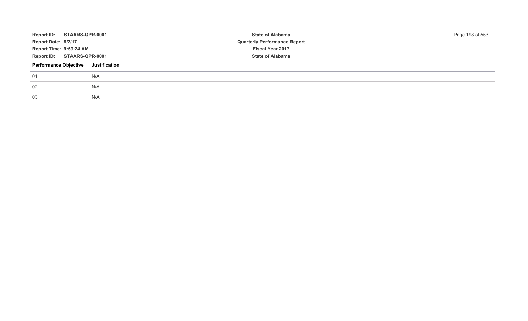| Report ID: STAARS-QPR-0001   |               | <b>State of Alabama</b>             | Page 198 of 553 |
|------------------------------|---------------|-------------------------------------|-----------------|
| Report Date: 8/2/17          |               | <b>Quarterly Performance Report</b> |                 |
| Report Time: 9:59:24 AM      |               | Fiscal Year 2017                    |                 |
| Report ID: STAARS-QPR-0001   |               | <b>State of Alabama</b>             |                 |
| <b>Performance Objective</b> | Justification |                                     |                 |
| 01                           | N/A           |                                     |                 |
| 02                           | N/A           |                                     |                 |
| 03                           | N/A           |                                     |                 |
|                              |               |                                     |                 |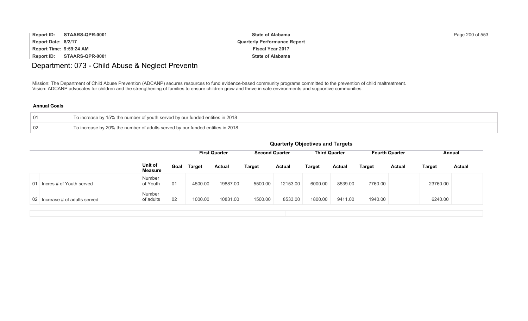| <b>Report ID:</b>       | STAARS-QPR-0001 | <b>State of Alabama</b>             | Page 200 of 553 |
|-------------------------|-----------------|-------------------------------------|-----------------|
| Report Date: 8/2/17     |                 | <b>Quarterly Performance Report</b> |                 |
| Report Time: 9:59:24 AM |                 | <b>Fiscal Year 2017</b>             |                 |
| <b>Report ID:</b>       | STAARS-QPR-0001 | <b>State of Alabama</b>             |                 |

# Department: 073 - Child Abuse & Neglect Preventn

Mission: The Department of Child Abuse Prevention (ADCANP) secures resources to fund evidence-based community programs committed to the prevention of child maltreatment. Vision: ADCANP advocates for children and the strengthening of families to ensure children grow and thrive in safe environments and supportive communities

### **Annual Goals**

| 01 | To increase by 15% the number of youth served by our funded entities in 2018  |
|----|-------------------------------------------------------------------------------|
| 02 | To increase by 20% the number of adults served by our funded entities in 2018 |

|                                |                           |      |               | <b>First Quarter</b><br><b>Second Quarter</b> |               | <b>Third Quarter</b> |               |               |         |               | <b>Fourth Quarter</b><br>Annual |               |
|--------------------------------|---------------------------|------|---------------|-----------------------------------------------|---------------|----------------------|---------------|---------------|---------|---------------|---------------------------------|---------------|
|                                | Unit of<br><b>Measure</b> | Goal | <b>Target</b> | <b>Actual</b>                                 | <b>Target</b> | <b>Actual</b>        | <b>Target</b> | <b>Actual</b> | Target  | <b>Actual</b> | <b>Target</b>                   | <b>Actual</b> |
| 01 Incres # of Youth served    | Number<br>of Youth        | 01   | 4500.00       | 19887.00                                      | 5500.00       | 12153.00             | 6000.00       | 8539.00       | 7760.00 |               | 23760.00                        |               |
| 02 Increase # of adults served | Number<br>of adults       | 02   | 1000.00       | 10831.00                                      | 1500.00       | 8533.00              | 1800.00       | 9411.00       | 1940.00 |               | 6240.00                         |               |
|                                |                           |      |               |                                               |               |                      |               |               |         |               |                                 |               |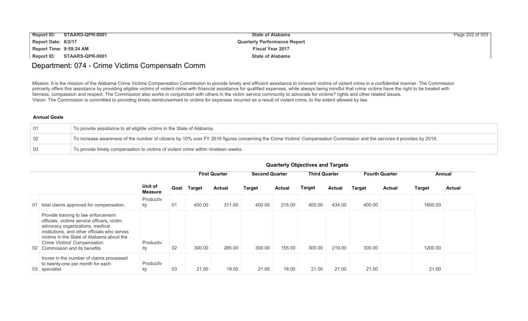| <b>Report ID:</b>       | STAARS-QPR-0001            | <b>State of Alabama</b>             | Page 202 of 553 |
|-------------------------|----------------------------|-------------------------------------|-----------------|
| Report Date: 8/2/17     |                            | <b>Quarterly Performance Report</b> |                 |
| Report Time: 9:59:24 AM |                            | <b>Fiscal Year 2017</b>             |                 |
|                         | Report ID: STAARS-QPR-0001 | <b>State of Alabama</b>             |                 |

## Department: 074 - Crime Victims Compensatn Comm

Mission: It is the mission of the Alabama Crime Victims Compensation Commission to provide timely and efficient assistance to innocent victims of violent crime in a confidential manner. The Commission primarily offers this assistance by providing eligible victims of violent crime with financial assistance for qualified expenses, while always being mindful that crime victims have the right to be treated with fairness, compassion and respect. The Commission also works in conjunction with others in the victim service community to advocate for victims? rights and other related issues. Vision: The Commission is committed to providing timely reimbursement to victims for expenses incurred as a result of violent crime, to the extent allowed by law.

#### **Annual Goals**

| ⊢01             | To provide assistance to all eligible victims in the State of Alabama.                                                                                                  |
|-----------------|-------------------------------------------------------------------------------------------------------------------------------------------------------------------------|
| -02             | To increase awareness of the number of citizens by 10% over FY 2016 figures concerning the Crime Victims' Compensation Commission and the services it provides by 2019. |
| $\overline{0}3$ | To provide timely compensation to victims of violent crime within nineteen weeks.                                                                                       |

|                 |                                                                                                                                                                                                                                                                                  |                           |      |               | <b>First Quarter</b> | <b>Second Quarter</b> |               | <b>Third Quarter</b> |               |               | <b>Fourth Quarter</b> |               | Annual        |
|-----------------|----------------------------------------------------------------------------------------------------------------------------------------------------------------------------------------------------------------------------------------------------------------------------------|---------------------------|------|---------------|----------------------|-----------------------|---------------|----------------------|---------------|---------------|-----------------------|---------------|---------------|
|                 |                                                                                                                                                                                                                                                                                  | Unit of<br><b>Measure</b> | Goal | <b>Target</b> | <b>Actual</b>        | <b>Target</b>         | <b>Actual</b> | <b>Target</b>        | <b>Actual</b> | <b>Target</b> | <b>Actual</b>         | <b>Target</b> | <b>Actual</b> |
|                 | 01 total claims approved for compensation.                                                                                                                                                                                                                                       | Productiv<br>ity          | 01   | 400.00        | 311.00               | 400.00                | 215.00        | 400.00               | 434.00        | 400.00        |                       | 1600.00       |               |
| 02 <sub>0</sub> | Provide training to law enforcement<br>officials, victims service officers, victim<br>advocacy organizations, medical<br>institutions, and other officials who serves<br>victims in the State of Alabama about the<br>Crime Victims' Compensation<br>Commission and its benefits | Productiv<br>ity          | 02   | 300.00        | 285.00               | 300.00                | 155.00        | 300.00               | 219.00        | 300.00        |                       | 1200.00       |               |
|                 | Incres in the number of claims processed<br>to twenty-one per month for each<br>03 specialist.                                                                                                                                                                                   | Productiv<br>ity          | 03   | 21.00         | 19.00                | 21.00                 | 18.00         | 21.00                | 21.00         | 21.00         |                       | 21.00         |               |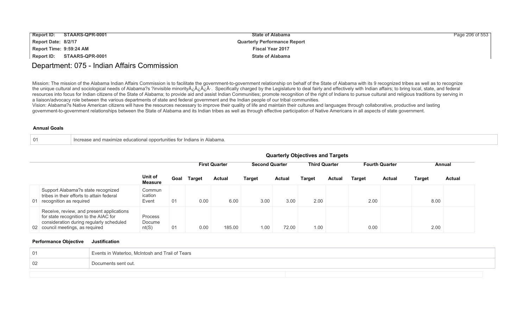| Report ID:              | STAARS-QPR-0001            | <b>State of Alabama</b>             | Page 206 of 553 |
|-------------------------|----------------------------|-------------------------------------|-----------------|
| Report Date: 8/2/17     |                            | <b>Quarterly Performance Report</b> |                 |
| Report Time: 9:59:24 AM |                            | <b>Fiscal Year 2017</b>             |                 |
|                         | Report ID: STAARS-QPR-0001 | <b>State of Alabama</b>             |                 |

## Department: 075 - Indian Affairs Commission

Mission: The mission of the Alabama Indian Affairs Commission is to facilitate the government-to-government relationship on behalf of the State of Alabama with its 9 recognized tribes as well as to recognize the unique cultural and sociological needs of Alabama?s ?invisible minority A<sub>c</sub> A<sub>c</sub> A<sub>c</sub>. Specifically charged by the Legislature to deal fairly and effectively with Indian affairs; to bring local, state, and federal resources into focus for Indian citizens of the State of Alabama; to provide aid and assist Indian Communities; promote recognition of the right of Indians to pursue cultural and religious traditions by serving in a liaison/advocacy role between the various departments of state and federal government and the Indian people of our tribal communities.

Vision: Alabama?s Native American citizens will have the resources necessary to improve their quality of life and maintain their cultures and languages through collaborative, productive and lasting government-to-government relationships between the State of Alabama and its Indian tribes as well as through effective participation of Native Americans in all aspects of state government.

#### **Annual Goals**

| 01 | Increase and maximize educational opportunities for Indians in Alabama. |
|----|-------------------------------------------------------------------------|
|----|-------------------------------------------------------------------------|

|    |                                                                                                                                                                    |                            |      |               | <b>First Quarter</b> |               | <b>Second Quarter</b> |        | <b>Third Quarter</b> |               | <b>Fourth Quarter</b> |        | Annual        |  |
|----|--------------------------------------------------------------------------------------------------------------------------------------------------------------------|----------------------------|------|---------------|----------------------|---------------|-----------------------|--------|----------------------|---------------|-----------------------|--------|---------------|--|
|    |                                                                                                                                                                    | Unit of<br><b>Measure</b>  | Goal | <b>Target</b> | <b>Actual</b>        | <b>Target</b> | <b>Actual</b>         | Target | <b>Actual</b>        | <b>Target</b> | <b>Actual</b>         | Target | <b>Actual</b> |  |
| 01 | Support Alabama?s state recognized<br>tribes in their efforts to attain federal<br>recognition as required                                                         | Commun<br>ication<br>Event | 01   | 0.00          | 6.00                 | 3.00          | 3.00                  | 2.00   |                      | 2.00          |                       | 8.00   |               |  |
|    | Receive, review, and present applications<br>for state recognition to the AIAC for<br>consideration during regularly scheduled<br>02 council meetings, as required | Process<br>Docume<br>nt(S) | 01   | 0.00          | 185.00               | 1.00          | 72.00                 | 1.00   |                      | 0.00          |                       | 2.00   |               |  |

#### **Quarterly Objectives and Targets**

| -01 | Events in Waterloo, McIntosh and Trail of Tears |
|-----|-------------------------------------------------|
| 02  | Documents sent out.                             |
|     |                                                 |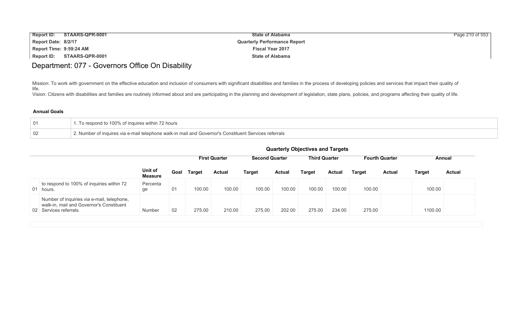| <b>Report ID:</b>       | STAARS-QPR-0001 | <b>State of Alabama</b>             | Page 210 of 553 |
|-------------------------|-----------------|-------------------------------------|-----------------|
| Report Date: 8/2/17     |                 | <b>Quarterly Performance Report</b> |                 |
| Report Time: 9:59:24 AM |                 | <b>Fiscal Year 2017</b>             |                 |
| Report ID:              | STAARS-QPR-0001 | <b>State of Alabama</b>             |                 |

# Department: 077 - Governors Office On Disability

Mission: To work with government on the effective education and inclusion of consumers with significant disabilities and families in the process of developing policies and services that impact their quality of life. Vision: Citizens with disabilities and families are routinely informed about and are participating in the planning and development of legislation, state plans, policies, and programs affecting their quality of life.

| 01 | To respond to 100% of inquires within 72 hours                                                       |
|----|------------------------------------------------------------------------------------------------------|
| 02 | '. Number of inquires via e-mail telephone walk-in mail and Governor's Constituent Serv<br>reterrals |

|                                                                                                                  | <b>Quarterly Objectives and Targets</b><br><b>Third Quarter</b><br><b>Second Quarter</b><br><b>Fourth Quarter</b><br><b>First Quarter</b><br>Annual |      |        |               |               |               |               |               |        |               |         |               |
|------------------------------------------------------------------------------------------------------------------|-----------------------------------------------------------------------------------------------------------------------------------------------------|------|--------|---------------|---------------|---------------|---------------|---------------|--------|---------------|---------|---------------|
|                                                                                                                  | Unit of<br><b>Measure</b>                                                                                                                           | Goal | Target | <b>Actual</b> | <b>Target</b> | <b>Actual</b> | <b>Target</b> | <b>Actual</b> | Target | <b>Actual</b> | Target  | <b>Actual</b> |
| to respond to 100% of inquiries within 72<br>01 hours.                                                           | Percenta<br>ge                                                                                                                                      | 01   | 100.00 | 100.00        | 100.00        | 100.00        | 100.00        | 100.00        | 100.00 |               | 100.00  |               |
| Number of inquiries via e-mail, telephone,<br>walk-in, mail and Governor's Constituent<br>02 Services referrals. | Number                                                                                                                                              | 02   | 275.00 | 210.00        | 275.00        | 202.00        | 275.00        | 234.00        | 275.00 |               | 1100.00 |               |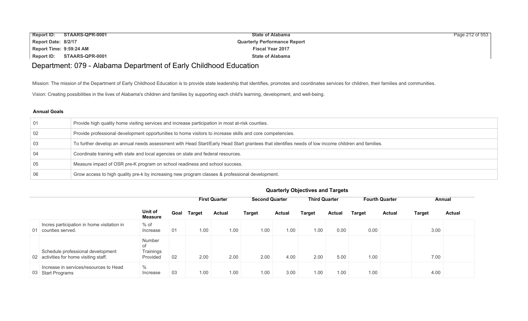| Report ID: STAARS-QPR-0001 | <b>State of Alabama</b>             | Page 212 of 553 |
|----------------------------|-------------------------------------|-----------------|
| Report Date: 8/2/17        | <b>Quarterly Performance Report</b> |                 |
| Report Time: 9:59:24 AM    | <b>Fiscal Year 2017</b>             |                 |
| Report ID: STAARS-QPR-0001 | <b>State of Alabama</b>             |                 |

## Department: 079 - Alabama Department of Early Childhood Education

Mission: The mission of the Department of Early Childhood Education is to provide state leadership that identifies, promotes and coordinates services for children, their families and communities.

Vision: Creating possibilities in the lives of Alabama's children and families by supporting each child's learning, development, and well-being.

## **Annual Goals**

| 0 <sub>1</sub> | Provide high quality home visiting services and increase participation in most at-risk counties.                                                   |
|----------------|----------------------------------------------------------------------------------------------------------------------------------------------------|
| 02             | Provide professional development opportunities to home visitors to increase skills and core competencies.                                          |
| 03             | To further develop an annual needs assessment with Head Start/Early Head Start grantees that identifies needs of low income children and families. |
| 04             | Coordinate training with state and local agencies on state and federal resources.                                                                  |
| 05             | Measure impact of OSR pre-K program on school readiness and school success.                                                                        |
| 06             | Grow access to high quality pre-k by increasing new program classes & professional development.                                                    |

|                                                                             |                                       |      |               | <b>First Quarter</b> |               | <b>Second Quarter</b><br><b>Third Quarter</b> |        |        |               | <b>Fourth Quarter</b> | Annual        |               |  |
|-----------------------------------------------------------------------------|---------------------------------------|------|---------------|----------------------|---------------|-----------------------------------------------|--------|--------|---------------|-----------------------|---------------|---------------|--|
|                                                                             | Unit of<br><b>Measure</b>             | Goal | <b>Target</b> | <b>Actual</b>        | <b>Target</b> | <b>Actual</b>                                 | Target | Actual | <b>Target</b> | <b>Actual</b>         | <b>Target</b> | <b>Actual</b> |  |
| Incres participation in home visitation in<br>01 counties served.           | $%$ of<br>Increase                    | 01   | 1.00          | 1.00                 | 1.00          | 1.00                                          | 1.00   | 0.00   | 0.00          |                       | 3.00          |               |  |
| Schedule professional development<br>02 activities for home visiting staff. | Number<br>of<br>Trainings<br>Provided | 02   | 2.00          | 2.00                 | 2.00          | 4.00                                          | 2.00   | 5.00   | 1.00          |                       | 7.00          |               |  |
| Increase in services/resources to Head<br>03 Start Programs                 | $\%$<br>Increase                      | 03   | 1.00          | 1.00                 | 1.00          | 3.00                                          | 1.00   | 1.00   | 1.00          |                       | 4.00          |               |  |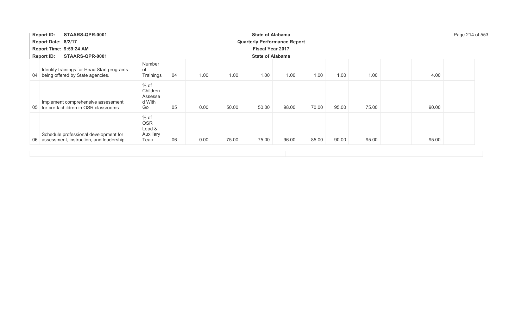| STAARS-QPR-0001<br><b>Report ID:</b>                                                 |                                                     |                                     |      | Page 214 of 553 |                         |       |       |       |       |       |
|--------------------------------------------------------------------------------------|-----------------------------------------------------|-------------------------------------|------|-----------------|-------------------------|-------|-------|-------|-------|-------|
| Report Date: 8/2/17                                                                  |                                                     | <b>Quarterly Performance Report</b> |      |                 |                         |       |       |       |       |       |
| Report Time: 9:59:24 AM                                                              |                                                     |                                     |      |                 | <b>Fiscal Year 2017</b> |       |       |       |       |       |
| STAARS-QPR-0001<br><b>Report ID:</b>                                                 |                                                     |                                     |      |                 | <b>State of Alabama</b> |       |       |       |       |       |
| Identify trainings for Head Start programs<br>04 being offered by State agencies.    | Number<br>of<br>Trainings                           | 04                                  | 1.00 | 1.00            | 1.00                    | 1.00  | 1.00  | 1.00  | 1.00  | 4.00  |
| Implement comprehensive assessment<br>05 for pre-k children in OSR classrooms        | % of<br>Children<br>Assesse<br>d With<br>Go         | 05                                  | 0.00 | 50.00           | 50.00                   | 98.00 | 70.00 | 95.00 | 75.00 | 90.00 |
| Schedule professional development for<br>06 assessment, instruction, and leadership. | $%$ of<br><b>OSR</b><br>Lead &<br>Auxillary<br>Teac | 06                                  | 0.00 | 75.00           | 75.00                   | 96.00 | 85.00 | 90.00 | 95.00 | 95.00 |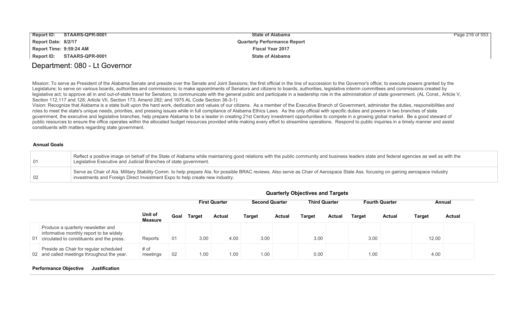| <b>Report ID:</b>       | STAARS-QPR-0001 | <b>State of Alabama</b>             | Page 216 of 553 |
|-------------------------|-----------------|-------------------------------------|-----------------|
| Report Date: 8/2/17     |                 | <b>Quarterly Performance Report</b> |                 |
| Report Time: 9:59:24 AM |                 | <b>Fiscal Year 2017</b>             |                 |
| Report ID:              | STAARS-QPR-0001 | <b>State of Alabama</b>             |                 |

## Department: 080 - Lt Governor

Mission: To serve as President of the Alabama Senate and preside over the Senate and Joint Sessions; the first official in the line of succession to the Governor's office; to execute powers granted by the Legislature; to serve on various boards, authorities and commissions; to make appointments of Senators and citizens to boards, authorities, legislative interim committees and commissions created by legislative act; to approve all in and out-of-state travel for Senators; to communicate with the general public and participate in a leadership role in the administration of state government. (AL Const., Article V, Section 112,117 and 128; Article VII, Section 173; Amend 282; and 1975 AL Code Section 36-3-1)

Vision: Recognize that Alabama is a state built upon the hard work, dedication and values of our citizens. As a member of the Executive Branch of Government, administer the duties, responsibilities and roles to meet the state's unique needs, priorities, and pressing issues while in full compliance of Alabama Ethics Laws. As the only official with specific duties and powers in two branches of state government, the executive and legislative branches, help prepare Alabama to be a leader in creating 21st Century investment opportunities to compete in a growing global market. Be a good steward of public resources to ensure the office operates within the allocated budget resources provided while making every effort to streamline operations. Respond to public inquiries in a timely manner and assist constituents with matters regarding state government.

#### **Annual Goals**

| $\sqrt{01}$ | Reflect a positive image on behalf of the State of Alabama while maintaining good relations with the public community and business leaders state and federal agencies as well as with the<br>Legislative Executive and Judicial Branches of state government.     |
|-------------|-------------------------------------------------------------------------------------------------------------------------------------------------------------------------------------------------------------------------------------------------------------------|
| 02          | Serve as Chair of Ala. Military Stability Comm. to help prepare Ala. for possible BRAC reviews. Also serve as Chair of Aerospace State Ass. focusing on gaining aerospace industry<br>investments and Foreign Direct Investment Expo to help create new industry. |

|                                                                                                                               | <b>QUATION ODJECTIVES AND THIS</b> |      |               |                      |                                               |               |               |               |                       |               |               |               |
|-------------------------------------------------------------------------------------------------------------------------------|------------------------------------|------|---------------|----------------------|-----------------------------------------------|---------------|---------------|---------------|-----------------------|---------------|---------------|---------------|
|                                                                                                                               |                                    |      |               | <b>First Quarter</b> | <b>Third Quarter</b><br><b>Second Quarter</b> |               |               |               | <b>Fourth Quarter</b> | Annual        |               |               |
|                                                                                                                               | Unit of<br><b>Measure</b>          | Goal | <b>Target</b> | <b>Actual</b>        | <b>Target</b>                                 | <b>Actual</b> | <b>Target</b> | <b>Actual</b> | <b>Target</b>         | <b>Actual</b> | <b>Target</b> | <b>Actual</b> |
| Produce a quarterly newsletter and<br>informative monthly report to be widely<br>01 circulated to constituents and the press. | Reports                            | 01   | 3.00          | 4.00                 | 3.00                                          |               | 3.00          |               | 3.00                  |               | 12.00         |               |
| Preside as Chair for regular scheduled<br>02 and called meetings throughout the year.                                         | # of<br>meetings                   | 02   | 1.00          | 00.1                 | 1.00                                          |               | 0.00          |               | 1.00                  |               | 4.00          |               |

### **Quarterly Objectives and Targets**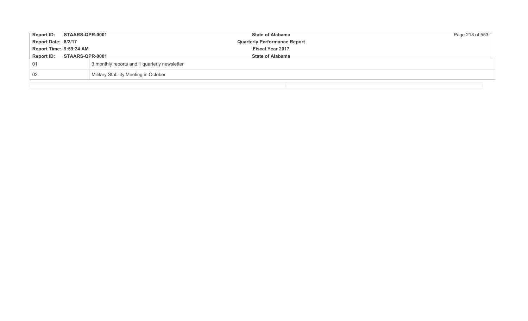| Report ID: STAARS-QPR-0001 |                 |                                              | <b>State of Alabama</b>             | Page 218 of 553 |
|----------------------------|-----------------|----------------------------------------------|-------------------------------------|-----------------|
| Report Date: 8/2/17        |                 |                                              | <b>Quarterly Performance Report</b> |                 |
| Report Time: 9:59:24 AM    |                 |                                              | <b>Fiscal Year 2017</b>             |                 |
| <b>Report ID:</b>          | STAARS-QPR-0001 |                                              | <b>State of Alabama</b>             |                 |
| 01                         |                 | 3 monthly reports and 1 quarterly newsletter |                                     |                 |
| 02                         |                 | Military Stability Meeting in October        |                                     |                 |
|                            |                 |                                              |                                     |                 |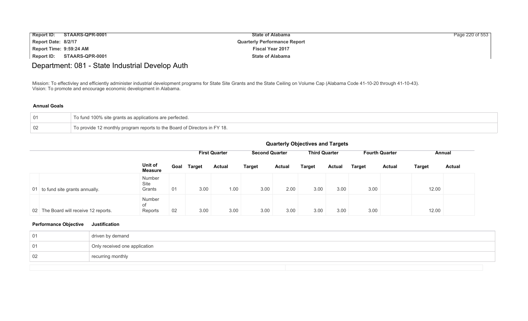| <b>Report ID:</b><br>STAARS-QPR-0001 | <b>State of Alabama</b>             | Page 220 of 553 |
|--------------------------------------|-------------------------------------|-----------------|
| Report Date: 8/2/17                  | <b>Quarterly Performance Report</b> |                 |
| Report Time: 9:59:24 AM              | <b>Fiscal Year 2017</b>             |                 |
| Report ID:<br>STAARS-QPR-0001        | <b>State of Alabama</b>             |                 |

# Department: 081 - State Industrial Develop Auth

Mission: To effectivley and efficiently administer industrial development programs for State Site Grants and the State Ceiling on Volume Cap (Alabama Code 41-10-20 through 41-10-43). Vision: To promote and encourage economic development in Alabama.

### **Annual Goals**

| 01 | To fund 100% site grants as applications are perfected.                   |
|----|---------------------------------------------------------------------------|
| 02 | To provide 12 monthly program reports to the Board of Directors in FY 18. |

|                                       | <b>Quarterly Objectives and Targets</b> |      |               |                      |                       |               |                      |        |               |                       |               |               |
|---------------------------------------|-----------------------------------------|------|---------------|----------------------|-----------------------|---------------|----------------------|--------|---------------|-----------------------|---------------|---------------|
|                                       |                                         |      |               | <b>First Quarter</b> | <b>Second Quarter</b> |               | <b>Third Quarter</b> |        |               | <b>Fourth Quarter</b> |               | Annual        |
|                                       | Unit of<br><b>Measure</b>               | Goal | <b>Target</b> | <b>Actual</b>        | <b>Target</b>         | <b>Actual</b> | <b>Target</b>        | Actual | <b>Target</b> | <b>Actual</b>         | <b>Target</b> | <b>Actual</b> |
| 01 to fund site grants annually.      | Number<br>Site<br>Grants                | 01   | 3.00          | 1.00                 | 3.00                  | 2.00          | 3.00                 | 3.00   | 3.00          |                       | 12.00         |               |
| 02 The Board will receive 12 reports. | <b>Number</b><br>of<br>Reports          | 02   | 3.00          | 3.00                 | 3.00                  | 3.00          | 3.00                 | 3.00   | 3.00          |                       | 12.00         |               |

| 01 | driven by demand              |
|----|-------------------------------|
| 01 | Only received one application |
| 02 | recurring monthly             |
|    |                               |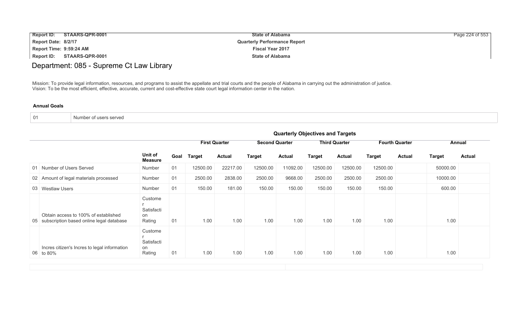| <b>Report ID:</b><br>STAARS-QPR-0001 | <b>State of Alabama</b>             | Page 224 of 553 |
|--------------------------------------|-------------------------------------|-----------------|
| Report Date: 8/2/17                  | <b>Quarterly Performance Report</b> |                 |
| Report Time: 9:59:24 AM              | <b>Fiscal Year 2017</b>             |                 |
| Report ID:<br>STAARS-QPR-0001        | <b>State of Alabama</b>             |                 |

# Department: 085 - Supreme Ct Law Library

Mission: To provide legal information, resources, and programs to assist the appellate and trial courts and the people of Alabama in carrying out the administration of justice. Vision: To be the most efficient, effective, accurate, current and cost-effective state court legal information center in the nation.

| -01<br>Number of users served |  |
|-------------------------------|--|
|-------------------------------|--|

|                                                                                     | <b>Quarterly Objectives and Targets</b> |    |             |                      |                       |               |               |                      |                       |               |               |               |
|-------------------------------------------------------------------------------------|-----------------------------------------|----|-------------|----------------------|-----------------------|---------------|---------------|----------------------|-----------------------|---------------|---------------|---------------|
|                                                                                     |                                         |    |             | <b>First Quarter</b> | <b>Second Quarter</b> |               |               | <b>Third Quarter</b> | <b>Fourth Quarter</b> |               |               | Annual        |
|                                                                                     | Unit of<br><b>Measure</b>               |    | Goal Target | <b>Actual</b>        | <b>Target</b>         | <b>Actual</b> | <b>Target</b> | <b>Actual</b>        | <b>Target</b>         | <b>Actual</b> | <b>Target</b> | <b>Actual</b> |
| 01 Number of Users Served                                                           | Number                                  | 01 | 12500.00    | 22217.00             | 12500.00              | 11092.00      | 12500.00      | 12500.00             | 12500.00              |               | 50000.00      |               |
| 02 Amount of legal materials processed                                              | Number                                  | 01 | 2500.00     | 2838.00              | 2500.00               | 9668.00       | 2500.00       | 2500.00              | 2500.00               |               | 10000.00      |               |
| 03 Westlaw Users                                                                    | Number                                  | 01 | 150.00      | 181.00               | 150.00                | 150.00        | 150.00        | 150.00               | 150.00                |               | 600.00        |               |
| Obtain access to 100% of established<br>05 subscription based online legal database | Custome<br>Satisfacti<br>on<br>Rating   | 01 | 1.00        | 1.00                 | 1.00                  | 1.00          | 1.00          | 1.00                 | 1.00                  |               | 1.00          |               |
| Incres citizen's Incres to legal information<br>06 to 80%                           | Custome<br>Satisfacti<br>on<br>Rating   | 01 | 1.00        | 1.00                 | 1.00                  | 1.00          | 1.00          | 1.00                 | 1.00                  |               | 1.00          |               |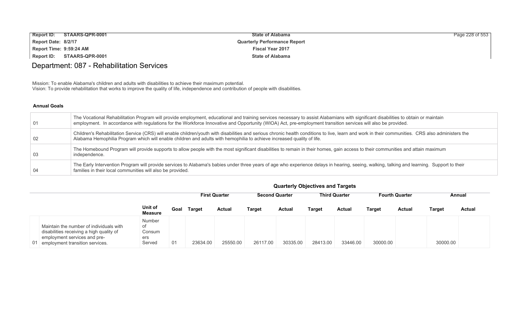| <b>Report ID:</b><br>STAARS-QPR-0001 | <b>State of Alabama</b>             | Page 228 of 553 |
|--------------------------------------|-------------------------------------|-----------------|
| Report Date: 8/2/17                  | <b>Quarterly Performance Report</b> |                 |
| Report Time: 9:59:24 AM              | <b>Fiscal Year 2017</b>             |                 |
| STAARS-QPR-0001<br>Report ID:        | <b>State of Alabama</b>             |                 |

# Department: 087 - Rehabilitation Services

Mission: To enable Alabama's children and adults with disabilities to achieve their maximum potential. Vision: To provide rehabilitation that works to improve the quality of life, independence and contribution of people with disabilities.

### **Annual Goals**

| 01  | The Vocational Rehabilitation Program will provide employment, educational and training services necessary to assist Alabamians with significant disabilities to obtain or maintain<br>employment. In accordance with regulations for the Workforce Innovative and Opportunity (WIOA) Act, pre-employment transition services will also be provided. |
|-----|------------------------------------------------------------------------------------------------------------------------------------------------------------------------------------------------------------------------------------------------------------------------------------------------------------------------------------------------------|
| -02 | Children's Rehabilitation Service (CRS) will enable children/youth with disabilities and serious chronic health conditions to live, learn and work in their communities. CRS also administers the<br>Alabama Hemophilia Program which will enable children and adults with hemophilia to achieve increased quality of life.                          |
| -03 | The Homebound Program will provide supports to allow people with the most significant disabilities to remain in their homes, gain access to their communities and attain maximum<br>independence.                                                                                                                                                    |
| -04 | The Early Intervention Program will provide services to Alabama's babies under three years of age who experience delays in hearing, seeing, walking, talking and learning. Support to their<br>families in their local communities will also be provided.                                                                                            |

|                                                                                                                                                           | Quarterly Objectives and Targets               |                                                                                                          |               |               |               |               |          |          |          |               |               |               |  |
|-----------------------------------------------------------------------------------------------------------------------------------------------------------|------------------------------------------------|----------------------------------------------------------------------------------------------------------|---------------|---------------|---------------|---------------|----------|----------|----------|---------------|---------------|---------------|--|
|                                                                                                                                                           |                                                | <b>Second Quarter</b><br><b>Third Quarter</b><br><b>First Quarter</b><br><b>Fourth Quarter</b><br>Annual |               |               |               |               |          |          |          |               |               |               |  |
|                                                                                                                                                           | Unit of<br>Measure                             | Goal                                                                                                     | <b>Target</b> | <b>Actual</b> | <b>Target</b> | <b>Actual</b> | Target   | Actual   | Target   | <b>Actual</b> | <b>Target</b> | <b>Actual</b> |  |
| Maintain the number of individuals with<br>disabilities receiving a high quality of<br>employment services and pre-<br>01 employment transition services. | <b>Number</b><br>of<br>Consum<br>ers<br>Served | 01                                                                                                       | 23634.00      | 25550.00      | 26117.00      | 30335.00      | 28413.00 | 33446.00 | 30000.00 |               | 30000.00      |               |  |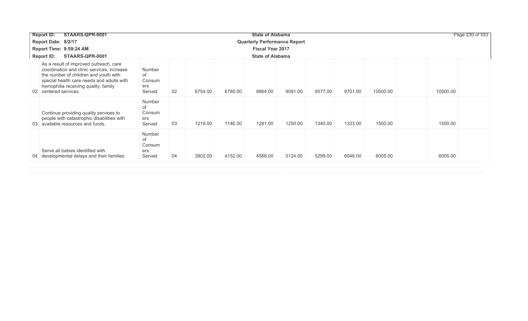| STAARS-QPR-0001<br><b>Report ID:</b>                                                                                                                                                                                                        |                                         |                                     |         |         | <b>State of Alabama</b> |         |         |         |          |          | Page 230 of 553 |
|---------------------------------------------------------------------------------------------------------------------------------------------------------------------------------------------------------------------------------------------|-----------------------------------------|-------------------------------------|---------|---------|-------------------------|---------|---------|---------|----------|----------|-----------------|
| Report Date: 8/2/17                                                                                                                                                                                                                         |                                         | <b>Quarterly Performance Report</b> |         |         |                         |         |         |         |          |          |                 |
| Report Time: 9:59:24 AM                                                                                                                                                                                                                     |                                         |                                     |         |         | <b>Fiscal Year 2017</b> |         |         |         |          |          |                 |
| <b>Report ID:</b><br>STAARS-QPR-0001                                                                                                                                                                                                        |                                         |                                     |         |         | <b>State of Alabama</b> |         |         |         |          |          |                 |
| As a result of improved outreach, care<br>coordination and clinic services, increase<br>the number of children and youth with<br>special health care needs and adults with<br>hemophilia receiving quality, family<br>02 centered services. | Number<br>of<br>Consum<br>ers<br>Served | 02                                  | 6754.00 | 6785.00 | 8864.00                 | 9091.00 | 9577.00 | 9701.00 | 10500.00 | 10500.00 |                 |
| Continue providing quality services to<br>people with catastrophic disabilities with<br>03 available resources and funds.                                                                                                                   | Number<br>of<br>Consum<br>ers<br>Served | 03                                  | 1219.00 | 1146.00 | 1281.00                 | 1250.00 | 1340.00 | 1333.00 | 1500.00  | 1500.00  |                 |
| Serve all babies identified with<br>04 developmental delays and their families.                                                                                                                                                             | Number<br>of<br>Consum<br>ers<br>Served | 04                                  | 3802.00 | 4152.00 | 4568.00                 | 5124.00 | 5299.00 | 6048.00 | 6005.00  | 6005.00  |                 |
|                                                                                                                                                                                                                                             |                                         |                                     |         |         |                         |         |         |         |          |          |                 |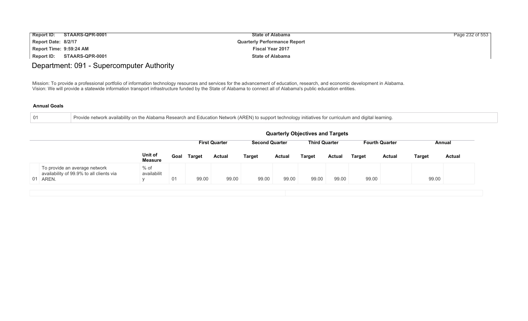| <b>Report ID:</b><br>STAARS-QPR-0001 | <b>State of Alabama</b>             | Page 232 of 553 |
|--------------------------------------|-------------------------------------|-----------------|
| Report Date: 8/2/17                  | <b>Quarterly Performance Report</b> |                 |
| Report Time: 9:59:24 AM              | <b>Fiscal Year 2017</b>             |                 |
| Report ID:<br>STAARS-QPR-0001        | <b>State of Alabama</b>             |                 |

## Department: 091 - Supercomputer Authority

Mission: To provide a professional portfolio of information technology resources and services for the advancement of education, research, and economic development in Alabama. Vision: We will provide a statewide information transport infrastructure funded by the State of Alabama to connect all of Alabama's public education entities.

|  |  | Provide network availability on the Alabama Research and Education Network (AREN) to support technology initiatives for curriculum and digital learning. |  |
|--|--|----------------------------------------------------------------------------------------------------------------------------------------------------------|--|
|  |  |                                                                                                                                                          |  |

|                                                                                       |                           |      |               |                      |                       |               | <b>Quarterly Objectives and Targets</b> |        |                       |               |               |               |
|---------------------------------------------------------------------------------------|---------------------------|------|---------------|----------------------|-----------------------|---------------|-----------------------------------------|--------|-----------------------|---------------|---------------|---------------|
|                                                                                       |                           |      |               | <b>First Quarter</b> | <b>Second Quarter</b> |               | <b>Third Quarter</b>                    |        | <b>Fourth Quarter</b> |               | Annual        |               |
|                                                                                       | Unit of<br><b>Measure</b> | Goal | <b>Target</b> | <b>Actual</b>        | <b>Target</b>         | <b>Actual</b> | <b>Target</b>                           | Actual | <b>Target</b>         | <b>Actual</b> | <b>Target</b> | <b>Actual</b> |
| To provide an average network<br>availability of 99.9% to all clients via<br>01 AREN. | $%$ of<br>availabilit     | 01   | 99.00         | 99.00                | 99.00                 | 99.00         | 99.00                                   | 99.00  | 99.00                 |               | 99.00         |               |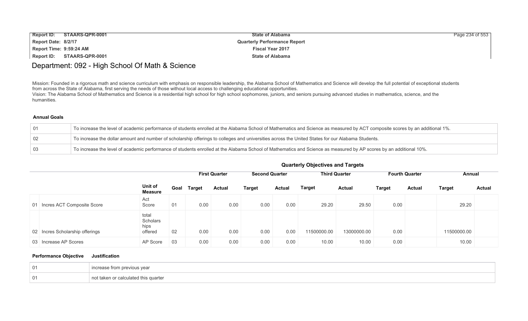| <b>Report ID:</b>       | STAARS-QPR-0001 | <b>State of Alabama</b>             | Page 234 of 553 |
|-------------------------|-----------------|-------------------------------------|-----------------|
| Report Date: 8/2/17     |                 | <b>Quarterly Performance Report</b> |                 |
| Report Time: 9:59:24 AM |                 | <b>Fiscal Year 2017</b>             |                 |
| Report ID:              | STAARS-QPR-0001 | <b>State of Alabama</b>             |                 |

## Department: 092 - High School Of Math & Science

Mission: Founded in a rigorous math and science curriculum with emphasis on responsible leadership, the Alabama School of Mathematics and Science will develop the full potential of exceptional students from across the State of Alabama, first serving the needs of those without local access to challenging educational opportunities. Vision: The Alabama School of Mathematics and Science is a residential high school for high school sophomores, juniors, and seniors pursuing advanced studies in mathematics, science, and the humanities.

#### **Annual Goals**

| 01 | To increase the level of academic performance of students enrolled at the Alabama School of Mathematics and Science as measured by ACT composite scores by an additional 1%. |
|----|------------------------------------------------------------------------------------------------------------------------------------------------------------------------------|
| 02 | To increase the dollar amount and number of scholarship offerings to colleges and universities across the United States for our Alabama Students.                            |
| 03 | To increase the level of academic performance of students enrolled at the Alabama School of Mathematics and Science as measured by AP scores by an additional 10%.           |

## **Quarterly Objectives and Targets**

|                                 |                                      |    | <b>First Quarter</b> |               | <b>Second Quarter</b> |               | <b>Third Quarter</b> |               | <b>Fourth Quarter</b> |               | Annual        |               |
|---------------------------------|--------------------------------------|----|----------------------|---------------|-----------------------|---------------|----------------------|---------------|-----------------------|---------------|---------------|---------------|
|                                 | Unit of<br><b>Measure</b>            |    | Goal Target          | <b>Actual</b> | <b>Target</b>         | <b>Actual</b> | <b>Target</b>        | <b>Actual</b> | Target                | <b>Actual</b> | <b>Target</b> | <b>Actual</b> |
| 01 Incres ACT Composite Score   | Act<br>Score                         | 01 | 0.00                 | 0.00          | 0.00                  | 0.00          | 29.20                | 29.50         | 0.00                  |               | 29.20         |               |
| 02 Incres Scholarship offerings | total<br>Scholars<br>hips<br>offered | 02 | 0.00                 | 0.00          | 0.00                  | 0.00          | 11500000.00          | 13000000.00   | 0.00                  |               | 11500000.00   |               |
| 03 Increase AP Scores           | AP Score                             | 03 | 0.00                 | 0.00          | 0.00                  | 0.00          | 10.00                | 10.00         | 0.00                  |               | 10.00         |               |

| - 01 | פמו פוו |
|------|---------|
| - 01 | quarte  |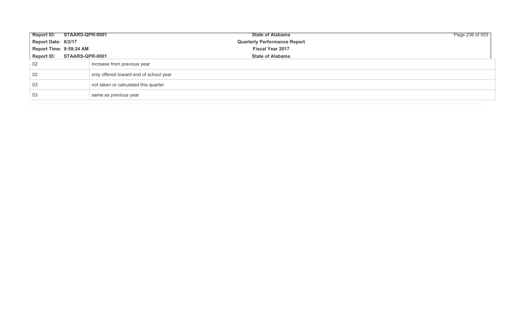| Report ID: STAARS-QPR-0001 |                                        | <b>State of Alabama</b>             | Page 236 of 553 |  |  |  |  |
|----------------------------|----------------------------------------|-------------------------------------|-----------------|--|--|--|--|
| Report Date: 8/2/17        |                                        | <b>Quarterly Performance Report</b> |                 |  |  |  |  |
| Report Time: 9:59:24 AM    |                                        | <b>Fiscal Year 2017</b>             |                 |  |  |  |  |
| Report ID: STAARS-QPR-0001 |                                        | <b>State of Alabama</b>             |                 |  |  |  |  |
| 02                         | increase from previous year            |                                     |                 |  |  |  |  |
| 02                         | only offered toward end of school year |                                     |                 |  |  |  |  |
| -03                        | not taken or calculated this quarter   |                                     |                 |  |  |  |  |
| -03                        | same as previous year                  |                                     |                 |  |  |  |  |
|                            |                                        |                                     |                 |  |  |  |  |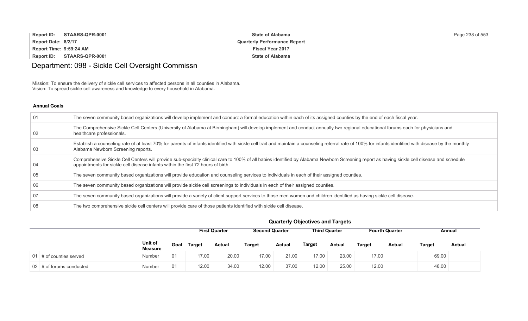| Report ID: STAARS-QPR-0001        | <b>State of Alabama</b>             | Page 238 of 553 |
|-----------------------------------|-------------------------------------|-----------------|
| Report Date: 8/2/17               | <b>Quarterly Performance Report</b> |                 |
| Report Time: 9:59:24 AM           | <b>Fiscal Year 2017</b>             |                 |
| <b>Report ID: STAARS-QPR-0001</b> | <b>State of Alabama</b>             |                 |

# Department: 098 - Sickle Cell Oversight Commissn

Mission: To ensure the delivery of sickle cell services to affected persons in all counties in Alabama. Vision: To spread sickle cell awareness and knowledge to every household in Alabama.

#### **Annual Goals**

| 01  | The seven community based organizations will develop implement and conduct a formal education within each of its assigned counties by the end of each fiscal year.                                                                                                             |
|-----|--------------------------------------------------------------------------------------------------------------------------------------------------------------------------------------------------------------------------------------------------------------------------------|
| 02  | The Comprehensive Sickle Cell Centers (University of Alabama at Birmingham) will develop implement and conduct annually two regional educational forums each for physicians and<br>healthcare professionals.                                                                   |
| -03 | Establish a counseling rate of at least 70% for parents of infants identified with sickle cell trait and maintain a counseling referral rate of 100% for infants identified with disease by the monthly<br>Alabama Newborn Screening reports.                                  |
| -04 | Comprehensive Sickle Cell Centers will provide sub-specialty clinical care to 100% of all babies identified by Alabama Newborn Screening report as having sickle cell disease and schedule<br>appointments for sickle cell disease infants within the first 72 hours of birth. |
| -05 | The seven community based organizations will provide education and counseling services to individuals in each of their assigned counties.                                                                                                                                      |
| -06 | The seven community based organizations will provide sickle cell screenings to individuals in each of their assigned counties.                                                                                                                                                 |
| -07 | The seven community based organizations will provide a variety of client support services to those men women and children identified as having sickle cell disease.                                                                                                            |
| -08 | The two comprehensive sickle cell centers will provide care of those patients identified with sickle cell disease.                                                                                                                                                             |

|                             |                           |      | <b>First Quarter</b> |               | <b>Second Quarter</b> |               | <b>Third Quarter</b> |        | <b>Fourth Quarter</b> |        | Annual |               |
|-----------------------------|---------------------------|------|----------------------|---------------|-----------------------|---------------|----------------------|--------|-----------------------|--------|--------|---------------|
|                             | Unit of<br><b>Measure</b> | Goal | <b>Target</b>        | <b>Actual</b> | <b>Target</b>         | <b>Actual</b> | Target               | Actual | Target                | Actual | Target | <b>Actual</b> |
| 01 $\#$ of counties served  | Number                    | 01   | 17.00                | 20.00         | 17.00                 | 21.00         | 17.00                | 23.00  | 17.00                 |        | 69.00  |               |
| $02 \#$ of forums conducted | Number                    | 01   | 12.00                | 34.00         | 12.00                 | 37.00         | 12.00                | 25.00  | 12.00                 |        | 48.00  |               |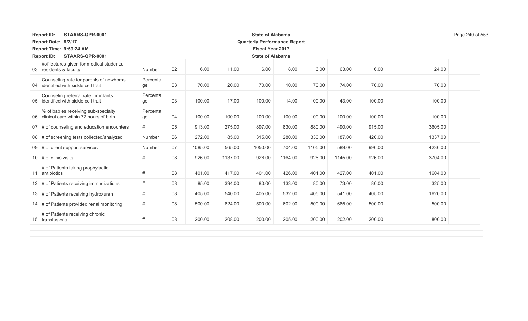| STAARS-QPR-0001<br><b>Report ID:</b>                                             |                |    |         |         | <b>State of Alabama</b>             |         |         |         |        |         | Page 240 of 553 |  |
|----------------------------------------------------------------------------------|----------------|----|---------|---------|-------------------------------------|---------|---------|---------|--------|---------|-----------------|--|
| Report Date: 8/2/17                                                              |                |    |         |         | <b>Quarterly Performance Report</b> |         |         |         |        |         |                 |  |
| Report Time: 9:59:24 AM                                                          |                |    |         |         | <b>Fiscal Year 2017</b>             |         |         |         |        |         |                 |  |
| <b>Report ID:</b><br>STAARS-QPR-0001<br><b>State of Alabama</b>                  |                |    |         |         |                                     |         |         |         |        |         |                 |  |
| #of lectures given for medical students,<br>03 residents & faculty               | Number         | 02 | 6.00    | 11.00   | 6.00                                | 8.00    | 6.00    | 63.00   | 6.00   | 24.00   |                 |  |
| Counseling rate for parents of newborns<br>04 identified with sickle cell trait  | Percenta<br>ge | 03 | 70.00   | 20.00   | 70.00                               | 10.00   | 70.00   | 74.00   | 70.00  | 70.00   |                 |  |
| Counseling referral rate for infants<br>05 identified with sickle cell trait     | Percenta<br>ge | 03 | 100.00  | 17.00   | 100.00                              | 14.00   | 100.00  | 43.00   | 100.00 | 100.00  |                 |  |
| % of babies receiving sub-specialty<br>06 clinical care within 72 hours of birth | Percenta<br>ge | 04 | 100.00  | 100.00  | 100.00                              | 100.00  | 100.00  | 100.00  | 100.00 | 100.00  |                 |  |
| 07 # of counseling and education encounters                                      | #              | 05 | 913.00  | 275.00  | 897.00                              | 830.00  | 880.00  | 490.00  | 915.00 | 3605.00 |                 |  |
| 08 # of screening tests collected/analyzed                                       | Number         | 06 | 272.00  | 85.00   | 315.00                              | 280.00  | 330.00  | 187.00  | 420.00 | 1337.00 |                 |  |
| 09 # of client support services                                                  | Number         | 07 | 1085.00 | 565.00  | 1050.00                             | 704.00  | 1105.00 | 589.00  | 996.00 | 4236.00 |                 |  |
| 10 $\#$ of clinic visits                                                         | $\#$           | 08 | 926.00  | 1137.00 | 926.00                              | 1164.00 | 926.00  | 1145.00 | 926.00 | 3704.00 |                 |  |
| # of Patients taking prophylactic<br>11 antibiotics                              | #              | 08 | 401.00  | 417.00  | 401.00                              | 426.00  | 401.00  | 427.00  | 401.00 | 1604.00 |                 |  |
| 12 # of Patients receiving immunizations                                         | $\#$           | 08 | 85.00   | 394.00  | 80.00                               | 133.00  | 80.00   | 73.00   | 80.00  | 325.00  |                 |  |
| 13 # of Patients receiving hydroxuren                                            | $\#$           | 08 | 405.00  | 540.00  | 405.00                              | 532.00  | 405.00  | 541.00  | 405.00 | 1620.00 |                 |  |
| 14 # of Patients provided renal monitoring                                       | $\#$           | 08 | 500.00  | 624.00  | 500.00                              | 602.00  | 500.00  | 665.00  | 500.00 | 500.00  |                 |  |
| # of Patients receiving chronic<br>15 transfusions                               | $\#$           | 08 | 200.00  | 208.00  | 200.00                              | 205.00  | 200.00  | 202.00  | 200.00 | 800.00  |                 |  |
|                                                                                  |                |    |         |         |                                     |         |         |         |        |         |                 |  |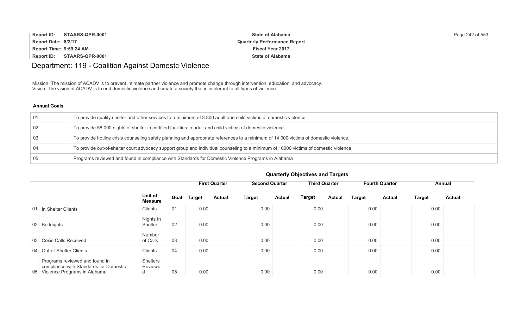| <b>Report ID:</b>       | STAARS-QPR-0001 | <b>State of Alabama</b>             | Page 242 of 553 |
|-------------------------|-----------------|-------------------------------------|-----------------|
| Report Date: 8/2/17     |                 | <b>Quarterly Performance Report</b> |                 |
| Report Time: 9:59:24 AM |                 | <b>Fiscal Year 2017</b>             |                 |
| Report ID:              | STAARS-QPR-0001 | <b>State of Alabama</b>             |                 |

# Department: 119 - Coalition Against Domestc Violence

Mission: The mission of ACADV is to prevent intimate partner violence and promote change through intervention, education, and advocacy. Vision: The vision of ACADV is to end domestic violence and create a society that is intolerant to all types of violence.

#### **Annual Goals**

| 01  | To provide quality shelter and other services to a minimum of 3 800 adult and child victims of domestic violence.                    |
|-----|--------------------------------------------------------------------------------------------------------------------------------------|
| 02  | To provide 58 000 nights of shelter in certified facilities to adult and child victims of domestic violence.                         |
| -03 | To provide hotline crisis counseling safety planning and appropriate references to a minimum of 14 000 victims of domestic violence. |
| -04 | To provide out-of-shelter court advocacy support group and individual counseling to a minimum of 16000 victims of domestic violence. |
| 05  | Programs reviewed and found in compliance with Standards for Domestic Violence Programs in Alabama                                   |

|                                                                                                             |                                 |      | <b>First Quarter</b> |               | <b>Second Quarter</b> |               |               | <b>Third Quarter</b> |               | <b>Fourth Quarter</b> |               | Annual        |  |
|-------------------------------------------------------------------------------------------------------------|---------------------------------|------|----------------------|---------------|-----------------------|---------------|---------------|----------------------|---------------|-----------------------|---------------|---------------|--|
|                                                                                                             | Unit of<br><b>Measure</b>       | Goal | <b>Target</b>        | <b>Actual</b> | <b>Target</b>         | <b>Actual</b> | <b>Target</b> | <b>Actual</b>        | <b>Target</b> | <b>Actual</b>         | <b>Target</b> | <b>Actual</b> |  |
| 01 In Shelter Clients                                                                                       | Clients                         | 01   | 0.00                 |               | 0.00                  |               | 0.00          |                      | 0.00          |                       | 0.00          |               |  |
| 02 Bednights                                                                                                | Nights In<br>Shelter            | -02  | 0.00                 |               | 0.00                  |               | 0.00          |                      | 0.00          |                       | 0.00          |               |  |
| 03 Crisis Calls Received                                                                                    | Number<br>of Calls              | 03   | 0.00                 |               | 0.00                  |               | 0.00          |                      | 0.00          |                       | 0.00          |               |  |
| 04 Out-of-Shelter Clients                                                                                   | Clients                         | 04   | 0.00                 |               | 0.00                  |               | 0.00          |                      | 0.00          |                       | 0.00          |               |  |
| Programs reviewed and found in<br>compliance with Standards for Domestic<br>05 Violence Programs in Alabama | <b>Shelters</b><br>Reviewe<br>d | 05   | 0.00                 |               | 0.00                  |               | 0.00          |                      | 0.00          |                       | 0.00          |               |  |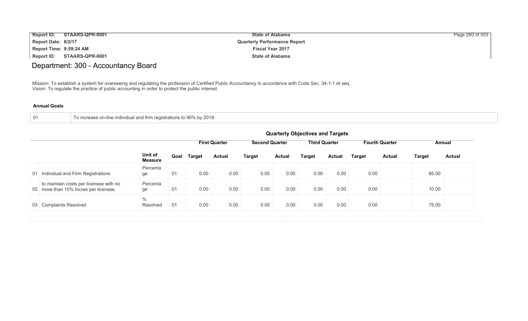| <b>Report ID:</b>       | STAARS-QPR-0001 | <b>State of Alabama</b>             | Page 260 of 553 |
|-------------------------|-----------------|-------------------------------------|-----------------|
| Report Date: 8/2/17     |                 | <b>Quarterly Performance Report</b> |                 |
| Report Time: 9:59:24 AM |                 | <b>Fiscal Year 2017</b>             |                 |
| <b>Report ID:</b>       | STAARS-QPR-0001 | <b>State of Alabama</b>             |                 |

# Department: 300 - Accountancy Board

Mission: To establish a system for overseeing and regulating the profession of Certified Public Accountancy in accordance with Code Sec. 34-1-1 et seq. Vision: To regulate the practice of public accounting in order to protect the public interest.

|  | To increase on-line individual and firm registrations to 90% by 2018. |  |
|--|-----------------------------------------------------------------------|--|
|--|-----------------------------------------------------------------------|--|

|    |                                                                                 | <b>Quarterly Objectives and Targets</b>                                                                  |      |               |               |               |               |               |               |        |               |               |               |
|----|---------------------------------------------------------------------------------|----------------------------------------------------------------------------------------------------------|------|---------------|---------------|---------------|---------------|---------------|---------------|--------|---------------|---------------|---------------|
|    |                                                                                 | <b>Second Quarter</b><br><b>Third Quarter</b><br><b>Fourth Quarter</b><br><b>First Quarter</b><br>Annual |      |               |               |               |               |               |               |        |               |               |               |
|    |                                                                                 | Unit of<br><b>Measure</b>                                                                                | Goal | <b>Target</b> | <b>Actual</b> | <b>Target</b> | <b>Actual</b> | <b>Target</b> | <b>Actual</b> | Target | <b>Actual</b> | <b>Target</b> | <b>Actual</b> |
| 01 | Individual and Firm Registrations                                               | Percenta<br>ge                                                                                           | 01   | 0.00          | 0.00          | 0.00          | 0.00          | 0.00          | 0.00          | 0.00   |               | 85.00         |               |
|    | to maintain costs per licensee with no<br>02 more than 10% Incres per licensee. | Percenta<br>ge                                                                                           | 01   | 0.00          | 0.00          | 0.00          | 0.00          | 0.00          | 0.00          | 0.00   |               | 10.00         |               |
|    | 03 Complaints Resolved                                                          | $\%$<br>Resolved                                                                                         | 01   | 0.00          | 0.00          | 0.00          | 0.00          | 0.00          | 0.00          | 0.00   |               | 75.00         |               |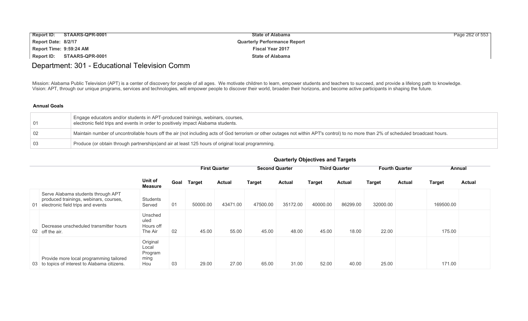| <b>Report ID:</b>       | STAARS-QPR-0001 | <b>State of Alabama</b>             | Page 262 of 553 |
|-------------------------|-----------------|-------------------------------------|-----------------|
| Report Date: 8/2/17     |                 | <b>Quarterly Performance Report</b> |                 |
| Report Time: 9:59:24 AM |                 | <b>Fiscal Year 2017</b>             |                 |
| <b>Report ID:</b>       | STAARS-QPR-0001 | <b>State of Alabama</b>             |                 |

## Department: 301 - Educational Television Comm

Mission: Alabama Public Television (APT) is a center of discovery for people of all ages. We motivate children to learn, empower students and teachers to succeed, and provide a lifelong path to knowledge. Vision: APT, through our unique programs, services and technologies, will empower people to discover their world, broaden their horizons, and become active participants in shaping the future.

| . 01 | Engage educators and/or students in APT-produced trainings, webinars, courses,<br>electronic field trips and events in order to positively impact Alabama students.                  |
|------|--------------------------------------------------------------------------------------------------------------------------------------------------------------------------------------|
| -02  | Maintain number of uncontrollable hours off the air (not including acts of God terrorism or other outages not within APT's control) to no more than 2% of scheduled broadcast hours. |
| - 03 | Produce (or obtain through partnerships) and air at least 125 hours of original local programming.                                                                                   |

|                                                                                                                      |                                             |      |          | <b>First Quarter</b> |               | <b>Second Quarter</b> |          | <b>Third Quarter</b> |               | <b>Fourth Quarter</b>   | Annual        |
|----------------------------------------------------------------------------------------------------------------------|---------------------------------------------|------|----------|----------------------|---------------|-----------------------|----------|----------------------|---------------|-------------------------|---------------|
|                                                                                                                      | Unit of<br><b>Measure</b>                   | Goal | Target   | <b>Actual</b>        | <b>Target</b> | <b>Actual</b>         | Target   | <b>Actual</b>        | <b>Target</b> | <b>Actual</b><br>Target | <b>Actual</b> |
| Serve Alabama students through APT<br>produced trainings, webinars, courses,<br>01 electronic field trips and events | Students<br>Served                          | 01   | 50000.00 | 43471.00             | 47500.00      | 35172.00              | 40000.00 | 86299.00             | 32000.00      | 169500.00               |               |
| Decrease unscheduled transmitter hours<br>02 off the air.                                                            | Unsched<br>uled<br>Hours off<br>The Air     | 02   | 45.00    | 55.00                | 45.00         | 48.00                 | 45.00    | 18.00                | 22.00         | 175.00                  |               |
| Provide more local programming tailored<br>03 to topics of interest to Alabama citizens.                             | Original<br>Local<br>Program<br>ming<br>Hou | 03   | 29.00    | 27.00                | 65.00         | 31.00                 | 52.00    | 40.00                | 25.00         | 171.00                  |               |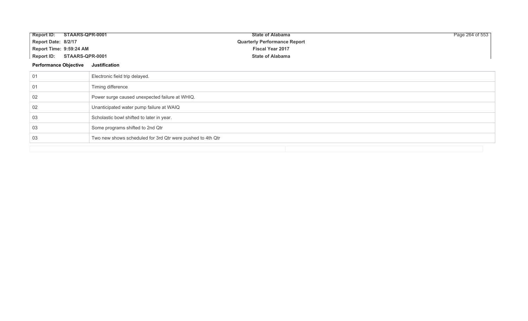| Report ID: STAARS-QPR-0001           | <b>State of Alabama</b>                                    | Page 264 of 553 |
|--------------------------------------|------------------------------------------------------------|-----------------|
| Report Date: 8/2/17                  | <b>Quarterly Performance Report</b>                        |                 |
| Report Time: 9:59:24 AM              | <b>Fiscal Year 2017</b>                                    |                 |
| STAARS-QPR-0001<br><b>Report ID:</b> | <b>State of Alabama</b>                                    |                 |
| <b>Performance Objective</b>         | <b>Justification</b>                                       |                 |
| 01                                   | Electronic field trip delayed.                             |                 |
| 01                                   | Timing difference                                          |                 |
| 02                                   | Power surge caused unexpected failure at WHIQ.             |                 |
| 02                                   | Unanticipated water pump failure at WAIQ                   |                 |
| 03                                   | Scholastic bowl shifted to later in year.                  |                 |
| 03                                   | Some programs shifted to 2nd Qtr                           |                 |
| 03                                   | Two new shows scheduled for 3rd Qtr were pushed to 4th Qtr |                 |
|                                      |                                                            |                 |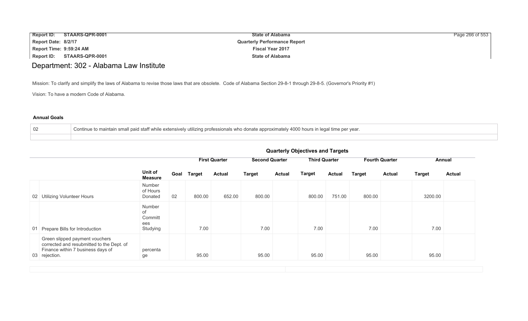| <b>Report ID:</b>       | STAARS-QPR-0001 | <b>State of Alabama</b>             | Page 266 of 553 |
|-------------------------|-----------------|-------------------------------------|-----------------|
| Report Date: 8/2/17     |                 | <b>Quarterly Performance Report</b> |                 |
| Report Time: 9:59:24 AM |                 | <b>Fiscal Year 2017</b>             |                 |
| Report ID:              | STAARS-QPR-0001 | <b>State of Alabama</b>             |                 |

## Department: 302 - Alabama Law Institute

Mission: To clarify and simplify the laws of Alabama to revise those laws that are obsolete. Code of Alabama Section 29-8-1 through 29-8-5. (Governor's Priority #1)

Vision: To have a modern Code of Alabama.

#### **Annual Goals**

| 02 | Continue to maintain small paid staff while extensively utilizing professionals who donate approximately 4000 hours in legal time per year. |
|----|---------------------------------------------------------------------------------------------------------------------------------------------|
|    |                                                                                                                                             |

|                                                                                                                                   |                                            |      |               | <b>First Quarter</b> | <b>Second Quarter</b> |               | <b>Third Quarter</b> |               | <b>Fourth Quarter</b> |               | Annual        |               |
|-----------------------------------------------------------------------------------------------------------------------------------|--------------------------------------------|------|---------------|----------------------|-----------------------|---------------|----------------------|---------------|-----------------------|---------------|---------------|---------------|
|                                                                                                                                   | Unit of<br>Measure                         | Goal | <b>Target</b> | <b>Actual</b>        | <b>Target</b>         | <b>Actual</b> | <b>Target</b>        | <b>Actual</b> | <b>Target</b>         | <b>Actual</b> | <b>Target</b> | <b>Actual</b> |
| Utilizing Volunteer Hours<br>02 <sub>1</sub>                                                                                      | Number<br>of Hours<br>Donated              | 02   | 800.00        | 652.00               | 800.00                |               | 800.00               | 751.00        | 800.00                |               | 3200.00       |               |
| 01 Prepare Bills for Introduction                                                                                                 | Number<br>of<br>Committ<br>ees<br>Studying |      | 7.00          |                      | 7.00                  |               | 7.00                 |               | 7.00                  |               | 7.00          |               |
| Green slipped payment vouchers<br>corrected and resubmitted to the Dept. of<br>Finance within 7 business days of<br>03 rejection. | percenta<br>ge                             |      | 95.00         |                      | 95.00                 |               | 95.00                |               | 95.00                 |               | 95.00         |               |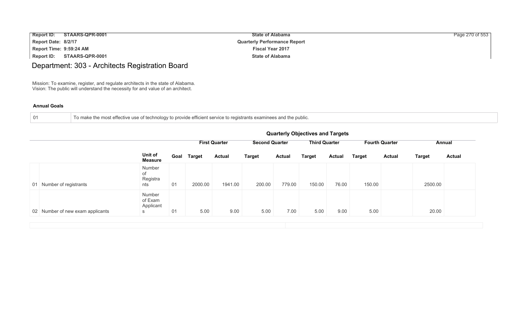| <b>Report ID:</b>       | STAARS-QPR-0001 | <b>State of Alabama</b>             | Page 270 of 553 |
|-------------------------|-----------------|-------------------------------------|-----------------|
| Report Date: 8/2/17     |                 | <b>Quarterly Performance Report</b> |                 |
| Report Time: 9:59:24 AM |                 | <b>Fiscal Year 2017</b>             |                 |
| Report ID:              | STAARS-QPR-0001 | <b>State of Alabama</b>             |                 |

# Department: 303 - Architects Registration Board

Mission: To examine, register, and regulate architects in the state of Alabama. Vision: The public will understand the necessity for and value of an architect.

| 01 | To make the most effective use of technology to provide efficient service to registrants examinees and the public. |  |
|----|--------------------------------------------------------------------------------------------------------------------|--|
|----|--------------------------------------------------------------------------------------------------------------------|--|

|                                  | <b>Quarterly Objectives and Targets</b> |      |               |                      |                       |               |                      |               |                       |               |               |               |
|----------------------------------|-----------------------------------------|------|---------------|----------------------|-----------------------|---------------|----------------------|---------------|-----------------------|---------------|---------------|---------------|
|                                  | Unit of<br><b>Measure</b>               |      |               | <b>First Quarter</b> | <b>Second Quarter</b> |               | <b>Third Quarter</b> |               | <b>Fourth Quarter</b> |               | Annual        |               |
|                                  |                                         | Goal | <b>Target</b> | <b>Actual</b>        | <b>Target</b>         | <b>Actual</b> | <b>Target</b>        | <b>Actual</b> | <b>Target</b>         | <b>Actual</b> | <b>Target</b> | <b>Actual</b> |
| 01 Number of registrants         | Number<br>of<br>Registra<br>nts         | 01   | 2000.00       | 1941.00              | 200.00                | 779.00        | 150.00               | 76.00         | 150.00                |               | 2500.00       |               |
| 02 Number of new exam applicants | Number<br>of Exam<br>Applicant<br>S     | 01   | 5.00          | 9.00                 | 5.00                  | 7.00          | 5.00                 | 9.00          | 5.00                  |               | 20.00         |               |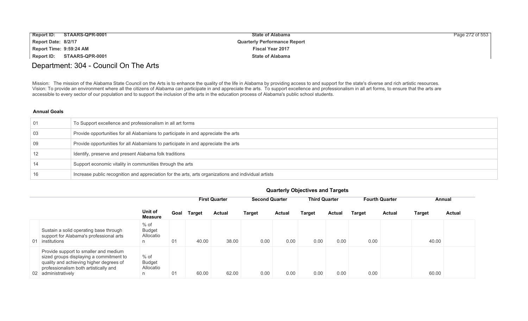| <b>Report ID:</b>              | STAARS-QPR-0001 | <b>State of Alabama</b>             | Page 272 of 553 |
|--------------------------------|-----------------|-------------------------------------|-----------------|
| Report Date: 8/2/17            |                 | <b>Quarterly Performance Report</b> |                 |
| <b>Report Time: 9:59:24 AM</b> |                 | <b>Fiscal Year 2017</b>             |                 |
| Report ID:                     | STAARS-QPR-0001 | <b>State of Alabama</b>             |                 |

### Department: 304 - Council On The Arts

Mission: The mission of the Alabama State Council on the Arts is to enhance the quality of the life in Alabama by providing access to and support for the state's diverse and rich artistic resources. Vision: To provide an environment where all the citizens of Alabama can participate in and appreciate the arts. To support excellence and professionalism in all art forms, to ensure that the arts are accessible to every sector of our population and to support the inclusion of the arts in the education process of Alabama's public school students.

#### **Annual Goals**

| 01 | To Support excellence and professionalism in all art forms                                           |
|----|------------------------------------------------------------------------------------------------------|
| 03 | Provide opportunities for all Alabamians to participate in and appreciate the arts                   |
| 09 | Provide opportunities for all Alabamians to participate in and appreciate the arts                   |
|    | Identify, preserve and present Alabama folk traditions                                               |
| 14 | Support economic vitality in communities through the arts                                            |
| 16 | Increase public recognition and appreciation for the arts, arts organizations and individual artists |

|                                                                                                                                                                                             |                                           |      | <b>First Quarter</b> |               | <b>Second Quarter</b> |               | <b>Third Quarter</b> |               | <b>Fourth Quarter</b> |               | Annual |               |
|---------------------------------------------------------------------------------------------------------------------------------------------------------------------------------------------|-------------------------------------------|------|----------------------|---------------|-----------------------|---------------|----------------------|---------------|-----------------------|---------------|--------|---------------|
|                                                                                                                                                                                             | Unit of<br><b>Measure</b>                 | Goal | <b>Target</b>        | <b>Actual</b> | <b>Target</b>         | <b>Actual</b> | Target               | <b>Actual</b> | <b>Target</b>         | <b>Actual</b> | Target | <b>Actual</b> |
| Sustain a solid operating base through<br>support for Alabama's professional arts<br>01 institutions                                                                                        | $%$ of<br><b>Budget</b><br>Allocatio<br>n | 01   | 40.00                | 38.00         | 0.00                  | 0.00          | 0.00                 | 0.00          | 0.00                  |               | 40.00  |               |
| Provide support to smaller and medium<br>sized groups displaying a commitment to<br>quality and achieving higher degrees of<br>professionalism both artistically and<br>02 administratively | $%$ of<br><b>Budget</b><br>Allocatio<br>n | 01   | 60.00                | 62.00         | 0.00                  | 0.00          | 0.00                 | 0.00          | 0.00                  |               | 60.00  |               |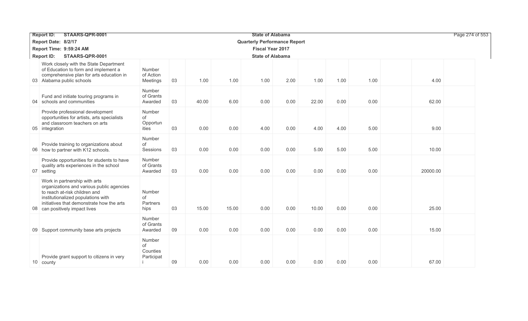| STAARS-QPR-0001<br><b>Report ID:</b>                                                                                                                                                                                             |                                        |    |       |       |                                     | Page 274 of 553 |       |      |      |          |  |
|----------------------------------------------------------------------------------------------------------------------------------------------------------------------------------------------------------------------------------|----------------------------------------|----|-------|-------|-------------------------------------|-----------------|-------|------|------|----------|--|
| Report Date: 8/2/17                                                                                                                                                                                                              |                                        |    |       |       | <b>Quarterly Performance Report</b> |                 |       |      |      |          |  |
| Report Time: 9:59:24 AM                                                                                                                                                                                                          |                                        |    |       |       | <b>Fiscal Year 2017</b>             |                 |       |      |      |          |  |
| STAARS-QPR-0001<br><b>Report ID:</b>                                                                                                                                                                                             |                                        |    |       |       | <b>State of Alabama</b>             |                 |       |      |      |          |  |
| Work closely with the State Department<br>of Education to form and implement a<br>comprehensive plan for arts education in<br>03 Alabama public schools                                                                          | Number<br>of Action<br>Meetings        | 03 | 1.00  | 1.00  | 1.00                                | 2.00            | 1.00  | 1.00 | 1.00 | 4.00     |  |
| Fund and initiate touring programs in<br>04 schools and communities                                                                                                                                                              | Number<br>of Grants<br>Awarded         | 03 | 40.00 | 6.00  | 0.00                                | 0.00            | 22.00 | 0.00 | 0.00 | 62.00    |  |
| Provide professional development<br>opportunities for artists, arts specialists<br>and classroom teachers on arts<br>05 integration                                                                                              | Number<br>of<br>Opportun<br>ities      | 03 | 0.00  | 0.00  | 4.00                                | 0.00            | 4.00  | 4.00 | 5.00 | 9.00     |  |
| Provide training to organizations about<br>06 how to partner with K12 schools.                                                                                                                                                   | Number<br>of<br>Sessions               | 03 | 0.00  | 0.00  | 0.00                                | 0.00            | 5.00  | 5.00 | 5.00 | 10.00    |  |
| Provide opportunities for students to have<br>quality arts experiences in the school<br>07 setting                                                                                                                               | Number<br>of Grants<br>Awarded         | 03 | 0.00  | 0.00  | 0.00                                | 0.00            | 0.00  | 0.00 | 0.00 | 20000.00 |  |
| Work in partnership with arts<br>organizations and various public agencies<br>to reach at-risk children and<br>institutionalized populations with<br>initiatives that demonstrate how the arts<br>08 can positively impact lives | Number<br>of<br>Partners<br>hips       | 03 | 15.00 | 15.00 | 0.00                                | 0.00            | 10.00 | 0.00 | 0.00 | 25.00    |  |
| 09 Support community base arts projects                                                                                                                                                                                          | Number<br>of Grants<br>Awarded         | 09 | 0.00  | 0.00  | 0.00                                | 0.00            | 0.00  | 0.00 | 0.00 | 15.00    |  |
| Provide grant support to citizens in very<br>10 county                                                                                                                                                                           | Number<br>of<br>Counties<br>Participat | 09 | 0.00  | 0.00  | 0.00                                | 0.00            | 0.00  | 0.00 | 0.00 | 67.00    |  |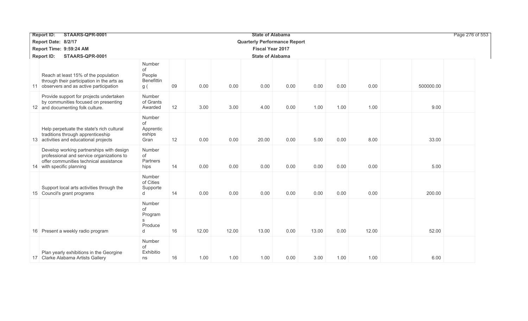| STAARS-QPR-0001<br><b>Report ID:</b>                                                                                                                         |                                                    | <b>State of Alabama</b> |                         |       |                                     |      |       |      |       | Page 276 of 553 |  |  |
|--------------------------------------------------------------------------------------------------------------------------------------------------------------|----------------------------------------------------|-------------------------|-------------------------|-------|-------------------------------------|------|-------|------|-------|-----------------|--|--|
| Report Date: 8/2/17                                                                                                                                          |                                                    |                         |                         |       | <b>Quarterly Performance Report</b> |      |       |      |       |                 |  |  |
| Report Time: 9:59:24 AM                                                                                                                                      |                                                    |                         | <b>Fiscal Year 2017</b> |       |                                     |      |       |      |       |                 |  |  |
| <b>Report ID:</b><br>STAARS-QPR-0001                                                                                                                         |                                                    |                         | <b>State of Alabama</b> |       |                                     |      |       |      |       |                 |  |  |
| Reach at least 15% of the population<br>through their participation in the arts as<br>11 observers and as active participation                               | Number<br>of<br>People<br><b>Benefittin</b><br>g ( | 09                      | 0.00                    | 0.00  | 0.00                                | 0.00 | 0.00  | 0.00 | 0.00  | 500000.00       |  |  |
| Provide support for projects undertaken<br>by communities focused on presenting<br>12 and documenting folk culture.                                          | Number<br>of Grants<br>Awarded                     | 12                      | 3.00                    | 3.00  | 4.00                                | 0.00 | 1.00  | 1.00 | 1.00  | 9.00            |  |  |
| Help perpetuate the state's rich cultural<br>traditions through apprenticeship<br>13 activities and educational projects                                     | Number<br>of<br>Apprentic<br>eships<br>Gran        | 12                      | 0.00                    | 0.00  | 20.00                               | 0.00 | 5.00  | 0.00 | 8.00  | 33.00           |  |  |
| Develop working partnerships with design<br>professional and service organizations to<br>offer communities technical assistance<br>14 with specific planning | Number<br>of<br>Partners<br>hips                   | 14                      | 0.00                    | 0.00  | 0.00                                | 0.00 | 0.00  | 0.00 | 0.00  | 5.00            |  |  |
| Support local arts activities through the<br>15 Council's grant programs                                                                                     | Number<br>of Cities<br>Supporte<br>d               | 14                      | 0.00                    | 0.00  | 0.00                                | 0.00 | 0.00  | 0.00 | 0.00  | 200.00          |  |  |
| 16 Present a weekly radio program                                                                                                                            | Number<br>of<br>Program<br>S<br>Produce<br>d       | 16                      | 12.00                   | 12.00 | 13.00                               | 0.00 | 13.00 | 0.00 | 12.00 | 52.00           |  |  |
| Plan yearly exhibitions in the Georgine<br>17 Clarke Alabama Artists Gallery                                                                                 | Number<br>of<br>Exhibitio<br>ns                    | 16                      | 1.00                    | 1.00  | 1.00                                | 0.00 | 3.00  | 1.00 | 1.00  | 6.00            |  |  |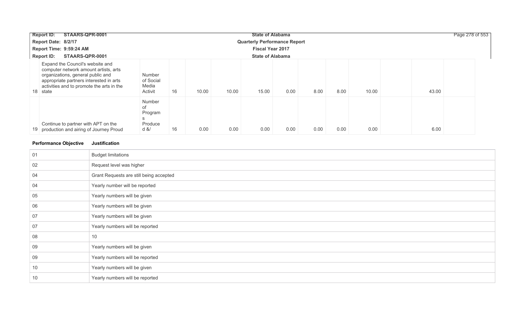| STAARS-QPR-0001<br>Report ID:                                                                                                                                                                                      | <b>State of Alabama</b>                           |             |       |       |      |      |      |       | Page 278 of 553 |  |
|--------------------------------------------------------------------------------------------------------------------------------------------------------------------------------------------------------------------|---------------------------------------------------|-------------|-------|-------|------|------|------|-------|-----------------|--|
| Report Date: 8/2/17                                                                                                                                                                                                | <b>Quarterly Performance Report</b>               |             |       |       |      |      |      |       |                 |  |
| Report Time: 9:59:24 AM                                                                                                                                                                                            | <b>Fiscal Year 2017</b>                           |             |       |       |      |      |      |       |                 |  |
| <b>Report ID:</b><br>STAARS-QPR-0001                                                                                                                                                                               | <b>State of Alabama</b>                           |             |       |       |      |      |      |       |                 |  |
| Expand the Council's website and<br>computer network amount artists, arts<br>organizations, general public and<br>appropriate partners interested in arts<br>activities and to promote the arts in the<br>18 state | Number<br>of Social<br>Media<br>Activit           | 16<br>10.00 | 10.00 | 15.00 | 0.00 | 8.00 | 8.00 | 10.00 | 43.00           |  |
| Continue to partner with APT on the<br>19 production and airing of Journey Proud                                                                                                                                   | Number<br>οf<br>Program<br>S<br>Produce<br>$d \&$ | 0.00<br>16  | 0.00  | 0.00  | 0.00 | 0.00 | 0.00 | 0.00  | 6.00            |  |

### **Performance Objective Justification**

| 01 | <b>Budget limitations</b>               |
|----|-----------------------------------------|
| 02 | Request level was higher                |
| 04 | Grant Requests are still being accepted |
| 04 | Yearly number will be reported          |
| 05 | Yearly numbers will be given            |
| 06 | Yearly numbers will be given            |
| 07 | Yearly numbers will be given            |
| 07 | Yearly numbers will be reported         |
| 08 | 10                                      |
| 09 | Yearly numbers will be given            |
| 09 | Yearly numbers will be reported         |
| 10 | Yearly numbers will be given            |
| 10 | Yearly numbers will be reported         |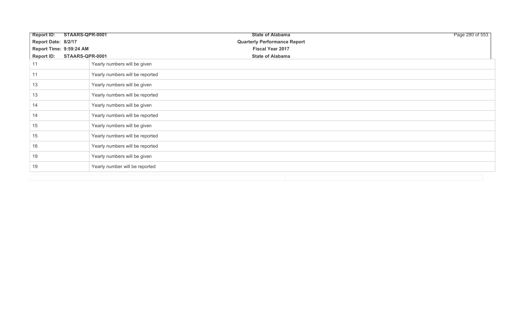| <b>Report ID:</b>       | STAARS-QPR-0001                 | <b>State of Alabama</b>             | Page 280 of 553 |
|-------------------------|---------------------------------|-------------------------------------|-----------------|
| Report Date: 8/2/17     |                                 | <b>Quarterly Performance Report</b> |                 |
| Report Time: 9:59:24 AM |                                 | <b>Fiscal Year 2017</b>             |                 |
| <b>Report ID:</b>       | STAARS-QPR-0001                 | <b>State of Alabama</b>             |                 |
| 11                      | Yearly numbers will be given    |                                     |                 |
| 11                      | Yearly numbers will be reported |                                     |                 |
| 13                      | Yearly numbers will be given    |                                     |                 |
| 13                      | Yearly numbers will be reported |                                     |                 |
| 14                      | Yearly numbers will be given    |                                     |                 |
| 14                      | Yearly numbers will be reported |                                     |                 |
| 15                      | Yearly numbers will be given    |                                     |                 |
| 15                      | Yearly numbers will be reported |                                     |                 |
| 16                      | Yearly numbers will be reported |                                     |                 |
| 19                      | Yearly numbers will be given    |                                     |                 |
| 19                      | Yearly number will be reported  |                                     |                 |
|                         |                                 |                                     |                 |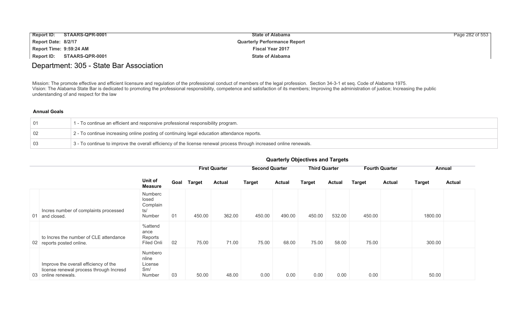| <b>Report ID:</b>       | STAARS-QPR-0001 | <b>State of Alabama</b>             | Page 282 of 553 |
|-------------------------|-----------------|-------------------------------------|-----------------|
| Report Date: 8/2/17     |                 | <b>Quarterly Performance Report</b> |                 |
| Report Time: 9:59:24 AM |                 | <b>Fiscal Year 2017</b>             |                 |
| <b>Report ID:</b>       | STAARS-QPR-0001 | <b>State of Alabama</b>             |                 |

### Department: 305 - State Bar Association

Mission: The promote effective and efficient licensure and regulation of the professional conduct of members of the legal profession. Section 34-3-1 et seq. Code of Alabama 1975. Vision: The Alabama State Bar is dedicated to promoting the professional responsibility, competence and satisfaction of its members; Improving the administration of justice; Increasing the public understanding of and respect for the law

#### **Annual Goals**

|           | 1 - To continue an efficient and responsive professional responsibility program.                                    |
|-----------|---------------------------------------------------------------------------------------------------------------------|
| $\mid$ 02 | 2 - To continue increasing online posting of continuing legal education attendance reports.                         |
| $\mid$ 03 | 3 - To continue to improve the overall efficiency of the license renewal process through increased online renewals. |

|    |                                                                                                         |                                               |      | <b>First Quarter</b> |               | <b>Second Quarter</b> |               |               | <b>Third Quarter</b> |               | <b>Fourth Quarter</b> |               | Annual        |
|----|---------------------------------------------------------------------------------------------------------|-----------------------------------------------|------|----------------------|---------------|-----------------------|---------------|---------------|----------------------|---------------|-----------------------|---------------|---------------|
|    |                                                                                                         | Unit of<br><b>Measure</b>                     | Goal | <b>Target</b>        | <b>Actual</b> | <b>Target</b>         | <b>Actual</b> | <b>Target</b> | <b>Actual</b>        | <b>Target</b> | <b>Actual</b>         | <b>Target</b> | <b>Actual</b> |
| 01 | Incres number of complaints processed<br>and closed.                                                    | Numberc<br>losed<br>Complain<br>ts/<br>Number | 01   | 450.00               | 362.00        | 450.00                | 490.00        | 450.00        | 532.00               | 450.00        |                       | 1800.00       |               |
|    | to Incres the number of CLE attendance<br>02 reports posted online.                                     | %attend<br>ance<br>Reports<br>Filed Onli      | 02   | 75.00                | 71.00         | 75.00                 | 68.00         | 75.00         | 58.00                | 75.00         |                       | 300.00        |               |
|    | Improve the overall efficiency of the<br>license renewal process through Incresd<br>03 online renewals. | Numbero<br>nline<br>License<br>Sm/<br>Number  | 03   | 50.00                | 48.00         | 0.00                  | 0.00          | 0.00          | 0.00                 | 0.00          |                       | 50.00         |               |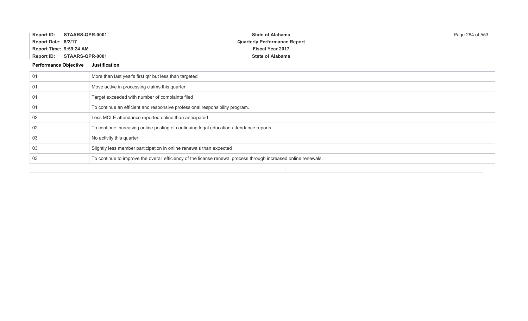| <b>Report ID:</b>            | STAARS-QPR-0001 | <b>State of Alabama</b>                                                                                         | Page 284 of 553 |
|------------------------------|-----------------|-----------------------------------------------------------------------------------------------------------------|-----------------|
| Report Date: 8/2/17          |                 | <b>Quarterly Performance Report</b>                                                                             |                 |
| Report Time: 9:59:24 AM      |                 | <b>Fiscal Year 2017</b>                                                                                         |                 |
| <b>Report ID:</b>            | STAARS-QPR-0001 | <b>State of Alabama</b>                                                                                         |                 |
| <b>Performance Objective</b> |                 | Justification                                                                                                   |                 |
| 01                           |                 | More than last year's first qtr but less than targeted                                                          |                 |
| 01                           |                 | Move active in processing claims this quarter                                                                   |                 |
| 01                           |                 | Target exceeded with number of complaints filed                                                                 |                 |
| 01                           |                 | To continue an efficient and responsive professional responsibility program.                                    |                 |
| 02                           |                 | Less MCLE attendance reported online than anticipated                                                           |                 |
| 02                           |                 | To continue increasing online posting of continuing legal education attendance reports.                         |                 |
| 03                           |                 | No activity this quarter                                                                                        |                 |
| 03                           |                 | Slightly less member participation in online renewals than expected                                             |                 |
| 03                           |                 | To continue to improve the overall efficiency of the license renewal process through increased online renewals. |                 |
|                              |                 |                                                                                                                 |                 |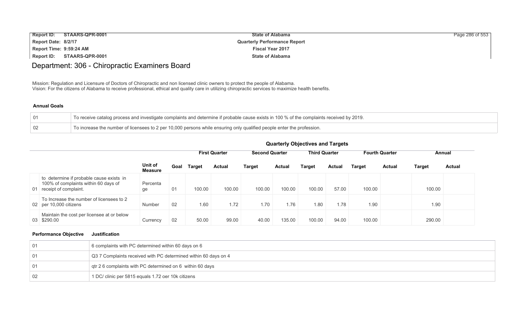| <b>Report ID:</b>       | STAARS-QPR-0001 | <b>State of Alabama</b>             | Page 286 of 553 |
|-------------------------|-----------------|-------------------------------------|-----------------|
| Report Date: 8/2/17     |                 | <b>Quarterly Performance Report</b> |                 |
| Report Time: 9:59:24 AM |                 | <b>Fiscal Year 2017</b>             |                 |
| Report ID:              | STAARS-QPR-0001 | <b>State of Alabama</b>             |                 |

## Department: 306 - Chiropractic Examiners Board

Mission: Regulation and Licensure of Doctors of Chiropractic and non licensed clinic owners to protect the people of Alabama. Vision: For the citizens of Alabama to receive professional, ethical and quality care in utilizing chiropractic services to maximize health benefits.

#### **Annual Goals**

| To receive catalog process and investigate complaints and determine if probable cause exists in 100 % of the complaints received by 2019. |
|-------------------------------------------------------------------------------------------------------------------------------------------|
| To increase the number of licensees to 2 per 10,000 persons while ensuring only qualified people enter the profession.                    |

### **Quarterly Objectives and Targets**

|                                                                                                              |                           |      | <b>First Quarter</b> |               | <b>Second Quarter</b> |               | <b>Third Quarter</b> |               | <b>Fourth Quarter</b> |               | Annual |               |
|--------------------------------------------------------------------------------------------------------------|---------------------------|------|----------------------|---------------|-----------------------|---------------|----------------------|---------------|-----------------------|---------------|--------|---------------|
|                                                                                                              | Unit of<br><b>Measure</b> | Goal | <b>Target</b>        | <b>Actual</b> | <b>Target</b>         | <b>Actual</b> | Target               | <b>Actual</b> | <b>Target</b>         | <b>Actual</b> | Target | <b>Actual</b> |
| to determine if probable cause exists in<br>100% of complaints within 60 days of<br>01 receipt of complaint. | Percenta<br>ge            | 01   | 100.00               | 100.00        | 100.00                | 100.00        | 100.00               | 57.00         | 100.00                |               | 100.00 |               |
| To Increase the number of licensees to 2<br>02 per 10,000 citizens                                           | <b>Number</b>             | 02   | 1.60                 | 1.72          | 1.70                  | 1.76          | 1.80                 | 1.78          | 1.90                  |               | 1.90   |               |
| Maintain the cost per licensee at or below<br>03 \$290.00                                                    | Currency                  | 02   | 50.00                | 99.00         | 40.00                 | 135.00        | 100.00               | 94.00         | 100.00                |               | 290.00 |               |

#### **Performance Objective Justification**

| -01 | 6 complaints with PC determined within 60 days on 6             |
|-----|-----------------------------------------------------------------|
| 01  | Q3 7 Complaints received with PC determined within 60 days on 4 |
| -01 | gtr 2 6 complaints with PC determined on 6 within 60 days       |
| 02  | 1 DC/ clinic per 5815 equals 1.72 oer 10k citizens              |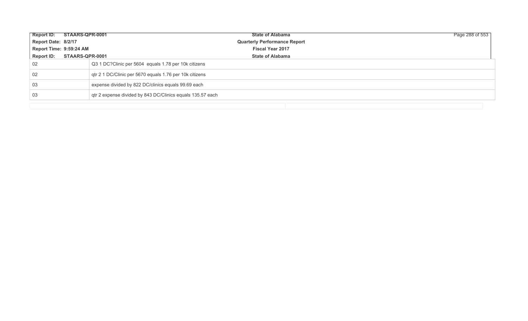| Report ID: STAARS-QPR-0001 |                 | <b>State of Alabama</b>                                    | Page 288 of 553 |
|----------------------------|-----------------|------------------------------------------------------------|-----------------|
| Report Date: 8/2/17        |                 | <b>Quarterly Performance Report</b>                        |                 |
| Report Time: 9:59:24 AM    |                 | <b>Fiscal Year 2017</b>                                    |                 |
| <b>Report ID:</b>          | STAARS-QPR-0001 | <b>State of Alabama</b>                                    |                 |
| 02                         |                 | Q3 1 DC? Clinic per 5604 equals 1.78 per 10k citizens      |                 |
| 02                         |                 | gtr 2 1 DC/Clinic per 5670 equals 1.76 per 10k citizens    |                 |
| -03                        |                 | expense divided by 822 DC/clinics equals 99.69 each        |                 |
| -03                        |                 | qtr 2 expense divided by 843 DC/Clinics equals 135.57 each |                 |
|                            |                 |                                                            |                 |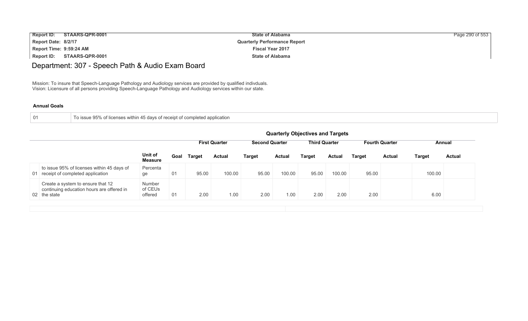| <b>Report ID:</b>       | STAARS-QPR-0001 | <b>State of Alabama</b>             | Page 290 of 553 |
|-------------------------|-----------------|-------------------------------------|-----------------|
| Report Date: 8/2/17     |                 | <b>Quarterly Performance Report</b> |                 |
| Report Time: 9:59:24 AM |                 | <b>Fiscal Year 2017</b>             |                 |
| Report ID:              | STAARS-QPR-0001 | <b>State of Alabama</b>             |                 |

## Department: 307 - Speech Path & Audio Exam Board

Mission: To insure that Speech-Language Pathology and Audiology services are provided by qualified indivduals. Vision: Licensure of all persons providing Speech-Language Pathology and Audiology services within our state.

#### **Annual Goals**

| า |  |  |
|---|--|--|
|   |  |  |

To issue 95% of licenses within 45 days of receipt of completed application

|                                                                                                | <b>Quarterly Objectives and Targets</b> |      |        |                      |                                               |               |        |               |                       |               |               |               |
|------------------------------------------------------------------------------------------------|-----------------------------------------|------|--------|----------------------|-----------------------------------------------|---------------|--------|---------------|-----------------------|---------------|---------------|---------------|
|                                                                                                |                                         |      |        | <b>First Quarter</b> | <b>Third Quarter</b><br><b>Second Quarter</b> |               |        |               | <b>Fourth Quarter</b> |               | Annual        |               |
|                                                                                                | Unit of<br><b>Measure</b>               | Goal | Target | <b>Actual</b>        | <b>Target</b>                                 | <b>Actual</b> | Target | <b>Actual</b> | Target                | <b>Actual</b> | <b>Target</b> | <b>Actual</b> |
| to issue 95% of licenses within 45 days of<br>01 receipt of completed application              | Percenta<br>ge                          | 01   | 95.00  | 100.00               | 95.00                                         | 100.00        | 95.00  | 100.00        | 95.00                 |               | 100.00        |               |
| Create a system to ensure that 12<br>continuing education hours are offered in<br>02 the state | Number<br>of CEUs<br>offered            | 01   | 2.00   | 1.00                 | 2.00                                          | 1.00          | 2.00   | 2.00          | 2.00                  |               | 6.00          |               |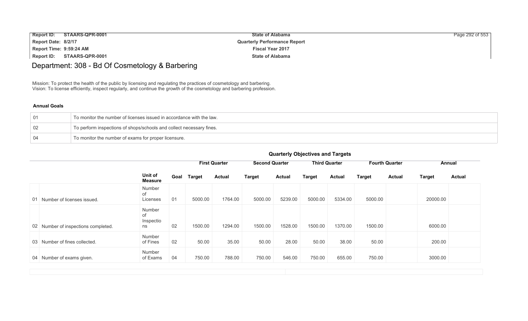| <b>Report ID:</b>       | STAARS-QPR-0001 | <b>State of Alabama</b>             | Page 292 of 553 |
|-------------------------|-----------------|-------------------------------------|-----------------|
| Report Date: 8/2/17     |                 | <b>Quarterly Performance Report</b> |                 |
| Report Time: 9:59:24 AM |                 | <b>Fiscal Year 2017</b>             |                 |
| Report ID:              | STAARS-QPR-0001 | <b>State of Alabama</b>             |                 |

## Department: 308 - Bd Of Cosmetology & Barbering

Mission: To protect the health of the public by licensing and regulating the practices of cosmetology and barbering. Vision: To license efficiently, inspect regularly, and continue the growth of the cosmetology and barbering profession.

#### **Annual Goals**

| To monitor the number of licenses issued in accordance with the law. |
|----------------------------------------------------------------------|
| To perform inspections of shops/schools and collect necessary fines. |
| To monitor the number of exams for proper licensure.                 |

|    |                                     |                                 |      | <b>First Quarter</b> |               | <b>Second Quarter</b> |               | <b>Third Quarter</b> |               | <b>Fourth Quarter</b> |               | Annual        |               |
|----|-------------------------------------|---------------------------------|------|----------------------|---------------|-----------------------|---------------|----------------------|---------------|-----------------------|---------------|---------------|---------------|
|    |                                     | Unit of<br><b>Measure</b>       | Goal | <b>Target</b>        | <b>Actual</b> | <b>Target</b>         | <b>Actual</b> | <b>Target</b>        | <b>Actual</b> | <b>Target</b>         | <b>Actual</b> | <b>Target</b> | <b>Actual</b> |
| 01 | Number of licenses issued.          | Number<br>of<br>Licenses        | 01   | 5000.00              | 1764.00       | 5000.00               | 5239.00       | 5000.00              | 5334.00       | 5000.00               |               | 20000.00      |               |
|    | 02 Number of inspections completed. | Number<br>of<br>Inspectio<br>ns | 02   | 1500.00              | 1294.00       | 1500.00               | 1528.00       | 1500.00              | 1370.00       | 1500.00               |               | 6000.00       |               |
| 03 | Number of fines collected.          | Number<br>of Fines              | 02   | 50.00                | 35.00         | 50.00                 | 28.00         | 50.00                | 38.00         | 50.00                 |               | 200.00        |               |
| 04 | Number of exams given.              | Number<br>of Exams              | 04   | 750.00               | 788.00        | 750.00                | 546.00        | 750.00               | 655.00        | 750.00                |               | 3000.00       |               |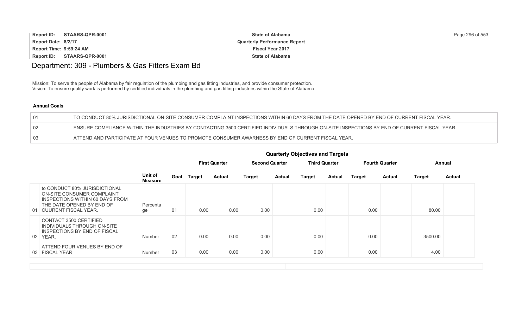| <b>Report ID:</b>       | STAARS-QPR-0001 | <b>State of Alabama</b>             | Page 296 of 553 |
|-------------------------|-----------------|-------------------------------------|-----------------|
| Report Date: 8/2/17     |                 | <b>Quarterly Performance Report</b> |                 |
| Report Time: 9:59:24 AM |                 | <b>Fiscal Year 2017</b>             |                 |
| <b>Report ID:</b>       | STAARS-QPR-0001 | <b>State of Alabama</b>             |                 |

## Department: 309 - Plumbers & Gas Fitters Exam Bd

Mission: To serve the people of Alabama by fair regulation of the plumbing and gas fitting industries, and provide consumer protection. Vision: To ensure quality work is performed by certified individuals in the plumbing and gas fitting industries within the State of Alabama.

|    | TO CONDUCT 80% JURISDICTIONAL ON-SITE CONSUMER COMPLAINT INSPECTIONS WITHIN 60 DAYS FROM THE DATE OPENED BY END OF CURRENT FISCAL YEAR.     |
|----|---------------------------------------------------------------------------------------------------------------------------------------------|
|    | ENSURE COMPLIANCE WITHIN THE INDUSTRIES BY CONTACTING 3500 CERTIFIED INDIVIDUALS THROUGH ON-SITE INSPECTIONS BY END OF CURRENT FISCAL YEAR. |
| 03 | ATTEND AND PARTICIPATE AT FOUR VENUES TO PROMOTE CONSUMER AWARNESS BY END OF CURRENT FISCAL YEAR.                                           |

|  |  | <b>Quarterly Objectives and Targets</b> |
|--|--|-----------------------------------------|
|--|--|-----------------------------------------|

|                                                                                                                                                        |                           |    |             | <b>First Quarter</b> | <b>Second Quarter</b> |               |               | <b>Third Quarter</b> |               | <b>Fourth Quarter</b> |               | Annual        |
|--------------------------------------------------------------------------------------------------------------------------------------------------------|---------------------------|----|-------------|----------------------|-----------------------|---------------|---------------|----------------------|---------------|-----------------------|---------------|---------------|
|                                                                                                                                                        | Unit of<br><b>Measure</b> |    | Goal Target | <b>Actual</b>        | <b>Target</b>         | <b>Actual</b> | <b>Target</b> | Actual               | <b>Target</b> | <b>Actual</b>         | <b>Target</b> | <b>Actual</b> |
| to CONDUCT 80% JURISDICTIONAL<br>ON-SITE CONSUMER COMPLAINT<br>INSPECTIONS WITHIN 60 DAYS FROM<br>THE DATE OPENED BY END OF<br>01 CUURENT FISCAL YEAR. | Percenta<br>ge            | 01 | 0.00        | 0.00                 | 0.00                  |               | 0.00          |                      | 0.00          |                       | 80.00         |               |
| CONTACT 3500 CERTIFIED<br>INDIVIDUALS THROUGH ON-SITE<br>INSPECTIONS BY END OF FISCAL<br>02 YEAR.                                                      | <b>Number</b>             | 02 | 0.00        | 0.00                 | 0.00                  |               | 0.00          |                      | 0.00          |                       | 3500.00       |               |
| ATTEND FOUR VENUES BY END OF<br>03 FISCAL YEAR.                                                                                                        | <b>Number</b>             | 03 | 0.00        | 0.00                 | 0.00                  |               | 0.00          |                      | 0.00          |                       | 4.00          |               |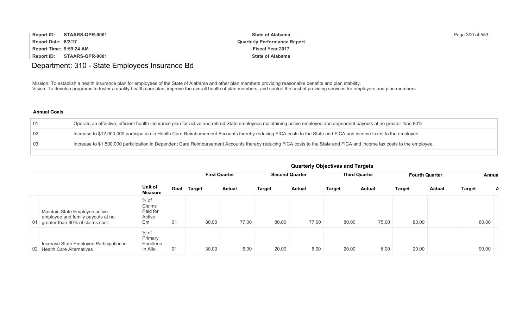| <b>Report ID:</b><br>STAARS-QPR-0001 | <b>State of Alabama</b>             | Page 300 of 553 |
|--------------------------------------|-------------------------------------|-----------------|
| Report Date: 8/2/17                  | <b>Quarterly Performance Report</b> |                 |
| Report Time: 9:59:24 AM              | <b>Fiscal Year 2017</b>             |                 |
| Report ID:<br>STAARS-QPR-0001        | <b>State of Alabama</b>             |                 |

## Department: 310 - State Employees Insurance Bd

Mission: To establish a health insurance plan for employees of the State of Alabama and other plan members providing reasonable benefits and plan stability. Vision: To develop programs to foster a quality health care plan, improve the overall health of plan members, and control the cost of providing services for employers and plan members.

#### **Annual Goals**

| -01 | Operate an effective, efficient health insurance plan for active and retired State employees maintaining active employee and dependent payouts at no greater than 80%  |
|-----|------------------------------------------------------------------------------------------------------------------------------------------------------------------------|
| 02  | Increase to \$12,000,000 participation in Health Care Reimbursement Accounts thereby reducing FICA costs to the State and FICA and income taxes to the employee.       |
| -03 | Increase to \$1,500,000 participation in Dependent Care Reimbursement Accounts thereby reducing FICA costs to the State and FICA and income tax costs to the employee. |
|     |                                                                                                                                                                        |

|                                                                                                            |                                              |      |        | <b>First Quarter</b> |        | <b>Second Quarter</b> |               | <b>Third Quarter</b> | <b>Fourth Quarter</b> |        | Annua         |   |
|------------------------------------------------------------------------------------------------------------|----------------------------------------------|------|--------|----------------------|--------|-----------------------|---------------|----------------------|-----------------------|--------|---------------|---|
|                                                                                                            | Unit of<br><b>Measure</b>                    | Goal | Target | Actual               | Target | <b>Actual</b>         | <b>Target</b> | <b>Actual</b>        | <b>Target</b>         | Actual | <b>Target</b> | A |
| Maintain State Employee active<br>employee and family payouts at no<br>01 greater than 80% of claims cost. | $%$ of<br>Claims<br>Paid for<br>Active<br>Em | 01   | 80.00  | 77.00                | 80.00  | 77.00                 | 80.00         | 75.00                | 80.00                 |        | 80.00         |   |
| Increase State Employee Participation in<br>02 Health Care Alternatives                                    | % of<br>Primary<br>Enrollees<br>In Alte      | 01   | 30.00  | 6.00                 | 20.00  | 6.00                  | 20.00         | 6.00                 | 20.00                 |        | 90.00         |   |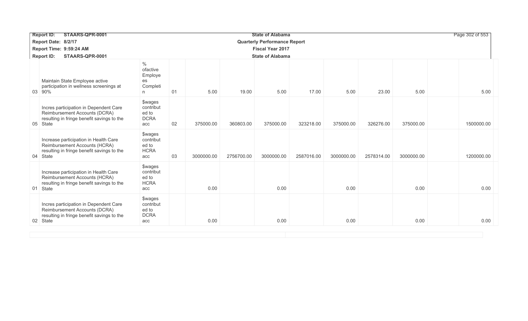| <b>Report ID:</b> | STAARS-QPR-0001                                                                                                       | Page 302 of 553<br><b>State of Alabama</b>                 |    |            |            |                         |            |            |            |            |  |            |
|-------------------|-----------------------------------------------------------------------------------------------------------------------|------------------------------------------------------------|----|------------|------------|-------------------------|------------|------------|------------|------------|--|------------|
|                   | Report Date: 8/2/17                                                                                                   | <b>Quarterly Performance Report</b>                        |    |            |            |                         |            |            |            |            |  |            |
|                   | Report Time: 9:59:24 AM                                                                                               |                                                            |    |            |            | <b>Fiscal Year 2017</b> |            |            |            |            |  |            |
| <b>Report ID:</b> | STAARS-QPR-0001                                                                                                       |                                                            |    |            |            | <b>State of Alabama</b> |            |            |            |            |  |            |
| 03 90%            | Maintain State Employee active<br>participation in wellness screenings at                                             | $\%$<br>ofactive<br>Employe<br>es<br>Completi<br>n.        | 01 | 5.00       | 19.00      | 5.00                    | 17.00      | 5.00       | 23.00      | 5.00       |  | 5.00       |
| 05 State          | Incres participation in Dependent Care<br>Reimbursement Accounts (DCRA)<br>resulting in fringe benefit savings to the | \$wages<br>contribut<br>ed to<br><b>DCRA</b><br>acc        | 02 | 375000.00  | 360803.00  | 375000.00               | 323218.00  | 375000.00  | 326276.00  | 375000.00  |  | 1500000.00 |
| 04 State          | Increase participation in Health Care<br>Reimbursement Accounts (HCRA)<br>resulting in fringe benefit savings to the  | <b>\$wages</b><br>contribut<br>ed to<br><b>HCRA</b><br>acc | 03 | 3000000.00 | 2756700.00 | 3000000.00              | 2587016.00 | 3000000.00 | 2578314.00 | 3000000.00 |  | 1200000.00 |
| 01 State          | Increase participation in Health Care<br>Reimbursement Accounts (HCRA)<br>resulting in fringe benefit savings to the  | <b>\$wages</b><br>contribut<br>ed to<br><b>HCRA</b><br>acc |    | 0.00       |            | 0.00                    |            | 0.00       |            | 0.00       |  | 0.00       |
| 02 State          | Incres participation in Dependent Care<br>Reimbursement Accounts (DCRA)<br>resulting in fringe benefit savings to the | \$wages<br>contribut<br>ed to<br><b>DCRA</b><br>acc        |    | 0.00       |            | 0.00                    |            | 0.00       |            | 0.00       |  | 0.00       |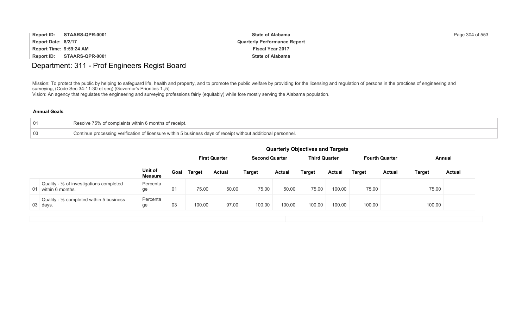| <b>Report ID:</b>       | STAARS-QPR-0001 | <b>State of Alabama</b>             | Page 304 of 553 |
|-------------------------|-----------------|-------------------------------------|-----------------|
| Report Date: 8/2/17     |                 | <b>Quarterly Performance Report</b> |                 |
| Report Time: 9:59:24 AM |                 | <b>Fiscal Year 2017</b>             |                 |
| Report ID:              | STAARS-QPR-0001 | <b>State of Alabama</b>             |                 |

## Department: 311 - Prof Engineers Regist Board

Mission: To protect the public by helping to safeguard life, health and property, and to promote the public welfare by providing for the licensing and regulation of persons in the practices of engineering and surveying, (Code Sec 34-11-30 et seq) (Governor's Priorities 1.,5)

Vision: An agency that regulates the engineering and surveying professions fairly (equitably) while fore mostly serving the Alabama population.

| 01  | Resolve 75% of complaints within 6 months of receipt.                                                         |
|-----|---------------------------------------------------------------------------------------------------------------|
| -03 | Continue processing verification of licensure within 5 business days of receipt without additional personnel. |

|                                                                |                           |      | <b>First Quarter</b> |               | <b>Second Quarter</b> |               | <b>Third Quarter</b> |        |        | <b>Fourth Quarter</b>          | Annual        |  |
|----------------------------------------------------------------|---------------------------|------|----------------------|---------------|-----------------------|---------------|----------------------|--------|--------|--------------------------------|---------------|--|
|                                                                | Unit of<br><b>Measure</b> | Goal | <b>Target</b>        | <b>Actual</b> | <b>Target</b>         | <b>Actual</b> | <b>Target</b>        | Actual | Target | <b>Actual</b><br><b>Target</b> | <b>Actual</b> |  |
| Quality - % of investigations completed<br>01 within 6 months. | Percenta<br>ge            | 01   | 75.00                | 50.00         | 75.00                 | 50.00         | 75.00                | 100.00 | 75.00  | 75.00                          |               |  |
| Quality - % completed within 5 business<br>03 days.            | Percenta<br>ge            | 03   | 100.00               | 97.00         | 100.00                | 100.00        | 100.00               | 100.00 | 100.00 | 100.00                         |               |  |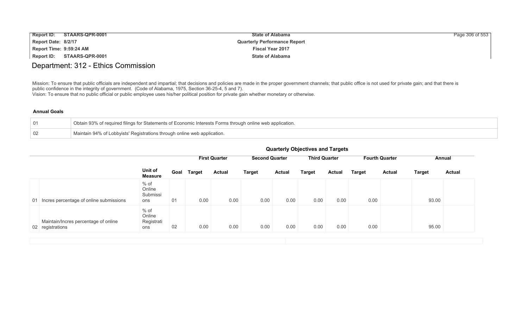| <b>Report ID:</b>       | STAARS-QPR-0001 | <b>State of Alabama</b>             | Page 306 of 553 |
|-------------------------|-----------------|-------------------------------------|-----------------|
| Report Date: 8/2/17     |                 | <b>Quarterly Performance Report</b> |                 |
| Report Time: 9:59:24 AM |                 | <b>Fiscal Year 2017</b>             |                 |
| <b>Report ID:</b>       | STAARS-QPR-0001 | <b>State of Alabama</b>             |                 |

### Department: 312 - Ethics Commission

Mission: To ensure that public officials are independent and impartial; that decisions and policies are made in the proper government channels; that public office is not used for private gain; and that there is public confidence in the integrity of government. (Code of Alabama, 1975, Section 36-25-4, 5 and 7). Vision: To ensure that no public official or public employee uses his/her political position for private gain whether monetary or otherwise.

|    | Obtain 93% of required filings for Statements of Economic Interests Forms through online web application. |
|----|-----------------------------------------------------------------------------------------------------------|
| 02 | Maintain 94% of Lobbyists' Registrations through online web application.                                  |

| <b>Quarterly Objectives and Targets</b> |  |  |  |  |
|-----------------------------------------|--|--|--|--|
|-----------------------------------------|--|--|--|--|

|                                                          |                                       |      |               | <b>First Quarter</b> | <b>Second Quarter</b> |               | <b>Third Quarter</b> |               | <b>Fourth Quarter</b> |               | Annual        |               |
|----------------------------------------------------------|---------------------------------------|------|---------------|----------------------|-----------------------|---------------|----------------------|---------------|-----------------------|---------------|---------------|---------------|
|                                                          | Unit of<br><b>Measure</b>             | Goal | <b>Target</b> | <b>Actual</b>        | <b>Target</b>         | <b>Actual</b> | <b>Target</b>        | <b>Actual</b> | <b>Target</b>         | <b>Actual</b> | <b>Target</b> | <b>Actual</b> |
| 01 Incres percentage of online submissions               | $%$ of<br>Online<br>Submissi<br>ons   | 01   | 0.00          | 0.00                 | 0.00                  | 0.00          | 0.00                 | 0.00          | 0.00                  |               | 93.00         |               |
| Maintain/Incres percentage of online<br>02 registrations | $%$ of<br>Online<br>Registrati<br>ons | 02   | 0.00          | 0.00                 | 0.00                  | 0.00          | 0.00                 | 0.00          | 0.00                  |               | 95.00         |               |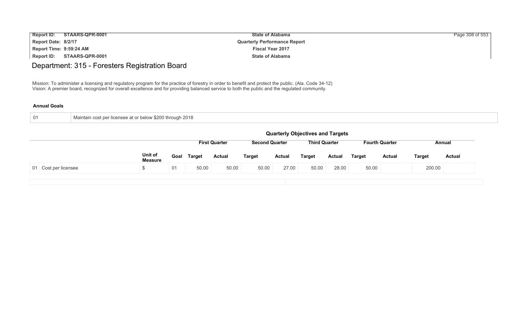| <b>Report ID:</b>       | STAARS-QPR-0001 | <b>State of Alabama</b>             | Page 308 of 553 |
|-------------------------|-----------------|-------------------------------------|-----------------|
| Report Date: 8/2/17     |                 | <b>Quarterly Performance Report</b> |                 |
| Report Time: 9:59:24 AM |                 | <b>Fiscal Year 2017</b>             |                 |
| Report ID:              | STAARS-QPR-0001 | <b>State of Alabama</b>             |                 |

## Department: 315 - Foresters Registration Board

Mission: To administer a licensing and regulatory program for the practice of forestry in order to benefit and protect the public. (Ala. Code 34-12) Vision: A premier board, recognized for overall excellence and for providing balanced service to both the public and the regulated community.

| 01 | Maintain cost per licensee at or below \$200 through 2018 |
|----|-----------------------------------------------------------|
|    |                                                           |

|                      |                           |      |               |                      |                       |               | <b>Quarterly Objectives and Targets</b> |        |               |                       |               |               |
|----------------------|---------------------------|------|---------------|----------------------|-----------------------|---------------|-----------------------------------------|--------|---------------|-----------------------|---------------|---------------|
|                      |                           |      |               | <b>First Quarter</b> | <b>Second Quarter</b> |               | <b>Third Quarter</b>                    |        |               | <b>Fourth Quarter</b> |               | Annual        |
|                      | Unit of<br><b>Measure</b> | Goal | <b>Target</b> | <b>Actual</b>        | <b>Target</b>         | <b>Actual</b> | <b>Target</b>                           | Actual | <b>Target</b> | <b>Actual</b>         | <b>Target</b> | <b>Actual</b> |
| 01 Cost per licensee |                           | 01   | 50.00         | 50.00                | 50.00                 | 27.00         | 50.00                                   | 28.00  | 50.00         |                       | 200.00        |               |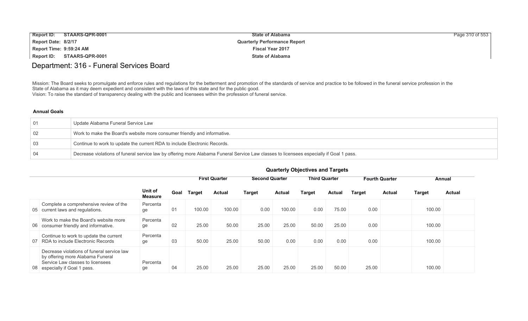| <b>Report ID:</b><br><b>STAARS-QPR-0001</b> | <b>State of Alabama</b>             | Page 310 of 553 |
|---------------------------------------------|-------------------------------------|-----------------|
| Report Date: 8/2/17                         | <b>Quarterly Performance Report</b> |                 |
| Report Time: 9:59:24 AM                     | <b>Fiscal Year 2017</b>             |                 |
| Report ID:<br>STAARS-QPR-0001               | <b>State of Alabama</b>             |                 |

## Department: 316 - Funeral Services Board

Mission: The Board seeks to promulgate and enforce rules and regulations for the betterment and promotion of the standards of service and practice to be followed in the funeral service profession in the State of Alabama as it may deem expedient and consistent with the laws of this state and for the public good. Vision: To raise the standard of transparency dealing with the public and licensees within the profession of funeral service.

#### **Annual Goals**

| ∣ 01 | Update Alabama Funeral Service Law                                                                                                      |
|------|-----------------------------------------------------------------------------------------------------------------------------------------|
| 02   | Work to make the Board's website more consumer friendly and informative.                                                                |
| -03  | Continue to work to update the current RDA to include Electronic Records.                                                               |
|      | Decrease violations of funeral service law by offering more Alabama Funeral Service Law classes to licensees especially if Goal 1 pass. |

|    |                                                                                                                                                     |                           | <b>GUATIONS</b> ODJUCTIVES AND THE GUIDE |        |                      |                       |               |                      |        |                       |               |               |               |
|----|-----------------------------------------------------------------------------------------------------------------------------------------------------|---------------------------|------------------------------------------|--------|----------------------|-----------------------|---------------|----------------------|--------|-----------------------|---------------|---------------|---------------|
|    |                                                                                                                                                     |                           |                                          |        | <b>First Quarter</b> | <b>Second Quarter</b> |               | <b>Third Quarter</b> |        | <b>Fourth Quarter</b> |               | Annual        |               |
|    |                                                                                                                                                     | Unit of<br><b>Measure</b> | Goal                                     | Target | <b>Actual</b>        | <b>Target</b>         | <b>Actual</b> | <b>Target</b>        | Actual | <b>Target</b>         | <b>Actual</b> | <b>Target</b> | <b>Actual</b> |
|    | Complete a comprehensive review of the<br>05 current laws and regulations.                                                                          | Percenta<br>ge            | 01                                       | 100.00 | 100.00               | 0.00                  | 100.00        | 0.00                 | 75.00  | 0.00                  |               | 100.00        |               |
|    | Work to make the Board's website more<br>06 consumer friendly and informative.                                                                      | Percenta<br>ge            | 02                                       | 25.00  | 50.00                | 25.00                 | 25.00         | 50.00                | 25.00  | 0.00                  |               | 100.00        |               |
| 07 | Continue to work to update the current<br>RDA to include Electronic Records                                                                         | Percenta<br>ge            | 03                                       | 50.00  | 25.00                | 50.00                 | 0.00          | 0.00                 | 0.00   | 0.00                  |               | 100.00        |               |
|    | Decrease violations of funeral service law<br>by offering more Alabama Funeral<br>Service Law classes to licensees<br>08 especially if Goal 1 pass. | Percenta<br>ge            | 04                                       | 25.00  | 25.00                | 25.00                 | 25.00         | 25.00                | 50.00  | 25.00                 |               | 100.00        |               |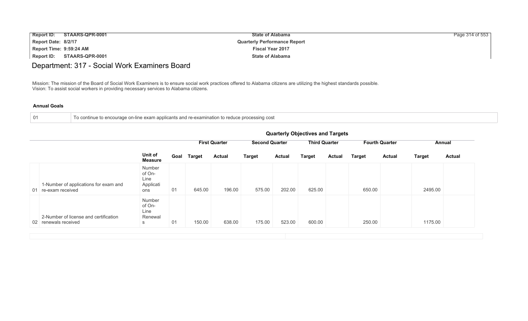| <b>Report ID:</b>       | STAARS-QPR-0001 | <b>State of Alabama</b>             | Page 314 of 553 |
|-------------------------|-----------------|-------------------------------------|-----------------|
| Report Date: 8/2/17     |                 | <b>Quarterly Performance Report</b> |                 |
| Report Time: 9:59:24 AM |                 | <b>Fiscal Year 2017</b>             |                 |
| Report ID:              | STAARS-QPR-0001 | <b>State of Alabama</b>             |                 |

## Department: 317 - Social Work Examiners Board

Mission: The mission of the Board of Social Work Examiners is to ensure social work practices offered to Alabama citizens are utilizing the highest standards possible. Vision: To assist social workers in providing necessary services to Alabama citizens.

| $\Box$ Fo continue to encourage on-line exam applicants and re-examination to reduce processing cost<br>- 01 |
|--------------------------------------------------------------------------------------------------------------|
|--------------------------------------------------------------------------------------------------------------|

|    |                                                               |                                              | <b>Quarterly Objectives and Targets</b> |               |                      |                       |               |                      |               |                       |               |               |               |
|----|---------------------------------------------------------------|----------------------------------------------|-----------------------------------------|---------------|----------------------|-----------------------|---------------|----------------------|---------------|-----------------------|---------------|---------------|---------------|
|    |                                                               |                                              |                                         |               | <b>First Quarter</b> | <b>Second Quarter</b> |               | <b>Third Quarter</b> |               | <b>Fourth Quarter</b> |               | Annual        |               |
|    |                                                               | Unit of<br><b>Measure</b>                    | Goal                                    | <b>Target</b> | <b>Actual</b>        | <b>Target</b>         | <b>Actual</b> | Target               | <b>Actual</b> | <b>Target</b>         | <b>Actual</b> | <b>Target</b> | <b>Actual</b> |
| 01 | 1-Number of applications for exam and<br>re-exam received     | Number<br>of On-<br>Line<br>Applicati<br>ons | 01                                      | 645.00        | 196.00               | 575.00                | 202.00        | 625.00               |               | 650.00                |               | 2495.00       |               |
|    | 2-Number of license and certification<br>02 renewals received | Number<br>of On-<br>Line<br>Renewal<br>S     | 01                                      | 150.00        | 638.00               | 175.00                | 523.00        | 600.00               |               | 250.00                |               | 1175.00       |               |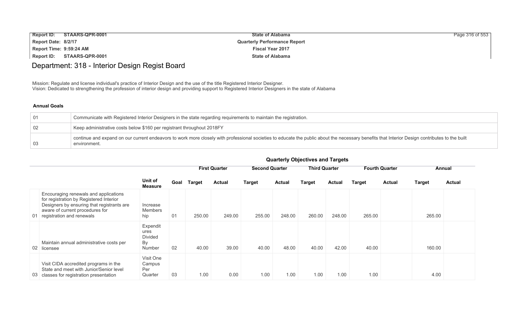| <b>Report ID:</b>       | STAARS-QPR-0001 | <b>State of Alabama</b>             | Page 316 of 553 |
|-------------------------|-----------------|-------------------------------------|-----------------|
| Report Date: 8/2/17     |                 | <b>Quarterly Performance Report</b> |                 |
| Report Time: 9:59:24 AM |                 | <b>Fiscal Year 2017</b>             |                 |
| Report ID:              | STAARS-QPR-0001 | <b>State of Alabama</b>             |                 |

## Department: 318 - Interior Design Regist Board

Mission: Regulate and license individual's practice of Interior Design and the use of the title Registered Interior Designer. Vision: Dedicated to strengthening the profession of interior design and providing support to Registered Interior Designers in the state of Alabama

#### **Annual Goals**

| 01  | Communicate with Registered Interior Designers in the state regarding requirements to maintain the registration.                                                                                               |
|-----|----------------------------------------------------------------------------------------------------------------------------------------------------------------------------------------------------------------|
| 02  | Keep administrative costs below \$160 per registrant throughout 2018FY                                                                                                                                         |
| -03 | continue and expand on our current endeavors to work more closely with professional societies to educate the public about the necessary benefits that Interior Design contributes to the built<br>environment. |

|                                                                                                                                                                                                   |                                                    |      | <b>First Quarter</b> |               | <b>Second Quarter</b> |               | <b>Third Quarter</b> |               | <b>Fourth Quarter</b> |               | Annual        |               |
|---------------------------------------------------------------------------------------------------------------------------------------------------------------------------------------------------|----------------------------------------------------|------|----------------------|---------------|-----------------------|---------------|----------------------|---------------|-----------------------|---------------|---------------|---------------|
|                                                                                                                                                                                                   | Unit of<br><b>Measure</b>                          | Goal | Target               | <b>Actual</b> | <b>Target</b>         | <b>Actual</b> | <b>Target</b>        | <b>Actual</b> | <b>Target</b>         | <b>Actual</b> | <b>Target</b> | <b>Actual</b> |
| Encouraging renewals and applications<br>for registration by Registered Interior<br>Designers by ensuring that registrants are<br>aware of current procedures for<br>01 registration and renewals | Increase<br>Members<br>hip                         | 01   | 250.00               | 249.00        | 255.00                | 248.00        | 260.00               | 248.00        | 265.00                |               | 265.00        |               |
| Maintain annual administrative costs per<br>02 licensee                                                                                                                                           | Expendit<br>ures<br>Divided<br><b>By</b><br>Number | 02   | 40.00                | 39.00         | 40.00                 | 48.00         | 40.00                | 42.00         | 40.00                 |               | 160.00        |               |
| Visit CIDA accredited programs in the<br>State and meet with Junior/Senior level<br>03 classes for registration presentation                                                                      | Visit One<br>Campus<br>Per<br>Quarter              | 03   | 1.00                 | 0.00          | 1.00                  | 1.00          | 1.00                 | 1.00          | 1.00                  |               | 4.00          |               |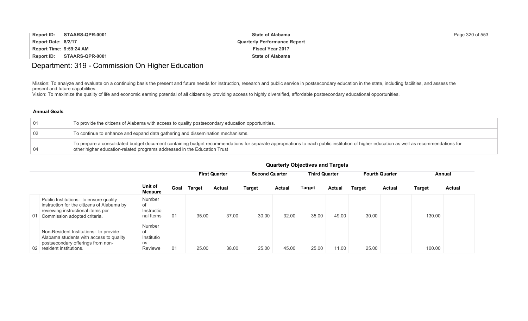| <b>Report ID:</b>       | STAARS-QPR-0001 | <b>State of Alabama</b>             | Page 320 of 553 |
|-------------------------|-----------------|-------------------------------------|-----------------|
| Report Date: 8/2/17     |                 | <b>Quarterly Performance Report</b> |                 |
| Report Time: 9:59:24 AM |                 | <b>Fiscal Year 2017</b>             |                 |
| Report ID:              | STAARS-QPR-0001 | <b>State of Alabama</b>             |                 |

## Department: 319 - Commission On Higher Education

Mission: To analyze and evaluate on a continuing basis the present and future needs for instruction, research and public service in postsecondary education in the state, including facilities, and assess the present and future capabilities.

Vision: To maximize the quality of life and economic earning potential of all citizens by providing access to highly diversified, affordable postsecondary educational opportunities.

#### **Annual Goals**

| 01 | To provide the citizens of Alabama with access to quality postsecondary education opportunities.                                                                                                                                                                  |
|----|-------------------------------------------------------------------------------------------------------------------------------------------------------------------------------------------------------------------------------------------------------------------|
| 02 | To continue to enhance and expand data gathering and dissemination mechanisms.                                                                                                                                                                                    |
| 04 | To prepare a consolidated budget document containing budget recommendations for separate appropriations to each public institution of higher education as well as recommendations for<br>other higher education-related programs addressed in the Education Trust |

|    |                                                                                                                                                           |                                             |      |        | <b>First Quarter</b> |               | <b>Second Quarter</b> |        | <b>Third Quarter</b> |               | <b>Fourth Quarter</b> |               | Annual        |  |
|----|-----------------------------------------------------------------------------------------------------------------------------------------------------------|---------------------------------------------|------|--------|----------------------|---------------|-----------------------|--------|----------------------|---------------|-----------------------|---------------|---------------|--|
|    |                                                                                                                                                           | Unit of<br><b>Measure</b>                   | Goal | Target | <b>Actual</b>        | <b>Target</b> | <b>Actual</b>         | Target | Actual               | <b>Target</b> | <b>Actual</b>         | <b>Target</b> | <b>Actual</b> |  |
| 01 | Public Institutions: to ensure quality<br>instruction for the citizens of Alabama by<br>reviewing instructional items per<br>Commission adopted criteria. | Number<br>0f<br>Instructio<br>nal Items     | 01   | 35.00  | 37.00                | 30.00         | 32.00                 | 35.00  | 49.00                | 30.00         |                       | 130.00        |               |  |
|    | Non-Resident Institutions: to provide<br>Alabama students with access to quality<br>postsecondary offerings from non-<br>02 resident institutions.        | Number<br>0f<br>Institutio<br>ns<br>Reviewe | 01   | 25.00  | 38.00                | 25.00         | 45.00                 | 25.00  | 11.00                | 25.00         |                       | 100.00        |               |  |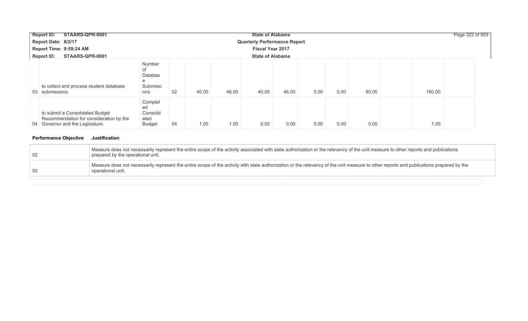| STAARS-QPR-0001<br><b>Report ID:</b>                                                                           |                                                        |             |       | <b>State of Alabama</b> |                                     |      |      |       |        | Page 322 of 553 |
|----------------------------------------------------------------------------------------------------------------|--------------------------------------------------------|-------------|-------|-------------------------|-------------------------------------|------|------|-------|--------|-----------------|
| Report Date: 8/2/17                                                                                            |                                                        |             |       |                         | <b>Quarterly Performance Report</b> |      |      |       |        |                 |
| Report Time: 9:59:24 AM                                                                                        |                                                        |             |       | <b>Fiscal Year 2017</b> |                                     |      |      |       |        |                 |
| STAARS-QPR-0001<br><b>Report ID:</b>                                                                           |                                                        |             |       | <b>State of Alabama</b> |                                     |      |      |       |        |                 |
| to collect and process student database<br>03 submissions.                                                     | Number<br>of<br><b>Databas</b><br>e<br>Submissi<br>ons | 40.00<br>02 | 46.00 | 40.00                   | 46.00                               | 0.00 | 0.00 | 80.00 | 160.00 |                 |
| to submit a Consolidated Budget<br>Recommendation for consideration by the<br>04 Governor and the Legislature. | Complet<br>ed<br>Consolid<br>ated<br>Budget            | 04<br>1.00  | 1.00  | 0.00                    | 0.00                                | 0.00 | 0.00 | 0.00  | 1.00   |                 |

### **Performance Objective Justification**

| 02 | Measure does not necessarily represent the entire scope of the activity associated with state authorization or the relevancy of the unit measure to other reports and publications<br>prepared by the operational unit. |
|----|-------------------------------------------------------------------------------------------------------------------------------------------------------------------------------------------------------------------------|
| 02 | Measure does not necessarily represent the entire scope of the activity with state authorization or the relevancy of the unit measure to other reports and publications prepared by the<br>operational unit.            |
|    |                                                                                                                                                                                                                         |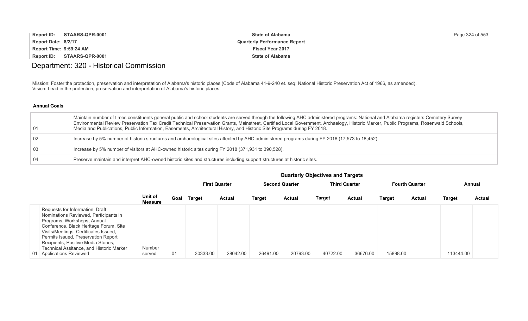| <b>Report ID:</b><br>STAARS-QPR-0001 | <b>State of Alabama</b>             | Page 324 of 553 |
|--------------------------------------|-------------------------------------|-----------------|
| Report Date: 8/2/17                  | <b>Quarterly Performance Report</b> |                 |
| Report Time: 9:59:24 AM              | <b>Fiscal Year 2017</b>             |                 |
| Report ID:<br>STAARS-QPR-0001        | <b>State of Alabama</b>             |                 |

## Department: 320 - Historical Commission

Mission: Foster the protection, preservation and interpretation of Alabama's historic places (Code of Alabama 41-9-240 et. seq; National Historic Preservation Act of 1966, as amended). Vision: Lead in the protection, preservation and interpretation of Alabama's historic places.

#### **Annual Goals**

| -01             | Maintain number of times constituents general public and school students are served through the following AHC administered programs: National and Alabama registers Cemetery Survey<br>Environmental Review Preservation Tax Credit Technical Preservation Grants, Mainstreet, Certified Local Government, Archaelogy, Historic Marker, Public Programs, Rosenwald Schools,<br>Media and Publications, Public Information, Easements, Architectural History, and Historic Site Programs during FY 2018. |
|-----------------|---------------------------------------------------------------------------------------------------------------------------------------------------------------------------------------------------------------------------------------------------------------------------------------------------------------------------------------------------------------------------------------------------------------------------------------------------------------------------------------------------------|
| $\overline{02}$ | Increase by 5% number of historic structures and archaeological sites affected by AHC administered programs during FY 2018 (17,573 to 18,452)                                                                                                                                                                                                                                                                                                                                                           |
| 03              | Increase by 5% number of visitors at AHC-owned historic sites during FY 2018 (371,931 to 390,528).                                                                                                                                                                                                                                                                                                                                                                                                      |
| $\overline{04}$ | Preserve maintain and interpret AHC-owned historic sites and structures including support structures at historic sites.                                                                                                                                                                                                                                                                                                                                                                                 |

|                                                                                                                                                                                                                                                                                                                                                  |                           |      |          | <b>First Quarter</b> |          | <b>Second Quarter</b> |          | <b>Third Quarter</b> |          | <b>Fourth Quarter</b> | Annual        |               |
|--------------------------------------------------------------------------------------------------------------------------------------------------------------------------------------------------------------------------------------------------------------------------------------------------------------------------------------------------|---------------------------|------|----------|----------------------|----------|-----------------------|----------|----------------------|----------|-----------------------|---------------|---------------|
|                                                                                                                                                                                                                                                                                                                                                  | Unit of<br><b>Measure</b> | Goal | Target   | <b>Actual</b>        | Target   | <b>Actual</b>         | Target   | <b>Actual</b>        | Target   | <b>Actual</b>         | <b>Target</b> | <b>Actual</b> |
| Requests for Information, Draft<br>Nominations Reviewed, Participants in<br>Programs, Workshops, Annual<br>Conference, Black Heritage Forum, Site<br>Visits/Meetings, Certificates Issued,<br>Permits Issued, Preservation Report<br>Recipients, Positive Media Stories,<br>Technical Assitance, and Historic Marker<br>01 Applications Reviewed | Number<br>served          | -01  | 30333.00 | 28042.00             | 26491.00 | 20793.00              | 40722.00 | 36676.00             | 15898.00 |                       | 113444.00     |               |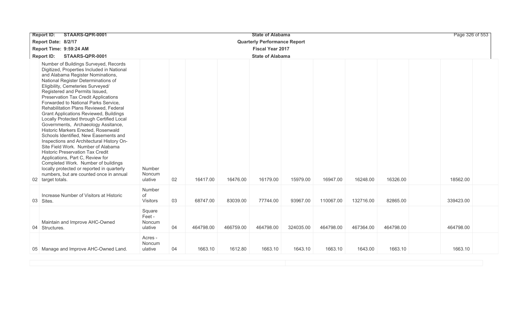| STAARS-QPR-0001<br><b>Report ID:</b>                                                                                                                                                                                                                                                                                                                                                                                                                                                                                                                                                                                                                                                                                                                                                                                                                                                                         |                                       |    |           |           | <b>State of Alabama</b>             |           |           |           |           | Page 326 of 553 |  |
|--------------------------------------------------------------------------------------------------------------------------------------------------------------------------------------------------------------------------------------------------------------------------------------------------------------------------------------------------------------------------------------------------------------------------------------------------------------------------------------------------------------------------------------------------------------------------------------------------------------------------------------------------------------------------------------------------------------------------------------------------------------------------------------------------------------------------------------------------------------------------------------------------------------|---------------------------------------|----|-----------|-----------|-------------------------------------|-----------|-----------|-----------|-----------|-----------------|--|
| Report Date: 8/2/17                                                                                                                                                                                                                                                                                                                                                                                                                                                                                                                                                                                                                                                                                                                                                                                                                                                                                          |                                       |    |           |           | <b>Quarterly Performance Report</b> |           |           |           |           |                 |  |
| Report Time: 9:59:24 AM                                                                                                                                                                                                                                                                                                                                                                                                                                                                                                                                                                                                                                                                                                                                                                                                                                                                                      |                                       |    |           |           | <b>Fiscal Year 2017</b>             |           |           |           |           |                 |  |
| <b>Report ID:</b><br>STAARS-QPR-0001                                                                                                                                                                                                                                                                                                                                                                                                                                                                                                                                                                                                                                                                                                                                                                                                                                                                         |                                       |    |           |           | <b>State of Alabama</b>             |           |           |           |           |                 |  |
| Number of Buildings Surveyed, Records<br>Digitized, Properties Included in National<br>and Alabama Register Nominations,<br>National Register Determinations of<br>Eligibility, Cemeteries Surveyed/<br>Registered and Permits Issued,<br>Preservation Tax Credit Applications<br>Forwarded to National Parks Service,<br>Rehabilitation Plans Reviewed, Federal<br><b>Grant Applications Reviewed, Buildings</b><br>Locally Protected through Certified Local<br>Governments, Archaeology Assitance,<br>Historic Markers Erected, Rosenwald<br>Schools Identified, New Easements and<br>Inspections and Architectural History On-<br>Site Field Work. Number of Alabama<br><b>Historic Preservation Tax Credit</b><br>Applications, Part C, Review for<br>Completed Work. Number of buildings<br>locally protected or reported in quarterly<br>numbers, but are counted once in annual<br>02 target totals. | Number<br>Noncum<br>ulative           | 02 | 16417.00  | 16476.00  | 16179.00                            | 15979.00  | 16947.00  | 16248.00  | 16326.00  | 18562.00        |  |
| Increase Number of Visitors at Historic<br>03 Sites.                                                                                                                                                                                                                                                                                                                                                                                                                                                                                                                                                                                                                                                                                                                                                                                                                                                         | Number<br>of<br><b>Visitors</b>       | 03 | 68747.00  | 83039.00  | 77744.00                            | 93967.00  | 110067.00 | 132716.00 | 82865.00  | 339423.00       |  |
| Maintain and Improve AHC-Owned<br>04 Structures.                                                                                                                                                                                                                                                                                                                                                                                                                                                                                                                                                                                                                                                                                                                                                                                                                                                             | Square<br>Feet -<br>Noncum<br>ulative | 04 | 464798.00 | 466759.00 | 464798.00                           | 324035.00 | 464798.00 | 467364.00 | 464798.00 | 464798.00       |  |
| 05 Manage and Improve AHC-Owned Land.                                                                                                                                                                                                                                                                                                                                                                                                                                                                                                                                                                                                                                                                                                                                                                                                                                                                        | Acres -<br>Noncum<br>ulative          | 04 | 1663.10   | 1612.80   | 1663.10                             | 1643.10   | 1663.10   | 1643.00   | 1663.10   | 1663.10         |  |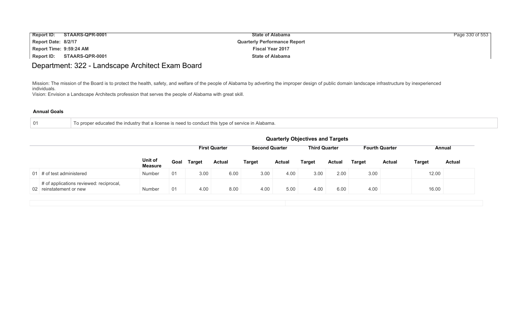| <b>Report ID:</b>       | STAARS-QPR-0001 | <b>State of Alabama</b>             | Page 330 of 553 |
|-------------------------|-----------------|-------------------------------------|-----------------|
| Report Date: 8/2/17     |                 | <b>Quarterly Performance Report</b> |                 |
| Report Time: 9:59:24 AM |                 | <b>Fiscal Year 2017</b>             |                 |
| Report ID:              | STAARS-QPR-0001 | <b>State of Alabama</b>             |                 |

## Department: 322 - Landscape Architect Exam Board

Mission: The mission of the Board is to protect the health, safety, and welfare of the people of Alabama by adverting the improper design of public domain landscape infrastructure by inexperienced individuals.

Vision: Envision a Landscape Architects profession that serves the people of Alabama with great skill.

| To proper educated the industry that a license is need to conduct this type of service in Alabama. |  |
|----------------------------------------------------------------------------------------------------|--|
|----------------------------------------------------------------------------------------------------|--|

|                                                                    | <b>Quarterly Objectives and Targets</b> |                                                                                                          |               |               |               |               |               |               |               |               |        |               |
|--------------------------------------------------------------------|-----------------------------------------|----------------------------------------------------------------------------------------------------------|---------------|---------------|---------------|---------------|---------------|---------------|---------------|---------------|--------|---------------|
|                                                                    |                                         | <b>Second Quarter</b><br><b>Third Quarter</b><br><b>First Quarter</b><br><b>Fourth Quarter</b><br>Annual |               |               |               |               |               |               |               |               |        |               |
|                                                                    | Unit of<br><b>Measure</b>               | Goal                                                                                                     | <b>Target</b> | <b>Actual</b> | <b>Target</b> | <b>Actual</b> | <b>Target</b> | <b>Actual</b> | <b>Target</b> | <b>Actual</b> | Target | <b>Actual</b> |
| 01 $\#$ of test administered                                       | Number                                  | 01                                                                                                       | 3.00          | 6.00          | 3.00          | 4.00          | 3.00          | 2.00          | 3.00          |               | 12.00  |               |
| # of applications reviewed: reciprocal,<br>02 reinstatement or new | Number                                  | 01                                                                                                       | 4.00          | 8.00          | 4.00          | 5.00          | 4.00          | 6.00          | 4.00          |               | 16.00  |               |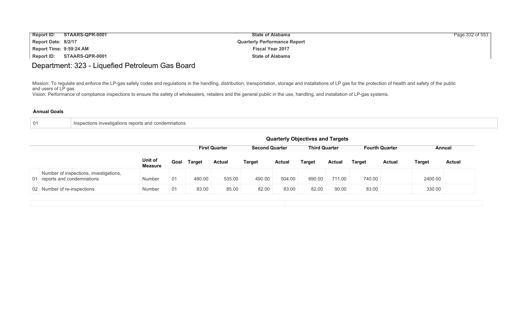| <b>Report ID:</b>       | STAARS-QPR-0001 | <b>State of Alabama</b>             | Page 332 of 553 |
|-------------------------|-----------------|-------------------------------------|-----------------|
| Report Date: 8/2/17     |                 | <b>Quarterly Performance Report</b> |                 |
| Report Time: 9:59:24 AM |                 | <b>Fiscal Year 2017</b>             |                 |
| Report ID:              | STAARS-QPR-0001 | <b>State of Alabama</b>             |                 |

## Department: 323 - Liquefied Petroleum Gas Board

Mission: To regulate and enforce the LP-gas safety codes and regulations in the handling, distribution, transportation, storage and installations of LP gas for the protection of health and safety of the public and users of LP gas.

Vision: Performance of compliance inspections to ensure the safety of wholesalers, retailers and the general public in the use, handling, and installation of LP-gas systems.

|  | Inspections investigations reports and condemnations |  |
|--|------------------------------------------------------|--|
|--|------------------------------------------------------|--|

|                                                                        | <b>Quarterly Objectives and Targets</b> |                                                                                                          |               |               |               |               |               |        |        |               |               |               |
|------------------------------------------------------------------------|-----------------------------------------|----------------------------------------------------------------------------------------------------------|---------------|---------------|---------------|---------------|---------------|--------|--------|---------------|---------------|---------------|
|                                                                        |                                         | <b>First Quarter</b><br><b>Second Quarter</b><br><b>Third Quarter</b><br><b>Fourth Quarter</b><br>Annual |               |               |               |               |               |        |        |               |               |               |
|                                                                        | Unit of<br><b>Measure</b>               | Goal                                                                                                     | <b>Target</b> | <b>Actual</b> | <b>Target</b> | <b>Actual</b> | <b>Target</b> | Actual | Target | <b>Actual</b> | <b>Target</b> | <b>Actual</b> |
| Number of inspections, investigations,<br>01 reports and condemnations | Number                                  | 01                                                                                                       | 480.00        | 535.00        | 490.00        | 504.00        | 690.00        | 711.00 | 740.00 |               | 2400.00       |               |
| 02 Number of re-inspections                                            | Number                                  | 01                                                                                                       | 83.00         | 85.00         | 82.00         | 83.00         | 82.00         | 90.00  | 83.00  |               | 330.00        |               |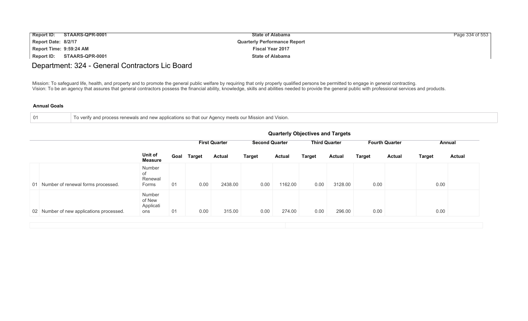| <b>Report ID:</b>       | STAARS-QPR-0001 | <b>State of Alabama</b>             | Page 334 of 553 |
|-------------------------|-----------------|-------------------------------------|-----------------|
| Report Date: 8/2/17     |                 | <b>Quarterly Performance Report</b> |                 |
| Report Time: 9:59:24 AM |                 | <b>Fiscal Year 2017</b>             |                 |
| Report ID:              | STAARS-QPR-0001 | <b>State of Alabama</b>             |                 |

## Department: 324 - General Contractors Lic Board

Mission: To safeguard life, health, and property and to promote the general public welfare by requiring that only properly qualified persons be permitted to engage in general contracting. Vision: To be an agency that assures that general contractors possess the financial ability, knowledge, skills and abilities needed to provide the general public with professional services and products.

| To verify and process renewals and new applications so that our Agency meets our Mission and Vision. |
|------------------------------------------------------------------------------------------------------|
|                                                                                                      |

|                                          |                                      | <b>Quarterly Objectives and Targets</b>                                                                  |        |               |               |               |               |               |               |               |               |               |  |
|------------------------------------------|--------------------------------------|----------------------------------------------------------------------------------------------------------|--------|---------------|---------------|---------------|---------------|---------------|---------------|---------------|---------------|---------------|--|
|                                          |                                      | <b>First Quarter</b><br><b>Second Quarter</b><br><b>Third Quarter</b><br><b>Fourth Quarter</b><br>Annual |        |               |               |               |               |               |               |               |               |               |  |
|                                          | Unit of<br><b>Measure</b>            | Goal                                                                                                     | Target | <b>Actual</b> | <b>Target</b> | <b>Actual</b> | <b>Target</b> | <b>Actual</b> | <b>Target</b> | <b>Actual</b> | <b>Target</b> | <b>Actual</b> |  |
| 01 Number of renewal forms processed.    | Number<br>of<br>Renewal<br>Forms     | 01                                                                                                       | 0.00   | 2438.00       | 0.00          | 1162.00       | 0.00          | 3128.00       | 0.00          |               | 0.00          |               |  |
| 02 Number of new applications processed. | Number<br>of New<br>Applicati<br>ons | 01                                                                                                       | 0.00   | 315.00        | 0.00          | 274.00        | 0.00          | 296.00        | 0.00          |               | 0.00          |               |  |
|                                          |                                      |                                                                                                          |        |               |               |               |               |               |               |               |               |               |  |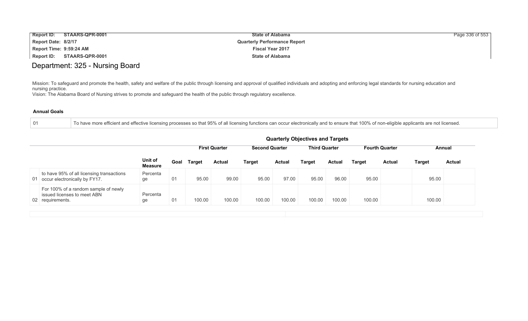| <b>Report ID:</b>       | STAARS-QPR-0001 | <b>State of Alabama</b>             | Page 336 of 553 |
|-------------------------|-----------------|-------------------------------------|-----------------|
| Report Date: 8/2/17     |                 | <b>Quarterly Performance Report</b> |                 |
| Report Time: 9:59:24 AM |                 | <b>Fiscal Year 2017</b>             |                 |
| Report ID:              | STAARS-QPR-0001 | <b>State of Alabama</b>             |                 |

### Department: 325 - Nursing Board

Mission: To safeguard and promote the health, safety and welfare of the public through licensing and approval of qualified individuals and adopting and enforcing legal standards for nursing education and nursing practice.

Vision: The Alabama Board of Nursing strives to promote and safeguard the health of the public through regulatory excellence.

### **Annual Goals**

01 To have more efficient and effective licensing processes so that 95% of all licensing functions can occur electronically and to ensure that 100% of non-eligible applicants are not licensed.

|                                                                                         |                    |      |               |                      |                       |               | <b>Quarterly Objectives and Targets</b> |        |               |                       |               |               |
|-----------------------------------------------------------------------------------------|--------------------|------|---------------|----------------------|-----------------------|---------------|-----------------------------------------|--------|---------------|-----------------------|---------------|---------------|
|                                                                                         |                    |      |               | <b>First Quarter</b> | <b>Second Quarter</b> |               | <b>Third Quarter</b>                    |        |               | <b>Fourth Quarter</b> |               | Annual        |
|                                                                                         | Unit of<br>Measure | Goal | <b>Target</b> | <b>Actual</b>        | <b>Target</b>         | <b>Actual</b> | Target                                  | Actual | <b>Target</b> | <b>Actual</b>         | <b>Target</b> | <b>Actual</b> |
| to have 95% of all licensing transactions<br>01 occur electronically by FY17.           | Percenta<br>ge     | 01   | 95.00         | 99.00                | 95.00                 | 97.00         | 95.00                                   | 96.00  | 95.00         |                       | 95.00         |               |
| For 100% of a random sample of newly<br>issued licenses to meet ABN<br>02 requirements. | Percenta<br>ge     | 01   | 100.00        | 100.00               | 100.00                | 100.00        | 100.00                                  | 100.00 | 100.00        |                       | 100.00        |               |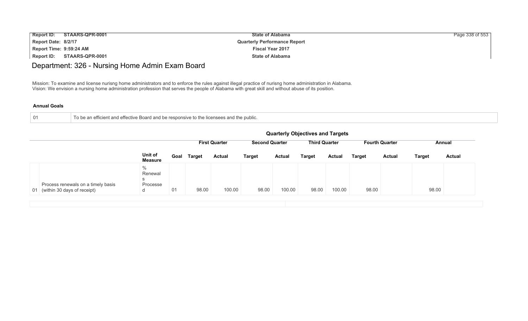| <b>Report ID:</b>       | STAARS-QPR-0001 | <b>State of Alabama</b>             | Page 338 of 553 |
|-------------------------|-----------------|-------------------------------------|-----------------|
| Report Date: 8/2/17     |                 | <b>Quarterly Performance Report</b> |                 |
| Report Time: 9:59:24 AM |                 | <b>Fiscal Year 2017</b>             |                 |
| Report ID:              | STAARS-QPR-0001 | <b>State of Alabama</b>             |                 |

## Department: 326 - Nursing Home Admin Exam Board

Mission: To examine and license nurisng home administrators and to enforce the rules against illegal practice of nurisng home administration in Alabama. Vision: We envision a nursing home administration profession that serves the people of Alabama with great skill and without abuse of its position.

| 01<br>he an efficient and effective Board and be responsive to the licensees and the public. |
|----------------------------------------------------------------------------------------------|
|----------------------------------------------------------------------------------------------|

|    |                                                                   |                                                |      |               |                      |                       |               | <b>Quarterly Objectives and Targets</b> |               |        |                       |               |               |
|----|-------------------------------------------------------------------|------------------------------------------------|------|---------------|----------------------|-----------------------|---------------|-----------------------------------------|---------------|--------|-----------------------|---------------|---------------|
|    |                                                                   |                                                |      |               | <b>First Quarter</b> | <b>Second Quarter</b> |               | <b>Third Quarter</b>                    |               |        | <b>Fourth Quarter</b> |               | Annual        |
|    |                                                                   | Unit of<br><b>Measure</b>                      | Goal | <b>Target</b> | <b>Actual</b>        | <b>Target</b>         | <b>Actual</b> | <b>Target</b>                           | <b>Actual</b> | Target | <b>Actual</b>         | <b>Target</b> | <b>Actual</b> |
| 01 | Process renewals on a timely basis<br>(within 30 days of receipt) | $\frac{0}{0}$<br>Renewal<br>s<br>Processe<br>d | 01   | 98.00         | 100.00               | 98.00                 | 100.00        | 98.00                                   | 100.00        | 98.00  |                       | 98.00         |               |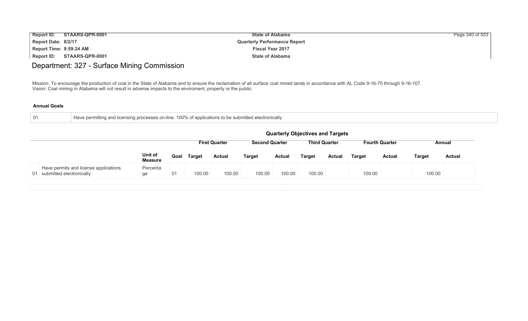| <b>Report ID:</b>       | STAARS-QPR-0001 | <b>State of Alabama</b>             | Page 340 of 553 |
|-------------------------|-----------------|-------------------------------------|-----------------|
| Report Date: 8/2/17     |                 | <b>Quarterly Performance Report</b> |                 |
| Report Time: 9:59:24 AM |                 | <b>Fiscal Year 2017</b>             |                 |
| Report ID:              | STAARS-QPR-0001 | <b>State of Alabama</b>             |                 |

# Department: 327 - Surface Mining Commission

Mission: To encourage the production of coal in the State of Alabama and to ensure the reclamation of all surface coal mined lands in accordance with AL Code 9-16-70 through 9-16-107. Vision: Coal mining in Alabama will not result in adverse impacts to the enviroment, property or the public.

| $\pm$ Have permitting and licensing processes on-line. 100% of applications to be submitted electronically. |
|-------------------------------------------------------------------------------------------------------------|
|                                                                                                             |

|                              |                                       |                                  |      |               |                      |                       |               | <b>Quarterly Objectives and Targets</b> |               |               |                       |               |               |
|------------------------------|---------------------------------------|----------------------------------|------|---------------|----------------------|-----------------------|---------------|-----------------------------------------|---------------|---------------|-----------------------|---------------|---------------|
|                              |                                       |                                  |      |               | <b>First Quarter</b> | <b>Second Quarter</b> |               | <b>Third Quarter</b>                    |               |               | <b>Fourth Quarter</b> |               | Annual        |
|                              |                                       | <b>Unit of</b><br><b>Measure</b> | Goal | <b>Target</b> | <b>Actual</b>        | <b>Target</b>         | <b>Actual</b> | <b>Target</b>                           | <b>Actual</b> | <b>Target</b> | <b>Actual</b>         | <b>Target</b> | <b>Actual</b> |
| 01 submitted electronically. | Have permits and license applications | Percenta<br>ge                   | 01   | 100.00        | 100.00               | 100.00                | 100.00        | 100.00                                  |               | 100.00        |                       | 100.00        |               |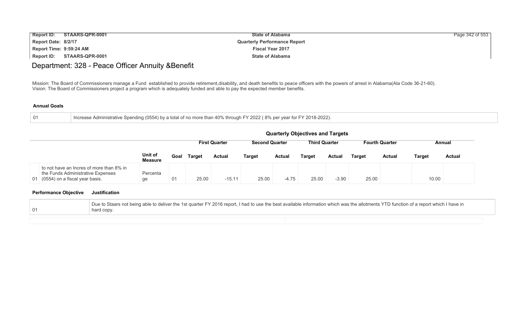| <b>Report ID:</b>       | STAARS-QPR-0001 | <b>State of Alabama</b>             | Page 342 of 553 |
|-------------------------|-----------------|-------------------------------------|-----------------|
| Report Date: 8/2/17     |                 | <b>Quarterly Performance Report</b> |                 |
| Report Time: 9:59:24 AM |                 | <b>Fiscal Year 2017</b>             |                 |
| Report ID:              | STAARS-QPR-0001 | <b>State of Alabama</b>             |                 |

## Department: 328 - Peace Officer Annuity &Benefit

Mission: The Board of Commissioners manage a Fund established to provide retirement,disability, and death benefits to peace officers with the powers of arrest in Alabama(Ala Code 36-21-60). Vision: The Board of Commissioners project a program which is adequately funded and able to pay the expected member benefits.

#### **Annual Goals**

| $\overline{01}$ | Increase Administrative Spending (0554) by a total of no more than 40% through FY 2022 (8% per year for FY 2018-2022). |
|-----------------|------------------------------------------------------------------------------------------------------------------------|
|-----------------|------------------------------------------------------------------------------------------------------------------------|

|                                                                                                                    | <b>Quarterly Objectives and Targets</b> |      |               |                      |                       |               |                      |               |               |                       |               |               |
|--------------------------------------------------------------------------------------------------------------------|-----------------------------------------|------|---------------|----------------------|-----------------------|---------------|----------------------|---------------|---------------|-----------------------|---------------|---------------|
|                                                                                                                    |                                         |      |               | <b>First Quarter</b> | <b>Second Quarter</b> |               | <b>Third Quarter</b> |               |               | <b>Fourth Quarter</b> |               | Annual        |
|                                                                                                                    | Unit of<br><b>Measure</b>               | Goal | <b>Target</b> | <b>Actual</b>        | <b>Target</b>         | <b>Actual</b> | <b>Target</b>        | <b>Actual</b> | <b>Target</b> | <b>Actual</b>         | <b>Target</b> | <b>Actual</b> |
| to not have an Incres of more than 8% in<br>the Funds Administrative Expenses<br>01 (0554) on a fiscal year basis. | Percenta<br>ge                          | 01   | 25.00         | $-15.11$             | 25.00                 | $-4.75$       | 25.00                | $-3.90$       | 25.00         |                       | 10.00         |               |

### **Performance Objective Justification**

| Due to Staars not being able to deliver the 1st quarter FY 2016 report, I had to use the best available information which was the allotments YTD function of a report which I have in |
|---------------------------------------------------------------------------------------------------------------------------------------------------------------------------------------|
| hard copy.                                                                                                                                                                            |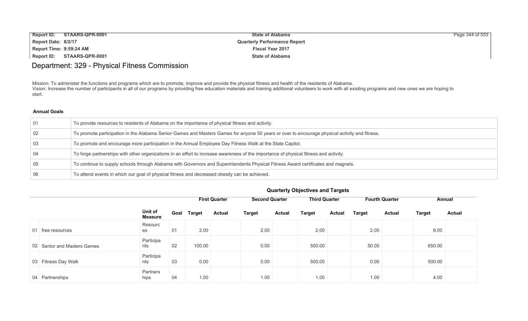| <b>Report ID:</b>       | STAARS-QPR-0001 | <b>State of Alabama</b>             | Page 344 of 553 |
|-------------------------|-----------------|-------------------------------------|-----------------|
| Report Date: 8/2/17     |                 | <b>Quarterly Performance Report</b> |                 |
| Report Time: 9:59:24 AM |                 | <b>Fiscal Year 2017</b>             |                 |
| Report ID:              | STAARS-QPR-0001 | <b>State of Alabama</b>             |                 |

### Department: 329 - Physical Fitness Commission

Mission: To administer the functions and programs which are to promote, improve and provide the physical fitness and health of the residents of Alabama. Vision: Increase the number of participants in all of our programs by providing free education materials and training additional volunteers to work with all existing programs and new ones we are hoping to start.

### **Annual Goals**

| 01 | To provide resources to residents of Alabama on the importance of physical fitness and activity.                                               |
|----|------------------------------------------------------------------------------------------------------------------------------------------------|
| 02 | To promote participation in the Alabama Senior Games and Masters Games for anyone 50 years or over to encourage physical activity and fitness. |
| 03 | To promote and encourage more participation in the Annual Employee Day Fitness Walk at the State Capitol.                                      |
|    | To forge partnerships with other organizations in an effort to increase awareness of the importance of physical fitness and activity.          |
| 05 | To continue to supply schools through Alabama with Governors and Superintendents Physical Fitness Award certificates and magnets.              |
|    | To attend events in which our goal of physical fitness and decreased obesity can be achieved.                                                  |

|                             |                           |      |               | <b>First Quarter</b> | <b>Second Quarter</b> |               | <b>Third Quarter</b> |               | <b>Fourth Quarter</b> |               | <b>Annual</b> |               |
|-----------------------------|---------------------------|------|---------------|----------------------|-----------------------|---------------|----------------------|---------------|-----------------------|---------------|---------------|---------------|
|                             | Unit of<br><b>Measure</b> | Goal | <b>Target</b> | <b>Actual</b>        | <b>Target</b>         | <b>Actual</b> | <b>Target</b>        | <b>Actual</b> | <b>Target</b>         | <b>Actual</b> | <b>Target</b> | <b>Actual</b> |
| 01 free resources           | Resourc<br>es             | 01   | 2.00          |                      | 2.00                  |               | 2.00                 |               | 2.00                  |               | 8.00          |               |
| 02 Senior and Masters Games | Participa<br>nts          | 02   | 100.00        |                      | 0.00                  |               | 500.00               |               | 50.00                 |               | 650.00        |               |
| 03 Fitness Day Walk         | Participa<br>nts          | 03   | 0.00          |                      | 0.00                  |               | 500.00               |               | 0.00                  |               | 500.00        |               |
| 04 Partnerships             | Partners<br>hips          | 04   | 1.00          |                      | 1.00                  |               | 1.00                 |               | 1.00                  |               | 4.00          |               |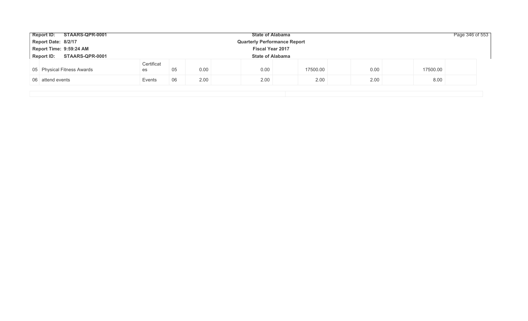|                                                    | Report ID: STAARS-QPR-0001<br><b>State of Alabama</b>      |                  |    |      |      |          |      |          |  |  |  |  |
|----------------------------------------------------|------------------------------------------------------------|------------------|----|------|------|----------|------|----------|--|--|--|--|
|                                                    | Report Date: 8/2/17<br><b>Quarterly Performance Report</b> |                  |    |      |      |          |      |          |  |  |  |  |
| Report Time: 9:59:24 AM<br><b>Fiscal Year 2017</b> |                                                            |                  |    |      |      |          |      |          |  |  |  |  |
|                                                    | Report ID: STAARS-QPR-0001<br><b>State of Alabama</b>      |                  |    |      |      |          |      |          |  |  |  |  |
|                                                    | 05 Physical Fitness Awards                                 | Certificat<br>es | 05 | 0.00 | 0.00 | 17500.00 | 0.00 | 17500.00 |  |  |  |  |
|                                                    | 06 attend events                                           | Events           | 06 | 2.00 | 2.00 | 2.00     | 2.00 | 8.00     |  |  |  |  |
|                                                    |                                                            |                  |    |      |      |          |      |          |  |  |  |  |
|                                                    |                                                            |                  |    |      |      |          |      |          |  |  |  |  |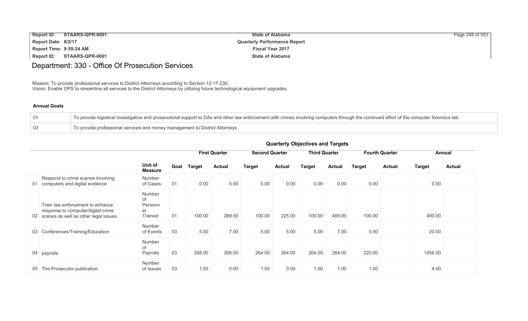| Report ID:                 | STAARS-QPR-0001 | <b>State of Alabama</b>             | Page 348 of 553 |
|----------------------------|-----------------|-------------------------------------|-----------------|
| Report Date: 8/2/17        |                 | <b>Quarterly Performance Report</b> |                 |
| Report Time: 9:59:24 AM    |                 | <b>Fiscal Year 2017</b>             |                 |
| Report ID: STAARS-QPR-0001 |                 | <b>State of Alabama</b>             |                 |

# Department: 330 - Office Of Prosecution Services

Mission: To provide professional services to District Attorneys according to Section 12-17-230. Vision: Enable OPS to streamline all services to the District Attorneys by utilizing future technological equipment upgrades.

#### **Annual Goals**

| To provide logistical investigative and prosecutorial support to DAs and other law enforcement with crimes involving computers through the continued effort of the computer forensics lab. |
|--------------------------------------------------------------------------------------------------------------------------------------------------------------------------------------------|
| To provide professional services and money management to District Attorneys                                                                                                                |

|                                                                                                                    |                                          |      |               | <b>First Quarter</b> |               | <b>Second Quarter</b> |               | <b>Third Quarter</b> |               | <b>Fourth Quarter</b>   | Annual        |  |
|--------------------------------------------------------------------------------------------------------------------|------------------------------------------|------|---------------|----------------------|---------------|-----------------------|---------------|----------------------|---------------|-------------------------|---------------|--|
|                                                                                                                    | Unit of<br><b>Measure</b>                | Goal | <b>Target</b> | <b>Actual</b>        | <b>Target</b> | <b>Actual</b>         | <b>Target</b> | <b>Actual</b>        | <b>Target</b> | <b>Actual</b><br>Target | <b>Actual</b> |  |
| Respond to crime scenes involving<br>computers and digital evidence<br>01                                          | Number<br>of Cases                       | 01   | 0.00          | 0.00                 | 0.00          | 0.00                  | 0.00          | 0.00                 | 0.00          | 0.00                    |               |  |
| Train law enforcement to enhance<br>response to computer/digital crime<br>02 scenes as well as other legal issues. | Number<br>of<br>Personn<br>el<br>Trained | 01   | 100.00        | 289.00               | 100.00        | 225.00                | 100.00        | 485.00               | 100.00        | 400.00                  |               |  |
| 03 Conferences/Training/Education                                                                                  | Number<br>of Events                      | 03   | 5.00          | 7.00                 | 5.00          | 5.00                  | 5.00          | 7.00                 | 5.00          | 20.00                   |               |  |
| 04 payrolls                                                                                                        | Number<br>of<br>Payrolls                 | 03   | 308.00        | 308.00               | 264.00        | 264.00                | 264.00        | 264.00               | 220.00        | 1056.00                 |               |  |
| The Prosecutor publication<br>05                                                                                   | Number<br>of Issues                      | 03   | 1.00          | 0.00                 | 1.00          | 0.00                  | 1.00          | 1.00                 | 1.00          | 4.00                    |               |  |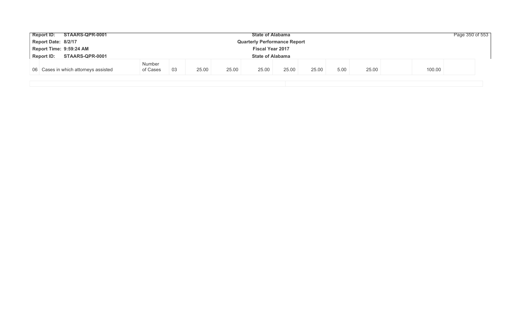|                                                                 | Report ID: STAARS-QPR-0001           |                           |     |       |       | <b>State of Alabama</b> |       |       |      |       |        | Page 350 of 553 |
|-----------------------------------------------------------------|--------------------------------------|---------------------------|-----|-------|-------|-------------------------|-------|-------|------|-------|--------|-----------------|
| Report Date: 8/2/17<br><b>Quarterly Performance Report</b>      |                                      |                           |     |       |       |                         |       |       |      |       |        |                 |
| Report Time: 9:59:24 AM<br><b>Fiscal Year 2017</b>              |                                      |                           |     |       |       |                         |       |       |      |       |        |                 |
| STAARS-QPR-0001<br><b>Report ID:</b><br><b>State of Alabama</b> |                                      |                           |     |       |       |                         |       |       |      |       |        |                 |
|                                                                 | 06 Cases in which attorneys assisted | <b>Number</b><br>of Cases | -03 | 25.00 | 25.00 | 25.00                   | 25.00 | 25.00 | 5.00 | 25.00 | 100.00 |                 |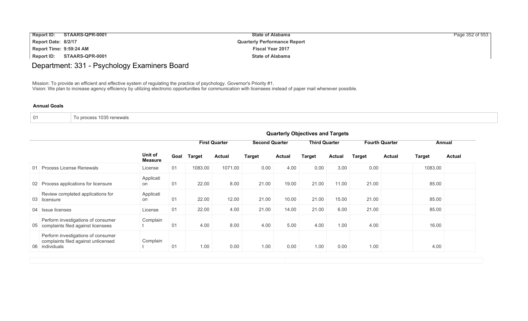| <b>Report ID:</b><br>STAARS-QPR-0001 | <b>State of Alabama</b>             | Page 352 of 553 |
|--------------------------------------|-------------------------------------|-----------------|
| Report Date: 8/2/17                  | <b>Quarterly Performance Report</b> |                 |
| Report Time: 9:59:24 AM              | <b>Fiscal Year 2017</b>             |                 |
| Report ID:<br>STAARS-QPR-0001        | <b>State of Alabama</b>             |                 |

Department: 331 - Psychology Examiners Board

Mission: To provide an efficient and effective system of regulating the practice of psychology. Governor's Priority #1. Vision: We plan to increase agency efficiency by utilizing electronic opportunities for communication with licensees instead of paper mail whenever possible.

| 01 | To process 1035 renewals |
|----|--------------------------|
|----|--------------------------|

|                                                                                             |                           | <b>Quarterly Objectives and Targets</b> |               |                      |                       |               |                      |               |               |                                 |               |               |
|---------------------------------------------------------------------------------------------|---------------------------|-----------------------------------------|---------------|----------------------|-----------------------|---------------|----------------------|---------------|---------------|---------------------------------|---------------|---------------|
|                                                                                             |                           |                                         |               | <b>First Quarter</b> | <b>Second Quarter</b> |               | <b>Third Quarter</b> |               |               | <b>Fourth Quarter</b><br>Annual |               |               |
|                                                                                             | Unit of<br><b>Measure</b> | Goal                                    | <b>Target</b> | <b>Actual</b>        | <b>Target</b>         | <b>Actual</b> | Target               | <b>Actual</b> | <b>Target</b> | <b>Actual</b>                   | <b>Target</b> | <b>Actual</b> |
| 01 Process License Renewals                                                                 | License                   | 01                                      | 1083.00       | 1071.00              | 0.00                  | 4.00          | 0.00                 | 3.00          | 0.00          |                                 | 1083.00       |               |
| 02 Process applications for licensure                                                       | Applicati<br>on           | 01                                      | 22.00         | 8.00                 | 21.00                 | 19.00         | 21.00                | 11.00         | 21.00         |                                 | 85.00         |               |
| Review completed applications for<br>03 licensure                                           | Applicati<br>on           | 01                                      | 22.00         | 12.00                | 21.00                 | 10.00         | 21.00                | 15.00         | 21.00         |                                 | 85.00         |               |
| 04 Issue licenses                                                                           | License                   | 01                                      | 22.00         | 4.00                 | 21.00                 | 14.00         | 21.00                | 6.00          | 21.00         |                                 | 85.00         |               |
| Perform investigations of consumer<br>05 complaints filed against licensees                 | Complain                  | 01                                      | 4.00          | 8.00                 | 4.00                  | 5.00          | 4.00                 | 1.00          | 4.00          |                                 | 16.00         |               |
| Perform investigations of consumer<br>complaints filed against unlicensed<br>06 individuals | Complain                  | 01                                      | 1.00          | 0.00                 | 1.00                  | 0.00          | 1.00                 | 0.00          | 1.00          |                                 | 4.00          |               |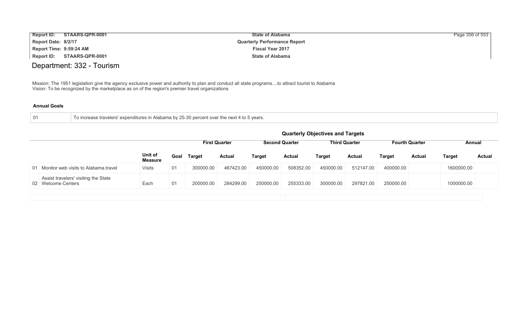| Report ID:          | STAARS-QPR-0001         | <b>State of Alabama</b>             | Page 356 of 553 |
|---------------------|-------------------------|-------------------------------------|-----------------|
| Report Date: 8/2/17 |                         | <b>Quarterly Performance Report</b> |                 |
|                     | Report Time: 9:59:24 AM | <b>Fiscal Year 2017</b>             |                 |
| Report ID:          | STAARS-QPR-0001         | <b>State of Alabama</b>             |                 |

## Department: 332 - Tourism

Mission: The 1951 legislation give the agency exclusive power and authority to plan and conduct all state programs....to attract tourist to Alabama Vision: To be recognized by the marketplace as on of the region's premier travel organizations

| - 01 | To increase travelers' expenditures in Alabama by 25-30 percent over the next 4 to 5 years. |
|------|---------------------------------------------------------------------------------------------|
|      |                                                                                             |

|                                                            |                    |      |               |                      |           |                       | <b>Quarterly Objectives and Targets</b> |                      |               |                       |            |        |
|------------------------------------------------------------|--------------------|------|---------------|----------------------|-----------|-----------------------|-----------------------------------------|----------------------|---------------|-----------------------|------------|--------|
|                                                            |                    |      |               | <b>First Quarter</b> |           | <b>Second Quarter</b> |                                         | <b>Third Quarter</b> |               | <b>Fourth Quarter</b> | Annual     |        |
|                                                            | Unit of<br>Measure | Goal | <b>Target</b> | <b>Actual</b>        | Target    | <b>Actual</b>         | Target                                  | <b>Actual</b>        | <b>Target</b> | <b>Actual</b>         | Target     | Actual |
| 01 Monitor web visits to Alabama.travel                    | <b>Visits</b>      | 01   | 300000.00     | 467423.00            | 450000.00 | 508352.00             | 450000.00                               | 512147.00            | 400000.00     |                       | 1600000.00 |        |
| Assist travelers' visiting the State<br>02 Welcome Centers | Each               | 01   | 200000.00     | 284299.00            | 250000.00 | 255333.00             | 300000.00                               | 297821.00            | 250000.00     |                       | 1000000.00 |        |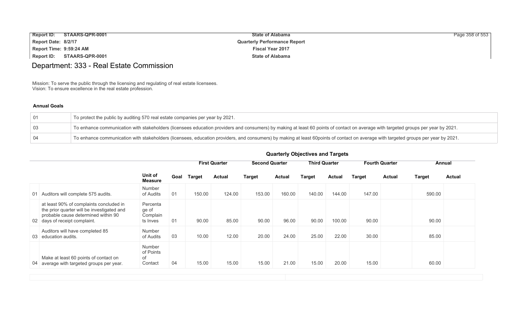| <b>Report ID:</b>       | STAARS-QPR-0001 | <b>State of Alabama</b>             | Page 358 of 553 |
|-------------------------|-----------------|-------------------------------------|-----------------|
| Report Date: 8/2/17     |                 | <b>Quarterly Performance Report</b> |                 |
| Report Time: 9:59:24 AM |                 | <b>Fiscal Year 2017</b>             |                 |
| Report ID:              | STAARS-QPR-0001 | <b>State of Alabama</b>             |                 |

## Department: 333 - Real Estate Commission

Mission: To serve the public through the licensing and regulating of real estate licensees. Vision: To ensure excellence in the real estate profession.

### **Annual Goals**

| 01  | To protect the public by auditing 570 real estate companies per year by 2021.                                                                                                       |
|-----|-------------------------------------------------------------------------------------------------------------------------------------------------------------------------------------|
| -03 | To enhance communication with stakeholders (licensees education providers and consumers) by making at least 60 points of contact on average with targeted groups per year by 2021.  |
| 04  | To enhance communication with stakeholders (licensees, education providers, and consumers) by making at least 60points of contact on average with targeted groups per year by 2021. |

|                                                                                                                                                               |                                             |      |               | <b>First Quarter</b> |               | <b>Second Quarter</b> |               |               | <b>Third Quarter</b> |               | <b>Fourth Quarter</b> |               | Annual |  |
|---------------------------------------------------------------------------------------------------------------------------------------------------------------|---------------------------------------------|------|---------------|----------------------|---------------|-----------------------|---------------|---------------|----------------------|---------------|-----------------------|---------------|--------|--|
|                                                                                                                                                               | Unit of<br><b>Measure</b>                   | Goal | <b>Target</b> | <b>Actual</b>        | <b>Target</b> | <b>Actual</b>         | <b>Target</b> | <b>Actual</b> | <b>Target</b>        | <b>Actual</b> | <b>Target</b>         | <b>Actual</b> |        |  |
| Auditors will complete 575 audits.<br>01                                                                                                                      | <b>Number</b><br>of Audits                  | 01   | 150.00        | 124.00               | 153.00        | 160.00                | 140.00        | 144.00        | 147.00               |               | 590.00                |               |        |  |
| at least 90% of complaints concluded in<br>the prior quarter will be investigated and<br>probable cause determined within 90<br>02 days of receipt complaint. | Percenta<br>ge of<br>Complain<br>ts Inves   | 01   | 90.00         | 85.00                | 90.00         | 96.00                 | 90.00         | 100.00        | 90.00                |               | 90.00                 |               |        |  |
| Auditors will have completed 85<br>education audits.<br>03                                                                                                    | <b>Number</b><br>of Audits                  | 03   | 10.00         | 12.00                | 20.00         | 24.00                 | 25.00         | 22.00         | 30.00                |               | 85.00                 |               |        |  |
| Make at least 60 points of contact on<br>04 average with targeted groups per year.                                                                            | <b>Number</b><br>of Points<br>0f<br>Contact | 04   | 15.00         | 15.00                | 15.00         | 21.00                 | 15.00         | 20.00         | 15.00                |               | 60.00                 |               |        |  |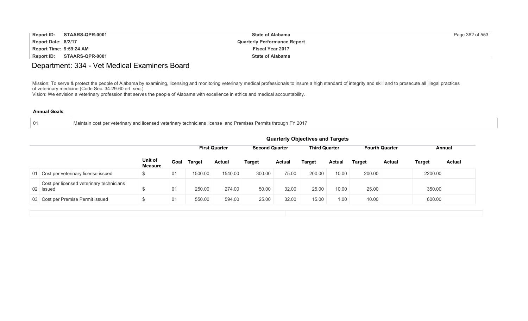| <b>Report ID:</b>       | STAARS-QPR-0001 | <b>State of Alabama</b>             | Page 362 of 553 |
|-------------------------|-----------------|-------------------------------------|-----------------|
| Report Date: 8/2/17     |                 | <b>Quarterly Performance Report</b> |                 |
| Report Time: 9:59:24 AM |                 | <b>Fiscal Year 2017</b>             |                 |
| Report ID:              | STAARS-QPR-0001 | <b>State of Alabama</b>             |                 |

### Department: 334 - Vet Medical Examiners Board

Mission: To serve & protect the people of Alabama by examining, licensing and monitoring veterinary medical professionals to insure a high standard of integrity and skill and to prosecute all illegal practices of veterinary medicine (Code Sec. 34-29-60 ert. seq.)

Vision: We envision a veterinary profession that serves the people of Alabama with excellence in ethics and medical accountability.

|  | Maintain cost per veterinary and licensed veterinary technicians license and Premises Permits through FY.<br>່ 201 |
|--|--------------------------------------------------------------------------------------------------------------------|
|--|--------------------------------------------------------------------------------------------------------------------|

|                                                       |                           |    |             |                      |                       |               | <b>Quarterly Objectives and Targets</b> |               |                       |               |               |               |
|-------------------------------------------------------|---------------------------|----|-------------|----------------------|-----------------------|---------------|-----------------------------------------|---------------|-----------------------|---------------|---------------|---------------|
|                                                       |                           |    |             | <b>First Quarter</b> | <b>Second Quarter</b> |               | <b>Third Quarter</b>                    |               | <b>Fourth Quarter</b> |               | Annual        |               |
|                                                       | Unit of<br><b>Measure</b> |    | Goal Target | <b>Actual</b>        | <b>Target</b>         | <b>Actual</b> | <b>Target</b>                           | <b>Actual</b> | <b>Target</b>         | <b>Actual</b> | <b>Target</b> | <b>Actual</b> |
| 01 Cost per veterinary license issued                 | \$                        | 01 | 1500.00     | 1540.00              | 300.00                | 75.00         | 200.00                                  | 10.00         | 200.00                |               | 2200.00       |               |
| Cost per licensed veterinary technicians<br>02 issued |                           | 01 | 250.00      | 274.00               | 50.00                 | 32.00         | 25.00                                   | 10.00         | 25.00                 |               | 350.00        |               |
| 03 Cost per Premise Permit issued                     | \$                        | 01 | 550.00      | 594.00               | 25.00                 | 32.00         | 15.00                                   | 1.00          | 10.00                 |               | 600.00        |               |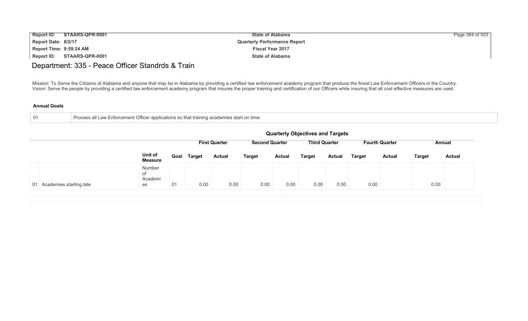| <b>Report ID:</b>       | STAARS-QPR-0001 | <b>State of Alabama</b>             | Page 364 of 553 |
|-------------------------|-----------------|-------------------------------------|-----------------|
| Report Date: 8/2/17     |                 | <b>Quarterly Performance Report</b> |                 |
| Report Time: 9:59:24 AM |                 | <b>Fiscal Year 2017</b>             |                 |
| Report ID:              | STAARS-QPR-0001 | <b>State of Alabama</b>             |                 |

## Department: 335 - Peace Officer Standrds & Train

Mission: To Serve the Citizens of Alabama and anyone that may be in Alabama by providing a certified law enforcement academy program that produce the finest Law Enforcement Officers in the Country. Vision: Serve the people by providing a certified law enforcement academy program that insures the proper training and certification of our Officers while insuring that all cost effective measures are used.

| Process all Law Enforcement Officer applications so that training academies start on time.<br>$\blacksquare$ |
|--------------------------------------------------------------------------------------------------------------|
|                                                                                                              |

| <b>Third Quarter</b><br><b>First Quarter</b><br><b>Second Quarter</b><br><b>Fourth Quarter</b><br>Unit of<br><b>Target</b><br>Goal<br><b>Actual</b><br><b>Target</b><br><b>Target</b><br><b>Target</b><br><b>Actual</b><br><b>Actual</b><br><b>Actual</b><br>Target<br><b>Measure</b><br>Number<br>οf |         |  |  | <b>Quarterly Objectives and Targets</b> |  |      |               |
|-------------------------------------------------------------------------------------------------------------------------------------------------------------------------------------------------------------------------------------------------------------------------------------------------------|---------|--|--|-----------------------------------------|--|------|---------------|
|                                                                                                                                                                                                                                                                                                       |         |  |  |                                         |  |      | Annual        |
|                                                                                                                                                                                                                                                                                                       |         |  |  |                                         |  |      | <b>Actual</b> |
| 0.00<br>0.00<br>0.00<br>0.00<br>0.00<br>0.00<br>0.00<br>01<br>01 Academies starting late<br>es                                                                                                                                                                                                        | Academi |  |  |                                         |  | 0.00 |               |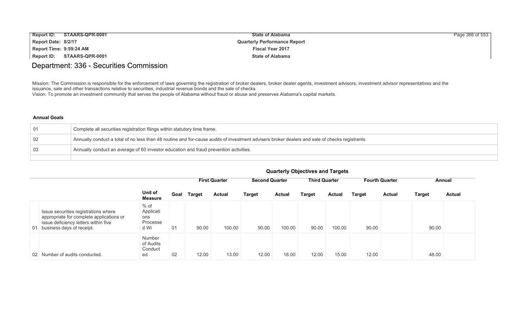| <b>Report ID:</b>       | STAARS-QPR-0001 | <b>State of Alabama</b>             | Page 366 of 553 |
|-------------------------|-----------------|-------------------------------------|-----------------|
| Report Date: 8/2/17     |                 | <b>Quarterly Performance Report</b> |                 |
| Report Time: 9:59:24 AM |                 | <b>Fiscal Year 2017</b>             |                 |
| Report ID:              | STAARS-QPR-0001 | <b>State of Alabama</b>             |                 |

### Department: 336 - Securities Commission

Mission: The Commission is responsible for the enforcement of laws governing the registration of broker dealers, broker dealer agents, investment advisors, investment advisor representatives and the issuance, sale and other transactions relative to securities, industrial revenue bonds and the sale of checks. Vision: To promote an investment community that serves the people of Alabama without fraud or abuse and preserves Alabama's capital markets.

#### **Annual Goals**

| $\overline{01}$ | Complete all securities registration filings within statutory time frame.                                                                      |
|-----------------|------------------------------------------------------------------------------------------------------------------------------------------------|
| $\overline{02}$ | Annually conduct a total of no less than 48 routine and for-cause audits of investment advisers broker dealers and sale of checks registrants. |
| 03              | Annually conduct an average of 60 investor education and fraud prevention activities.                                                          |
|                 |                                                                                                                                                |

|                                                                                                                                                          |                                                |      |        | <b>First Quarter</b> | <b>Second Quarter</b> |               | <b>Third Quarter</b> |        | <b>Fourth Quarter</b> |               | Annual        |               |  |
|----------------------------------------------------------------------------------------------------------------------------------------------------------|------------------------------------------------|------|--------|----------------------|-----------------------|---------------|----------------------|--------|-----------------------|---------------|---------------|---------------|--|
|                                                                                                                                                          | Unit of<br><b>Measure</b>                      | Goal | Target | <b>Actual</b>        | <b>Target</b>         | <b>Actual</b> | Target               | Actual | <b>Target</b>         | <b>Actual</b> | <b>Target</b> | <b>Actual</b> |  |
| Issue securities registrations where<br>appropriate for complete applications or<br>issue deficiency letters within five<br>01 business days of receipt. | $%$ of<br>Applicati<br>ons<br>Processe<br>d Wi | 01   | 90.00  | 100.00               | 90.00                 | 100.00        | 90.00                | 100.00 | 90.00                 |               | 90.00         |               |  |
| 02 Number of audits conducted.                                                                                                                           | <b>Number</b><br>of Audits<br>Conduct<br>ed    | 02   | 12.00  | 13.00                | 12.00                 | 16.00         | 12.00                | 15.00  | 12.00                 |               | 48.00         |               |  |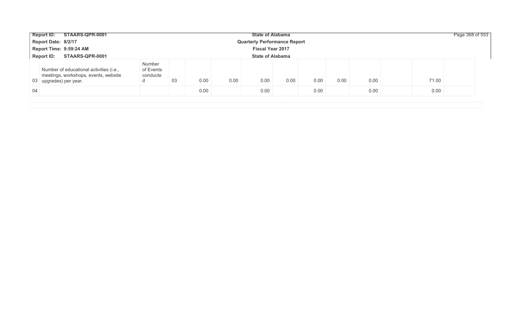|     | STAARS-QPR-0001<br><b>Report ID:</b>                                                                      |                                      |    |      |      | <b>State of Alabama</b>             |      |      |      |      |       | Page 368 of 553 |
|-----|-----------------------------------------------------------------------------------------------------------|--------------------------------------|----|------|------|-------------------------------------|------|------|------|------|-------|-----------------|
|     | Report Date: 8/2/17                                                                                       |                                      |    |      |      | <b>Quarterly Performance Report</b> |      |      |      |      |       |                 |
|     | Report Time: 9:59:24 AM                                                                                   |                                      |    |      |      | <b>Fiscal Year 2017</b>             |      |      |      |      |       |                 |
|     | STAARS-QPR-0001<br><b>Report ID:</b>                                                                      |                                      |    |      |      | <b>State of Alabama</b>             |      |      |      |      |       |                 |
|     | Number of educational activities (i.e.,<br>meetings, workshops, events, website<br>03 upgrades) per year. | Number<br>of Events<br>conducte<br>a | 03 | 0.00 | 0.00 | 0.00                                | 0.00 | 0.00 | 0.00 | 0.00 | 71.00 |                 |
| -04 |                                                                                                           |                                      |    | 0.00 |      | 0.00                                |      | 0.00 |      | 0.00 | 0.00  |                 |
|     |                                                                                                           |                                      |    |      |      |                                     |      |      |      |      |       |                 |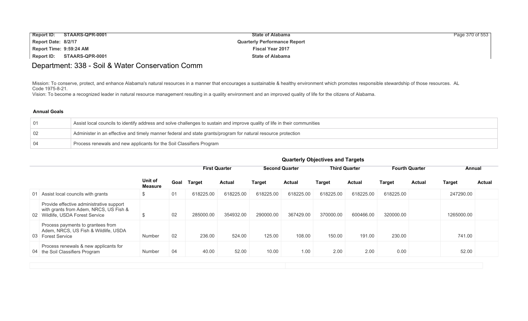| <b>Report ID:</b>       | STAARS-QPR-0001 | <b>State of Alabama</b>             | Page 370 of 553 |
|-------------------------|-----------------|-------------------------------------|-----------------|
| Report Date: 8/2/17     |                 | <b>Quarterly Performance Report</b> |                 |
| Report Time: 9:59:24 AM |                 | <b>Fiscal Year 2017</b>             |                 |
| Report ID:              | STAARS-QPR-0001 | <b>State of Alabama</b>             |                 |

### Department: 338 - Soil & Water Conservation Comm

Mission: To conserve, protect, and enhance Alabama's natural resources in a manner that encourages a sustainable & healthy environment which promotes responsible stewardship of those resources. AL Code 1975-8-21.

Vision: To become a recognized leader in natural resource management resulting in a quality environment and an improved quality of life for the citizens of Alabama.

### **Annual Goals**

| $\overline{01}$ | Assist local councils to identify address and solve challenges to sustain and improve quality of life in their communities |
|-----------------|----------------------------------------------------------------------------------------------------------------------------|
| $\overline{02}$ | Administer in an effective and timely manner federal and state grants/program for natural resource protection              |
|                 | Process renewals and new applicants for the Soil Classifiers Program                                                       |

|                                                                                                                        |                    |      |               | <b>First Quarter</b> |               | <b>Second Quarter</b> |               | <b>Third Quarter</b> |               | <b>Fourth Quarter</b> |               | Annual        |
|------------------------------------------------------------------------------------------------------------------------|--------------------|------|---------------|----------------------|---------------|-----------------------|---------------|----------------------|---------------|-----------------------|---------------|---------------|
|                                                                                                                        | Unit of<br>Measure | Goal | <b>Target</b> | <b>Actual</b>        | <b>Target</b> | <b>Actual</b>         | <b>Target</b> | <b>Actual</b>        | <b>Target</b> | <b>Actual</b>         | <b>Target</b> | <b>Actual</b> |
| 01 Assist local councils with grants                                                                                   | \$                 | 01   | 618225.00     | 618225.00            | 618225.00     | 618225.00             | 618225.00     | 618225.00            | 618225.00     |                       | 247290.00     |               |
| Provide effective administrative support<br>with grants from Adem, NRCS, US Fish &<br>02 Wildlife, USDA Forest Service | ৬                  | 02   | 285000.00     | 354932.00            | 290000.00     | 367429.00             | 370000.00     | 600466.00            | 320000.00     |                       | 1265000.00    |               |
| Process payments to grantees from<br>Adem, NRCS, US Fish & Wildlife, USDA<br>03 Forest Service                         | Number             | 02   | 236.00        | 524.00               | 125.00        | 108.00                | 150.00        | 191.00               | 230.00        |                       | 741.00        |               |
| Process renewals & new applicants for<br>04 the Soil Classifiers Program                                               | Number             | 04   | 40.00         | 52.00                | 10.00         | 1.00                  | 2.00          | 2.00                 | 0.00          |                       | 52.00         |               |
|                                                                                                                        |                    |      |               |                      |               |                       |               |                      |               |                       |               |               |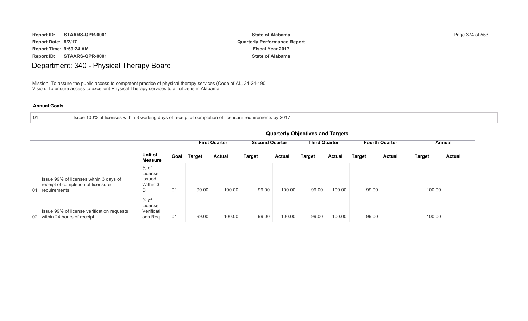| <b>Report ID:</b>       | STAARS-QPR-0001 | <b>State of Alabama</b>             | Page 374 of 553 |
|-------------------------|-----------------|-------------------------------------|-----------------|
| Report Date: 8/2/17     |                 | <b>Quarterly Performance Report</b> |                 |
| Report Time: 9:59:24 AM |                 | <b>Fiscal Year 2017</b>             |                 |
| Report ID:              | STAARS-QPR-0001 | <b>State of Alabama</b>             |                 |

# Department: 340 - Physical Therapy Board

Mission: To assure the public access to competent practice of physical therapy services (Code of AL, 34-24-190. Vision: To ensure access to excellent Physical Therapy services to all citizens in Alabama.

| Issue 100% of licenses within 3 working days of receipt of completion of licensure requirements by 2017 |  |
|---------------------------------------------------------------------------------------------------------|--|
|---------------------------------------------------------------------------------------------------------|--|

|                                                                                                 | <b>Quarterly Objectives and Targets</b>      |      |               |                                               |               |                      |               |               |                       |               |               |               |
|-------------------------------------------------------------------------------------------------|----------------------------------------------|------|---------------|-----------------------------------------------|---------------|----------------------|---------------|---------------|-----------------------|---------------|---------------|---------------|
|                                                                                                 |                                              |      |               | <b>Second Quarter</b><br><b>First Quarter</b> |               | <b>Third Quarter</b> |               |               | <b>Fourth Quarter</b> |               | Annual        |               |
|                                                                                                 | Unit of<br><b>Measure</b>                    | Goal | <b>Target</b> | <b>Actual</b>                                 | <b>Target</b> | <b>Actual</b>        | <b>Target</b> | <b>Actual</b> | <b>Target</b>         | <b>Actual</b> | <b>Target</b> | <b>Actual</b> |
| Issue 99% of licenses within 3 days of<br>receipt of completion of licensure<br>01 requirements | $%$ of<br>License<br>Issued<br>Within 3<br>D | 01   | 99.00         | 100.00                                        | 99.00         | 100.00               | 99.00         | 100.00        | 99.00                 |               | 100.00        |               |
| Issue 99% of license verification requests<br>02 within 24 hours of receipt                     | $%$ of<br>License<br>Verificati<br>ons Req   | 01   | 99.00         | 100.00                                        | 99.00         | 100.00               | 99.00         | 100.00        | 99.00                 |               | 100.00        |               |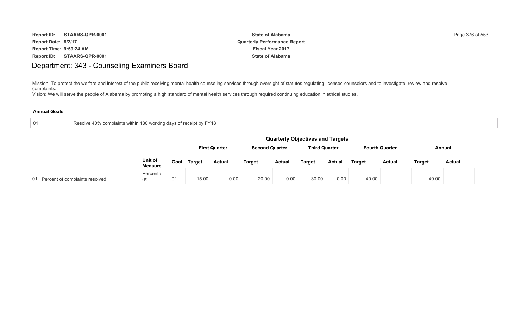| <b>Report ID:</b><br>STAARS-QPR-0001 | <b>State of Alabama</b>             | Page 376 of 553 |
|--------------------------------------|-------------------------------------|-----------------|
| Report Date: 8/2/17                  | <b>Quarterly Performance Report</b> |                 |
| Report Time: 9:59:24 AM              | <b>Fiscal Year 2017</b>             |                 |
| STAARS-QPR-0001<br>Report ID:        | <b>State of Alabama</b>             |                 |

## Department: 343 - Counseling Examiners Board

Mission: To protect the welfare and interest of the public receiving mental health counseling services through oversight of statutes regulating licensed counselors and to investigate, review and resolve complaints.

Vision: We will serve the people of Alabama by promoting a high standard of mental health services through required continuing education in ethical studies.

| Resolve 40% complaints within 180 working days of receipt by FY18 |
|-------------------------------------------------------------------|
|-------------------------------------------------------------------|

|                                   | <b>Quarterly Objectives and Targets</b> |      |               |                      |                       |        |                      |               |        |                       |               |               |
|-----------------------------------|-----------------------------------------|------|---------------|----------------------|-----------------------|--------|----------------------|---------------|--------|-----------------------|---------------|---------------|
|                                   |                                         |      |               | <b>First Quarter</b> | <b>Second Quarter</b> |        | <b>Third Quarter</b> |               |        | <b>Fourth Quarter</b> | Annual        |               |
|                                   | Unit of<br><b>Measure</b>               | Goal | <b>Target</b> | <b>Actual</b>        | <b>Target</b>         | Actual | <b>Target</b>        | <b>Actual</b> | Target | <b>Actual</b>         | <b>Target</b> | <b>Actual</b> |
| 01 Percent of complaints resolved | Percenta<br>ge                          | 01   | 15.00         | 0.00                 | 20.00                 | 0.00   | 30.00                | 0.00          | 40.00  |                       | 40.00         |               |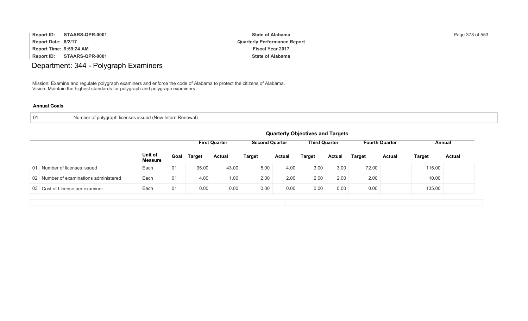| <b>Report ID:</b><br>STAARS-QPR-0001 | <b>State of Alabama</b>             | Page 378 of 553 |
|--------------------------------------|-------------------------------------|-----------------|
| Report Date: 8/2/17                  | <b>Quarterly Performance Report</b> |                 |
| Report Time: 9:59:24 AM              | <b>Fiscal Year 2017</b>             |                 |
| STAARS-QPR-0001<br><b>Report ID:</b> | <b>State of Alabama</b>             |                 |

# Department: 344 - Polygraph Examiners

Mission: Examine and regulate polygraph examiners and enforce the code of Alabama to protect the citizens of Alabama. Vision: Maintain the highest standards for polygraph and polygraph examiners

| 01 |
|----|
|----|

|    |                                        |                           | <b>Quarterly Objectives and Targets</b>                                                                  |               |               |               |               |        |               |               |               |               |               |  |  |
|----|----------------------------------------|---------------------------|----------------------------------------------------------------------------------------------------------|---------------|---------------|---------------|---------------|--------|---------------|---------------|---------------|---------------|---------------|--|--|
|    |                                        |                           | <b>First Quarter</b><br><b>Third Quarter</b><br><b>Second Quarter</b><br><b>Fourth Quarter</b><br>Annual |               |               |               |               |        |               |               |               |               |               |  |  |
|    |                                        | Unit of<br><b>Measure</b> | Goal                                                                                                     | <b>Target</b> | <b>Actual</b> | <b>Target</b> | <b>Actual</b> | Target | <b>Actual</b> | <b>Target</b> | <b>Actual</b> | <b>Target</b> | <b>Actual</b> |  |  |
| 01 | Number of licenses issued              | Each                      | 01                                                                                                       | 35.00         | 43.00         | 5.00          | 4.00          | 3.00   | 3.00          | 72.00         |               | 115.00        |               |  |  |
|    | 02 Number of examinations administered | Each                      | 01                                                                                                       | 4.00          | 1.00          | 2.00          | 2.00          | 2.00   | 2.00          | 2.00          |               | 10.00         |               |  |  |
|    | 03 Cost of License per examiner        | Each                      | 01                                                                                                       | 0.00          | 0.00          | 0.00          | 0.00          | 0.00   | 0.00          | 0.00          |               | 135.00        |               |  |  |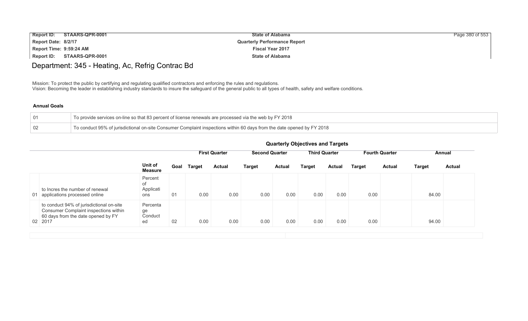| <b>Report ID:</b><br>STAARS-QPR-0001 | <b>State of Alabama</b>             | Page 380 of 553 |
|--------------------------------------|-------------------------------------|-----------------|
| Report Date: 8/2/17                  | <b>Quarterly Performance Report</b> |                 |
| Report Time: 9:59:24 AM              | <b>Fiscal Year 2017</b>             |                 |
| Report ID:<br>STAARS-QPR-0001        | <b>State of Alabama</b>             |                 |

## Department: 345 - Heating, Ac, Refrig Contrac Bd

Mission: To protect the public by certifying and regulating qualified contractors and enforcing the rules and regulations. Vision: Becoming the leader in establishing industry standards to insure the safeguard of the general public to all types of health, safety and welfare conditions.

### **Annual Goals**

|     | To provide services on-line so that 83 percent of license renewals are processed via the web by FY 2018                |
|-----|------------------------------------------------------------------------------------------------------------------------|
| -02 | To conduct 95% of jurisdictional on-site Consumer Complaint inspections within 60 days from the date opened by FY 2018 |

|                                                                                                                                    |                                   |      | <b>First Quarter</b> |               | <b>Second Quarter</b> |               | <b>Third Quarter</b> |               | <b>Fourth Quarter</b> |               | Annual |               |
|------------------------------------------------------------------------------------------------------------------------------------|-----------------------------------|------|----------------------|---------------|-----------------------|---------------|----------------------|---------------|-----------------------|---------------|--------|---------------|
|                                                                                                                                    | Unit of<br>Measure                | Goal | <b>Target</b>        | <b>Actual</b> | <b>Target</b>         | <b>Actual</b> | Target               | <b>Actual</b> | <b>Target</b>         | <b>Actual</b> | Target | <b>Actual</b> |
| to Incres the number of renewal<br>01 applications processed online                                                                | Percent<br>of<br>Applicati<br>ons | 01   | 0.00                 | 0.00          | 0.00                  | 0.00          | 0.00                 | 0.00          | 0.00                  |               | 84.00  |               |
| to conduct 94% of jurisdictional on-site<br>Consumer Complaint inspections within<br>60 days from the date opened by FY<br>02 2017 | Percenta<br>ge<br>Conduct<br>ed   | 02   | 0.00                 | 0.00          | 0.00                  | 0.00          | 0.00                 | 0.00          | 0.00                  |               | 94.00  |               |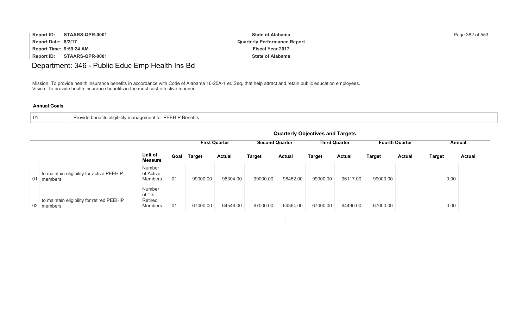| <b>Report ID:</b>       | STAARS-QPR-0001 | <b>State of Alabama</b>             | Page 382 of 553 |
|-------------------------|-----------------|-------------------------------------|-----------------|
| Report Date: 8/2/17     |                 | <b>Quarterly Performance Report</b> |                 |
| Report Time: 9:59:24 AM |                 | <b>Fiscal Year 2017</b>             |                 |
| Report ID:              | STAARS-QPR-0001 | <b>State of Alabama</b>             |                 |

# Department: 346 - Public Educ Emp Health Ins Bd

Mission: To provide health insurance benefits in accordance with Code of Alabama 16-25A-1 et. Seq. that help attract and retain public education employees. Vision: To provide health insurance benefits in the most cost-effective manner

|                                                          |                                        | <b>Quarterly Objectives and Targets</b> |               |                      |                       |               |               |                      |               |                                 |               |               |
|----------------------------------------------------------|----------------------------------------|-----------------------------------------|---------------|----------------------|-----------------------|---------------|---------------|----------------------|---------------|---------------------------------|---------------|---------------|
|                                                          |                                        |                                         |               | <b>First Quarter</b> | <b>Second Quarter</b> |               |               | <b>Third Quarter</b> |               | <b>Fourth Quarter</b><br>Annual |               |               |
|                                                          | Unit of<br><b>Measure</b>              | Goal                                    | <b>Target</b> | <b>Actual</b>        | <b>Target</b>         | <b>Actual</b> | <b>Target</b> | <b>Actual</b>        | <b>Target</b> | <b>Actual</b>                   | <b>Target</b> | <b>Actual</b> |
| to maintain eligibility for active PEEHIP<br>01 members  | Number<br>of Active<br>Members         | 01                                      | 99000.00      | 98304.00             | 99000.00              | 98452.00      | 99000.00      | 96117.00             | 99000.00      |                                 | 0.00          |               |
| to maintain eligibility for retired PEEHIP<br>02 members | Number<br>of Trs<br>Retired<br>Members | 01                                      | 67000.00      | 64546.00             | 67000.00              | 64364.00      | 67000.00      | 64490.00             | 67000.00      |                                 | 0.00          |               |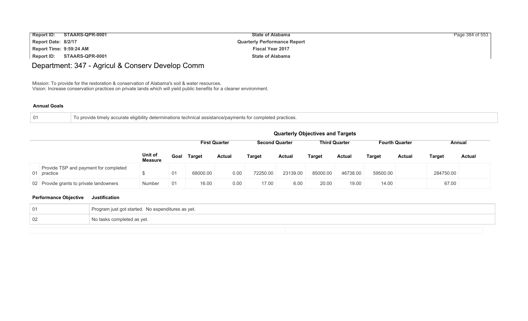| <b>Report ID:</b>       | STAARS-QPR-0001 | <b>State of Alabama</b>             | Page 384 of 553 |
|-------------------------|-----------------|-------------------------------------|-----------------|
| Report Date: 8/2/17     |                 | <b>Quarterly Performance Report</b> |                 |
| Report Time: 9:59:24 AM |                 | <b>Fiscal Year 2017</b>             |                 |
| Report ID:              | STAARS-QPR-0001 | <b>State of Alabama</b>             |                 |

# Department: 347 - Agricul & Conserv Develop Comm

Mission: To provide for the restoration & conservation of Alabama's soil & water resources. Vision: Increase conservation practices on private lands which will yield public benefits for a cleaner environment.

#### **Annual Goals**

| -01 | To provide timely accurate eligibility determinations technical assistance/payments for completed practices. |
|-----|--------------------------------------------------------------------------------------------------------------|
|     |                                                                                                              |

|                                                      |                           | <b>Quarterly Objectives and Targets</b> |               |                      |                       |               |               |                      |               |                       |           |               |  |  |
|------------------------------------------------------|---------------------------|-----------------------------------------|---------------|----------------------|-----------------------|---------------|---------------|----------------------|---------------|-----------------------|-----------|---------------|--|--|
|                                                      |                           |                                         |               | <b>First Quarter</b> | <b>Second Quarter</b> |               |               | <b>Third Quarter</b> |               | <b>Fourth Quarter</b> |           | Annual        |  |  |
|                                                      | Unit of<br><b>Measure</b> | Goal                                    | <b>Target</b> | <b>Actual</b>        | <b>Target</b>         | <b>Actual</b> | <b>Target</b> | Actual               | <b>Target</b> | Actual                | Target    | <b>Actual</b> |  |  |
| Provide TSP and payment for completed<br>01 practice | ۰D                        | 01                                      | 68000.00      | 0.00                 | 72250.00              | 23139.00      | 85000.00      | 46738.00             | 59500.00      |                       | 284750.00 |               |  |  |
| 02 Provide grants to private landowners              | Number                    | 01                                      | 16.00         | 0.00                 | 17.00                 | 6.00          | 20.00         | 19.00                | 14.00         |                       | 67.00     |               |  |  |

### **Performance Objective Justification**

| -01 | Program just got started. No expenditures as yet. |
|-----|---------------------------------------------------|
| 02  | No tasks completed as yet.                        |
|     |                                                   |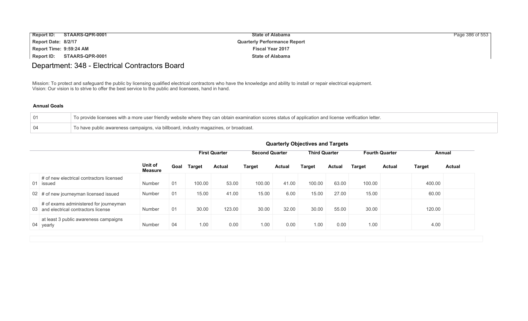| <b>Report ID:</b>       | STAARS-QPR-0001 | <b>State of Alabama</b>             | Page 386 of 553 |
|-------------------------|-----------------|-------------------------------------|-----------------|
| Report Date: 8/2/17     |                 | <b>Quarterly Performance Report</b> |                 |
| Report Time: 9:59:24 AM |                 | <b>Fiscal Year 2017</b>             |                 |
| <b>Report ID:</b>       | STAARS-QPR-0001 | <b>State of Alabama</b>             |                 |

## Department: 348 - Electrical Contractors Board

Mission: To protect and safeguard the public by licensing qualified electrical contractors who have the knowledge and ability to install or repair electrical equipment. Vision: Our vision is to strive to offer the best service to the public and licensees, hand in hand.

### **Annual Goals**

|                 | To provide licensees with a more user friendly website where they can obtain examination scores status of application and license verification letter. |
|-----------------|--------------------------------------------------------------------------------------------------------------------------------------------------------|
| $\overline{04}$ | To have public awareness campaigns, via billboard, industry magazines, or broadcast.                                                                   |

|                                                                                 |                           |      |               |                      |                       |               | <b>QUATTELLY ODJECTIVES QUALITY LATGETS</b> |               |               |                       |        |               |
|---------------------------------------------------------------------------------|---------------------------|------|---------------|----------------------|-----------------------|---------------|---------------------------------------------|---------------|---------------|-----------------------|--------|---------------|
|                                                                                 |                           |      |               | <b>First Quarter</b> | <b>Second Quarter</b> |               | <b>Third Quarter</b>                        |               |               | <b>Fourth Quarter</b> |        | Annual        |
|                                                                                 | Unit of<br><b>Measure</b> | Goal | <b>Target</b> | <b>Actual</b>        | <b>Target</b>         | <b>Actual</b> | <b>Target</b>                               | <b>Actual</b> | <b>Target</b> | <b>Actual</b>         | Target | <b>Actual</b> |
| # of new electrical contractors licensed<br>01 issued                           | Number                    | 01   | 100.00        | 53.00                | 100.00                | 41.00         | 100.00                                      | 63.00         | 100.00        |                       | 400.00 |               |
| 02 # of new journeyman licensed issued                                          | Number                    | 01   | 15.00         | 41.00                | 15.00                 | 6.00          | 15.00                                       | 27.00         | 15.00         |                       | 60.00  |               |
| # of exams administered for journeyman<br>03 and electrical contractors license | Number                    | 01   | 30.00         | 123.00               | 30.00                 | 32.00         | 30.00                                       | 55.00         | 30.00         |                       | 120.00 |               |
| at least 3 public awareness campaigns<br>04 yearly                              | Number                    | 04   | 1.00          | 0.00                 | 1.00                  | 0.00          | 1.00                                        | 0.00          | 1.00          |                       | 4.00   |               |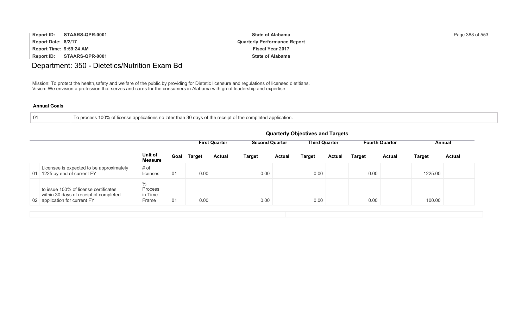| <b>Report ID:</b>       | STAARS-QPR-0001 | <b>State of Alabama</b>             | Page 388 of 553 |
|-------------------------|-----------------|-------------------------------------|-----------------|
| Report Date: 8/2/17     |                 | <b>Quarterly Performance Report</b> |                 |
| Report Time: 9:59:24 AM |                 | <b>Fiscal Year 2017</b>             |                 |
| Report ID:              | STAARS-QPR-0001 | <b>State of Alabama</b>             |                 |

## Department: 350 - Dietetics/Nutrition Exam Bd

Mission: To protect the health,safety and welfare of the public by providing for Dietetic licensure and regulations of licensed dietitians. Vision: We envision a profession that serves and cares for the consumers in Alabama with great leadership and expertise

| To process 100% of license applications no later than 30 days of the receipt of the completed application. |  |
|------------------------------------------------------------------------------------------------------------|--|
|                                                                                                            |  |

|                                                                                                                  | <b>Quarterly Objectives and Targets</b> |                                                                                                |               |               |               |               |               |               |               |               |               |               |
|------------------------------------------------------------------------------------------------------------------|-----------------------------------------|------------------------------------------------------------------------------------------------|---------------|---------------|---------------|---------------|---------------|---------------|---------------|---------------|---------------|---------------|
|                                                                                                                  |                                         | <b>Third Quarter</b><br><b>First Quarter</b><br><b>Second Quarter</b><br><b>Fourth Quarter</b> |               |               |               |               |               |               |               |               | Annual        |               |
|                                                                                                                  | Unit of<br><b>Measure</b>               | Goal                                                                                           | <b>Target</b> | <b>Actual</b> | <b>Target</b> | <b>Actual</b> | <b>Target</b> | <b>Actual</b> | <b>Target</b> | <b>Actual</b> | <b>Target</b> | <b>Actual</b> |
| Licensee is expected to be approximately<br>1225 by end of current FY<br>01                                      | # of<br>licenses                        | 01                                                                                             | 0.00          |               | 0.00          |               | 0.00          |               | 0.00          |               | 1225.00       |               |
| to issue 100% of license certificates<br>within 30 days of receipt of completed<br>02 application for current FY | $\%$<br>Process<br>in Time<br>Frame     | 01                                                                                             | 0.00          |               | 0.00          |               | 0.00          |               | 0.00          |               | 100.00        |               |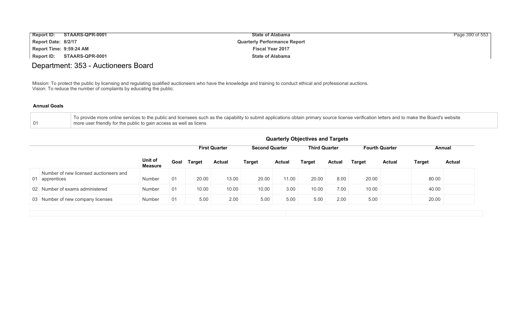| <b>Report ID:</b>       | STAARS-QPR-0001 | <b>State of Alabama</b>             | Page 390 of 553 |
|-------------------------|-----------------|-------------------------------------|-----------------|
| Report Date: 8/2/17     |                 | <b>Quarterly Performance Report</b> |                 |
| Report Time: 9:59:24 AM |                 | <b>Fiscal Year 2017</b>             |                 |
| Report ID:              | STAARS-QPR-0001 | <b>State of Alabama</b>             |                 |

## Department: 353 - Auctioneers Board

Mission: To protect the public by licensing and regulating qualified auctioneers who have the knowledge and training to conduct ethical and professional auctions. Vision: To reduce the number of complaints by educating the public.

| To provide more online services to the public and licensees such as the capability to submit applications obtain primary source license verification letters and to make the Board's website |
|----------------------------------------------------------------------------------------------------------------------------------------------------------------------------------------------|
| more user friendly for the public to gain access as well as licens                                                                                                                           |

|                                                          |                           |      | <b>Quarterly Objectives and Targets</b> |                      |                       |               |                      |               |                       |               |               |               |
|----------------------------------------------------------|---------------------------|------|-----------------------------------------|----------------------|-----------------------|---------------|----------------------|---------------|-----------------------|---------------|---------------|---------------|
|                                                          |                           |      |                                         | <b>First Quarter</b> | <b>Second Quarter</b> |               | <b>Third Quarter</b> |               | <b>Fourth Quarter</b> |               | Annual        |               |
|                                                          | Unit of<br><b>Measure</b> | Goal | <b>Target</b>                           | <b>Actual</b>        | <b>Target</b>         | <b>Actual</b> | Target               | <b>Actual</b> | <b>Target</b>         | <b>Actual</b> | <b>Target</b> | <b>Actual</b> |
| Number of new licensed auctioneers and<br>01 apprentices | Number                    | 01   | 20.00                                   | 13.00                | 20.00                 | 11.00         | 20.00                | 8.00          | 20.00                 |               | 80.00         |               |
| 02 Number of exams administered                          | Number                    | 01   | 10.00                                   | 10.00                | 10.00                 | 3.00          | 10.00                | 7.00          | 10.00                 |               | 40.00         |               |
| 03 Number of new company licenses                        | Number                    | 01   | 5.00                                    | 2.00                 | 5.00                  | 5.00          | 5.00                 | 2.00          | 5.00                  |               | 20.00         |               |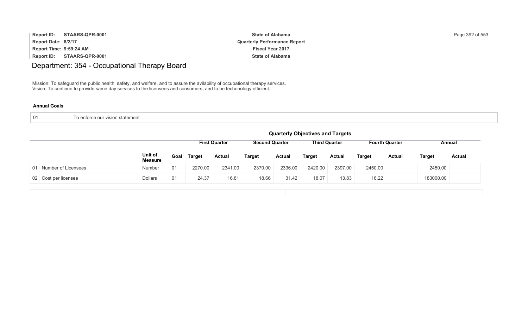| <b>Report ID:</b>       | STAARS-QPR-0001 | <b>State of Alabama</b>             | Page 392 of 553 |
|-------------------------|-----------------|-------------------------------------|-----------------|
| Report Date: 8/2/17     |                 | <b>Quarterly Performance Report</b> |                 |
| Report Time: 9:59:24 AM |                 | <b>Fiscal Year 2017</b>             |                 |
| Report ID:              | STAARS-QPR-0001 | <b>State of Alabama</b>             |                 |

# Department: 354 - Occupational Therapy Board

Mission: To safeguard the public health, safety, and welfare, and to assure the avilability of occupational therapy services. Vision: To continue to provide same day services to the licensees and consumers, and to be techonology efficient.

| To enforce our vision statement |
|---------------------------------|
|                                 |

|                        | <b>Quarterly Objectives and Targets</b> |      |               |                      |                       |               |         |                      |               |                       |               |               |
|------------------------|-----------------------------------------|------|---------------|----------------------|-----------------------|---------------|---------|----------------------|---------------|-----------------------|---------------|---------------|
|                        |                                         |      |               | <b>First Quarter</b> | <b>Second Quarter</b> |               |         | <b>Third Quarter</b> |               | <b>Fourth Quarter</b> |               | Annual        |
|                        | Unit of<br><b>Measure</b>               | Goal | <b>Target</b> | <b>Actual</b>        | <b>Target</b>         | <b>Actual</b> | Target  | <b>Actual</b>        | <b>Target</b> | <b>Actual</b>         | <b>Target</b> | <b>Actual</b> |
| 01 Number of Licensees | Number                                  | 01   | 2270.00       | 2341.00              | 2370.00               | 2336.00       | 2420.00 | 2397.00              | 2450.00       |                       | 2450.00       |               |
| 02 Cost per licensee   | <b>Dollars</b>                          | 01   | 24.37         | 16.81                | 18.66                 | 31.42         | 18.07   | 13.83                | 16.22         |                       | 183000.00     |               |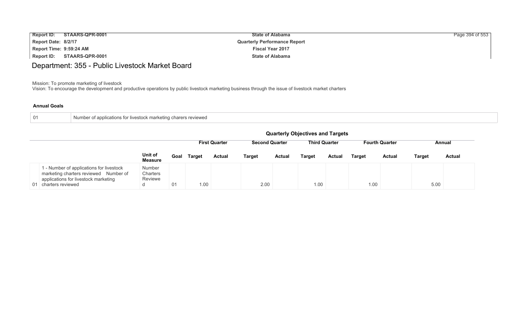| <b>Report ID:</b>       | STAARS-QPR-0001 | <b>State of Alabama</b>             | Page 394 of 553 |
|-------------------------|-----------------|-------------------------------------|-----------------|
| Report Date: 8/2/17     |                 | <b>Quarterly Performance Report</b> |                 |
| Report Time: 9:59:24 AM |                 | <b>Fiscal Year 2017</b>             |                 |
| <b>Report ID:</b>       | STAARS-QPR-0001 | <b>State of Alabama</b>             |                 |

## Department: 355 - Public Livestock Market Board

Mission: To promote marketing of livestock

Vision: To encourage the development and productive operations by public livestock marketing business through the issue of livestock market charters

| 01 | er of applications for livestock marketing charers reviewed<br>Number . |
|----|-------------------------------------------------------------------------|
|    |                                                                         |

|                                                                                                                                                   |                                    |      |               |                      |                                               |               | <b>Quarterly Objectives and Targets</b> |                       |               |               |               |               |
|---------------------------------------------------------------------------------------------------------------------------------------------------|------------------------------------|------|---------------|----------------------|-----------------------------------------------|---------------|-----------------------------------------|-----------------------|---------------|---------------|---------------|---------------|
|                                                                                                                                                   |                                    |      |               | <b>First Quarter</b> | <b>Third Quarter</b><br><b>Second Quarter</b> |               |                                         | <b>Fourth Quarter</b> |               | Annual        |               |               |
|                                                                                                                                                   | Unit of<br><b>Measure</b>          | Goal | <b>Target</b> | <b>Actual</b>        | <b>Target</b>                                 | <b>Actual</b> | <b>Target</b>                           | <b>Actual</b>         | <b>Target</b> | <b>Actual</b> | <b>Target</b> | <b>Actual</b> |
| 1 - Number of applications for livestock<br>marketing charters reviewed Number of<br>applications for livestock marketing<br>01 charters reviewed | Number<br>Charters<br>Reviewe<br>u | 01   | 1.00          |                      | 2.00                                          |               | 1.00                                    |                       | 1.00          |               | 5.00          |               |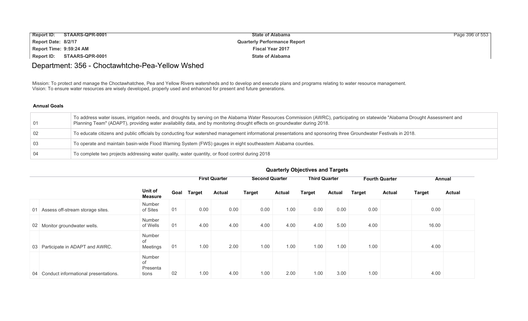| <b>Report ID:</b>       | STAARS-QPR-0001 | <b>State of Alabama</b>             | Page 396 of 553 |
|-------------------------|-----------------|-------------------------------------|-----------------|
| Report Date: 8/2/17     |                 | <b>Quarterly Performance Report</b> |                 |
| Report Time: 9:59:24 AM |                 | <b>Fiscal Year 2017</b>             |                 |
| <b>Report ID:</b>       | STAARS-QPR-0001 | <b>State of Alabama</b>             |                 |

## Department: 356 - Choctawhtche-Pea-Yellow Wshed

Mission: To protect and manage the Choctawhatchee, Pea and Yellow Rivers watersheds and to develop and execute plans and programs relating to water resource management. Vision: To ensure water resources are wisely developed, properly used and enhanced for present and future generations.

| 01             | To address water issues, irrigation needs, and droughts by serving on the Alabama Water Resources Commission (AWRC), participating on statewide "Alabama Drought Assessment and<br>Planning Team" (ADAPT), providing water availability data, and by monitoring drought effects on groundwater during 2018. |
|----------------|-------------------------------------------------------------------------------------------------------------------------------------------------------------------------------------------------------------------------------------------------------------------------------------------------------------|
| 02             | To educate citizens and public officials by conducting four watershed management informational presentations and sponsoring three Groundwater Festivals in 2018.                                                                                                                                            |
| $\overline{0}$ | To operate and maintain basin-wide Flood Warning System (FWS) gauges in eight southeastern Alabama counties.                                                                                                                                                                                                |
| ∣ 04           | To complete two projects addressing water quality, water quantity, or flood control during 2018                                                                                                                                                                                                             |

|    |                                         |                                   |      |               | <b>First Quarter</b> | <b>Second Quarter</b> |               | <b>Third Quarter</b> |               |               | <b>Fourth Quarter</b> |               | Annual        |
|----|-----------------------------------------|-----------------------------------|------|---------------|----------------------|-----------------------|---------------|----------------------|---------------|---------------|-----------------------|---------------|---------------|
|    |                                         | Unit of<br><b>Measure</b>         | Goal | <b>Target</b> | <b>Actual</b>        | <b>Target</b>         | <b>Actual</b> | <b>Target</b>        | <b>Actual</b> | <b>Target</b> | <b>Actual</b>         | <b>Target</b> | <b>Actual</b> |
| 01 | Assess off-stream storage sites.        | Number<br>of Sites                | 01   | 0.00          | 0.00                 | 0.00                  | 1.00          | 0.00                 | 0.00          | 0.00          |                       | 0.00          |               |
|    | 02 Monitor groundwater wells.           | Number<br>of Wells                | 01   | 4.00          | 4.00                 | 4.00                  | 4.00          | 4.00                 | 5.00          | 4.00          |                       | 16.00         |               |
|    | 03 Participate in ADAPT and AWRC.       | Number<br>of<br>Meetings          | 01   | 1.00          | 2.00                 | 1.00                  | 1.00          | 1.00                 | 1.00          | 1.00          |                       | 4.00          |               |
|    | 04 Conduct informational presentations. | Number<br>of<br>Presenta<br>tions | 02   | 1.00          | 4.00                 | 1.00                  | 2.00          | 1.00                 | 3.00          | 1.00          |                       | 4.00          |               |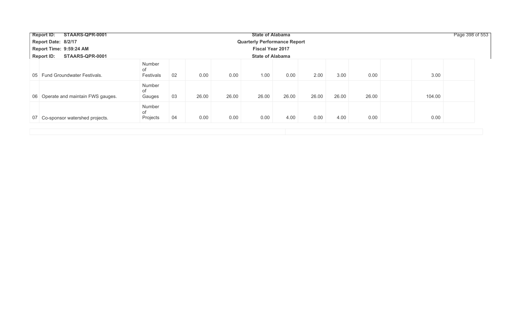| <b>Report ID:</b><br>STAARS-QPR-0001 |                           |    |       |       | <b>State of Alabama</b>             |       |       |       |       |        | Page 398 of 553 |
|--------------------------------------|---------------------------|----|-------|-------|-------------------------------------|-------|-------|-------|-------|--------|-----------------|
| Report Date: 8/2/17                  |                           |    |       |       | <b>Quarterly Performance Report</b> |       |       |       |       |        |                 |
| Report Time: 9:59:24 AM              |                           |    |       |       | <b>Fiscal Year 2017</b>             |       |       |       |       |        |                 |
| <b>Report ID:</b><br>STAARS-QPR-0001 |                           |    |       |       | <b>State of Alabama</b>             |       |       |       |       |        |                 |
| 05 Fund Groundwater Festivals.       | Number<br>of<br>Festivals | 02 | 0.00  | 0.00  | 1.00                                | 0.00  | 2.00  | 3.00  | 0.00  | 3.00   |                 |
| 06 Operate and maintain FWS gauges.  | Number<br>of<br>Gauges    | 03 | 26.00 | 26.00 | 26.00                               | 26.00 | 26.00 | 26.00 | 26.00 | 104.00 |                 |
| 07 Co-sponsor watershed projects.    | Number<br>of<br>Projects  | 04 | 0.00  | 0.00  | 0.00                                | 4.00  | 0.00  | 4.00  | 0.00  | 0.00   |                 |
|                                      |                           |    |       |       |                                     |       |       |       |       |        |                 |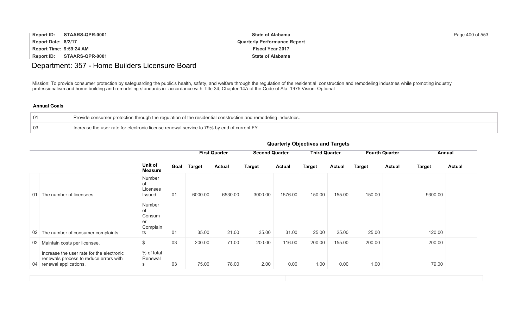| Report ID:              | STAARS-QPR-0001 | <b>State of Alabama</b>             | Page 400 of 553 |
|-------------------------|-----------------|-------------------------------------|-----------------|
| Report Date: 8/2/17     |                 | <b>Quarterly Performance Report</b> |                 |
| Report Time: 9:59:24 AM |                 | <b>Fiscal Year 2017</b>             |                 |
| <b>Report ID:</b>       | STAARS-QPR-0001 | <b>State of Alabama</b>             |                 |

## Department: 357 - Home Builders Licensure Board

Mission: To provide consumer protection by safeguarding the public's health, safety, and welfare through the regulation of the residential construction and remodeling industries while promoting industry professionalism and home building and remodeling standards in accordance with Title 34, Chapter 14A of the Code of Ala. 1975.Vision: Optional

### **Annual Goals**

|    | Provide consumer protection through the regulation of the residential construction and remodeling industries. |
|----|---------------------------------------------------------------------------------------------------------------|
| 03 | Increase the user rate for electronic license renewal service to 79% by end of current FY                     |

| guarteny Objectives and Targets                                                                                    |                                                |                      |               |               |                       |               |                      |               |                       |               |               |               |
|--------------------------------------------------------------------------------------------------------------------|------------------------------------------------|----------------------|---------------|---------------|-----------------------|---------------|----------------------|---------------|-----------------------|---------------|---------------|---------------|
|                                                                                                                    |                                                | <b>First Quarter</b> |               |               | <b>Second Quarter</b> |               | <b>Third Quarter</b> |               | <b>Fourth Quarter</b> |               | Annual        |               |
|                                                                                                                    | Unit of<br><b>Measure</b>                      | Goal                 | <b>Target</b> | <b>Actual</b> | <b>Target</b>         | <b>Actual</b> | <b>Target</b>        | <b>Actual</b> | <b>Target</b>         | <b>Actual</b> | <b>Target</b> | <b>Actual</b> |
| 01 The number of licensees.                                                                                        | Number<br>of<br>Licenses<br>Issued             | 01                   | 6000.00       | 6530.00       | 3000.00               | 1576.00       | 150.00               | 155.00        | 150.00                |               | 9300.00       |               |
| 02 The number of consumer complaints.                                                                              | Number<br>of<br>Consum<br>er<br>Complain<br>ts | 01                   | 35.00         | 21.00         | 35.00                 | 31.00         | 25.00                | 25.00         | 25.00                 |               | 120.00        |               |
| 03 Maintain costs per licensee.                                                                                    | $\frac{1}{2}$                                  | 03                   | 200.00        | 71.00         | 200.00                | 116.00        | 200.00               | 155.00        | 200.00                |               | 200.00        |               |
| Increase the user rate for the electronic<br>renewals process to reduce errors with<br>04<br>renewal applications. | % of total<br>Renewal<br>S                     | 03                   | 75.00         | 78.00         | 2.00                  | 0.00          | 1.00                 | 0.00          | 1.00                  |               | 79.00         |               |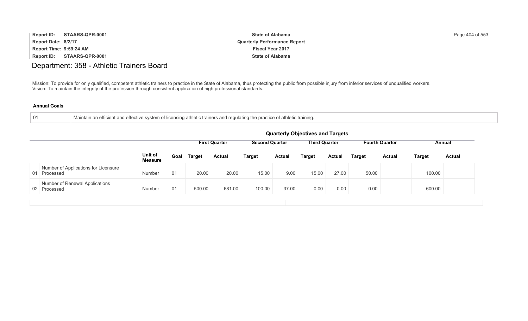| Report ID: STAARS-QPR-0001 | <b>State of Alabama</b>             | Page 404 of 553 |
|----------------------------|-------------------------------------|-----------------|
| Report Date: 8/2/17        | <b>Quarterly Performance Report</b> |                 |
| Report Time: 9:59:24 AM    | <b>Fiscal Year 2017</b>             |                 |
| Report ID: STAARS-QPR-0001 | <b>State of Alabama</b>             |                 |

## Department: 358 - Athletic Trainers Board

Mission: To provide for only qualified, competent athletic trainers to practice in the State of Alabama, thus protecting the public from possible injury from inferior services of unqualified workers. Vision: To maintain the integrity of the profession through consistent application of high professional standards.

| 01 | Maintain an efficient and effective system of licensing athletic trainers and regulating the practice of athletic training. |
|----|-----------------------------------------------------------------------------------------------------------------------------|
|    |                                                                                                                             |

|                                                      |                           |      |               |                      |                       |               | <b>Quarterly Objectives and Targets</b> |               |               |                       |               |               |
|------------------------------------------------------|---------------------------|------|---------------|----------------------|-----------------------|---------------|-----------------------------------------|---------------|---------------|-----------------------|---------------|---------------|
|                                                      |                           |      |               | <b>First Quarter</b> | <b>Second Quarter</b> |               | <b>Third Quarter</b>                    |               |               | <b>Fourth Quarter</b> |               | Annual        |
|                                                      | Unit of<br><b>Measure</b> | Goal | <b>Target</b> | <b>Actual</b>        | <b>Target</b>         | <b>Actual</b> | Target                                  | <b>Actual</b> | <b>Target</b> | Actual                | <b>Target</b> | <b>Actual</b> |
| Number of Applications for Licensure<br>01 Processed | Number                    | 01   | 20.00         | 20.00                | 15.00                 | 9.00          | 15.00                                   | 27.00         | 50.00         |                       | 100.00        |               |
| Number of Renewal Applications<br>02 Processed       | <b>Number</b>             | 01   | 500.00        | 681.00               | 100.00                | 37.00         | 0.00                                    | 0.00          | 0.00          |                       | 600.00        |               |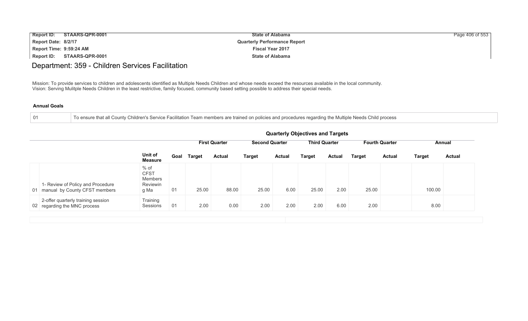| <b>Report ID:</b>       | STAARS-QPR-0001 | <b>State of Alabama</b>             | Page 406 of 553 |
|-------------------------|-----------------|-------------------------------------|-----------------|
| Report Date: 8/2/17     |                 | <b>Quarterly Performance Report</b> |                 |
| Report Time: 9:59:24 AM |                 | <b>Fiscal Year 2017</b>             |                 |
| <b>Report ID:</b>       | STAARS-QPR-0001 | <b>State of Alabama</b>             |                 |

### Department: 359 - Children Services Facilitation

Mission: To provide services to children and adolescents identified as Multiple Needs Children and whose needs exceed the resources available in the local community. Vision: Serving Mulitple Needs Children in the least restrictive, family focused, community based setting possible to address their special needs.

### **Annual Goals**

01 To ensure that all County Children's Service Facilitation Team members are trained on policies and procedures regarding the Multiple Needs Child process

|                                                                       |                                                    |                      |        |               |                       |               | <b>Quarterly Objectives and Targets</b> |               |                       |               |               |               |
|-----------------------------------------------------------------------|----------------------------------------------------|----------------------|--------|---------------|-----------------------|---------------|-----------------------------------------|---------------|-----------------------|---------------|---------------|---------------|
|                                                                       |                                                    | <b>First Quarter</b> |        |               | <b>Second Quarter</b> |               | <b>Third Quarter</b>                    |               | <b>Fourth Quarter</b> |               |               | Annual        |
|                                                                       | Unit of<br><b>Measure</b>                          | Goal                 | Target | <b>Actual</b> | <b>Target</b>         | <b>Actual</b> | <b>Target</b>                           | <b>Actual</b> | <b>Target</b>         | <b>Actual</b> | <b>Target</b> | <b>Actual</b> |
| 1- Review of Policy and Procedure<br>01 manual by County CFST members | % of<br><b>CFST</b><br>Members<br>Reviewin<br>g Ma | 01                   | 25.00  | 88.00         | 25.00                 | 6.00          | 25.00                                   | 2.00          | 25.00                 |               | 100.00        |               |
| 2-offer quarterly training session<br>02 regarding the MNC process    | Training<br>Sessions                               | 01                   | 2.00   | 0.00          | 2.00                  | 2.00          | 2.00                                    | 6.00          | 2.00                  |               | 8.00          |               |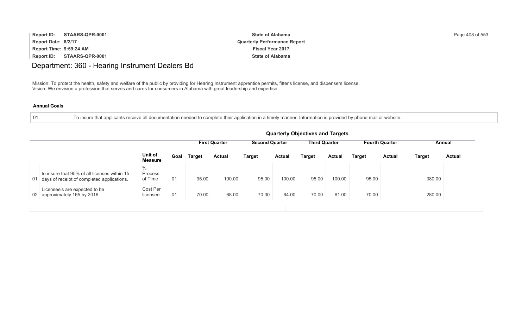| Report ID:              | STAARS-QPR-0001 | <b>State of Alabama</b>             | Page 408 of 553 |
|-------------------------|-----------------|-------------------------------------|-----------------|
| Report Date: 8/2/17     |                 | <b>Quarterly Performance Report</b> |                 |
| Report Time: 9:59:24 AM |                 | <b>Fiscal Year 2017</b>             |                 |
| <b>Report ID:</b>       | STAARS-QPR-0001 | <b>State of Alabama</b>             |                 |

### Department: 360 - Hearing Instrument Dealers Bd

Mission: To protect the health, safety and welfare of the public by providing for Hearing Instrument apprentice permits, fitter's license, and dispensers license. Vision: We envision a profession that serves and cares for consumers in Alabama with great leadership and expertise.

### **Annual Goals**

01 To insure that applicants receive all documentation needed to complete their application in a timely manner. Information is provided by phone mail or website.

|                                                                                               |                            | <b>Quarterly Objectives and Targets</b>                                                        |               |               |               |               |               |               |               |               |               |               |  |
|-----------------------------------------------------------------------------------------------|----------------------------|------------------------------------------------------------------------------------------------|---------------|---------------|---------------|---------------|---------------|---------------|---------------|---------------|---------------|---------------|--|
|                                                                                               |                            | <b>Third Quarter</b><br><b>Second Quarter</b><br><b>First Quarter</b><br><b>Fourth Quarter</b> |               |               |               |               |               |               |               |               |               | Annual        |  |
|                                                                                               | Unit of<br><b>Measure</b>  | Goal                                                                                           | <b>Target</b> | <b>Actual</b> | <b>Target</b> | <b>Actual</b> | <b>Target</b> | <b>Actual</b> | <b>Target</b> | <b>Actual</b> | <b>Target</b> | <b>Actual</b> |  |
| to insure that 95% of all licenses within 15<br>01 days of receipt of completed applications. | $\%$<br>Process<br>of Time | 01                                                                                             | 95.00         | 100.00        | 95.00         | 100.00        | 95.00         | 100.00        | 95.00         |               | 380.00        |               |  |
| Licensee's are expected to be<br>02 approximately 165 by 2016.                                | Cost Per<br>licensee       | 01                                                                                             | 70.00         | 68.00         | 70.00         | 64.00         | 70.00         | 61.00         | 70.00         |               | 280.00        |               |  |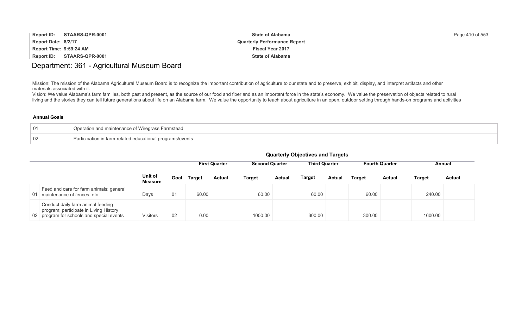| <b>Report ID:</b>       | STAARS-QPR-0001 | <b>State of Alabama</b>             | Page 410 of 553 |
|-------------------------|-----------------|-------------------------------------|-----------------|
| Report Date: 8/2/17     |                 | <b>Quarterly Performance Report</b> |                 |
| Report Time: 9:59:24 AM |                 | <b>Fiscal Year 2017</b>             |                 |
| Report ID:              | STAARS-QPR-0001 | <b>State of Alabama</b>             |                 |

### Department: 361 - Agricultural Museum Board

Mission: The mission of the Alabama Agricultural Museum Board is to recognize the important contribution of agriculture to our state and to preserve, exhibit, display, and interpret artifacts and other materials associated with it.

Vision: We value Alabama's farm families, both past and present, as the source of our food and fiber and as an important force in the state's economy. We value the preservation of objects related to rural living and the stories they can tell future generations about life on an Alabama farm. We value the opportunity to teach about agriculture in an open, outdoor setting through hands-on programs and activities

#### **Annual Goals**

| Operation and maintenance of Wiregrass Farmstead          |
|-----------------------------------------------------------|
| Participation in farm-related educational programs/events |

|    |                                                                                                                          |                           |      | <b>First Quarter</b> |               | <b>Second Quarter</b> |               | <b>Third Quarter</b> |        | <b>Fourth Quarter</b> |         | Annual        |               |
|----|--------------------------------------------------------------------------------------------------------------------------|---------------------------|------|----------------------|---------------|-----------------------|---------------|----------------------|--------|-----------------------|---------|---------------|---------------|
|    |                                                                                                                          | Unit of<br><b>Measure</b> | Goal | <b>Target</b>        | <b>Actual</b> | <b>Target</b>         | <b>Actual</b> | Target               | Actual | <b>Target</b>         | Actual  | <b>Target</b> | <b>Actual</b> |
| 01 | Feed and care for farm animals; general<br>maintenance of fences, etc                                                    | Days                      | 01   | 60.00                |               | 60.00                 |               | 60.00                |        | 60.00                 |         | 240.00        |               |
|    | Conduct daily farm animal feeding<br>program; participate in Living History<br>02 program for schools and special events | <b>Visitors</b>           | 02   | 0.00                 |               | 1000.00<br>300.00     |               |                      | 300.00 |                       | 1600.00 |               |               |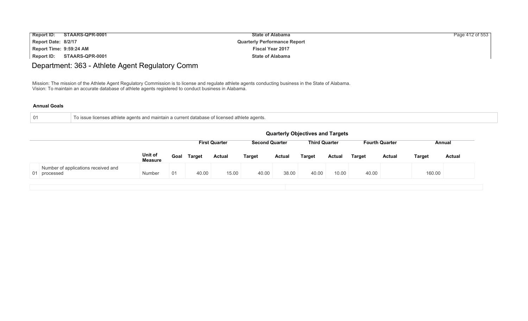| <b>Report ID:</b><br>STAARS-QPR-0001 | <b>State of Alabama</b>             | Page 412 of 553 |
|--------------------------------------|-------------------------------------|-----------------|
| Report Date: 8/2/17                  | <b>Quarterly Performance Report</b> |                 |
| Report Time: 9:59:24 AM              | <b>Fiscal Year 2017</b>             |                 |
| STAARS-QPR-0001<br>Report ID:        | <b>State of Alabama</b>             |                 |

# Department: 363 - Athlete Agent Regulatory Comm

Mission: The mission of the Athlete Agent Regulatory Commission is to license and regulate athlete agents conducting business in the State of Alabama. Vision: To maintain an accurate database of athlete agents registered to conduct business in Alabama.

| To issue licenses athlete agents and maintain a current database of licensed athlete agents. |
|----------------------------------------------------------------------------------------------|
|                                                                                              |

|                                                     | <b>Quarterly Objectives and Targets</b> |      |               |                      |                       |               |                      |        |                       |               |               |               |
|-----------------------------------------------------|-----------------------------------------|------|---------------|----------------------|-----------------------|---------------|----------------------|--------|-----------------------|---------------|---------------|---------------|
|                                                     |                                         |      |               | <b>First Quarter</b> | <b>Second Quarter</b> |               | <b>Third Quarter</b> |        | <b>Fourth Quarter</b> |               | Annual        |               |
|                                                     | Unit of<br><b>Measure</b>               | Goal | <b>Target</b> | <b>Actual</b>        | <b>Target</b>         | <b>Actual</b> | Target               | Actual | <b>Target</b>         | <b>Actual</b> | <b>Target</b> | <b>Actual</b> |
| Number of applications received and<br>01 processed | <b>Number</b>                           | 01   | 40.00         | 15.00                | 40.00                 | 38.00         | 40.00                | 10.00  | 40.00                 |               | 160.00        |               |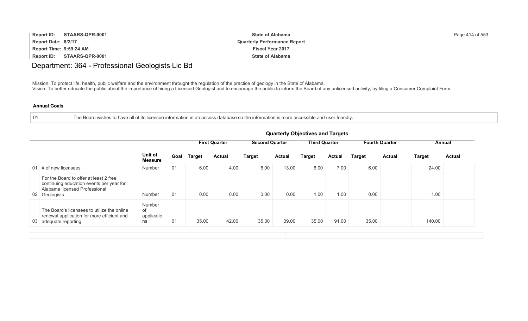| <b>Report ID:</b>       | STAARS-QPR-0001 | <b>State of Alabama</b>             | Page 414 of 553 |
|-------------------------|-----------------|-------------------------------------|-----------------|
| Report Date: 8/2/17     |                 | <b>Quarterly Performance Report</b> |                 |
| Report Time: 9:59:24 AM |                 | <b>Fiscal Year 2017</b>             |                 |
| Report ID:              | STAARS-QPR-0001 | <b>State of Alabama</b>             |                 |

### Department: 364 - Professional Geologists Lic Bd

Mission: To protect life, health, public welfare and the environment throught the regulation of the practice of geology in the State of Alabama. Vision: To better educate the public about the importance of hiring a Licensed Geologist and to encourage the public to inform the Board of any unlicensed activity, by filing a Consumer Complaint Form.

#### **Annual Goals**

| × |
|---|
|---|

The Board wishes to have all of its licensee information in an access database so the information is more accessible and user friendly.

|                                                                                                                                       | Unit of<br><b>Measure</b>        | Goal | <b>First Quarter</b> |               | <b>Second Quarter</b> |               | <b>Third Quarter</b> |               |        | <b>Fourth Quarter</b>          | Annual        |  |
|---------------------------------------------------------------------------------------------------------------------------------------|----------------------------------|------|----------------------|---------------|-----------------------|---------------|----------------------|---------------|--------|--------------------------------|---------------|--|
|                                                                                                                                       |                                  |      | <b>Target</b>        | <b>Actual</b> | <b>Target</b>         | <b>Actual</b> | Target               | <b>Actual</b> | Target | <b>Target</b><br><b>Actual</b> | <b>Actual</b> |  |
| 01 $\#$ of new licensees                                                                                                              | Number                           | 01   | 6.00                 | 4.00          | 6.00                  | 13.00         | 6.00                 | 7.00          | 6.00   | 24.00                          |               |  |
| For the Board to offer at least 2 free<br>continuing education events per year for<br>Alabama licensed Professional<br>02 Geologists. | Number                           | 01   | 0.00                 | 0.00          | 0.00                  | 0.00          | 1.00                 | 1.00          | 0.00   | 1.00                           |               |  |
| The Board's licensees to utilize the online<br>renewal application for more efficient and<br>03 adequate reporting.                   | Number<br>of<br>applicatio<br>ns | 01   | 35.00                | 42.00         | 35.00                 | 39.00         | 35.00                | 91.00         | 35.00  | 140.00                         |               |  |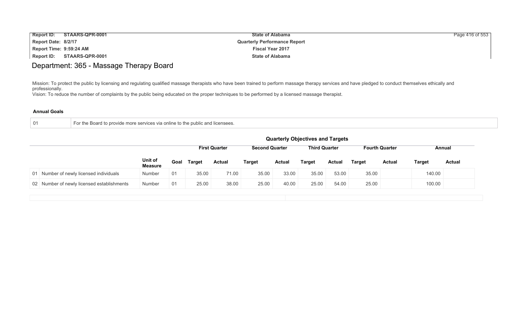| <b>Report ID:</b><br>STAARS-QPR-0001 | <b>State of Alabama</b>             | Page 416 of 553 |
|--------------------------------------|-------------------------------------|-----------------|
| Report Date: 8/2/17                  | <b>Quarterly Performance Report</b> |                 |
| Report Time: 9:59:24 AM              | <b>Fiscal Year 2017</b>             |                 |
| STAARS-QPR-0001<br>Report ID:        | <b>State of Alabama</b>             |                 |

# Department: 365 - Massage Therapy Board

Mission: To protect the public by licensing and regulating qualified massage therapists who have been trained to perform massage therapy services and have pledged to conduct themselves ethically and professionally.

Vision: To reduce the number of complaints by the public being educated on the proper techniques to be performed by a licensed massage therapist.

| 01 | to provide more services via online to the public and licensees.<br><b>Boar</b><br>1 TO . |
|----|-------------------------------------------------------------------------------------------|
|    |                                                                                           |

|                           | <b>Third Quarter</b><br><b>First Quarter</b><br><b>Second Quarter</b><br><b>Fourth Quarter</b><br>Annual |               |               |               |               |               |               |               |                                         |               |               |
|---------------------------|----------------------------------------------------------------------------------------------------------|---------------|---------------|---------------|---------------|---------------|---------------|---------------|-----------------------------------------|---------------|---------------|
| Unit of<br><b>Measure</b> |                                                                                                          | <b>Target</b> | <b>Actual</b> | <b>Target</b> | <b>Actual</b> | <b>Target</b> | <b>Actual</b> | <b>Target</b> | <b>Actual</b>                           | <b>Target</b> | <b>Actual</b> |
| Number                    | 01                                                                                                       | 35.00         | 71.00         | 35.00         | 33.00         | 35.00         | 53.00         |               |                                         |               |               |
| Number                    | 01                                                                                                       | 25.00         | 38.00         | 25.00         | 40.00         | 25.00         | 54.00         | 25.00         |                                         | 100.00        |               |
|                           |                                                                                                          |               | Goal          |               |               |               |               |               | <b>Quarterly Objectives and Targets</b> | 35.00         | 140.00        |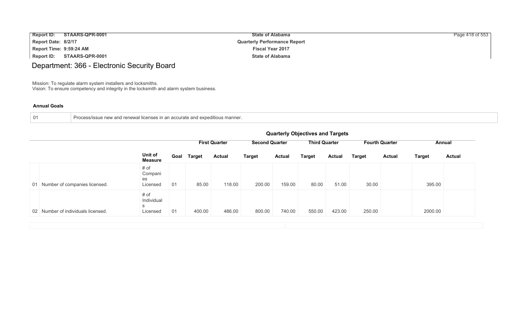| <b>Report ID:</b>       | STAARS-QPR-0001 | <b>State of Alabama</b>             | Page 418 of 553 |
|-------------------------|-----------------|-------------------------------------|-----------------|
| Report Date: 8/2/17     |                 | <b>Quarterly Performance Report</b> |                 |
| Report Time: 9:59:24 AM |                 | <b>Fiscal Year 2017</b>             |                 |
| <b>Report ID:</b>       | STAARS-QPR-0001 | <b>State of Alabama</b>             |                 |

# Department: 366 - Electronic Security Board

Mission: To regulate alarm system installers and locksmiths. Vision: To ensure competency and integrity in the locksmith and alarm system business.

|  |  | Process/issue new and renewal licenses in an accurate and expeditious manner. |  |
|--|--|-------------------------------------------------------------------------------|--|
|--|--|-------------------------------------------------------------------------------|--|

|                                    |                                     | <b>Quarterly Objectives and Targets</b> |               |                      |               |                       |               |                      |               |                       |               |               |
|------------------------------------|-------------------------------------|-----------------------------------------|---------------|----------------------|---------------|-----------------------|---------------|----------------------|---------------|-----------------------|---------------|---------------|
|                                    |                                     |                                         |               | <b>First Quarter</b> |               | <b>Second Quarter</b> |               | <b>Third Quarter</b> |               | <b>Fourth Quarter</b> | Annual        |               |
|                                    | Unit of<br><b>Measure</b>           | Goal                                    | <b>Target</b> | <b>Actual</b>        | <b>Target</b> | <b>Actual</b>         | <b>Target</b> | <b>Actual</b>        | <b>Target</b> | <b>Actual</b>         | <b>Target</b> | <b>Actual</b> |
| 01 Number of companies licensed.   | # of<br>Compani<br>es<br>Licensed   | 01                                      | 85.00         | 118.00               | 200.00        | 159.00                | 80.00         | 51.00                | 30.00         |                       | 395.00        |               |
| 02 Number of individuals licensed. | # of<br>Individual<br>S<br>Licensed | 01                                      | 400.00        | 486.00               | 800.00        | 740.00                | 550.00        | 423.00               | 250.00        |                       | 2000.00       |               |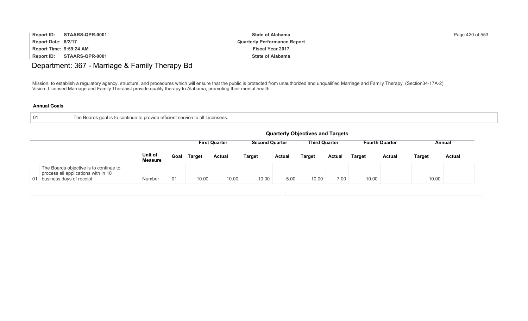| <b>Report ID:</b>       | STAARS-QPR-0001 | <b>State of Alabama</b>             | Page 420 of 553 |
|-------------------------|-----------------|-------------------------------------|-----------------|
| Report Date: 8/2/17     |                 | <b>Quarterly Performance Report</b> |                 |
| Report Time: 9:59:24 AM |                 | <b>Fiscal Year 2017</b>             |                 |
| Report ID:              | STAARS-QPR-0001 | <b>State of Alabama</b>             |                 |

# Department: 367 - Marriage & Family Therapy Bd

Mission: to establish a regulatory agency, structure, and procedures which will ensure that the public is protected from unauthorized and unqualified Marriage and Family Therapy. (Section34-17A-2) Vision: Licensed Marriage and Family Therapist provide quality therapy to Alabama, promoting their mental health.

| The Boards goal is to continue to provide efficient service to all Licensees. |  |
|-------------------------------------------------------------------------------|--|
|                                                                               |  |

|                                                                                                               |                           | <b>Quarterly Objectives and Targets</b>                                                                  |               |               |               |               |               |               |               |               |               |               |
|---------------------------------------------------------------------------------------------------------------|---------------------------|----------------------------------------------------------------------------------------------------------|---------------|---------------|---------------|---------------|---------------|---------------|---------------|---------------|---------------|---------------|
|                                                                                                               |                           | <b>First Quarter</b><br><b>Second Quarter</b><br><b>Third Quarter</b><br><b>Fourth Quarter</b><br>Annual |               |               |               |               |               |               |               |               |               |               |
|                                                                                                               | Unit of<br><b>Measure</b> | Goal                                                                                                     | <b>Target</b> | <b>Actual</b> | <b>Target</b> | <b>Actual</b> | <b>Target</b> | <b>Actual</b> | <b>Target</b> | <b>Actual</b> | <b>Target</b> | <b>Actual</b> |
| The Boards objective is to continue to<br>process all applications with in 10<br>01 business days of receipt. | Number                    | 01                                                                                                       | 10.00         | 10.00         | 10.00         | 5.00          | 10.00         | 7.00          | 10.00         |               | 10.00         |               |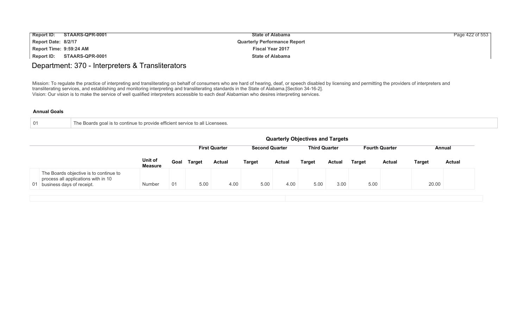| <b>Report ID:</b>       | STAARS-QPR-0001 | <b>State of Alabama</b>             | Page 422 of 553 |
|-------------------------|-----------------|-------------------------------------|-----------------|
| Report Date: 8/2/17     |                 | <b>Quarterly Performance Report</b> |                 |
| Report Time: 9:59:24 AM |                 | <b>Fiscal Year 2017</b>             |                 |
| Report ID:              | STAARS-QPR-0001 | <b>State of Alabama</b>             |                 |

### Department: 370 - Interpreters & Transliterators

Mission: To regulate the practice of interpreting and transliterating on behalf of consumers who are hard of hearing, deaf, or speech disabled by licensing and permitting the providers of interpreters and transliterating services, and establishing and monitoring interpreting and transliterating standards in the State of Alabama.[Section 34-16-2]. Vision: Our vision is to make the service of well qualified interpreters accessible to each deaf Alabamian who desires interpreting services.

| The Boards goal is to continue to provide efficient service to all Licensees. |
|-------------------------------------------------------------------------------|
|                                                                               |

|                                                                                                               |                           | <b>Quarterly Objectives and Targets</b>                                                                  |               |               |               |               |               |               |               |               |               |               |
|---------------------------------------------------------------------------------------------------------------|---------------------------|----------------------------------------------------------------------------------------------------------|---------------|---------------|---------------|---------------|---------------|---------------|---------------|---------------|---------------|---------------|
|                                                                                                               |                           | <b>First Quarter</b><br><b>Third Quarter</b><br><b>Fourth Quarter</b><br><b>Second Quarter</b><br>Annual |               |               |               |               |               |               |               |               |               |               |
|                                                                                                               | Unit of<br><b>Measure</b> | Goal                                                                                                     | <b>Target</b> | <b>Actual</b> | <b>Target</b> | <b>Actual</b> | <b>Target</b> | <b>Actual</b> | <b>Target</b> | <b>Actual</b> | <b>Target</b> | <b>Actual</b> |
| The Boards objective is to continue to<br>process all applications with in 10<br>01 business days of receipt. | Number                    | 01                                                                                                       | 5.00          | 4.00          | 5.00          | 4.00          | 5.00          | 3.00          | 5.00          |               | 20.00         |               |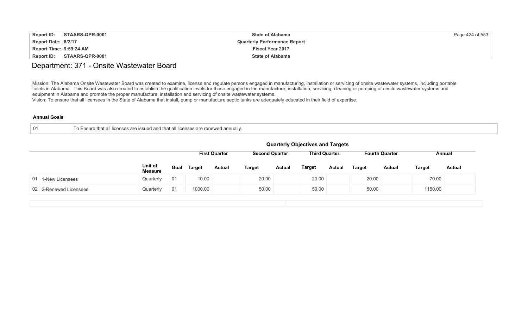| <b>Report ID:</b><br>STAARS-QPR-0001 | <b>State of Alabama</b>             | Page 424 of 553 |
|--------------------------------------|-------------------------------------|-----------------|
| Report Date: 8/2/17                  | <b>Quarterly Performance Report</b> |                 |
| Report Time: 9:59:24 AM              | <b>Fiscal Year 2017</b>             |                 |
| Report ID: STAARS-QPR-0001           | <b>State of Alabama</b>             |                 |

### Department: 371 - Onsite Wastewater Board

Mission: The Alabama Onsite Wastewater Board was created to examine, license and regulate persons engaged in manufacturing, installation or servicing of onsite wastewater systems, including portable toilets in Alabama. This Board was also created to establish the qualification levels for those engaged in the manufacture, installation, servicing, cleaning or pumping of onsite wastewater systems and equipment in Alabama and promote the proper manufacture, installation and servicing of onsite wastewater systems.

Vision: To ensure that all licensees in the State of Alabama that install, pump or manufacture septic tanks are adequately educated in their field of expertise.

|  | ↑ To Ensure that all licenses are issued and that all licenses are renewed annually. |
|--|--------------------------------------------------------------------------------------|
|--|--------------------------------------------------------------------------------------|

|                        |                           |      |         |                      |               |                       | <b>Quarterly Objectives and Targets</b> |               |               |                       |               |               |
|------------------------|---------------------------|------|---------|----------------------|---------------|-----------------------|-----------------------------------------|---------------|---------------|-----------------------|---------------|---------------|
|                        |                           |      |         | <b>First Quarter</b> |               | <b>Second Quarter</b> | <b>Third Quarter</b>                    |               |               | <b>Fourth Quarter</b> |               | Annual        |
|                        | Unit of<br><b>Measure</b> | Goal | Target  | <b>Actual</b>        | <b>Target</b> | <b>Actual</b>         | <b>Target</b>                           | <b>Actual</b> | <b>Target</b> | <b>Actual</b>         | <b>Target</b> | <b>Actual</b> |
| 01 1-New Licensees     | Quarterly                 | -01  | 10.00   |                      | 20.00         |                       | 20.00                                   |               | 20.00         |                       | 70.00         |               |
| 02 2-Renewed Licensees | Quarterly                 | 01   | 1000.00 |                      | 50.00         |                       | 50.00                                   |               | 50.00         |                       | 1150.00       |               |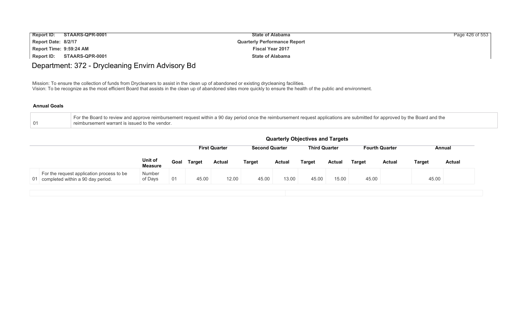| Report ID:              | STAARS-QPR-0001 | <b>State of Alabama</b>             | Page 426 of 553 |
|-------------------------|-----------------|-------------------------------------|-----------------|
| Report Date: 8/2/17     |                 | <b>Quarterly Performance Report</b> |                 |
| Report Time: 9:59:24 AM |                 | <b>Fiscal Year 2017</b>             |                 |
| <b>Report ID:</b>       | STAARS-QPR-0001 | <b>State of Alabama</b>             |                 |

# Department: 372 - Drycleaning Envirn Advisory Bd

Mission: To ensure the collection of funds from Drycleaners to assist in the clean up of abandoned or existing drycleaning facilities. Vision: To be recognize as the most efficient Board that assists in the clean up of abandoned sites more quickly to ensure the health of the public and environment.

| For the Board to review and approve reimbursement request within a 90 day period once the reimbursement request applications are submitted for approved by the Board and the |
|------------------------------------------------------------------------------------------------------------------------------------------------------------------------------|
| reimbursement warrant is issued to the vendor.                                                                                                                               |

|                                                                                      |                           |      |               |                      |                       |               | <b>Quarterly Objectives and Targets</b> |               |               |                       |               |               |
|--------------------------------------------------------------------------------------|---------------------------|------|---------------|----------------------|-----------------------|---------------|-----------------------------------------|---------------|---------------|-----------------------|---------------|---------------|
|                                                                                      |                           |      |               | <b>First Quarter</b> | <b>Second Quarter</b> |               | <b>Third Quarter</b>                    |               |               | <b>Fourth Quarter</b> |               | Annual        |
|                                                                                      | Unit of<br><b>Measure</b> | Goal | <b>Target</b> | <b>Actual</b>        | <b>Target</b>         | <b>Actual</b> | <b>Target</b>                           | <b>Actual</b> | <b>Target</b> | <b>Actual</b>         | <b>Target</b> | <b>Actual</b> |
| For the request application process to be<br>completed within a 90 day period.<br>01 | Number<br>of Days         | 01   | 45.00         | 12.00                | 45.00                 | 13.00         | 45.00                                   | 15.00         | 45.00         |                       | 45.00         |               |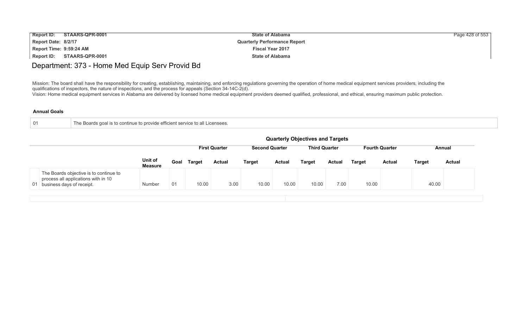| <b>Report ID:</b>       | STAARS-QPR-0001 | <b>State of Alabama</b>             | Page 428 of 553 |
|-------------------------|-----------------|-------------------------------------|-----------------|
| Report Date: 8/2/17     |                 | <b>Quarterly Performance Report</b> |                 |
| Report Time: 9:59:24 AM |                 | <b>Fiscal Year 2017</b>             |                 |
| Report ID:              | STAARS-QPR-0001 | <b>State of Alabama</b>             |                 |

# Department: 373 - Home Med Equip Serv Provid Bd

Mission: The board shall have the responsibility for creating, establishing, maintaining, and enforcing regulations governing the operation of home medical equipment services providers, including the qualifications of inspectors, the nature of inspections, and the process for appeals (Section 34-14C-2(d).

Vision: Home medical equipment services in Alabama are delivered by licensed home medical equipment providers deemed qualified, professional, and ethical, ensuring maximum public protection.

| -01 | Boards goal is to continue to provide efficient service to all Licensees. |
|-----|---------------------------------------------------------------------------|
|     |                                                                           |

|                                                                                                               |                           |      |               |                      |                       |               | <b>Quarterly Objectives and Targets</b> |        |        |                       |               |               |
|---------------------------------------------------------------------------------------------------------------|---------------------------|------|---------------|----------------------|-----------------------|---------------|-----------------------------------------|--------|--------|-----------------------|---------------|---------------|
|                                                                                                               |                           |      |               | <b>First Quarter</b> | <b>Second Quarter</b> |               | <b>Third Quarter</b>                    |        |        | <b>Fourth Quarter</b> |               | Annual        |
|                                                                                                               | Unit of<br><b>Measure</b> | Goal | <b>Target</b> | <b>Actual</b>        | <b>Target</b>         | <b>Actual</b> | <b>Target</b>                           | Actual | Target | <b>Actual</b>         | <b>Target</b> | <b>Actual</b> |
| The Boards objective is to continue to<br>process all applications with in 10<br>01 business days of receipt. | Number                    | 01   | 10.00         | 3.00                 | 10.00                 | 10.00         | 10.00                                   | 7.00   | 10.00  |                       | 40.00         |               |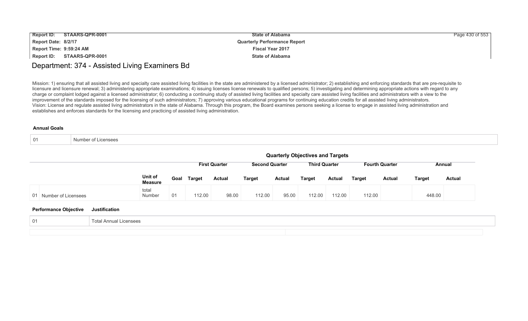| <b>Report ID:</b>       | STAARS-QPR-0001 | <b>State of Alabama</b>             | Page 430 of 553 |
|-------------------------|-----------------|-------------------------------------|-----------------|
| Report Date: 8/2/17     |                 | <b>Quarterly Performance Report</b> |                 |
| Report Time: 9:59:24 AM |                 | <b>Fiscal Year 2017</b>             |                 |
| Report ID:              | STAARS-QPR-0001 | <b>State of Alabama</b>             |                 |

### Department: 374 - Assisted Living Examiners Bd

Mission: 1) ensuring that all assisted living and specialty care assisted living facilities in the state are administered by a licensed administrator; 2) establishing and enforcing standards that are pre-requisite to licensure and licensure renewal; 3) administering appropriate examinations; 4) issuing licenses license renewals to qualified persons; 5) investigating and determining appropriate actions with regard to any charge or complaint lodged against a licensed administrator; 6) conducting a continuing study of assisted living facilities and specialty care assisted living facilities and administrators with a view to the improvement of the standards imposed for the licensing of such administrators; 7) approving various educational programs for continuing education credits for all assisted living administrators. Vision: License and regulate assisted living administrators in the state of Alabama. Through this program, the Board examines persons seeking a license to engage in assisted living administration and establishes and enforces standards for the licensing and practicing of assisted living administration.

| $\bigcap$ 1<br>$\mathsf{v}$ 1 | Number of<br>Licensees |
|-------------------------------|------------------------|
|-------------------------------|------------------------|

|                                               |                           | <b>Quarterly Objectives and Targets</b> |                      |                       |               |                      |               |               |                       |               |               |  |  |
|-----------------------------------------------|---------------------------|-----------------------------------------|----------------------|-----------------------|---------------|----------------------|---------------|---------------|-----------------------|---------------|---------------|--|--|
|                                               |                           |                                         | <b>First Quarter</b> | <b>Second Quarter</b> |               | <b>Third Quarter</b> |               |               | <b>Fourth Quarter</b> |               | Annual        |  |  |
|                                               | Unit of<br><b>Measure</b> | Goal Target                             | <b>Actual</b>        | <b>Target</b>         | <b>Actual</b> | <b>Target</b>        | <b>Actual</b> | <b>Target</b> | <b>Actual</b>         | <b>Target</b> | <b>Actual</b> |  |  |
| 01 Number of Licensees                        | total<br>Number           | 112.00<br>01                            | 98.00                | 112.00                | 95.00         | 112.00               | 112.00        | 112.00        |                       | 448.00        |               |  |  |
| <b>Performance Objective</b><br>Justification |                           |                                         |                      |                       |               |                      |               |               |                       |               |               |  |  |

| -01 | Licensees<br>- Total Annual ∟ |  |
|-----|-------------------------------|--|
|     |                               |  |
|     |                               |  |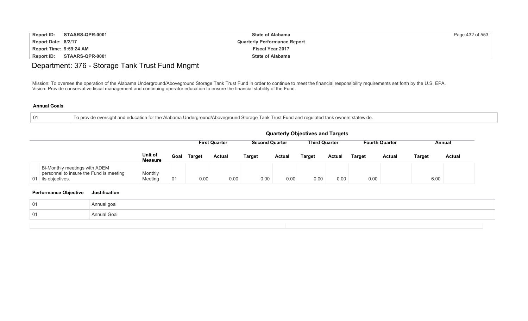| <b>Report ID:</b>       | STAARS-QPR-0001 | <b>State of Alabama</b>             | Page 432 of 553 |
|-------------------------|-----------------|-------------------------------------|-----------------|
| Report Date: 8/2/17     |                 | <b>Quarterly Performance Report</b> |                 |
| Report Time: 9:59:24 AM |                 | <b>Fiscal Year 2017</b>             |                 |
| Report ID:              | STAARS-QPR-0001 | <b>State of Alabama</b>             |                 |

# Department: 376 - Storage Tank Trust Fund Mngmt

Mission: To oversee the operation of the Alabama Underground/Aboveground Storage Tank Trust Fund in order to continue to meet the financial responsibility requirements set forth by the U.S. EPA. Vision: Provide conservative fiscal management and continuing operator education to ensure the financial stability of the Fund.

#### **Annual Goals**

|  |  |  | To provide oversight and education for the Alabama Underground/Aboveground Storage Tank Trust Fund and regulated tank owners statewide. |
|--|--|--|-----------------------------------------------------------------------------------------------------------------------------------------|
|  |  |  |                                                                                                                                         |

|                                                                                                |                           |      |               |                                                                                  |               |               | <b>Quarterly Objectives and Targets</b> |               |               |               |               |               |  |  |
|------------------------------------------------------------------------------------------------|---------------------------|------|---------------|----------------------------------------------------------------------------------|---------------|---------------|-----------------------------------------|---------------|---------------|---------------|---------------|---------------|--|--|
|                                                                                                | <b>First Quarter</b>      |      |               | <b>Third Quarter</b><br><b>Second Quarter</b><br><b>Fourth Quarter</b><br>Annual |               |               |                                         |               |               |               |               |               |  |  |
|                                                                                                | Unit of<br><b>Measure</b> | Goal | <b>Target</b> | <b>Actual</b>                                                                    | <b>Target</b> | <b>Actual</b> | <b>Target</b>                           | <b>Actual</b> | <b>Target</b> | <b>Actual</b> | <b>Target</b> | <b>Actual</b> |  |  |
| Bi-Monthly meetings with ADEM<br>personnel to insure the Fund is meeting<br>01 its objectives. | Monthly<br>Meeting        | 01   | 0.00          | 0.00                                                                             | 0.00          | 0.00          | 0.00                                    | 0.00          | 0.00          |               | 6.00          |               |  |  |

| -01 | Annual goal |  |
|-----|-------------|--|
| -01 | Annual Goal |  |
|     |             |  |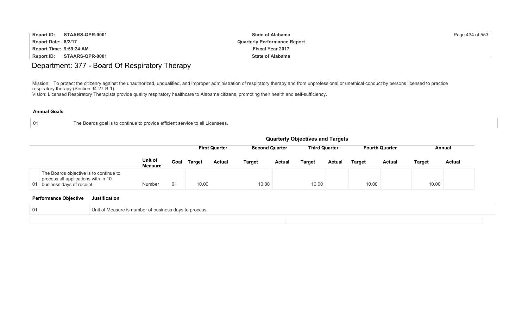| <b>Report ID:</b>       | STAARS-QPR-0001 | <b>State of Alabama</b>             | Page 434 of 553 |
|-------------------------|-----------------|-------------------------------------|-----------------|
| Report Date: 8/2/17     |                 | <b>Quarterly Performance Report</b> |                 |
| Report Time: 9:59:24 AM |                 | <b>Fiscal Year 2017</b>             |                 |
| Report ID:              | STAARS-QPR-0001 | <b>State of Alabama</b>             |                 |

# Department: 377 - Board Of Respiratory Therapy

Mission: To protect the citizenry against the unauthorized, unqualified, and improper administration of respiratory therapy and from unprofessional or unethical conduct by persons licensed to practice respiratory therapy (Section 34-27-B-1).

Vision: Licensed Respiratory Therapists provide quality respiratory healthcare to Alabama citizens, promoting their health and self-sufficiency.

#### **Annual Goals**

|  | The Boards goal is to continue to provide efficient service to all Licensees. |
|--|-------------------------------------------------------------------------------|
|--|-------------------------------------------------------------------------------|

|                                                                                                               |                           |                                                                                                          |               |               |               |               | <b>Quarterly Objectives and Targets</b> |               |               |               |        |               |
|---------------------------------------------------------------------------------------------------------------|---------------------------|----------------------------------------------------------------------------------------------------------|---------------|---------------|---------------|---------------|-----------------------------------------|---------------|---------------|---------------|--------|---------------|
|                                                                                                               |                           | <b>Third Quarter</b><br><b>Fourth Quarter</b><br><b>First Quarter</b><br><b>Second Quarter</b><br>Annual |               |               |               |               |                                         |               |               |               |        |               |
|                                                                                                               | Unit of<br><b>Measure</b> | Goal                                                                                                     | <b>Target</b> | <b>Actual</b> | <b>Target</b> | <b>Actual</b> | <b>Target</b>                           | <b>Actual</b> | <b>Target</b> | <b>Actual</b> | Target | <b>Actual</b> |
| The Boards objective is to continue to<br>process all applications with in 10<br>01 business days of receipt. | Number                    | 01                                                                                                       | 10.00         |               | 10.00         |               | 10.00                                   |               | 10.00         |               | 10.00  |               |

| 01 | it of Measure is number of business days to process<br>Jnit |
|----|-------------------------------------------------------------|
|    |                                                             |
|    |                                                             |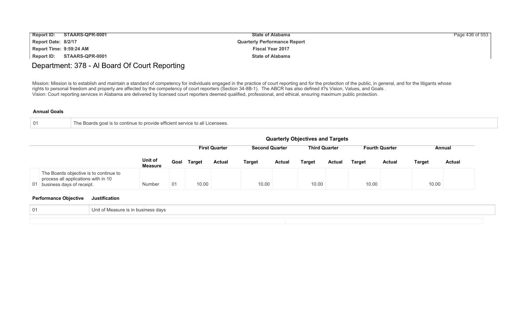| <b>Report ID:</b>       | STAARS-QPR-0001 | <b>State of Alabama</b>             | Page 436 of 553 |
|-------------------------|-----------------|-------------------------------------|-----------------|
| Report Date: 8/2/17     |                 | <b>Quarterly Performance Report</b> |                 |
| Report Time: 9:59:24 AM |                 | <b>Fiscal Year 2017</b>             |                 |
| Report ID:              | STAARS-QPR-0001 | <b>State of Alabama</b>             |                 |

### Department: 378 - Al Board Of Court Reporting

Mission: Mission is to establish and maintain a standard of competency for individuals engaged in the practice of court reporting and for the protection of the public, in general, and for the litigants whose rights to personal freedom and property are affected by the competency of court reporters (Section 34-8B-1). The ABCR has also defined it?s Vision, Values, and Goals . Vision: Court reporting services in Alabama are delivered by licensed court reporters deemed qualified, professional, and ethical, ensuring maximum public protection.

#### **Annual Goals**

| 01 | Boards goal is to continue to provide efficient service to all Licensees. |
|----|---------------------------------------------------------------------------|
|    |                                                                           |

|                                                                                                               |                           |      |               |                      |                       |               | <b>Quarterly Objectives and Targets</b> |               |                       |               |               |               |
|---------------------------------------------------------------------------------------------------------------|---------------------------|------|---------------|----------------------|-----------------------|---------------|-----------------------------------------|---------------|-----------------------|---------------|---------------|---------------|
|                                                                                                               |                           |      |               | <b>First Quarter</b> | <b>Second Quarter</b> |               | <b>Third Quarter</b>                    |               | <b>Fourth Quarter</b> |               | Annual        |               |
|                                                                                                               | Unit of<br><b>Measure</b> | Goal | <b>Target</b> | <b>Actual</b>        | Target                | <b>Actual</b> | <b>Target</b>                           | <b>Actual</b> | Tarqet                | <b>Actual</b> | <b>Target</b> | <b>Actual</b> |
| The Boards objective is to continue to<br>process all applications with in 10<br>01 business days of receipt. | Number                    | 01   | 10.00         |                      | 10.00                 |               | 10.00                                   |               | 10.00                 |               | 10.00         |               |

| U. | ι of Measure is in business davs<br>Uni <sup>+</sup> |
|----|------------------------------------------------------|
|    |                                                      |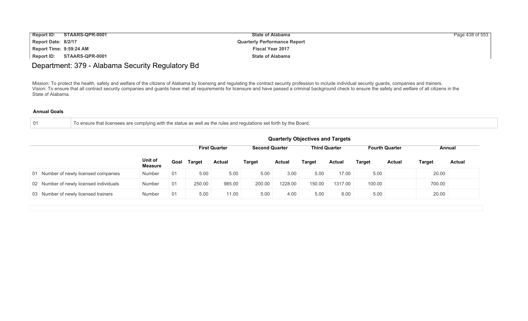| <b>Report ID:</b>       | STAARS-QPR-0001 | <b>State of Alabama</b>             | Page 438 of 553 |
|-------------------------|-----------------|-------------------------------------|-----------------|
| Report Date: 8/2/17     |                 | <b>Quarterly Performance Report</b> |                 |
| Report Time: 9:59:24 AM |                 | <b>Fiscal Year 2017</b>             |                 |
| Report ID:              | STAARS-QPR-0001 | <b>State of Alabama</b>             |                 |

# Department: 379 - Alabama Security Regulatory Bd

Mission: To protect the health, safety and welfare of the citizens of Alabama by licensing and regulating the contract security profession to include individual security guards, companies and trainers. Vision: To ensure that all contract security companies and guards have met all requirements for licensure and have passed a criminal background check to ensure the safety and welfare of all citizens in the State of Alabama.

|  | To ensure that licensees are complying with the statue as well as the rules and regulations set forth by the Board. |
|--|---------------------------------------------------------------------------------------------------------------------|
|--|---------------------------------------------------------------------------------------------------------------------|

|                           | <b>Quarterly Objectives and Targets</b>                               |               |               |        |               |               |               |               |               |                       |               |
|---------------------------|-----------------------------------------------------------------------|---------------|---------------|--------|---------------|---------------|---------------|---------------|---------------|-----------------------|---------------|
|                           | <b>Third Quarter</b><br><b>First Quarter</b><br><b>Second Quarter</b> |               |               |        |               |               |               |               |               | Annual                |               |
| Unit of<br><b>Measure</b> | Goal                                                                  | <b>Target</b> | <b>Actual</b> | Target | <b>Actual</b> | <b>Target</b> | <b>Actual</b> | <b>Target</b> | <b>Actual</b> | <b>Target</b>         | <b>Actual</b> |
| Number                    | 01                                                                    | 5.00          | 5.00          | 5.00   | 3.00          | 5.00          | 17.00         | 5.00          |               | 20.00                 |               |
| <b>Number</b>             | 01                                                                    | 250.00        | 985.00        | 200.00 | 1228.00       | 150.00        | 1317.00       | 100.00        |               | 700.00                |               |
| Number                    | 01                                                                    | 5.00          | 11.00         | 5.00   | 4.00          | 5.00          | 6.00          | 5.00          |               | 20.00                 |               |
|                           |                                                                       |               |               |        |               |               |               |               |               | <b>Fourth Quarter</b> |               |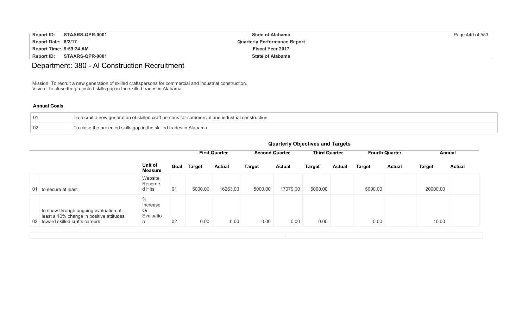| <b>Report ID:</b>       | STAARS-QPR-0001 | <b>State of Alabama</b>             | Page 440 of 553 |
|-------------------------|-----------------|-------------------------------------|-----------------|
| Report Date: 8/2/17     |                 | <b>Quarterly Performance Report</b> |                 |
| Report Time: 9:59:24 AM |                 | <b>Fiscal Year 2017</b>             |                 |
| Report ID:              | STAARS-QPR-0001 | <b>State of Alabama</b>             |                 |

# Department: 380 - Al Construction Recruitment

Mission: To recruit a new generation of skilled craftspersons for commercial and industrial construction. Vision: To close the projected skills gap in the skilled trades in Alabama

#### **Annual Goals**

| 01 | To recruit a new generation of skilled craft persons for commercial and industrial construction |
|----|-------------------------------------------------------------------------------------------------|
| 02 | To close the projected skills gap in the skilled trades in Alabama                              |

|                                                                                                                       |                                          |      | <b>First Quarter</b> |               | <b>Second Quarter</b> |               | <b>Third Quarter</b> |               | <b>Fourth Quarter</b> |               | Annual        |               |
|-----------------------------------------------------------------------------------------------------------------------|------------------------------------------|------|----------------------|---------------|-----------------------|---------------|----------------------|---------------|-----------------------|---------------|---------------|---------------|
|                                                                                                                       | Unit of<br><b>Measure</b>                | Goal | Target               | <b>Actual</b> | <b>Target</b>         | <b>Actual</b> | <b>Target</b>        | <b>Actual</b> | Target                | <b>Actual</b> | <b>Target</b> | <b>Actual</b> |
| 01 to secure at least                                                                                                 | Website<br>Recorde<br>d Hits             | 01   | 5000.00              | 16263.00      | 5000.00               | 17079.00      | 5000.00              |               | 5000.00               |               | 20000.00      |               |
| to show through ongoing evaluation at<br>least a 10% change in positive attitudes<br>02 toward skilled crafts careers | $\%$<br>Increase<br>On<br>Evaluatio<br>n | 02   | 0.00                 | 0.00          | 0.00                  | 0.00          | 0.00                 |               | 0.00                  |               | 10.00         |               |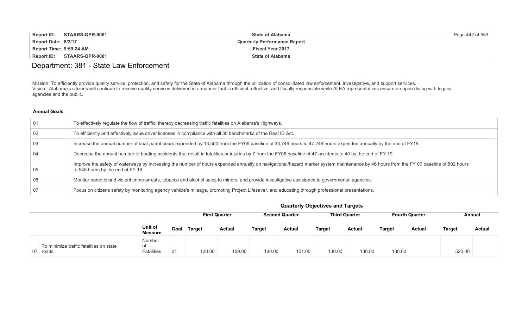| <b>Report ID:</b><br>STAARS-QPR-0001 | <b>State of Alabama</b>             | Page 442 of 553 |
|--------------------------------------|-------------------------------------|-----------------|
| Report Date: 8/2/17                  | <b>Quarterly Performance Report</b> |                 |
| Report Time: 9:59:24 AM              | <b>Fiscal Year 2017</b>             |                 |
| Report ID:<br>STAARS-QPR-0001        | <b>State of Alabama</b>             |                 |

# Department: 381 - State Law Enforcement

Mission: To efficiently provide quality service, protection, and safety for the State of Alabama through the utilization of consolidated law enforcement, investigative, and support services. Vision: Alabama's citizens will continue to receive quality services delivered in a manner that is efficient, effective, and fiscally responsible while ALEA representatives ensure an open dialog with legacy agencies and the public.

#### **Annual Goals**

| 01 | To effectively regulate the flow of traffic; thereby decreasing traffic fatalities on Alabama's Highways.                                                                                                                  |
|----|----------------------------------------------------------------------------------------------------------------------------------------------------------------------------------------------------------------------------|
| 02 | To efficiently and effectively issue driver licenses in compliance with all 30 benchmarks of the Real ID Act.                                                                                                              |
| 03 | Increase the annual number of boat patrol hours expended by 13,500 from the FY06 baseline of 33,749 hours to 47,249 hours expended annually by the end of FY19.                                                            |
| 04 | Decrease the annual number of boating accidents that result in fatalities or injuries by 7 from the FY06 baseline of 47 accidents to 40 by the end of FY 19.                                                               |
| 05 | Improve the safety of waterways by increasing the number of hours expended annually on navigational/hazard marker system maintenance by 46 hours from the FY 07 baseline of 502 hours<br>to 548 hours by the end of FY 19. |
| 06 | Monitor narcotic and violent crime arrests, tobacco and alcohol sales to minors, and provide investigative assistance to governmental agencies.                                                                            |
| 07 | Focus on citizens safety by monitoring agency vehicle's mileage, promoting Project Lifesaver, and educating through professional presentations.                                                                            |

|                                                     |                                   |      |               | <b>First Quarter</b> | <b>Second Quarter</b> |               | <b>Third Quarter</b> |               | <b>Fourth Quarter</b> |               | Annual        |               |
|-----------------------------------------------------|-----------------------------------|------|---------------|----------------------|-----------------------|---------------|----------------------|---------------|-----------------------|---------------|---------------|---------------|
|                                                     | Unit of<br><b>Measure</b>         | Goal | <b>Target</b> | <b>Actual</b>        | Target                | <b>Actual</b> | <b>Target</b>        | <b>Actual</b> | Target                | <b>Actual</b> | <b>Target</b> | <b>Actual</b> |
| To minimize traffic fatalities on state<br>07 roads | Number<br>οf<br><b>Fatalities</b> | 01   | 130.00        | 169.00               | 130.00                | 151.00        | 130.00               | 136.00        | 130.00                |               | 520.00        |               |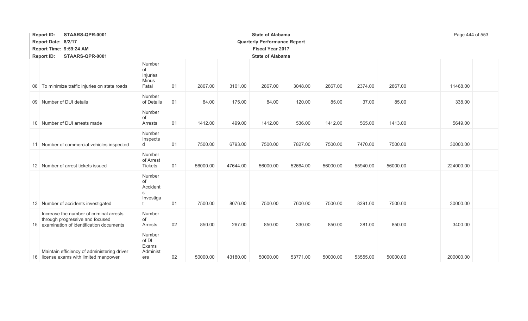| <b>Report ID:</b><br>STAARS-QPR-0001<br><b>State of Alabama</b>                                                          |                                             |    |          |          |                                     |          |          |          |          |           |  |
|--------------------------------------------------------------------------------------------------------------------------|---------------------------------------------|----|----------|----------|-------------------------------------|----------|----------|----------|----------|-----------|--|
| Report Date: 8/2/17                                                                                                      |                                             |    |          |          | <b>Quarterly Performance Report</b> |          |          |          |          |           |  |
| Report Time: 9:59:24 AM<br><b>Fiscal Year 2017</b>                                                                       |                                             |    |          |          |                                     |          |          |          |          |           |  |
| <b>State of Alabama</b><br><b>Report ID:</b><br>STAARS-QPR-0001                                                          |                                             |    |          |          |                                     |          |          |          |          |           |  |
| 08 To minimize traffic injuries on state roads                                                                           | Number<br>of<br>Injuries<br>Minus<br>Fatal  | 01 | 2867.00  | 3101.00  | 2867.00                             | 3048.00  | 2867.00  | 2374.00  | 2867.00  | 11468.00  |  |
| 09 Number of DUI details                                                                                                 | Number<br>of Details                        | 01 | 84.00    | 175.00   | 84.00                               | 120.00   | 85.00    | 37.00    | 85.00    | 338.00    |  |
| 10 Number of DUI arrests made                                                                                            | Number<br>of<br>Arrests                     | 01 | 1412.00  | 499.00   | 1412.00                             | 536.00   | 1412.00  | 565.00   | 1413.00  | 5649.00   |  |
| 11 Number of commercial vehicles inspected                                                                               | Number<br>Inspecte<br>d                     | 01 | 7500.00  | 6793.00  | 7500.00                             | 7827.00  | 7500.00  | 7470.00  | 7500.00  | 30000.00  |  |
| 12 Number of arrest tickets issued                                                                                       | Number<br>of Arrest<br><b>Tickets</b>       | 01 | 56000.00 | 47644.00 | 56000.00                            | 52664.00 | 56000.00 | 55940.00 | 56000.00 | 224000.00 |  |
| 13 Number of accidents investigated                                                                                      | Number<br>of<br>Accident<br>S<br>Investiga  | 01 | 7500.00  | 8076.00  | 7500.00                             | 7600.00  | 7500.00  | 8391.00  | 7500.00  | 30000.00  |  |
| Increase the number of criminal arrests<br>through progressive and focused<br>15 examination of identification documents | Number<br>οf<br>Arrests                     | 02 | 850.00   | 267.00   | 850.00                              | 330.00   | 850.00   | 281.00   | 850.00   | 3400.00   |  |
| Maintain efficiency of administering driver<br>16 license exams with limited manpower                                    | Number<br>of DI<br>Exams<br>Administ<br>ere | 02 | 50000.00 | 43180.00 | 50000.00                            | 53771.00 | 50000.00 | 53555.00 | 50000.00 | 200000.00 |  |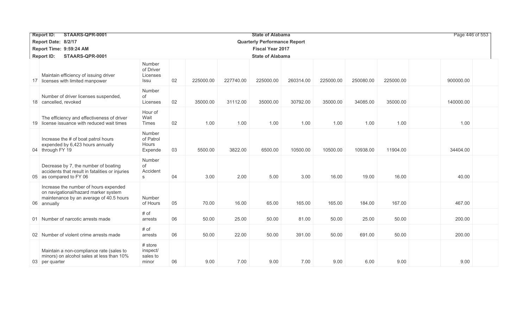| <b>Report ID:</b><br>STAARS-QPR-0001                                                                                                    |                                          | Page 446 of 553 |           |           |                                     |           |           |           |           |           |  |  |
|-----------------------------------------------------------------------------------------------------------------------------------------|------------------------------------------|-----------------|-----------|-----------|-------------------------------------|-----------|-----------|-----------|-----------|-----------|--|--|
| Report Date: 8/2/17                                                                                                                     |                                          |                 |           |           | <b>Quarterly Performance Report</b> |           |           |           |           |           |  |  |
| Report Time: 9:59:24 AM                                                                                                                 |                                          |                 |           |           | <b>Fiscal Year 2017</b>             |           |           |           |           |           |  |  |
| <b>Report ID:</b><br>STAARS-QPR-0001                                                                                                    | <b>State of Alabama</b>                  |                 |           |           |                                     |           |           |           |           |           |  |  |
| Maintain efficiency of issuing driver<br>17 licenses with limited manpower                                                              | Number<br>of Driver<br>Licenses<br>Issu  | 02              | 225000.00 | 227740.00 | 225000.00                           | 260314.00 | 225000.00 | 250080.00 | 225000.00 | 900000.00 |  |  |
| Number of driver licenses suspended,<br>18 cancelled, revoked                                                                           | Number<br>of<br>Licenses                 | 02              | 35000.00  | 31112.00  | 35000.00                            | 30792.00  | 35000.00  | 34085.00  | 35000.00  | 140000.00 |  |  |
| The efficiency and effectiveness of driver<br>19 license issuance with reduced wait times                                               | Hour of<br>Wait<br>Times                 | 02              | 1.00      | 1.00      | 1.00                                | 1.00      | 1.00      | 1.00      | 1.00      | 1.00      |  |  |
| Increase the # of boat patrol hours<br>expended by 6,423 hours annually<br>04 through FY 19                                             | Number<br>of Patrol<br>Hours<br>Expende  | 03              | 5500.00   | 3822.00   | 6500.00                             | 10500.00  | 10500.00  | 10938.00  | 11904.00  | 34404.00  |  |  |
| Decrease by 7, the number of boating<br>accidents that result in fatalities or injuries<br>05 as compared to FY 06                      | Number<br>of<br>Accident<br>S            | 04              | 3.00      | 2.00      | 5.00                                | 3.00      | 16.00     | 19.00     | 16.00     | 40.00     |  |  |
| Increase the number of hours expended<br>on navigational/hazard marker system<br>maintenance by an average of 40.5 hours<br>06 annually | Number<br>of Hours                       | 05              | 70.00     | 16.00     | 65.00                               | 165.00    | 165.00    | 184.00    | 167.00    | 467.00    |  |  |
| 01 Number of narcotic arrests made                                                                                                      | # of<br>arrests                          | 06              | 50.00     | 25.00     | 50.00                               | 81.00     | 50.00     | 25.00     | 50.00     | 200.00    |  |  |
| 02 Number of violent crime arrests made                                                                                                 | # of<br>arrests                          | 06              | 50.00     | 22.00     | 50.00                               | 391.00    | 50.00     | 691.00    | 50.00     | 200.00    |  |  |
| Maintain a non-compliance rate (sales to<br>minors) on alcohol sales at less than 10%<br>03 per quarter                                 | # store<br>inspect/<br>sales to<br>minor | 06              | 9.00      | 7.00      | 9.00                                | 7.00      | 9.00      | 6.00      | 9.00      | 9.00      |  |  |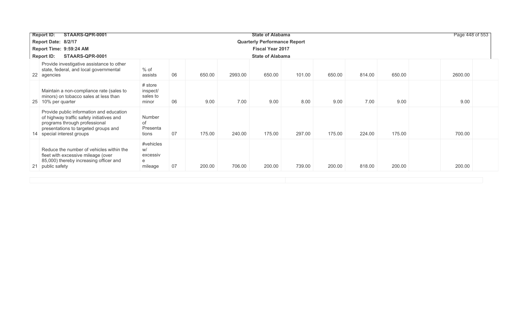| STAARS-QPR-0001<br><b>Report ID:</b>                                                                                                                                                         |                                             |    |        |         | <b>State of Alabama</b>             |        |        |        |        | Page 448 of 553 |  |
|----------------------------------------------------------------------------------------------------------------------------------------------------------------------------------------------|---------------------------------------------|----|--------|---------|-------------------------------------|--------|--------|--------|--------|-----------------|--|
| Report Date: 8/2/17                                                                                                                                                                          |                                             |    |        |         | <b>Quarterly Performance Report</b> |        |        |        |        |                 |  |
| Report Time: 9:59:24 AM                                                                                                                                                                      |                                             |    |        |         | <b>Fiscal Year 2017</b>             |        |        |        |        |                 |  |
| <b>Report ID:</b><br>STAARS-QPR-0001                                                                                                                                                         |                                             |    |        |         | <b>State of Alabama</b>             |        |        |        |        |                 |  |
| Provide investigative assistance to other<br>state, federal, and local governmental<br>22 agencies                                                                                           | $%$ of<br>assists                           | 06 | 650.00 | 2993.00 | 650.00                              | 101.00 | 650.00 | 814.00 | 650.00 | 2600.00         |  |
| Maintain a non-compliance rate (sales to<br>minors) on tobacco sales at less than<br>25 10% per quarter                                                                                      | # store<br>inspect/<br>sales to<br>minor    | 06 | 9.00   | 7.00    | 9.00                                | 8.00   | 9.00   | 7.00   | 9.00   | 9.00            |  |
| Provide public information and education<br>of highway traffic safety initiatives and<br>programs through professional<br>presentations to targeted groups and<br>14 special interest groups | Number<br>of<br>Presenta<br>tions           | 07 | 175.00 | 240.00  | 175.00                              | 297.00 | 175.00 | 224.00 | 175.00 | 700.00          |  |
| Reduce the number of vehicles within the<br>fleet with excessive mileage (over<br>85,000) thereby increasing officer and<br>21 public safety                                                 | #vehicles<br>W/<br>excessiv<br>е<br>mileage | 07 | 200.00 | 706.00  | 200.00                              | 739.00 | 200.00 | 818.00 | 200.00 | 200.00          |  |
|                                                                                                                                                                                              |                                             |    |        |         |                                     |        |        |        |        |                 |  |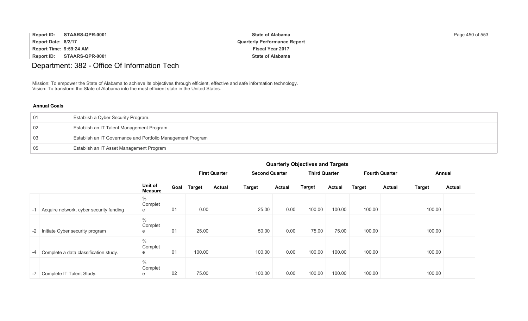| Report ID: STAARS-QPR-0001 | <b>State of Alabama</b>             | Page 450 of 553 |
|----------------------------|-------------------------------------|-----------------|
| Report Date: 8/2/17        | <b>Quarterly Performance Report</b> |                 |
| Report Time: 9:59:24 AM    | <b>Fiscal Year 2017</b>             |                 |
| Report ID: STAARS-QPR-0001 | <b>State of Alabama</b>             |                 |

# Department: 382 - Office Of Information Tech

Mission: To empower the State of Alabama to achieve its objectives through efficient, effective and safe information technology. Vision: To transform the State of Alabama into the most efficient state in the United States.

#### **Annual Goals**

| 01 | Establish a Cyber Security Program.                         |
|----|-------------------------------------------------------------|
| 02 | Establish an IT Talent Management Program                   |
| 03 | Establish an IT Governance and Portfolio Management Program |
| 05 | Establish an IT Asset Management Program                    |

|                                            |           |                           |      |               | <b>First Quarter</b> | <b>Second Quarter</b> |               | <b>Third Quarter</b> |               |               | <b>Fourth Quarter</b> |               | Annual        |
|--------------------------------------------|-----------|---------------------------|------|---------------|----------------------|-----------------------|---------------|----------------------|---------------|---------------|-----------------------|---------------|---------------|
|                                            |           | Unit of<br><b>Measure</b> | Goal | <b>Target</b> | <b>Actual</b>        | <b>Target</b>         | <b>Actual</b> | Target               | <b>Actual</b> | <b>Target</b> | <b>Actual</b>         | <b>Target</b> | <b>Actual</b> |
| -1 Acquire network, cyber security funding | $\%$<br>e | Complet                   | 01   | 0.00          |                      | 25.00                 | 0.00          | 100.00               | 100.00        | 100.00        |                       | 100.00        |               |
| -2 Initiate Cyber security program         | $\%$<br>е | Complet                   | 01   | 25.00         |                      | 50.00                 | 0.00          | 75.00                | 75.00         | 100.00        |                       | 100.00        |               |
| -4 Complete a data classification study.   | $\%$<br>е | Complet                   | 01   | 100.00        |                      | 100.00                | 0.00          | 100.00               | 100.00        | 100.00        |                       | 100.00        |               |
| -7 Complete IT Talent Study.               | $\%$<br>е | Complet                   | 02   | 75.00         |                      | 100.00                | 0.00          | 100.00               | 100.00        | 100.00        |                       | 100.00        |               |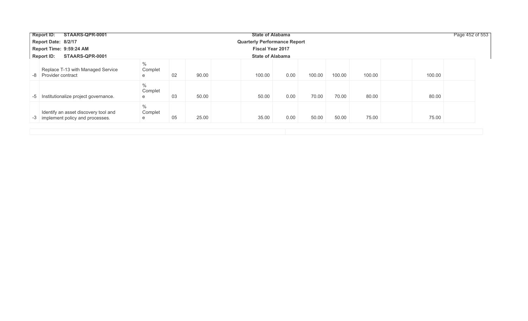| STAARS-QPR-0001<br><b>Report ID:</b>                                       |                      |    |       | <b>State of Alabama</b>             |      |        |        |        |        | Page 452 of 553 |  |  |  |
|----------------------------------------------------------------------------|----------------------|----|-------|-------------------------------------|------|--------|--------|--------|--------|-----------------|--|--|--|
| Report Date: 8/2/17                                                        |                      |    |       | <b>Quarterly Performance Report</b> |      |        |        |        |        |                 |  |  |  |
| Report Time: 9:59:24 AM                                                    |                      |    |       | <b>Fiscal Year 2017</b>             |      |        |        |        |        |                 |  |  |  |
| <b>Report ID:</b><br>STAARS-QPR-0001                                       |                      |    |       | <b>State of Alabama</b>             |      |        |        |        |        |                 |  |  |  |
| Replace T-13 with Managed Service<br>Provider contract<br>. -8             | $\%$<br>Complet<br>e | 02 | 90.00 | 100.00                              | 0.00 | 100.00 | 100.00 | 100.00 | 100.00 |                 |  |  |  |
| Institutionalize project governance.<br>-5                                 | $\%$<br>Complet<br>e | 03 | 50.00 | 50.00                               | 0.00 | 70.00  | 70.00  | 80.00  | 80.00  |                 |  |  |  |
| Identify an asset discovery tool and<br>-3 implement policy and processes. | $\%$<br>Complet<br>e | 05 | 25.00 | 35.00                               | 0.00 | 50.00  | 50.00  | 75.00  | 75.00  |                 |  |  |  |
|                                                                            |                      |    |       |                                     |      |        |        |        |        |                 |  |  |  |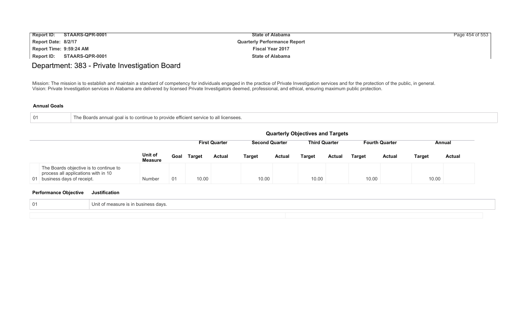| <b>Report ID:</b>       | STAARS-QPR-0001 | <b>State of Alabama</b>             | Page 454 of 553 |
|-------------------------|-----------------|-------------------------------------|-----------------|
| Report Date: 8/2/17     |                 | <b>Quarterly Performance Report</b> |                 |
| Report Time: 9:59:24 AM |                 | <b>Fiscal Year 2017</b>             |                 |
| Report ID:              | STAARS-QPR-0001 | <b>State of Alabama</b>             |                 |

# Department: 383 - Private Investigation Board

Mission: The mission is to establish and maintain a standard of competency for individuals engaged in the practice of Private Investigation services and for the protection of the public, in general. Vision: Private Investigation services in Alabama are delivered by licensed Private Investigators deemed, professional, and ethical, ensuring maximum public protection.

#### **Annual Goals**

| 01 | e Boards annual goal is to continue to provide efficient service to all licensees. |  |
|----|------------------------------------------------------------------------------------|--|
|    |                                                                                    |  |

|                                                                                                               |                           | <b>Quarterly Objectives and Targets</b> |               |                      |               |                       |                      |               |               |                       |               |               |  |
|---------------------------------------------------------------------------------------------------------------|---------------------------|-----------------------------------------|---------------|----------------------|---------------|-----------------------|----------------------|---------------|---------------|-----------------------|---------------|---------------|--|
|                                                                                                               |                           |                                         |               | <b>First Quarter</b> |               | <b>Second Quarter</b> | <b>Third Quarter</b> |               |               | <b>Fourth Quarter</b> |               | Annual        |  |
|                                                                                                               | Unit of<br><b>Measure</b> | Goal                                    | <b>Target</b> | <b>Actual</b>        | <b>Target</b> | <b>Actual</b>         | <b>Target</b>        | <b>Actual</b> | <b>Target</b> | <b>Actual</b>         | <b>Target</b> | <b>Actual</b> |  |
| The Boards objective is to continue to<br>process all applications with in 10<br>01 business days of receipt. | Number                    | 01                                      | 10.00         |                      | 10.00         |                       | 10.00                |               | 10.00         |                       | 10.00         |               |  |

| 01 | it of measure is in business davs.<br>UNIT |  |
|----|--------------------------------------------|--|
|    |                                            |  |
|    |                                            |  |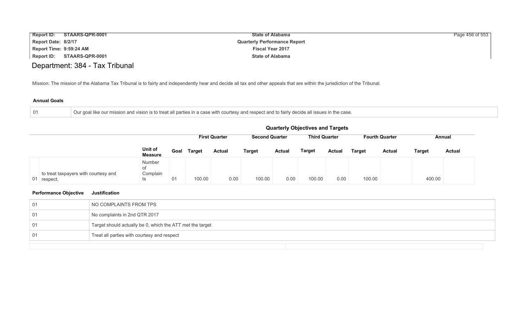| <b>Report ID:</b>       | STAARS-QPR-0001        | <b>State of Alabama</b>             | Page 456 of 553 |
|-------------------------|------------------------|-------------------------------------|-----------------|
| Report Date: 8/2/17     |                        | <b>Quarterly Performance Report</b> |                 |
| Report Time: 9:59:24 AM |                        | <b>Fiscal Year 2017</b>             |                 |
| Report ID:              | <b>STAARS-QPR-0001</b> | <b>State of Alabama</b>             |                 |
|                         |                        |                                     |                 |

# Department: 384 - Tax Tribunal

Mission: The mission of the Alabama Tax Tribunal is to fairly and independently hear and decide all tax and other appeals that are within the jurisdiction of the Tribunal.

#### **Annual Goals**

| . Our goal like our mission and vision is to treat all parties in a case with courtesy and respect and to fairly decide all issues in the case. |
|-------------------------------------------------------------------------------------------------------------------------------------------------|
|                                                                                                                                                 |

|                                                     |                                | <b>Quarterly Objectives and Targets</b>                                                                  |               |               |               |               |               |        |               |               |               |               |  |
|-----------------------------------------------------|--------------------------------|----------------------------------------------------------------------------------------------------------|---------------|---------------|---------------|---------------|---------------|--------|---------------|---------------|---------------|---------------|--|
|                                                     |                                | <b>First Quarter</b><br><b>Second Quarter</b><br><b>Third Quarter</b><br><b>Fourth Quarter</b><br>Annual |               |               |               |               |               |        |               |               |               |               |  |
|                                                     | Unit of<br><b>Measure</b>      | Goal                                                                                                     | <b>Target</b> | <b>Actual</b> | <b>Target</b> | <b>Actual</b> | <b>Target</b> | Actual | <b>Target</b> | <b>Actual</b> | <b>Target</b> | <b>Actual</b> |  |
| to treat taxpayers with courtesy and<br>01 respect. | Number<br>οf<br>Complain<br>ts | 01                                                                                                       | 100.00        | 0.00          | 100.00        | 0.00          | 100.00        | 0.00   | 100.00        |               | 400.00        |               |  |

| 01  | NO COMPLAINTS FROM TPS                                    |
|-----|-----------------------------------------------------------|
| 01  | No complaints in 2nd QTR 2017                             |
| -01 | Target should actually be 0, which the ATT met the target |
| -01 | Treat all parties with courtesy and respect               |
|     |                                                           |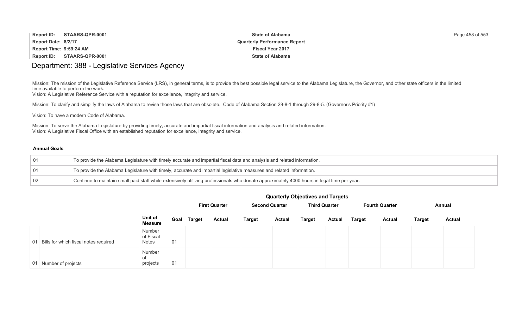| Report ID:              | STAARS-QPR-0001 | <b>State of Alabama</b>             | Page 458 of 553 |
|-------------------------|-----------------|-------------------------------------|-----------------|
| Report Date: 8/2/17     |                 | <b>Quarterly Performance Report</b> |                 |
| Report Time: 9:59:24 AM |                 | <b>Fiscal Year 2017</b>             |                 |
| <b>Report ID:</b>       | STAARS-QPR-0001 | <b>State of Alabama</b>             |                 |

### Department: 388 - Legislative Services Agency

Mission: The mission of the Legislative Reference Service (LRS), in general terms, is to provide the best possible legal service to the Alabama Legislature, the Governor, and other state officers in the limited time available to perform the work.

Vision: A Legislative Reference Service with a reputation for excellence, integrity and service.

Mission: To clarify and simplify the laws of Alabama to revise those laws that are obsolete. Code of Alabama Section 29-8-1 through 29-8-5. (Governor's Priority #1)

Vision: To have a modern Code of Alabama.

Mission: To serve the Alabama Legislature by providing timely, accurate and impartial fiscal information and analysis and related information. Vision: A Legislative Fiscal Office with an established reputation for excellence, integrity and service.

#### **Annual Goals**

| $\sqrt{01}$ | To provide the Alabama Legislature with timely accurate and impartial fiscal data and analysis and related information.                     |
|-------------|---------------------------------------------------------------------------------------------------------------------------------------------|
| 01          | To provide the Alabama Legislature with timely, accurate and impartial legislative measures and related information.                        |
| 02          | Continue to maintain small paid staff while extensively utilizing professionals who donate approximately 4000 hours in legal time per year. |

|                                          |                                     |      |               | <b>First Quarter</b> |               |               | <b>Second Quarter</b> |               | <b>Third Quarter</b> |               | <b>Fourth Quarter</b> |               | Annual |  |
|------------------------------------------|-------------------------------------|------|---------------|----------------------|---------------|---------------|-----------------------|---------------|----------------------|---------------|-----------------------|---------------|--------|--|
|                                          | Unit of<br>Measure                  | Goal | <b>Target</b> | <b>Actual</b>        | <b>Target</b> | <b>Actual</b> | <b>Target</b>         | <b>Actual</b> | <b>Target</b>        | <b>Actual</b> | <b>Target</b>         | <b>Actual</b> |        |  |
| 01 Bills for which fiscal notes required | Number<br>of Fiscal<br><b>Notes</b> | 01   |               |                      |               |               |                       |               |                      |               |                       |               |        |  |
| 01 Number of projects                    | Number<br>0f<br>projects            | 01   |               |                      |               |               |                       |               |                      |               |                       |               |        |  |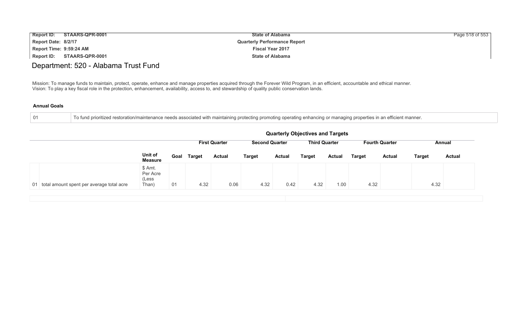| <b>Report ID:</b>       | STAARS-QPR-0001 | <b>State of Alabama</b>             | Page 518 of 553 |
|-------------------------|-----------------|-------------------------------------|-----------------|
| Report Date: 8/2/17     |                 | <b>Quarterly Performance Report</b> |                 |
| Report Time: 9:59:24 AM |                 | <b>Fiscal Year 2017</b>             |                 |
| Report ID:              | STAARS-QPR-0001 | <b>State of Alabama</b>             |                 |

### Department: 520 - Alabama Trust Fund

Mission: To manage funds to maintain, protect, operate, enhance and manage properties acquired through the Forever Wild Program, in an efficient, accountable and ethical manner. Vision: To play a key fiscal role in the protection, enhancement, availability, access to, and stewardship of quality public conservation lands.

#### **Annual Goals**

01 To fund prioritized restoration/maintenance needs associated with maintaining protecting promoting operating enhancing or managing properties in an efficient manner.

|                                              | <b>Quarterly Objectives and Targets</b> |    |             |                      |                       |               |                      |               |               |                       |               |        |
|----------------------------------------------|-----------------------------------------|----|-------------|----------------------|-----------------------|---------------|----------------------|---------------|---------------|-----------------------|---------------|--------|
|                                              |                                         |    |             | <b>First Quarter</b> | <b>Second Quarter</b> |               | <b>Third Quarter</b> |               |               | <b>Fourth Quarter</b> |               | Annual |
|                                              | Unit of<br><b>Measure</b>               |    | Goal Target | <b>Actual</b>        | <b>Target</b>         | <b>Actual</b> | <b>Target</b>        | <b>Actual</b> | <b>Target</b> | <b>Actual</b>         | <b>Target</b> | Actual |
| 01 total amount spent per average total acre | \$ Amt.<br>Per Acre<br>(Less<br>Than)   | 01 | 4.32        | 0.06                 | 4.32                  | 0.42          | 4.32                 | 1.00          | 4.32          |                       | 4.32          |        |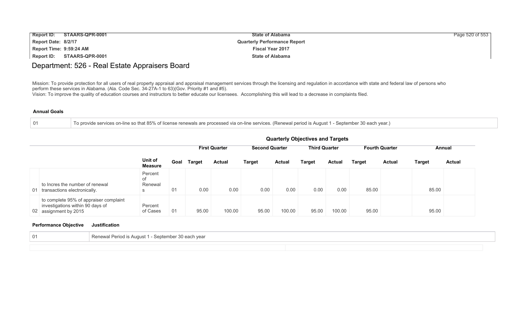| <b>Report ID:</b>       | STAARS-QPR-0001 | <b>State of Alabama</b>             | Page 520 of 553 |
|-------------------------|-----------------|-------------------------------------|-----------------|
| Report Date: 8/2/17     |                 | <b>Quarterly Performance Report</b> |                 |
| Report Time: 9:59:24 AM |                 | <b>Fiscal Year 2017</b>             |                 |
| Report ID:              | STAARS-QPR-0001 | <b>State of Alabama</b>             |                 |

### Department: 526 - Real Estate Appraisers Board

Mission: To provide protection for all users of real property appraisal and appraisal management services through the licensing and regulation in accordance with state and federal law of persons who perform these services in Alabama. (Ala. Code Sec. 34-27A-1 to 63)(Gov. Priority #1 and #5).

Vision: To improve the quality of education courses and instructors to better educate our licensees. Accomplishing this will lead to a decrease in complaints filed.

#### **Annual Goals**

01 To provide services on-line so that 85% of license renewals are processed via on-line services. (Renewal period is August 1 - September 30 each year.)

|                                                                                                     |                           |      |               |                                               |               |               | guarterry Objectives and Targets |               |                       |               |               |               |
|-----------------------------------------------------------------------------------------------------|---------------------------|------|---------------|-----------------------------------------------|---------------|---------------|----------------------------------|---------------|-----------------------|---------------|---------------|---------------|
|                                                                                                     | Unit of<br><b>Measure</b> |      |               | <b>Second Quarter</b><br><b>First Quarter</b> |               |               | <b>Third Quarter</b>             |               | <b>Fourth Quarter</b> |               | Annual        |               |
|                                                                                                     |                           | Goal | <b>Target</b> | <b>Actual</b>                                 | <b>Target</b> | <b>Actual</b> | Target                           | <b>Actual</b> | <b>Target</b>         | <b>Actual</b> | <b>Target</b> | <b>Actual</b> |
| to Incres the number of renewal<br>01 transactions electronically.                                  | Percent<br>of<br>Renewal  | 01   | 0.00          | 0.00                                          | 0.00          | 0.00          | 0.00                             | 0.00          | 85.00                 |               | 85.00         |               |
| to complete 95% of appraiser complaint<br>investigations within 90 days of<br>02 assignment by 2015 | Percent<br>of Cases       | 01   | 95.00         | 100.00                                        | 95.00         | 100.00        | 95.00                            | 100.00        | 95.00                 |               | 95.00         |               |

# **Performance Objective Justification**

| ∣ Renewal Period is August 1<br>1 - September 30 each vear |
|------------------------------------------------------------|
|                                                            |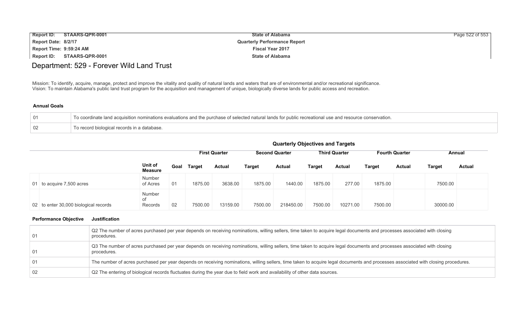| <b>Report ID:</b>       | STAARS-QPR-0001 | <b>State of Alabama</b>             | Page 522 of 553 |
|-------------------------|-----------------|-------------------------------------|-----------------|
| Report Date: 8/2/17     |                 | <b>Quarterly Performance Report</b> |                 |
| Report Time: 9:59:24 AM |                 | <b>Fiscal Year 2017</b>             |                 |
| <b>Report ID:</b>       | STAARS-QPR-0001 | <b>State of Alabama</b>             |                 |

# Department: 529 - Forever Wild Land Trust

Mission: To identify, acquire, manage, protect and improve the vitality and quality of natural lands and waters that are of environmental and/or recreational significance. Vision: To maintain Alabama's public land trust program for the acquisition and management of unique, biologically diverse lands for public access and recreation.

#### **Annual Goals**

| To coordinate land acquisition nominations evaluations and the purchase of selected natural lands for public recreational use and resource conservation. |
|----------------------------------------------------------------------------------------------------------------------------------------------------------|
| To record biological records in a database.                                                                                                              |

|                                       |                                |      | <b>First Quarter</b> |               |               | <b>Second Quarter</b> | <b>Third Quarter</b> |          | <b>Fourth Quarter</b> |          | Annual        |               |
|---------------------------------------|--------------------------------|------|----------------------|---------------|---------------|-----------------------|----------------------|----------|-----------------------|----------|---------------|---------------|
|                                       | Unit of<br>Measure             | Goal | <b>Target</b>        | <b>Actual</b> | <b>Target</b> | <b>Actual</b>         | Target               | Actual   | Target                | Actual   | <b>Target</b> | <b>Actual</b> |
| 01 to acquire 7,500 acres             | <b>Number</b><br>of Acres      | 01   | 1875.00              | 3638.00       | 1875.00       | 1440.00               | 1875.00              | 277.00   | 1875.00               |          | 7500.00       |               |
| 02 to enter 30,000 biological records | <b>Number</b><br>οf<br>Records | 02   | 7500.00              | 13159.00      | 7500.00       | 218450.00             | 7500.00              | 10271.00 | 7500.00               | 30000.00 |               |               |

| -01  | Q2 The number of acres purchased per year depends on receiving nominations, willing sellers, time taken to acquire legal documents and processes associated with closing<br>procedures. |
|------|-----------------------------------------------------------------------------------------------------------------------------------------------------------------------------------------|
| 01   | Q3 The number of acres purchased per year depends on receiving nominations, willing sellers, time taken to acquire legal documents and processes associated with closing<br>procedures. |
| -01  | The number of acres purchased per year depends on receiving nominations, willing sellers, time taken to acquire legal documents and processes associated with closing procedures.       |
| - 02 | Q2 The entering of biological records fluctuates during the year due to field work and availability of other data sources.                                                              |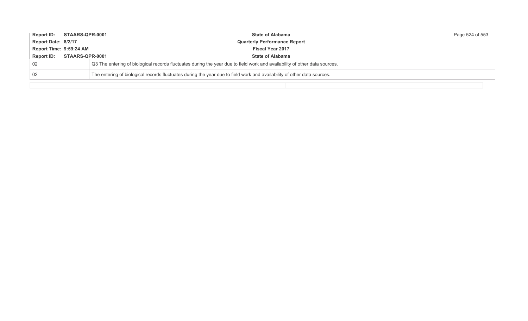| Report ID: STAARS-QPR-0001 |                                                                                                                         | <b>State of Alabama</b>                                                                                                    | Page 524 of 553 |  |  |  |  |  |  |
|----------------------------|-------------------------------------------------------------------------------------------------------------------------|----------------------------------------------------------------------------------------------------------------------------|-----------------|--|--|--|--|--|--|
| Report Date: 8/2/17        |                                                                                                                         | <b>Quarterly Performance Report</b>                                                                                        |                 |  |  |  |  |  |  |
| Report Time: 9:59:24 AM    |                                                                                                                         | <b>Fiscal Year 2017</b>                                                                                                    |                 |  |  |  |  |  |  |
| <b>Report ID:</b>          | STAARS-QPR-0001                                                                                                         | <b>State of Alabama</b>                                                                                                    |                 |  |  |  |  |  |  |
| 02                         |                                                                                                                         | Q3 The entering of biological records fluctuates during the year due to field work and availability of other data sources. |                 |  |  |  |  |  |  |
| 02                         | The entering of biological records fluctuates during the year due to field work and availability of other data sources. |                                                                                                                            |                 |  |  |  |  |  |  |
|                            |                                                                                                                         |                                                                                                                            |                 |  |  |  |  |  |  |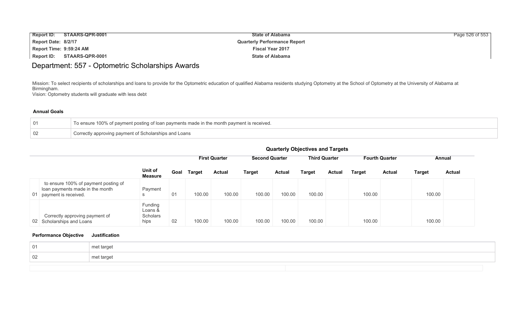| <b>Report ID:</b>       | STAARS-QPR-0001 | <b>State of Alabama</b>             | Page 526 of 553 |
|-------------------------|-----------------|-------------------------------------|-----------------|
| Report Date: 8/2/17     |                 | <b>Quarterly Performance Report</b> |                 |
| Report Time: 9:59:24 AM |                 | <b>Fiscal Year 2017</b>             |                 |
| Report ID:              | STAARS-QPR-0001 | <b>State of Alabama</b>             |                 |

# Department: 557 - Optometric Scholarships Awards

Mission: To select recipients of scholarships and loans to provide for the Optometric education of qualified Alabama residents studying Optometry at the School of Optometry at the University of Alabama at Birmingham.

Vision: Optometry students will graduate with less debt

#### **Annual Goals**

|    | To ensure 100% of payment posting of loan payments made in the month payment is received. |
|----|-------------------------------------------------------------------------------------------|
| 02 | Correctly approving payment of Scholarships and Loans                                     |

| <b>Quarterly Objectives and Targets</b> |  |  |  |
|-----------------------------------------|--|--|--|
|-----------------------------------------|--|--|--|

|    |                                                                                                 |                                        |      | <b>First Quarter</b> |               | <b>Third Quarter</b><br><b>Second Quarter</b> |               | <b>Fourth Quarter</b> |               | Annual        |               |        |               |
|----|-------------------------------------------------------------------------------------------------|----------------------------------------|------|----------------------|---------------|-----------------------------------------------|---------------|-----------------------|---------------|---------------|---------------|--------|---------------|
|    |                                                                                                 | Unit of<br><b>Measure</b>              | Goal | <b>Target</b>        | <b>Actual</b> | <b>Target</b>                                 | <b>Actual</b> | Target                | <b>Actual</b> | <b>Target</b> | <b>Actual</b> | Target | <b>Actual</b> |
| 01 | to ensure 100% of payment posting of<br>loan payments made in the month<br>payment is received. | Payment                                | 01   | 100.00               | 100.00        | 100.00                                        | 100.00        | 100.00                |               | 100.00        |               | 100.00 |               |
|    | Correctly approving payment of<br>02 Scholarships and Loans                                     | Funding<br>Loans &<br>Scholars<br>hips | 02   | 100.00               | 100.00        | 100.00                                        | 100.00        | 100.00                |               | 100.00        |               | 100.00 |               |

| 01  | met target |
|-----|------------|
| -02 | met target |
|     |            |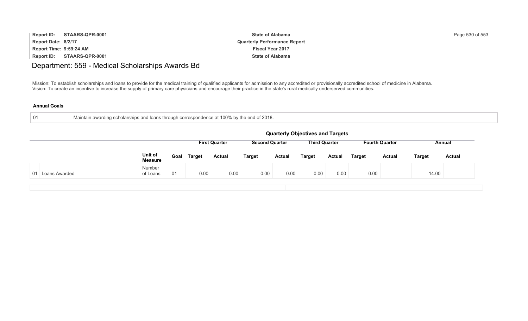| <b>Report ID:</b>       | STAARS-QPR-0001 | <b>State of Alabama</b>             | Page 530 of 553 |
|-------------------------|-----------------|-------------------------------------|-----------------|
| Report Date: 8/2/17     |                 | <b>Quarterly Performance Report</b> |                 |
| Report Time: 9:59:24 AM |                 | <b>Fiscal Year 2017</b>             |                 |
| Report ID:              | STAARS-QPR-0001 | <b>State of Alabama</b>             |                 |

# Department: 559 - Medical Scholarships Awards Bd

Mission: To establish scholarships and loans to provide for the medical training of qualified applicants for admission to any accredited or provisionally accredited school of medicine in Alabama. Vision: To create an incentive to increase the supply of primary care physicians and encourage their practice in the state's rural medically underserved communities.

| . N1 | in awarding scholarships and loans through correspondence at 100% by the end of 2018.<br>Maintair |
|------|---------------------------------------------------------------------------------------------------|
|      |                                                                                                   |

|                  | <b>Quarterly Objectives and Targets</b> |                                                                                                          |               |               |               |               |               |               |               |               |               |               |
|------------------|-----------------------------------------|----------------------------------------------------------------------------------------------------------|---------------|---------------|---------------|---------------|---------------|---------------|---------------|---------------|---------------|---------------|
|                  |                                         | <b>First Quarter</b><br><b>Third Quarter</b><br><b>Second Quarter</b><br><b>Fourth Quarter</b><br>Annual |               |               |               |               |               |               |               |               |               |               |
|                  | Unit of<br><b>Measure</b>               | Goal                                                                                                     | <b>Target</b> | <b>Actual</b> | <b>Target</b> | <b>Actual</b> | <b>Target</b> | <b>Actual</b> | <b>Target</b> | <b>Actual</b> | <b>Target</b> | <b>Actual</b> |
| 01 Loans Awarded | Number<br>of Loans                      | 01                                                                                                       | 0.00          | 0.00          | 0.00          | 0.00          | 0.00          | 0.00          | 0.00          |               | 14.00         |               |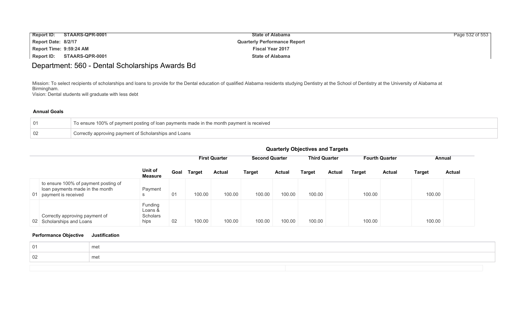| Report ID:              | STAARS-QPR-0001 | <b>State of Alabama</b>             | Page 532 of 553 |
|-------------------------|-----------------|-------------------------------------|-----------------|
| Report Date: 8/2/17     |                 | <b>Quarterly Performance Report</b> |                 |
| Report Time: 9:59:24 AM |                 | <b>Fiscal Year 2017</b>             |                 |
| <b>Report ID:</b>       | STAARS-QPR-0001 | <b>State of Alabama</b>             |                 |

# Department: 560 - Dental Scholarships Awards Bd

Mission: To select recipients of scholarships and loans to provide for the Dental education of qualified Alabama residents studying Dentistry at the School of Dentistry at the University of Alabama at Birmingham.

Vision: Dental students will graduate with less debt

#### **Annual Goals**

| To ensure 100% of payment posting of loan payments made in the month payment is received |
|------------------------------------------------------------------------------------------|
| Correctly approving payment of Scholarships and Loans                                    |

#### **Quarterly Objectives and Targets**

|                                                                                                   |                                        |      |               | <b>First Quarter</b> |               | <b>Second Quarter</b> |               | <b>Third Quarter</b> |               | <b>Fourth Quarter</b> |        | Annual        |  |
|---------------------------------------------------------------------------------------------------|----------------------------------------|------|---------------|----------------------|---------------|-----------------------|---------------|----------------------|---------------|-----------------------|--------|---------------|--|
|                                                                                                   | Unit of<br><b>Measure</b>              | Goal | <b>Target</b> | <b>Actual</b>        | <b>Target</b> | <b>Actual</b>         | <b>Target</b> | <b>Actual</b>        | <b>Target</b> | <b>Actual</b>         | Target | <b>Actual</b> |  |
| to ensure 100% of payment posting of<br>loan payments made in the month<br>01 payment is received | Payment<br><sub>S</sub>                | 01   | 100.00        | 100.00               | 100.00        | 100.00                | 100.00        |                      | 100.00        |                       | 100.00 |               |  |
| Correctly approving payment of<br>02 Scholarships and Loans                                       | Funding<br>Loans &<br>Scholars<br>hips | 02   | 100.00        | 100.00               | 100.00        | 100.00                | 100.00        |                      | 100.00        |                       | 100.00 |               |  |

| me |  |
|----|--|
| me |  |
|    |  |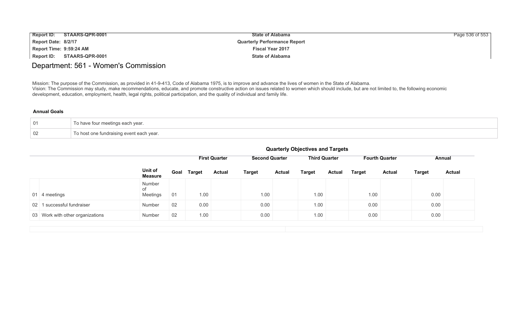| <b>Report ID:</b><br>STAARS-QPR-0001 | <b>State of Alabama</b>             | Page 536 of 553 |
|--------------------------------------|-------------------------------------|-----------------|
| Report Date: 8/2/17                  | <b>Quarterly Performance Report</b> |                 |
| Report Time: 9:59:24 AM              | <b>Fiscal Year 2017</b>             |                 |
| Report ID:<br>STAARS-QPR-0001        | <b>State of Alabama</b>             |                 |

# Department: 561 - Women's Commission

Mission: The purpose of the Commission, as provided in 41-9-413, Code of Alabama 1975, is to improve and advance the lives of women in the State of Alabama. Vision: The Commission may study, make recommendations, educate, and promote constructive action on issues related to women which should include, but are not limited to, the following economic development, education, employment, health, legal rights, political participation, and the quality of individual and family life.

#### **Annual Goals**

| 01 | To have four meetings each year.         |
|----|------------------------------------------|
| 02 | To host one fundraising event each year. |

|                                         |                           |    |             | <b>First Quarter</b> |               | <b>Second Quarter</b> | <b>Third Quarter</b> |               |               | <b>Fourth Quarter</b> |               | Annual        |
|-----------------------------------------|---------------------------|----|-------------|----------------------|---------------|-----------------------|----------------------|---------------|---------------|-----------------------|---------------|---------------|
|                                         | Unit of<br><b>Measure</b> |    | Goal Target | <b>Actual</b>        | <b>Target</b> | <b>Actual</b>         | <b>Target</b>        | <b>Actual</b> | <b>Target</b> | <b>Actual</b>         | <b>Target</b> | <b>Actual</b> |
| 01 4 meetings                           | Number<br>of<br>Meetings  | 01 | 1.00        |                      | 1.00          |                       | 1.00                 |               | 1.00          |                       | 0.00          |               |
| I successful fundraiser<br>$02 \quad 1$ | Number                    | 02 | 0.00        |                      | 0.00          |                       | 1.00                 |               | 0.00          |                       | 0.00          |               |
| 03 Work with other organizations        | Number                    | 02 | 1.00        |                      | 0.00          |                       | 1.00                 |               | 0.00          |                       | 0.00          |               |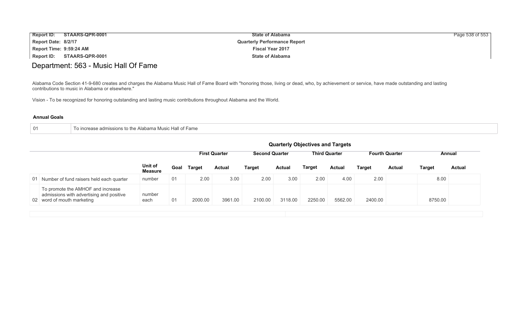| <b>Report ID:</b><br>STAARS-QPR-0001 | <b>State of Alabama</b>             | Page 538 of 553 |
|--------------------------------------|-------------------------------------|-----------------|
| Report Date: 8/2/17                  | <b>Quarterly Performance Report</b> |                 |
| Report Time: 9:59:24 AM              | <b>Fiscal Year 2017</b>             |                 |
| Report ID:<br>STAARS-QPR-0001        | <b>State of Alabama</b>             |                 |

# Department: 563 - Music Hall Of Fame

Alabama Code Section 41-9-680 creates and charges the Alabama Music Hall of Fame Board with "honoring those, living or dead, who, by achievement or service, have made outstanding and lasting contributions to music in Alabama or elsewhere."

Vision - To be recognized for honoring outstanding and lasting music contributions throughout Alabama and the World.

| To increase admissions to the Alabama Music Hall of Fame<br>$\overline{01}$ |
|-----------------------------------------------------------------------------|
|-----------------------------------------------------------------------------|

|                                                                                                             |                           |      |               |                      |                       |               | <b>Quarterly Objectives and Targets</b> |                      |         |                       |         |               |
|-------------------------------------------------------------------------------------------------------------|---------------------------|------|---------------|----------------------|-----------------------|---------------|-----------------------------------------|----------------------|---------|-----------------------|---------|---------------|
|                                                                                                             |                           |      |               | <b>First Quarter</b> | <b>Second Quarter</b> |               |                                         | <b>Third Quarter</b> |         | <b>Fourth Quarter</b> |         | Annual        |
|                                                                                                             | Unit of<br><b>Measure</b> | Goal | <b>Target</b> | <b>Actual</b>        | Target                | <b>Actual</b> | <b>Target</b>                           | Actual               | Target  | Actual                | Target  | <b>Actual</b> |
| 01 Number of fund raisers held each quarter                                                                 | number                    | 01   | 2.00          | 3.00                 | 2.00                  | 3.00          | 2.00                                    | 4.00                 | 2.00    |                       | 8.00    |               |
| To promote the AMHOF and increase<br>admissions with advertising and positive<br>02 word of mouth marketing | number<br>each            | 01   | 2000.00       | 3961.00              | 2100.00               | 3118.00       | 2250.00                                 | 5562.00              | 2400.00 |                       | 8750.00 |               |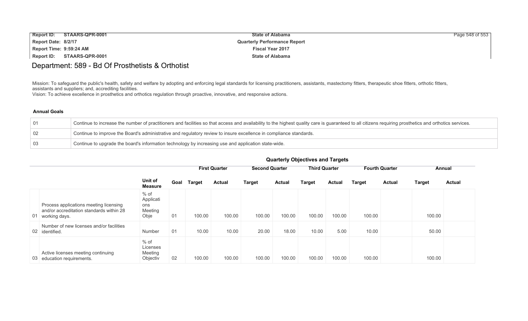| <b>Report ID:</b>       | STAARS-QPR-0001 | <b>State of Alabama</b>             | Page 548 of 553 |
|-------------------------|-----------------|-------------------------------------|-----------------|
| Report Date: 8/2/17     |                 | <b>Quarterly Performance Report</b> |                 |
| Report Time: 9:59:24 AM |                 | <b>Fiscal Year 2017</b>             |                 |
| Report ID:              | STAARS-QPR-0001 | <b>State of Alabama</b>             |                 |

# Department: 589 - Bd Of Prosthetists & Orthotist

Mission: To safeguard the public's health, safety and welfare by adopting and enforcing legal standards for licensing practitioners, assistants, mastectomy fitters, therapeutic shoe fitters, orthotic fitters, assistants and suppliers; and, accrediting facilities.

Vision: To achieve excellence in prosthetics and orthotics regulation through proactive, innovative, and responsive actions.

#### **Annual Goals**

| $\overline{01}$ | Continue to increase the number of practitioners and facilities so that access and availability to the highest quality care is guaranteed to all citizens requiring prosthetics and orthotics services. |
|-----------------|---------------------------------------------------------------------------------------------------------------------------------------------------------------------------------------------------------|
| $\sqrt{02}$     | Continue to improve the Board's administrative and regulatory review to insure excellence in compliance standards.                                                                                      |
| $\mid$ 03       | Continue to upgrade the board's information technology by increasing use and application state-wide.                                                                                                    |

|    |                                                                                                     |                                               |      |               | <b>First Quarter</b> | <b>Second Quarter</b> |               | <b>Third Quarter</b> |               |        | <b>Fourth Quarter</b> |               | Annual        |
|----|-----------------------------------------------------------------------------------------------------|-----------------------------------------------|------|---------------|----------------------|-----------------------|---------------|----------------------|---------------|--------|-----------------------|---------------|---------------|
|    |                                                                                                     | Unit of<br><b>Measure</b>                     | Goal | <b>Target</b> | <b>Actual</b>        | <b>Target</b>         | <b>Actual</b> | <b>Target</b>        | <b>Actual</b> | Target | <b>Actual</b>         | <b>Target</b> | <b>Actual</b> |
| 01 | Process applications meeting licensing<br>and/or accreditation standards within 28<br>working days. | $%$ of<br>Applicati<br>ons<br>Meeting<br>Obje | 01   | 100.00        | 100.00               | 100.00                | 100.00        | 100.00               | 100.00        | 100.00 |                       | 100.00        |               |
|    | Number of new licenses and/or facilities<br>02 identified.                                          | Number                                        | 01   | 10.00         | 10.00                | 20.00                 | 18.00         | 10.00                | 5.00          | 10.00  |                       | 50.00         |               |
|    | Active licenses meeting continuing<br>03 education requirements.                                    | $%$ of<br>Licenses<br>Meeting<br>Objectiv     | -02  | 100.00        | 100.00               | 100.00                | 100.00        | 100.00               | 100.00        | 100.00 |                       | 100.00        |               |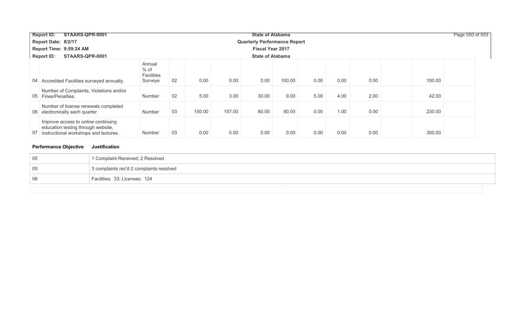|                                      | <b>Report ID:</b><br>STAARS-QPR-0001                                                                               |                                           |    |                         | Page 550 of 553                     |       |        |      |      |      |        |  |
|--------------------------------------|--------------------------------------------------------------------------------------------------------------------|-------------------------------------------|----|-------------------------|-------------------------------------|-------|--------|------|------|------|--------|--|
|                                      | Report Date: 8/2/17                                                                                                |                                           |    |                         | <b>Quarterly Performance Report</b> |       |        |      |      |      |        |  |
| Report Time: 9:59:24 AM              |                                                                                                                    |                                           |    | <b>Fiscal Year 2017</b> |                                     |       |        |      |      |      |        |  |
| <b>Report ID:</b><br>STAARS-QPR-0001 |                                                                                                                    |                                           |    | <b>State of Alabama</b> |                                     |       |        |      |      |      |        |  |
|                                      | 04 Accredited Facilities surveyed annually.                                                                        | Annual<br>$%$ of<br>Facilities<br>Surveye | 02 | 0.00                    | 0.00                                | 0.00  | 100.00 | 0.00 | 0.00 | 0.00 | 100.00 |  |
|                                      | Number of Complaints, Violations and/or<br>05 Fines/Penalties.                                                     | Number                                    | 02 | 5.00                    | 3.00                                | 30.00 | 9.00   | 5.00 | 4.00 | 2.00 | 42.00  |  |
|                                      | Number of license renewals completed<br>06 electronically each quarter                                             | Number                                    | 03 | 150.00                  | 157.00                              | 80.00 | 90.00  | 0.00 | 1.00 | 0.00 | 230.00 |  |
| 07                                   | Improve access to online continuing<br>education testing through website,<br>instructional workshops and lectures. | Number                                    | 03 | 0.00                    | 0.00                                | 0.00  | 0.00   | 0.00 | 0.00 | 0.00 | 300.00 |  |

| 05 | 1 Complaint Received; 2 Resolved         |
|----|------------------------------------------|
| 05 | 3 complaints rec'd 2 complaints resolved |
| 06 | Facilities: 33; Licenses: 124            |
|    |                                          |